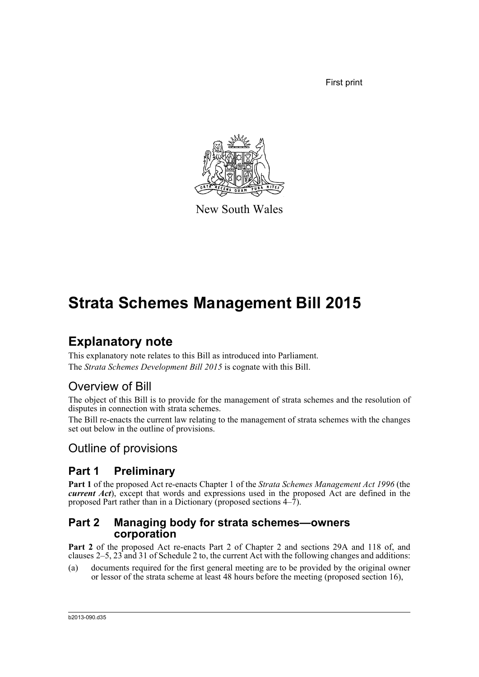First print



New South Wales

# **Strata Schemes Management Bill 2015**

# **Explanatory note**

This explanatory note relates to this Bill as introduced into Parliament. The *Strata Schemes Development Bill 2015* is cognate with this Bill.

# Overview of Bill

The object of this Bill is to provide for the management of strata schemes and the resolution of disputes in connection with strata schemes.

The Bill re-enacts the current law relating to the management of strata schemes with the changes set out below in the outline of provisions.

# Outline of provisions

# **Part 1 Preliminary**

**Part 1** of the proposed Act re-enacts Chapter 1 of the *Strata Schemes Management Act 1996* (the *current Act*), except that words and expressions used in the proposed Act are defined in the proposed Part rather than in a Dictionary (proposed sections 4–7).

#### **Part 2 Managing body for strata schemes—owners corporation**

**Part 2** of the proposed Act re-enacts Part 2 of Chapter 2 and sections 29A and 118 of, and clauses  $2-5$ ,  $23$  and  $31$  of Schedule 2 to, the current Act with the following changes and additions:

(a) documents required for the first general meeting are to be provided by the original owner or lessor of the strata scheme at least 48 hours before the meeting (proposed section 16),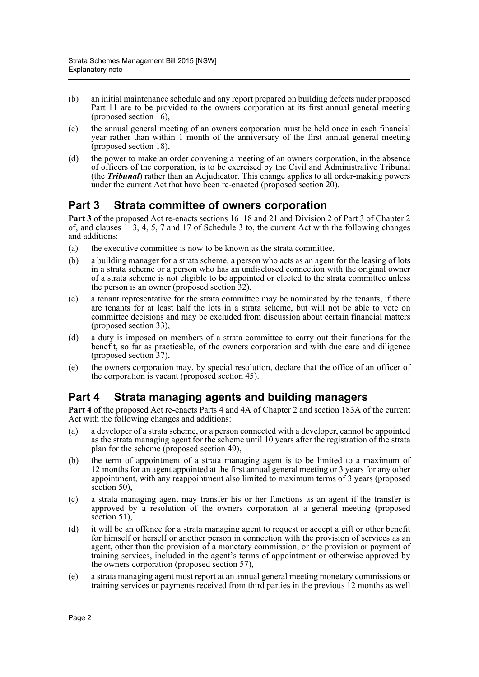- (b) an initial maintenance schedule and any report prepared on building defects under proposed Part 11 are to be provided to the owners corporation at its first annual general meeting (proposed section  $16$ ),
- (c) the annual general meeting of an owners corporation must be held once in each financial year rather than within 1 month of the anniversary of the first annual general meeting (proposed section 18),
- (d) the power to make an order convening a meeting of an owners corporation, in the absence of officers of the corporation, is to be exercised by the Civil and Administrative Tribunal (the *Tribunal*) rather than an Adjudicator. This change applies to all order-making powers under the current Act that have been re-enacted (proposed section 20).

## **Part 3 Strata committee of owners corporation**

**Part 3** of the proposed Act re-enacts sections 16–18 and 21 and Division 2 of Part 3 of Chapter 2 of, and clauses 1–3, 4, 5, 7 and 17 of Schedule 3 to, the current Act with the following changes and additions:

- (a) the executive committee is now to be known as the strata committee,
- (b) a building manager for a strata scheme, a person who acts as an agent for the leasing of lots in a strata scheme or a person who has an undisclosed connection with the original owner of a strata scheme is not eligible to be appointed or elected to the strata committee unless the person is an owner (proposed section 32),
- (c) a tenant representative for the strata committee may be nominated by the tenants, if there are tenants for at least half the lots in a strata scheme, but will not be able to vote on committee decisions and may be excluded from discussion about certain financial matters (proposed section 33),
- (d) a duty is imposed on members of a strata committee to carry out their functions for the benefit, so far as practicable, of the owners corporation and with due care and diligence (proposed section 37),
- (e) the owners corporation may, by special resolution, declare that the office of an officer of the corporation is vacant (proposed section 45).

# **Part 4 Strata managing agents and building managers**

**Part 4** of the proposed Act re-enacts Parts 4 and 4A of Chapter 2 and section 183A of the current Act with the following changes and additions:

- (a) a developer of a strata scheme, or a person connected with a developer, cannot be appointed as the strata managing agent for the scheme until 10 years after the registration of the strata plan for the scheme (proposed section 49),
- (b) the term of appointment of a strata managing agent is to be limited to a maximum of 12 months for an agent appointed at the first annual general meeting or 3 years for any other appointment, with any reappointment also limited to maximum terms of 3 years (proposed section 50).
- (c) a strata managing agent may transfer his or her functions as an agent if the transfer is approved by a resolution of the owners corporation at a general meeting (proposed section 51),
- (d) it will be an offence for a strata managing agent to request or accept a gift or other benefit for himself or herself or another person in connection with the provision of services as an agent, other than the provision of a monetary commission, or the provision or payment of training services, included in the agent's terms of appointment or otherwise approved by the owners corporation (proposed section 57),
- (e) a strata managing agent must report at an annual general meeting monetary commissions or training services or payments received from third parties in the previous 12 months as well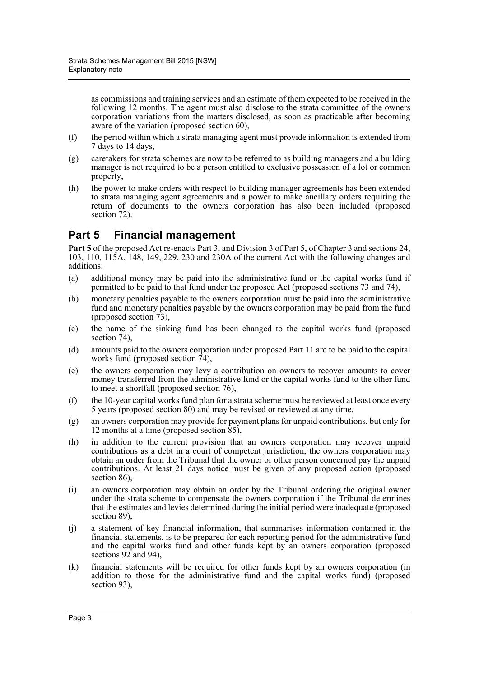as commissions and training services and an estimate of them expected to be received in the following 12 months. The agent must also disclose to the strata committee of the owners corporation variations from the matters disclosed, as soon as practicable after becoming aware of the variation (proposed section 60),

- (f) the period within which a strata managing agent must provide information is extended from 7 days to 14 days,
- (g) caretakers for strata schemes are now to be referred to as building managers and a building manager is not required to be a person entitled to exclusive possession of a lot or common property,
- (h) the power to make orders with respect to building manager agreements has been extended to strata managing agent agreements and a power to make ancillary orders requiring the return of documents to the owners corporation has also been included (proposed section 72).

# **Part 5 Financial management**

Part 5 of the proposed Act re-enacts Part 3, and Division 3 of Part 5, of Chapter 3 and sections 24, 103, 110, 115A, 148, 149, 229, 230 and 230A of the current Act with the following changes and additions:

- (a) additional money may be paid into the administrative fund or the capital works fund if permitted to be paid to that fund under the proposed Act (proposed sections 73 and 74),
- (b) monetary penalties payable to the owners corporation must be paid into the administrative fund and monetary penalties payable by the owners corporation may be paid from the fund (proposed section 73),
- (c) the name of the sinking fund has been changed to the capital works fund (proposed section 74).
- (d) amounts paid to the owners corporation under proposed Part 11 are to be paid to the capital works fund (proposed section 74),
- (e) the owners corporation may levy a contribution on owners to recover amounts to cover money transferred from the administrative fund or the capital works fund to the other fund to meet a shortfall (proposed section 76),
- (f) the 10-year capital works fund plan for a strata scheme must be reviewed at least once every 5 years (proposed section 80) and may be revised or reviewed at any time,
- (g) an owners corporation may provide for payment plans for unpaid contributions, but only for 12 months at a time (proposed section  $\overline{85}$ ),
- (h) in addition to the current provision that an owners corporation may recover unpaid contributions as a debt in a court of competent jurisdiction, the owners corporation may obtain an order from the Tribunal that the owner or other person concerned pay the unpaid contributions. At least 21 days notice must be given of any proposed action (proposed section 86),
- (i) an owners corporation may obtain an order by the Tribunal ordering the original owner under the strata scheme to compensate the owners corporation if the Tribunal determines that the estimates and levies determined during the initial period were inadequate (proposed section 89),
- (j) a statement of key financial information, that summarises information contained in the financial statements, is to be prepared for each reporting period for the administrative fund and the capital works fund and other funds kept by an owners corporation (proposed sections 92 and 94),
- (k) financial statements will be required for other funds kept by an owners corporation (in addition to those for the administrative fund and the capital works fund) (proposed section 93),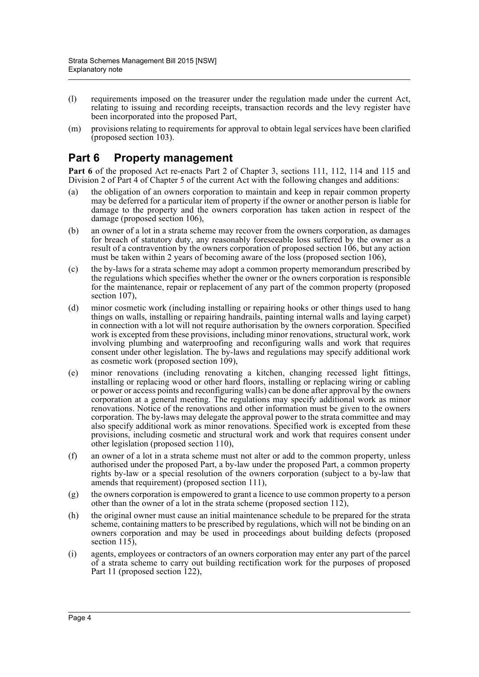- (l) requirements imposed on the treasurer under the regulation made under the current Act, relating to issuing and recording receipts, transaction records and the levy register have been incorporated into the proposed Part,
- (m) provisions relating to requirements for approval to obtain legal services have been clarified (proposed section 103).

## **Part 6 Property management**

**Part 6** of the proposed Act re-enacts Part 2 of Chapter 3, sections 111, 112, 114 and 115 and Division 2 of Part 4 of Chapter 5 of the current Act with the following changes and additions:

- (a) the obligation of an owners corporation to maintain and keep in repair common property may be deferred for a particular item of property if the owner or another person is liable for damage to the property and the owners corporation has taken action in respect of the damage (proposed section 106),
- (b) an owner of a lot in a strata scheme may recover from the owners corporation, as damages for breach of statutory duty, any reasonably foreseeable loss suffered by the owner as a result of a contravention by the owners corporation of proposed section 106, but any action must be taken within 2 years of becoming aware of the loss (proposed section 106),
- (c) the by-laws for a strata scheme may adopt a common property memorandum prescribed by the regulations which specifies whether the owner or the owners corporation is responsible for the maintenance, repair or replacement of any part of the common property (proposed section 107).
- (d) minor cosmetic work (including installing or repairing hooks or other things used to hang things on walls, installing or repairing handrails, painting internal walls and laying carpet) in connection with a lot will not require authorisation by the owners corporation. Specified work is excepted from these provisions, including minor renovations, structural work, work involving plumbing and waterproofing and reconfiguring walls and work that requires consent under other legislation. The by-laws and regulations may specify additional work as cosmetic work (proposed section 109),
- (e) minor renovations (including renovating a kitchen, changing recessed light fittings, installing or replacing wood or other hard floors, installing or replacing wiring or cabling or power or access points and reconfiguring walls) can be done after approval by the owners corporation at a general meeting. The regulations may specify additional work as minor renovations. Notice of the renovations and other information must be given to the owners corporation. The by-laws may delegate the approval power to the strata committee and may also specify additional work as minor renovations. Specified work is excepted from these provisions, including cosmetic and structural work and work that requires consent under other legislation (proposed section 110),
- (f) an owner of a lot in a strata scheme must not alter or add to the common property, unless authorised under the proposed Part, a by-law under the proposed Part, a common property rights by-law or a special resolution of the owners corporation (subject to a by-law that amends that requirement) (proposed section 111),
- (g) the owners corporation is empowered to grant a licence to use common property to a person other than the owner of a lot in the strata scheme (proposed section 112),
- (h) the original owner must cause an initial maintenance schedule to be prepared for the strata scheme, containing matters to be prescribed by regulations, which will not be binding on an owners corporation and may be used in proceedings about building defects (proposed section 115),
- (i) agents, employees or contractors of an owners corporation may enter any part of the parcel of a strata scheme to carry out building rectification work for the purposes of proposed Part 11 (proposed section 122),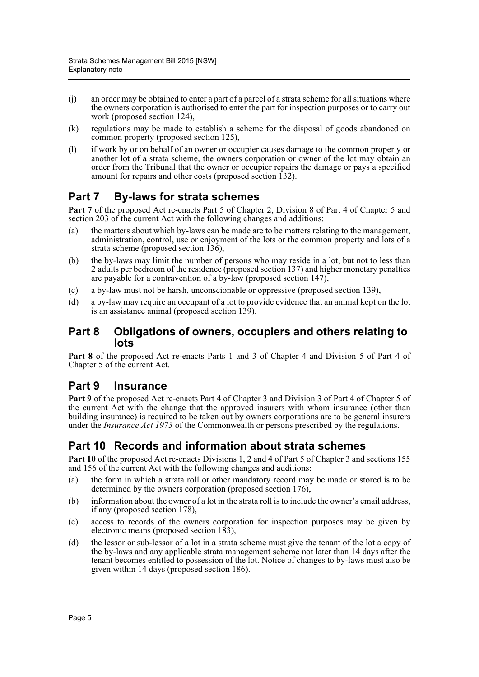- (j) an order may be obtained to enter a part of a parcel of a strata scheme for all situations where the owners corporation is authorised to enter the part for inspection purposes or to carry out work (proposed section 124),
- (k) regulations may be made to establish a scheme for the disposal of goods abandoned on common property (proposed section 125),
- (l) if work by or on behalf of an owner or occupier causes damage to the common property or another lot of a strata scheme, the owners corporation or owner of the lot may obtain an order from the Tribunal that the owner or occupier repairs the damage or pays a specified amount for repairs and other costs (proposed section  $\overline{132}$ ).

# **Part 7 By-laws for strata schemes**

**Part 7** of the proposed Act re-enacts Part 5 of Chapter 2, Division 8 of Part 4 of Chapter 5 and section 203 of the current Act with the following changes and additions:

- (a) the matters about which by-laws can be made are to be matters relating to the management, administration, control, use or enjoyment of the lots or the common property and lots of a strata scheme (proposed section 136),
- (b) the by-laws may limit the number of persons who may reside in a lot, but not to less than 2 adults per bedroom of the residence (proposed section 137) and higher monetary penalties are payable for a contravention of a by-law (proposed section 147),
- (c) a by-law must not be harsh, unconscionable or oppressive (proposed section 139),
- (d) a by-law may require an occupant of a lot to provide evidence that an animal kept on the lot is an assistance animal (proposed section 139).

#### **Part 8 Obligations of owners, occupiers and others relating to lots**

**Part 8** of the proposed Act re-enacts Parts 1 and 3 of Chapter 4 and Division 5 of Part 4 of Chapter 5 of the current Act.

#### **Part 9 Insurance**

**Part 9** of the proposed Act re-enacts Part 4 of Chapter 3 and Division 3 of Part 4 of Chapter 5 of the current Act with the change that the approved insurers with whom insurance (other than building insurance) is required to be taken out by owners corporations are to be general insurers under the *Insurance Act 1973* of the Commonwealth or persons prescribed by the regulations.

# **Part 10 Records and information about strata schemes**

**Part 10** of the proposed Act re-enacts Divisions 1, 2 and 4 of Part 5 of Chapter 3 and sections 155 and 156 of the current Act with the following changes and additions:

- (a) the form in which a strata roll or other mandatory record may be made or stored is to be determined by the owners corporation (proposed section 176),
- (b) information about the owner of a lot in the strata roll is to include the owner's email address, if any (proposed section 178),
- (c) access to records of the owners corporation for inspection purposes may be given by electronic means (proposed section 183),
- (d) the lessor or sub-lessor of a lot in a strata scheme must give the tenant of the lot a copy of the by-laws and any applicable strata management scheme not later than 14 days after the tenant becomes entitled to possession of the lot. Notice of changes to by-laws must also be given within 14 days (proposed section 186).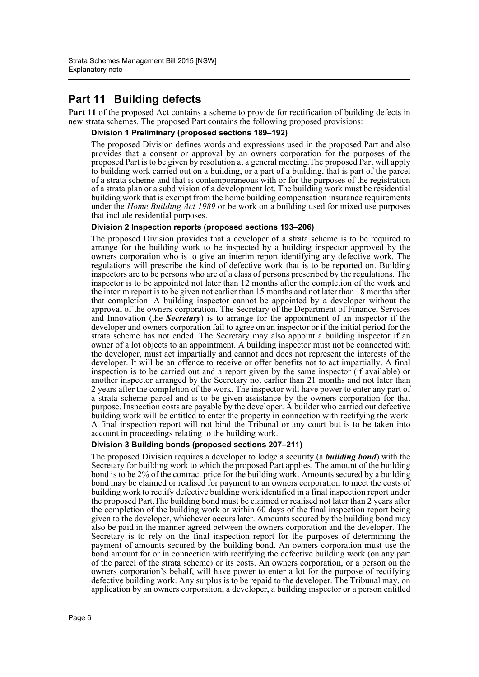# **Part 11 Building defects**

**Part 11** of the proposed Act contains a scheme to provide for rectification of building defects in new strata schemes. The proposed Part contains the following proposed provisions:

#### **Division 1 Preliminary (proposed sections 189–192)**

The proposed Division defines words and expressions used in the proposed Part and also provides that a consent or approval by an owners corporation for the purposes of the proposed Part is to be given by resolution at a general meeting.The proposed Part will apply to building work carried out on a building, or a part of a building, that is part of the parcel of a strata scheme and that is contemporaneous with or for the purposes of the registration of a strata plan or a subdivision of a development lot. The building work must be residential building work that is exempt from the home building compensation insurance requirements under the *Home Building Act 1989* or be work on a building used for mixed use purposes that include residential purposes.

#### **Division 2 Inspection reports (proposed sections 193–206)**

The proposed Division provides that a developer of a strata scheme is to be required to arrange for the building work to be inspected by a building inspector approved by the owners corporation who is to give an interim report identifying any defective work. The regulations will prescribe the kind of defective work that is to be reported on. Building inspectors are to be persons who are of a class of persons prescribed by the regulations. The inspector is to be appointed not later than 12 months after the completion of the work and the interim report is to be given not earlier than 15 months and not later than 18 months after that completion. A building inspector cannot be appointed by a developer without the approval of the owners corporation. The Secretary of the Department of Finance, Services and Innovation (the *Secretary*) is to arrange for the appointment of an inspector if the developer and owners corporation fail to agree on an inspector or if the initial period for the strata scheme has not ended. The Secretary may also appoint a building inspector if an owner of a lot objects to an appointment. A building inspector must not be connected with the developer, must act impartially and cannot and does not represent the interests of the developer. It will be an offence to receive or offer benefits not to act impartially. A final inspection is to be carried out and a report given by the same inspector (if available) or another inspector arranged by the Secretary not earlier than 21 months and not later than 2 years after the completion of the work. The inspector will have power to enter any part of a strata scheme parcel and is to be given assistance by the owners corporation for that purpose. Inspection costs are payable by the developer. A builder who carried out defective building work will be entitled to enter the property in connection with rectifying the work. A final inspection report will not bind the Tribunal or any court but is to be taken into account in proceedings relating to the building work.

#### **Division 3 Building bonds (proposed sections 207–211)**

The proposed Division requires a developer to lodge a security (a *building bond*) with the Secretary for building work to which the proposed Part applies. The amount of the building bond is to be 2% of the contract price for the building work. Amounts secured by a building bond may be claimed or realised for payment to an owners corporation to meet the costs of building work to rectify defective building work identified in a final inspection report under the proposed Part.The building bond must be claimed or realised not later than 2 years after the completion of the building work or within 60 days of the final inspection report being given to the developer, whichever occurs later. Amounts secured by the building bond may also be paid in the manner agreed between the owners corporation and the developer. The Secretary is to rely on the final inspection report for the purposes of determining the payment of amounts secured by the building bond. An owners corporation must use the bond amount for or in connection with rectifying the defective building work (on any part of the parcel of the strata scheme) or its costs. An owners corporation, or a person on the owners corporation's behalf, will have power to enter a lot for the purpose of rectifying defective building work. Any surplus is to be repaid to the developer. The Tribunal may, on application by an owners corporation, a developer, a building inspector or a person entitled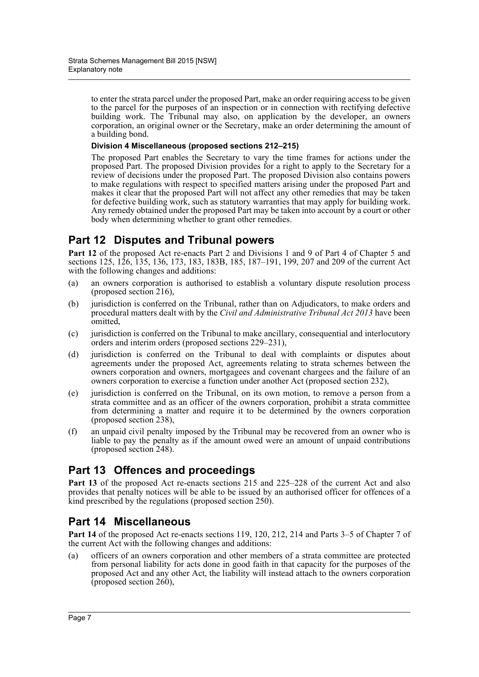to enter the strata parcel under the proposed Part, make an order requiring access to be given to the parcel for the purposes of an inspection or in connection with rectifying defective building work. The Tribunal may also, on application by the developer, an owners corporation, an original owner or the Secretary, make an order determining the amount of a building bond.

#### **Division 4 Miscellaneous (proposed sections 212–215)**

The proposed Part enables the Secretary to vary the time frames for actions under the proposed Part. The proposed Division provides for a right to apply to the Secretary for a review of decisions under the proposed Part. The proposed Division also contains powers to make regulations with respect to specified matters arising under the proposed Part and makes it clear that the proposed Part will not affect any other remedies that may be taken for defective building work, such as statutory warranties that may apply for building work. Any remedy obtained under the proposed Part may be taken into account by a court or other body when determining whether to grant other remedies.

### **Part 12 Disputes and Tribunal powers**

Part 12 of the proposed Act re-enacts Part 2 and Divisions 1 and 9 of Part 4 of Chapter 5 and sections 125, 126, 135, 136, 173, 183, 183B, 185, 187–191, 199, 207 and 209 of the current Act with the following changes and additions:

- (a) an owners corporation is authorised to establish a voluntary dispute resolution process (proposed section 216),
- (b) jurisdiction is conferred on the Tribunal, rather than on Adjudicators, to make orders and procedural matters dealt with by the *Civil and Administrative Tribunal Act 2013* have been omitted,
- (c) jurisdiction is conferred on the Tribunal to make ancillary, consequential and interlocutory orders and interim orders (proposed sections 229–231),
- (d) jurisdiction is conferred on the Tribunal to deal with complaints or disputes about agreements under the proposed Act, agreements relating to strata schemes between the owners corporation and owners, mortgagees and covenant chargees and the failure of an owners corporation to exercise a function under another Act (proposed section 232),
- (e) jurisdiction is conferred on the Tribunal, on its own motion, to remove a person from a strata committee and as an officer of the owners corporation, prohibit a strata committee from determining a matter and require it to be determined by the owners corporation (proposed section 238),
- (f) an unpaid civil penalty imposed by the Tribunal may be recovered from an owner who is liable to pay the penalty as if the amount owed were an amount of unpaid contributions (proposed section 248).

### **Part 13 Offences and proceedings**

**Part 13** of the proposed Act re-enacts sections 215 and 225–228 of the current Act and also provides that penalty notices will be able to be issued by an authorised officer for offences of a kind prescribed by the regulations (proposed section 250).

### **Part 14 Miscellaneous**

**Part 14** of the proposed Act re-enacts sections 119, 120, 212, 214 and Parts 3–5 of Chapter 7 of the current Act with the following changes and additions:

(a) officers of an owners corporation and other members of a strata committee are protected from personal liability for acts done in good faith in that capacity for the purposes of the proposed Act and any other Act, the liability will instead attach to the owners corporation (proposed section 260),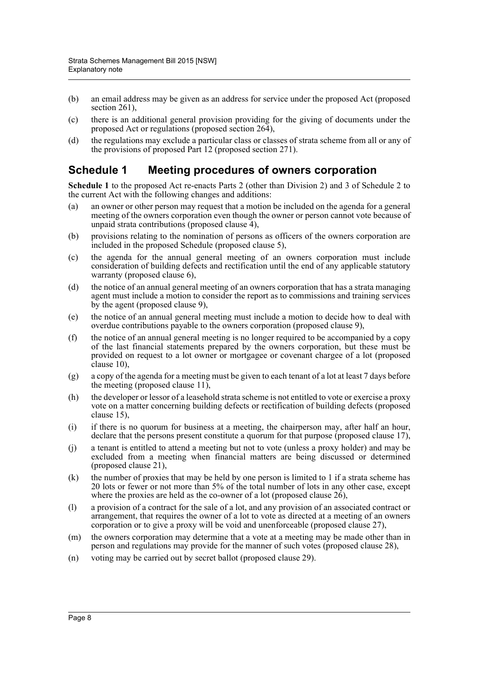- (b) an email address may be given as an address for service under the proposed Act (proposed section 261),
- (c) there is an additional general provision providing for the giving of documents under the proposed Act or regulations (proposed section 264),
- (d) the regulations may exclude a particular class or classes of strata scheme from all or any of the provisions of proposed Part 12 (proposed section 271).

#### **Schedule 1 Meeting procedures of owners corporation**

**Schedule 1** to the proposed Act re-enacts Parts 2 (other than Division 2) and 3 of Schedule 2 to the current Act with the following changes and additions:

- (a) an owner or other person may request that a motion be included on the agenda for a general meeting of the owners corporation even though the owner or person cannot vote because of unpaid strata contributions (proposed clause  $\overline{4}$ ),
- (b) provisions relating to the nomination of persons as officers of the owners corporation are included in the proposed Schedule (proposed clause 5),
- (c) the agenda for the annual general meeting of an owners corporation must include consideration of building defects and rectification until the end of any applicable statutory warranty (proposed clause 6),
- (d) the notice of an annual general meeting of an owners corporation that has a strata managing agent must include a motion to consider the report as to commissions and training services by the agent (proposed clause 9),
- (e) the notice of an annual general meeting must include a motion to decide how to deal with overdue contributions payable to the owners corporation (proposed clause 9),
- (f) the notice of an annual general meeting is no longer required to be accompanied by a copy of the last financial statements prepared by the owners corporation, but these must be provided on request to a lot owner or mortgagee or covenant chargee of a lot (proposed clause 10),
- (g) a copy of the agenda for a meeting must be given to each tenant of a lot at least 7 days before the meeting (proposed clause 11),
- (h) the developer or lessor of a leasehold strata scheme is not entitled to vote or exercise a proxy vote on a matter concerning building defects or rectification of building defects (proposed clause 15),
- (i) if there is no quorum for business at a meeting, the chairperson may, after half an hour, declare that the persons present constitute a quorum for that purpose (proposed clause 17),
- (j) a tenant is entitled to attend a meeting but not to vote (unless a proxy holder) and may be excluded from a meeting when financial matters are being discussed or determined (proposed clause 21),
- $(k)$  the number of proxies that may be held by one person is limited to 1 if a strata scheme has 20 lots or fewer or not more than 5% of the total number of lots in any other case, except where the proxies are held as the co-owner of a lot (proposed clause  $2\dot{6}$ ),
- (l) a provision of a contract for the sale of a lot, and any provision of an associated contract or arrangement, that requires the owner of a lot to vote as directed at a meeting of an owners corporation or to give a proxy will be void and unenforceable (proposed clause 27),
- (m) the owners corporation may determine that a vote at a meeting may be made other than in person and regulations may provide for the manner of such votes (proposed clause 28),
- (n) voting may be carried out by secret ballot (proposed clause 29).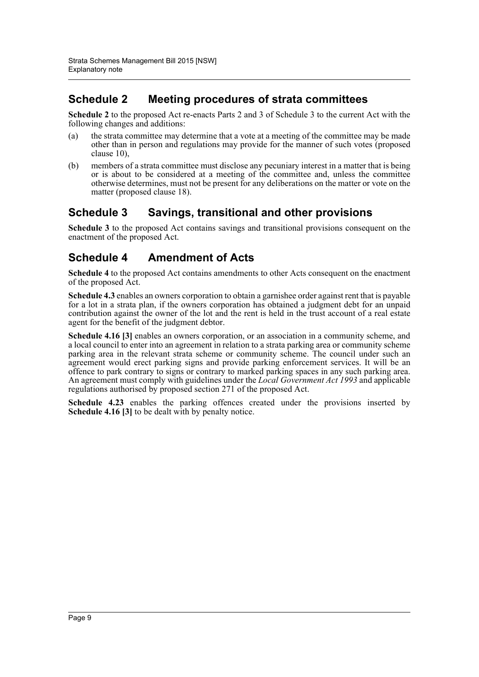## **Schedule 2 Meeting procedures of strata committees**

**Schedule 2** to the proposed Act re-enacts Parts 2 and 3 of Schedule 3 to the current Act with the following changes and additions:

- (a) the strata committee may determine that a vote at a meeting of the committee may be made other than in person and regulations may provide for the manner of such votes (proposed clause 10),
- (b) members of a strata committee must disclose any pecuniary interest in a matter that is being or is about to be considered at a meeting of the committee and, unless the committee otherwise determines, must not be present for any deliberations on the matter or vote on the matter (proposed clause 18).

### **Schedule 3 Savings, transitional and other provisions**

**Schedule 3** to the proposed Act contains savings and transitional provisions consequent on the enactment of the proposed Act.

# **Schedule 4 Amendment of Acts**

**Schedule 4** to the proposed Act contains amendments to other Acts consequent on the enactment of the proposed Act.

**Schedule 4.3** enables an owners corporation to obtain a garnishee order against rent that is payable for a lot in a strata plan, if the owners corporation has obtained a judgment debt for an unpaid contribution against the owner of the lot and the rent is held in the trust account of a real estate agent for the benefit of the judgment debtor.

**Schedule 4.16 [3]** enables an owners corporation, or an association in a community scheme, and a local council to enter into an agreement in relation to a strata parking area or community scheme parking area in the relevant strata scheme or community scheme. The council under such an agreement would erect parking signs and provide parking enforcement services. It will be an offence to park contrary to signs or contrary to marked parking spaces in any such parking area. An agreement must comply with guidelines under the *Local Government Act 1993* and applicable regulations authorised by proposed section 271 of the proposed Act.

**Schedule 4.23** enables the parking offences created under the provisions inserted by **Schedule 4.16 [3]** to be dealt with by penalty notice.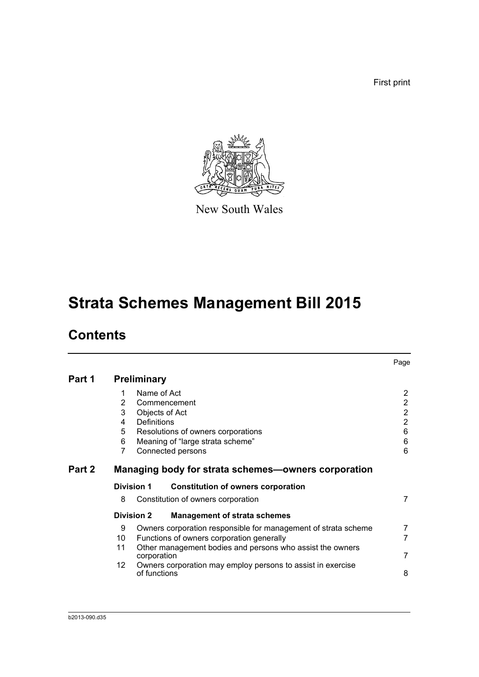First print



New South Wales

# **Strata Schemes Management Bill 2015**

# **Contents**

|        |                                 |                            |                                                                                                                               | Page                                                                                |
|--------|---------------------------------|----------------------------|-------------------------------------------------------------------------------------------------------------------------------|-------------------------------------------------------------------------------------|
| Part 1 | <b>Preliminary</b>              |                            |                                                                                                                               |                                                                                     |
|        | 1<br>2<br>3<br>4<br>5<br>6<br>7 | Name of Act<br>Definitions | Commencement<br>Objects of Act<br>Resolutions of owners corporations<br>Meaning of "large strata scheme"<br>Connected persons | $\overline{2}$<br>$\overline{2}$<br>$\overline{2}$<br>$\overline{2}$<br>6<br>6<br>6 |
| Part 2 |                                 |                            | Managing body for strata schemes—owners corporation                                                                           |                                                                                     |
|        | <b>Division 1</b>               |                            | <b>Constitution of owners corporation</b>                                                                                     |                                                                                     |
|        | 8                               |                            | Constitution of owners corporation                                                                                            | $\overline{7}$                                                                      |
|        | <b>Division 2</b>               |                            | <b>Management of strata schemes</b>                                                                                           |                                                                                     |
|        | 9<br>10                         |                            | Owners corporation responsible for management of strata scheme<br>Functions of owners corporation generally                   | 7<br>$\overline{7}$                                                                 |
|        | 11                              | corporation                | Other management bodies and persons who assist the owners                                                                     | $\overline{7}$                                                                      |
|        | 12                              | of functions               | Owners corporation may employ persons to assist in exercise                                                                   | 8                                                                                   |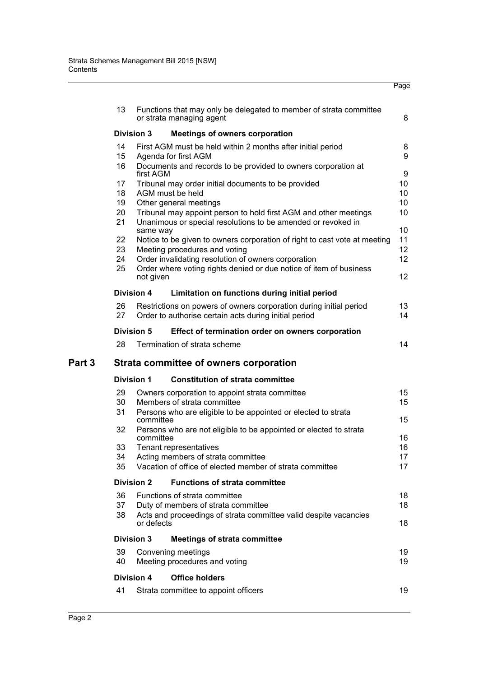|        |                                                            |                   |                                                                                                | Page            |  |  |  |  |
|--------|------------------------------------------------------------|-------------------|------------------------------------------------------------------------------------------------|-----------------|--|--|--|--|
|        | 13                                                         |                   | Functions that may only be delegated to member of strata committee<br>or strata managing agent | 8               |  |  |  |  |
|        | <b>Division 3</b><br><b>Meetings of owners corporation</b> |                   |                                                                                                |                 |  |  |  |  |
|        | 14                                                         |                   | First AGM must be held within 2 months after initial period                                    | 8               |  |  |  |  |
|        | 15                                                         |                   | Agenda for first AGM                                                                           | 9               |  |  |  |  |
|        | 16                                                         |                   | Documents and records to be provided to owners corporation at                                  |                 |  |  |  |  |
|        |                                                            | first AGM         |                                                                                                | 9               |  |  |  |  |
|        | 17                                                         |                   | Tribunal may order initial documents to be provided                                            | 10              |  |  |  |  |
|        | 18<br>19                                                   |                   | AGM must be held                                                                               | 10<br>10        |  |  |  |  |
|        | 20                                                         |                   | Other general meetings<br>Tribunal may appoint person to hold first AGM and other meetings     | 10              |  |  |  |  |
|        | 21                                                         |                   | Unanimous or special resolutions to be amended or revoked in                                   |                 |  |  |  |  |
|        |                                                            | same way          |                                                                                                | 10              |  |  |  |  |
|        | 22                                                         |                   | Notice to be given to owners corporation of right to cast vote at meeting                      | 11              |  |  |  |  |
|        | 23                                                         |                   | Meeting procedures and voting                                                                  | 12 <sup>2</sup> |  |  |  |  |
|        | 24                                                         |                   | Order invalidating resolution of owners corporation                                            | 12 <sup>2</sup> |  |  |  |  |
|        | 25                                                         | not given         | Order where voting rights denied or due notice of item of business                             | 12 <sup>2</sup> |  |  |  |  |
|        |                                                            |                   |                                                                                                |                 |  |  |  |  |
|        |                                                            | <b>Division 4</b> | Limitation on functions during initial period                                                  |                 |  |  |  |  |
|        | 26                                                         |                   | Restrictions on powers of owners corporation during initial period                             | 13              |  |  |  |  |
|        | 27                                                         |                   | Order to authorise certain acts during initial period                                          | 14              |  |  |  |  |
|        |                                                            | <b>Division 5</b> | Effect of termination order on owners corporation                                              |                 |  |  |  |  |
|        | 28                                                         |                   | Termination of strata scheme                                                                   | 14              |  |  |  |  |
| Part 3 |                                                            |                   | Strata committee of owners corporation                                                         |                 |  |  |  |  |
|        |                                                            | <b>Division 1</b> | <b>Constitution of strata committee</b>                                                        |                 |  |  |  |  |
|        | 29                                                         |                   | Owners corporation to appoint strata committee                                                 | 15              |  |  |  |  |
|        | 30                                                         |                   | Members of strata committee                                                                    | 15              |  |  |  |  |
|        | 31                                                         | committee         | Persons who are eligible to be appointed or elected to strata                                  | 15              |  |  |  |  |
|        | 32                                                         |                   | Persons who are not eligible to be appointed or elected to strata                              |                 |  |  |  |  |
|        |                                                            | committee         |                                                                                                | 16              |  |  |  |  |
|        | 33                                                         |                   | Tenant representatives                                                                         | 16              |  |  |  |  |
|        | 34                                                         |                   | Acting members of strata committee                                                             | 17              |  |  |  |  |
|        | 35                                                         |                   | Vacation of office of elected member of strata committee                                       | 17              |  |  |  |  |
|        |                                                            | <b>Division 2</b> | <b>Functions of strata committee</b>                                                           |                 |  |  |  |  |
|        | 36                                                         |                   | Functions of strata committee                                                                  | 18              |  |  |  |  |
|        | 37                                                         |                   | Duty of members of strata committee                                                            | 18              |  |  |  |  |
|        | 38                                                         | or defects        | Acts and proceedings of strata committee valid despite vacancies                               | 18              |  |  |  |  |
|        |                                                            | Division 3        | <b>Meetings of strata committee</b>                                                            |                 |  |  |  |  |
|        | 39                                                         |                   | Convening meetings                                                                             | 19              |  |  |  |  |
|        | 40                                                         |                   | Meeting procedures and voting                                                                  | 19              |  |  |  |  |
|        |                                                            | <b>Division 4</b> | <b>Office holders</b>                                                                          |                 |  |  |  |  |
|        | 41                                                         |                   | Strata committee to appoint officers                                                           | 19              |  |  |  |  |
|        |                                                            |                   |                                                                                                |                 |  |  |  |  |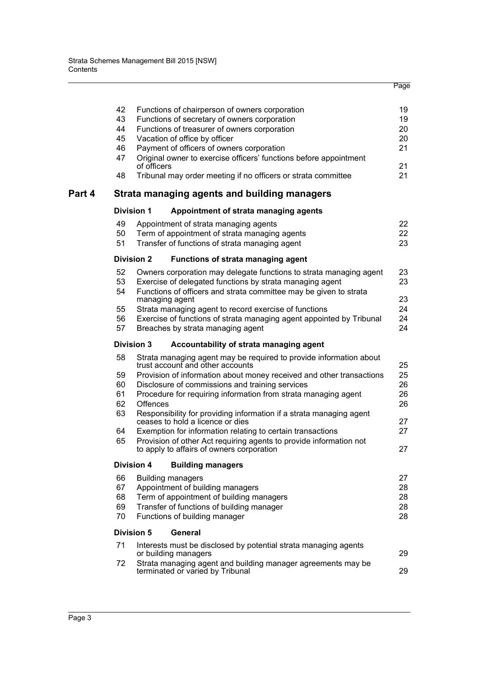|        | 42 | Functions of chairperson of owners corporation                                                          | 19 |
|--------|----|---------------------------------------------------------------------------------------------------------|----|
|        | 43 | Functions of secretary of owners corporation                                                            | 19 |
|        | 44 | Functions of treasurer of owners corporation                                                            | 20 |
|        | 45 | Vacation of office by officer                                                                           | 20 |
|        | 46 | Payment of officers of owners corporation                                                               | 21 |
|        | 47 | Original owner to exercise officers' functions before appointment<br>of officers                        | 21 |
|        | 48 | Tribunal may order meeting if no officers or strata committee                                           | 21 |
| Part 4 |    | Strata managing agents and building managers                                                            |    |
|        |    | <b>Division 1</b><br>Appointment of strata managing agents                                              |    |
|        | 49 | Appointment of strata managing agents                                                                   | 22 |
|        | 50 | Term of appointment of strata managing agents                                                           | 22 |
|        | 51 | Transfer of functions of strata managing agent                                                          | 23 |
|        |    | <b>Division 2</b><br>Functions of strata managing agent                                                 |    |
|        | 52 | Owners corporation may delegate functions to strata managing agent                                      | 23 |
|        | 53 | Exercise of delegated functions by strata managing agent                                                | 23 |
|        | 54 | Functions of officers and strata committee may be given to strata<br>managing agent                     | 23 |
|        | 55 | Strata managing agent to record exercise of functions                                                   | 24 |
|        | 56 | Exercise of functions of strata managing agent appointed by Tribunal                                    | 24 |
|        | 57 | Breaches by strata managing agent                                                                       | 24 |
|        |    | <b>Division 3</b><br>Accountability of strata managing agent                                            |    |
|        | 58 | Strata managing agent may be required to provide information about<br>trust account and other accounts  | 25 |
|        | 59 | Provision of information about money received and other transactions                                    | 25 |
|        | 60 | Disclosure of commissions and training services                                                         | 26 |
|        | 61 | Procedure for requiring information from strata managing agent                                          | 26 |
|        | 62 | Offences                                                                                                | 26 |
|        | 63 | Responsibility for providing information if a strata managing agent<br>ceases to hold a licence or dies | 27 |
|        | 64 | Exemption for information relating to certain transactions                                              | 27 |
|        | 65 | Provision of other Act requiring agents to provide information not                                      |    |
|        |    | to apply to affairs of owners corporation                                                               | 27 |
|        |    | <b>Division 4</b><br><b>Building managers</b>                                                           |    |
|        | 66 | <b>Building managers</b>                                                                                | 27 |
|        | 67 | Appointment of building managers                                                                        | 28 |
|        | 68 | Term of appointment of building managers                                                                | 28 |
|        | 69 | Transfer of functions of building manager                                                               | 28 |
|        | 70 | Functions of building manager                                                                           | 28 |
|        |    | <b>Division 5</b><br><b>General</b>                                                                     |    |
|        | 71 | Interests must be disclosed by potential strata managing agents                                         |    |
|        |    | or building managers                                                                                    | 29 |
|        | 72 | Strata managing agent and building manager agreements may be<br>terminated or varied by Tribunal        | 29 |
|        |    |                                                                                                         |    |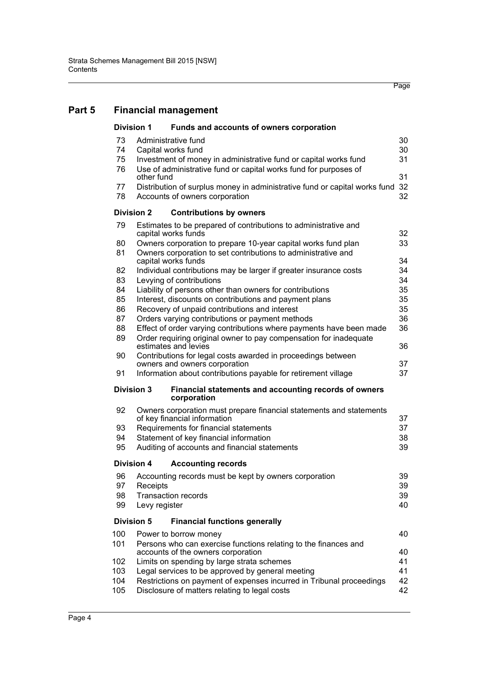#### **[Part 5 Financial management](#page-48-0)**

| <b>Division 1</b> | Funds and accounts of owners corporation                                                              |    |  |  |  |
|-------------------|-------------------------------------------------------------------------------------------------------|----|--|--|--|
| 73                | Administrative fund                                                                                   | 30 |  |  |  |
| 74                | Capital works fund                                                                                    | 30 |  |  |  |
| 75                | Investment of money in administrative fund or capital works fund                                      | 31 |  |  |  |
| 76                | Use of administrative fund or capital works fund for purposes of<br>other fund                        | 31 |  |  |  |
| 77                | Distribution of surplus money in administrative fund or capital works fund                            | 32 |  |  |  |
| 78                | Accounts of owners corporation                                                                        | 32 |  |  |  |
| <b>Division 2</b> | <b>Contributions by owners</b>                                                                        |    |  |  |  |
| 79                | Estimates to be prepared of contributions to administrative and<br>capital works funds                | 32 |  |  |  |
| 80                | Owners corporation to prepare 10-year capital works fund plan                                         | 33 |  |  |  |
| 81                | Owners corporation to set contributions to administrative and<br>capital works funds                  | 34 |  |  |  |
| 82                | Individual contributions may be larger if greater insurance costs                                     | 34 |  |  |  |
| 83                | Levying of contributions                                                                              | 34 |  |  |  |
| 84                | Liability of persons other than owners for contributions                                              | 35 |  |  |  |
| 85                | Interest, discounts on contributions and payment plans                                                | 35 |  |  |  |
| 86                | Recovery of unpaid contributions and interest                                                         | 35 |  |  |  |
| 87                | Orders varying contributions or payment methods                                                       | 36 |  |  |  |
| 88                | Effect of order varying contributions where payments have been made                                   | 36 |  |  |  |
| 89                | Order requiring original owner to pay compensation for inadequate<br>estimates and levies             | 36 |  |  |  |
| 90                | Contributions for legal costs awarded in proceedings between<br>owners and owners corporation         | 37 |  |  |  |
| 91                | Information about contributions payable for retirement village                                        | 37 |  |  |  |
| <b>Division 3</b> | Financial statements and accounting records of owners<br>corporation                                  |    |  |  |  |
| 92                | Owners corporation must prepare financial statements and statements<br>of key financial information   | 37 |  |  |  |
| 93                | Requirements for financial statements                                                                 | 37 |  |  |  |
| 94                | Statement of key financial information                                                                | 38 |  |  |  |
| 95                | Auditing of accounts and financial statements                                                         | 39 |  |  |  |
| Division 4        | <b>Accounting records</b>                                                                             |    |  |  |  |
| 96                | Accounting records must be kept by owners corporation                                                 | 39 |  |  |  |
| 97                | Receipts                                                                                              | 39 |  |  |  |
| 98                | <b>Transaction records</b>                                                                            | 39 |  |  |  |
| 99                | Levy register                                                                                         | 40 |  |  |  |
| <b>Division 5</b> | <b>Financial functions generally</b>                                                                  |    |  |  |  |
| 100               | Power to borrow money                                                                                 | 40 |  |  |  |
| 101               | Persons who can exercise functions relating to the finances and<br>accounts of the owners corporation | 40 |  |  |  |
| 102               | Limits on spending by large strata schemes                                                            | 41 |  |  |  |
| 103               | Legal services to be approved by general meeting                                                      | 41 |  |  |  |
| 104               | Restrictions on payment of expenses incurred in Tribunal proceedings                                  | 42 |  |  |  |
| 105               | Disclosure of matters relating to legal costs<br>42                                                   |    |  |  |  |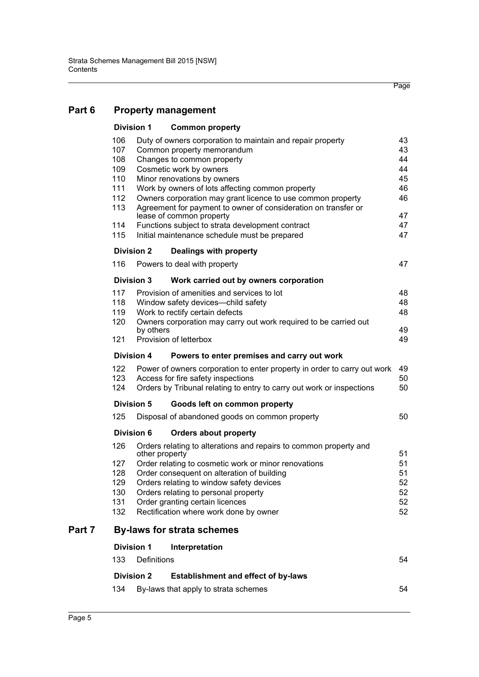#### [Part 6 Property management](#page-61-0)

| <b>Division 1</b> |                | <b>Common property</b>                                                   |    |
|-------------------|----------------|--------------------------------------------------------------------------|----|
| 106               |                | Duty of owners corporation to maintain and repair property               | 43 |
| 107               |                | Common property memorandum                                               | 43 |
| 108               |                | Changes to common property                                               | 44 |
| 109               |                | Cosmetic work by owners                                                  | 44 |
| 110               |                | Minor renovations by owners                                              | 45 |
| 111               |                | Work by owners of lots affecting common property                         | 46 |
| 112               |                | Owners corporation may grant licence to use common property              | 46 |
| 113               |                | Agreement for payment to owner of consideration on transfer or           |    |
|                   |                | lease of common property                                                 | 47 |
| 114               |                | Functions subject to strata development contract                         | 47 |
| 115               |                | Initial maintenance schedule must be prepared                            | 47 |
| <b>Division 2</b> |                | Dealings with property                                                   |    |
| 116               |                | Powers to deal with property                                             | 47 |
| <b>Division 3</b> |                | Work carried out by owners corporation                                   |    |
| 117               |                | Provision of amenities and services to lot                               | 48 |
| 118               |                | Window safety devices-child safety                                       | 48 |
| 119               |                | Work to rectify certain defects                                          | 48 |
| 120               |                | Owners corporation may carry out work required to be carried out         |    |
|                   | by others      |                                                                          | 49 |
| 121               |                | Provision of letterbox                                                   | 49 |
| Division 4        |                | Powers to enter premises and carry out work                              |    |
| 122               |                | Power of owners corporation to enter property in order to carry out work | 49 |
| 123               |                | Access for fire safety inspections                                       | 50 |
| 124               |                | Orders by Tribunal relating to entry to carry out work or inspections    | 50 |
| <b>Division 5</b> |                | Goods left on common property                                            |    |
| 125               |                | Disposal of abandoned goods on common property                           | 50 |
| Division 6        |                | <b>Orders about property</b>                                             |    |
| 126               |                | Orders relating to alterations and repairs to common property and        |    |
|                   | other property |                                                                          | 51 |
| 127               |                | Order relating to cosmetic work or minor renovations                     | 51 |
| 128               |                | Order consequent on alteration of building                               | 51 |
| 129               |                | Orders relating to window safety devices                                 | 52 |
| 130               |                | Orders relating to personal property                                     | 52 |
| 131               |                | Order granting certain licences                                          | 52 |
| 132               |                | Rectification where work done by owner                                   | 52 |
|                   |                | <b>By-laws for strata schemes</b>                                        |    |
| <b>Division 1</b> |                | Interpretation                                                           |    |
| 133               | Definitions    |                                                                          | 54 |
| <b>Division 2</b> |                | <b>Establishment and effect of by-laws</b>                               |    |
| 134               |                | By-laws that apply to strata schemes                                     | 54 |

Part 7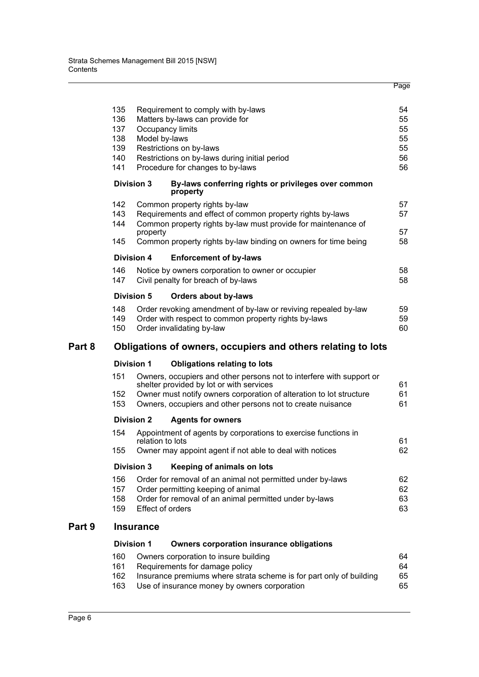|        | 135<br>136<br>137<br>138<br>139<br>140<br>141<br><b>Division 3</b> | Occupancy limits<br>Model by-laws | Requirement to comply with by-laws<br>Matters by-laws can provide for<br>Restrictions on by-laws<br>Restrictions on by-laws during initial period<br>Procedure for changes to by-laws<br>By-laws conferring rights or privileges over common          | 54<br>55<br>55<br>55<br>55<br>56<br>56 |
|--------|--------------------------------------------------------------------|-----------------------------------|-------------------------------------------------------------------------------------------------------------------------------------------------------------------------------------------------------------------------------------------------------|----------------------------------------|
|        |                                                                    |                                   | property                                                                                                                                                                                                                                              |                                        |
|        | 142<br>143                                                         |                                   | Common property rights by-law<br>Requirements and effect of common property rights by-laws                                                                                                                                                            | 57<br>57                               |
|        | 144                                                                | property                          | Common property rights by-law must provide for maintenance of                                                                                                                                                                                         | 57                                     |
|        | 145                                                                |                                   | Common property rights by-law binding on owners for time being                                                                                                                                                                                        | 58                                     |
|        | <b>Division 4</b>                                                  |                                   | <b>Enforcement of by-laws</b>                                                                                                                                                                                                                         |                                        |
|        | 146<br>147                                                         |                                   | Notice by owners corporation to owner or occupier<br>Civil penalty for breach of by-laws                                                                                                                                                              | 58<br>58                               |
|        | <b>Division 5</b>                                                  |                                   | <b>Orders about by-laws</b>                                                                                                                                                                                                                           |                                        |
|        | 148<br>149<br>150                                                  |                                   | Order revoking amendment of by-law or reviving repealed by-law<br>Order with respect to common property rights by-laws<br>Order invalidating by-law                                                                                                   | 59<br>59<br>60                         |
| Part 8 |                                                                    |                                   | Obligations of owners, occupiers and others relating to lots                                                                                                                                                                                          |                                        |
|        | <b>Division 1</b>                                                  |                                   | <b>Obligations relating to lots</b>                                                                                                                                                                                                                   |                                        |
|        | 151<br>152<br>153                                                  |                                   | Owners, occupiers and other persons not to interfere with support or<br>shelter provided by lot or with services<br>Owner must notify owners corporation of alteration to lot structure<br>Owners, occupiers and other persons not to create nuisance | 61<br>61<br>61                         |
|        | <b>Division 2</b>                                                  |                                   | <b>Agents for owners</b>                                                                                                                                                                                                                              |                                        |
|        | 154                                                                |                                   | Appointment of agents by corporations to exercise functions in                                                                                                                                                                                        |                                        |
|        | 155                                                                | relation to lots                  | Owner may appoint agent if not able to deal with notices                                                                                                                                                                                              | 61<br>62                               |
|        | <b>Division 3</b>                                                  |                                   | Keeping of animals on lots                                                                                                                                                                                                                            |                                        |
|        | 156<br>157<br>158<br>159                                           | Effect of orders                  | Order for removal of an animal not permitted under by-laws<br>Order permitting keeping of animal<br>Order for removal of an animal permitted under by-laws                                                                                            | 62<br>62<br>63<br>63                   |
| Part 9 |                                                                    | <b>Insurance</b>                  |                                                                                                                                                                                                                                                       |                                        |
|        | <b>Division 1</b>                                                  |                                   | <b>Owners corporation insurance obligations</b>                                                                                                                                                                                                       |                                        |
|        | 160<br>161<br>162<br>163                                           |                                   | Owners corporation to insure building<br>Requirements for damage policy<br>Insurance premiums where strata scheme is for part only of building<br>Use of insurance money by owners corporation                                                        | 64<br>64<br>65<br>65                   |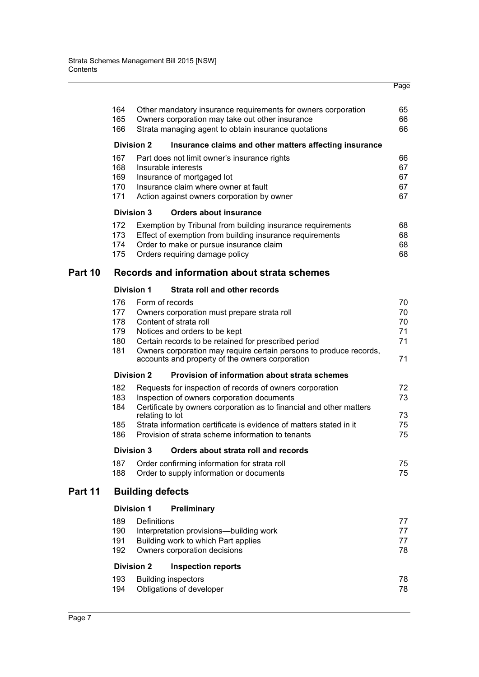|         |            |                         |                                                                                                                            | Page     |
|---------|------------|-------------------------|----------------------------------------------------------------------------------------------------------------------------|----------|
|         |            |                         |                                                                                                                            |          |
|         | 164        |                         | Other mandatory insurance requirements for owners corporation                                                              | 65       |
|         | 165        |                         | Owners corporation may take out other insurance                                                                            | 66       |
|         | 166        |                         | Strata managing agent to obtain insurance quotations                                                                       | 66       |
|         |            | <b>Division 2</b>       | Insurance claims and other matters affecting insurance                                                                     |          |
|         | 167        |                         | Part does not limit owner's insurance rights                                                                               | 66       |
|         | 168<br>169 |                         | Insurable interests<br>Insurance of mortgaged lot                                                                          | 67<br>67 |
|         | 170        |                         | Insurance claim where owner at fault                                                                                       | 67       |
|         | 171        |                         | Action against owners corporation by owner                                                                                 | 67       |
|         |            | <b>Division 3</b>       | <b>Orders about insurance</b>                                                                                              |          |
|         | 172        |                         | Exemption by Tribunal from building insurance requirements                                                                 | 68       |
|         | 173<br>174 |                         | Effect of exemption from building insurance requirements<br>Order to make or pursue insurance claim                        | 68<br>68 |
|         | 175        |                         | Orders requiring damage policy                                                                                             | 68       |
| Part 10 |            |                         | Records and information about strata schemes                                                                               |          |
|         |            | <b>Division 1</b>       | Strata roll and other records                                                                                              |          |
|         | 176        | Form of records         |                                                                                                                            | 70       |
|         | 177        |                         | Owners corporation must prepare strata roll                                                                                | 70       |
|         | 178        |                         | Content of strata roll                                                                                                     | 70       |
|         | 179        |                         | Notices and orders to be kept                                                                                              | 71       |
|         | 180<br>181 |                         | Certain records to be retained for prescribed period<br>Owners corporation may require certain persons to produce records, | 71       |
|         |            |                         | accounts and property of the owners corporation                                                                            | 71       |
|         |            | <b>Division 2</b>       | Provision of information about strata schemes                                                                              |          |
|         | 182        |                         | Requests for inspection of records of owners corporation                                                                   | 72       |
|         | 183        |                         | Inspection of owners corporation documents                                                                                 | 73       |
|         | 184        | relating to lot         | Certificate by owners corporation as to financial and other matters                                                        | 73       |
|         | 185        |                         | Strata information certificate is evidence of matters stated in it                                                         | 75       |
|         | 186        |                         | Provision of strata scheme information to tenants                                                                          | 75       |
|         |            | <b>Division 3</b>       | Orders about strata roll and records                                                                                       |          |
|         | 187        |                         | Order confirming information for strata roll                                                                               | 75       |
|         | 188        |                         | Order to supply information or documents                                                                                   | 75       |
| Part 11 |            | <b>Building defects</b> |                                                                                                                            |          |
|         |            | <b>Division 1</b>       | <b>Preliminary</b>                                                                                                         |          |
|         | 189        | <b>Definitions</b>      |                                                                                                                            | 77       |
|         | 190<br>191 |                         | Interpretation provisions-building work<br>Building work to which Part applies                                             | 77<br>77 |
|         | 192        |                         | Owners corporation decisions                                                                                               | 78       |
|         |            | <b>Division 2</b>       | <b>Inspection reports</b>                                                                                                  |          |
|         | 193        |                         | <b>Building inspectors</b>                                                                                                 | 78       |
|         | 194        |                         | Obligations of developer                                                                                                   | 78       |
|         |            |                         |                                                                                                                            |          |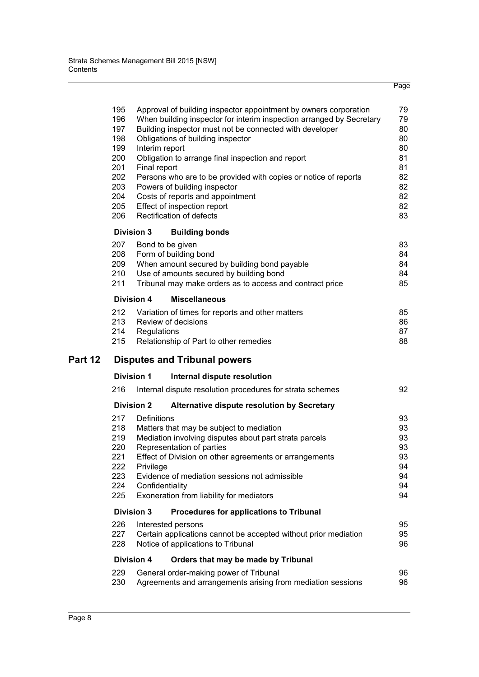|         | 195<br>196<br>197<br>198<br>199<br>200<br>201<br>202<br>203<br>204<br>205<br>206 | Approval of building inspector appointment by owners corporation<br>When building inspector for interim inspection arranged by Secretary<br>Building inspector must not be connected with developer<br>Obligations of building inspector<br>Interim report<br>Obligation to arrange final inspection and report<br>Final report<br>Persons who are to be provided with copies or notice of reports<br>Powers of building inspector<br>Costs of reports and appointment<br>Effect of inspection report<br>Rectification of defects | 79<br>79<br>80<br>80<br>80<br>81<br>81<br>82<br>82<br>82<br>82<br>83 |
|---------|----------------------------------------------------------------------------------|-----------------------------------------------------------------------------------------------------------------------------------------------------------------------------------------------------------------------------------------------------------------------------------------------------------------------------------------------------------------------------------------------------------------------------------------------------------------------------------------------------------------------------------|----------------------------------------------------------------------|
|         |                                                                                  | <b>Division 3</b><br><b>Building bonds</b>                                                                                                                                                                                                                                                                                                                                                                                                                                                                                        |                                                                      |
|         | 207<br>208<br>209<br>210<br>211                                                  | Bond to be given<br>Form of building bond<br>When amount secured by building bond payable<br>Use of amounts secured by building bond<br>Tribunal may make orders as to access and contract price                                                                                                                                                                                                                                                                                                                                  | 83<br>84<br>84<br>84<br>85                                           |
|         |                                                                                  | <b>Division 4</b><br><b>Miscellaneous</b>                                                                                                                                                                                                                                                                                                                                                                                                                                                                                         |                                                                      |
|         | 212<br>213<br>214<br>215                                                         | Variation of times for reports and other matters<br>Review of decisions<br>Regulations<br>Relationship of Part to other remedies                                                                                                                                                                                                                                                                                                                                                                                                  | 85<br>86<br>87<br>88                                                 |
| Part 12 |                                                                                  | <b>Disputes and Tribunal powers</b>                                                                                                                                                                                                                                                                                                                                                                                                                                                                                               |                                                                      |
|         |                                                                                  | <b>Division 1</b><br>Internal dispute resolution                                                                                                                                                                                                                                                                                                                                                                                                                                                                                  |                                                                      |
|         | 216                                                                              | Internal dispute resolution procedures for strata schemes                                                                                                                                                                                                                                                                                                                                                                                                                                                                         | 92                                                                   |
|         |                                                                                  | <b>Division 2</b><br>Alternative dispute resolution by Secretary                                                                                                                                                                                                                                                                                                                                                                                                                                                                  |                                                                      |
|         | 217<br>218<br>219<br>220<br>221<br>222<br>223<br>224<br>225                      | Definitions<br>Matters that may be subject to mediation<br>Mediation involving disputes about part strata parcels<br>Representation of parties<br>Effect of Division on other agreements or arrangements<br>Privilege<br>Evidence of mediation sessions not admissible<br>Confidentiality<br>Exoneration from liability for mediators                                                                                                                                                                                             | 93<br>93<br>93<br>93<br>93<br>94<br>94<br>94<br>94                   |
|         |                                                                                  | <b>Division 3</b><br>Procedures for applications to Tribunal                                                                                                                                                                                                                                                                                                                                                                                                                                                                      |                                                                      |
|         | 226<br>227<br>228                                                                | Interested persons<br>Certain applications cannot be accepted without prior mediation<br>Notice of applications to Tribunal                                                                                                                                                                                                                                                                                                                                                                                                       | 95<br>95<br>96                                                       |
|         |                                                                                  | <b>Division 4</b><br>Orders that may be made by Tribunal                                                                                                                                                                                                                                                                                                                                                                                                                                                                          |                                                                      |
|         | 229<br>230                                                                       | General order-making power of Tribunal<br>Agreements and arrangements arising from mediation sessions                                                                                                                                                                                                                                                                                                                                                                                                                             | 96<br>96                                                             |
|         |                                                                                  |                                                                                                                                                                                                                                                                                                                                                                                                                                                                                                                                   |                                                                      |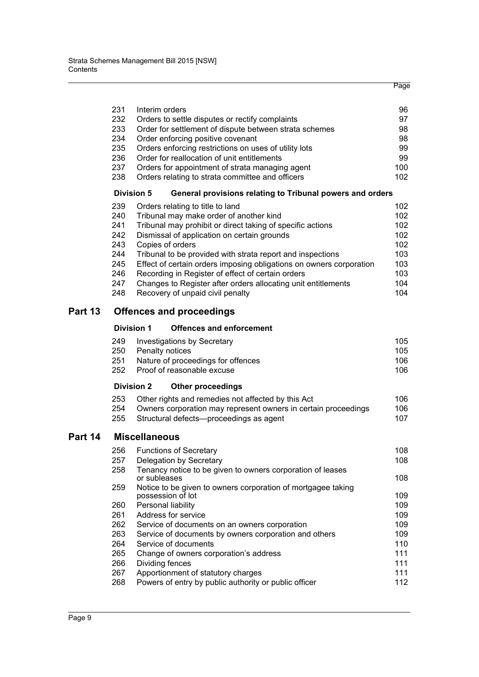|         |            |                                                                                | Page       |
|---------|------------|--------------------------------------------------------------------------------|------------|
|         |            |                                                                                |            |
|         | 231        | Interim orders                                                                 | 96         |
|         | 232        | Orders to settle disputes or rectify complaints                                | 97         |
|         | 233        | Order for settlement of dispute between strata schemes                         | 98         |
|         | 234        | Order enforcing positive covenant                                              | 98         |
|         | 235        | Orders enforcing restrictions on uses of utility lots                          | 99         |
|         | 236        | Order for reallocation of unit entitlements                                    | 99         |
|         | 237        | Orders for appointment of strata managing agent                                | 100        |
|         | 238        | Orders relating to strata committee and officers                               | 102        |
|         |            | <b>Division 5</b><br>General provisions relating to Tribunal powers and orders |            |
|         | 239        | Orders relating to title to land                                               | 102        |
|         | 240        | Tribunal may make order of another kind                                        | 102        |
|         | 241        | Tribunal may prohibit or direct taking of specific actions                     | 102        |
|         | 242        | Dismissal of application on certain grounds                                    | 102        |
|         | 243        | Copies of orders                                                               | 102        |
|         | 244        | Tribunal to be provided with strata report and inspections                     | 103        |
|         | 245        | Effect of certain orders imposing obligations on owners corporation            | 103        |
|         | 246        | Recording in Register of effect of certain orders                              | 103        |
|         | 247        | Changes to Register after orders allocating unit entitlements                  | 104        |
|         | 248        | Recovery of unpaid civil penalty                                               | 104        |
| Part 13 |            | <b>Offences and proceedings</b>                                                |            |
|         |            | <b>Division 1</b><br><b>Offences and enforcement</b>                           |            |
|         | 249        | <b>Investigations by Secretary</b>                                             | 105        |
|         | 250        | Penalty notices                                                                | 105        |
|         | 251        | Nature of proceedings for offences                                             | 106        |
|         | 252        | Proof of reasonable excuse                                                     | 106        |
|         |            | <b>Division 2</b><br><b>Other proceedings</b>                                  |            |
|         | 253        | Other rights and remedies not affected by this Act                             | 106        |
|         | 254        | Owners corporation may represent owners in certain proceedings                 | 106        |
|         | 255        | Structural defects-proceedings as agent                                        | 107        |
| Part 14 |            | <b>Miscellaneous</b>                                                           |            |
|         | 256        | <b>Functions of Secretary</b>                                                  | 108        |
|         | 257        | Delegation by Secretary                                                        | 108        |
|         | 258        | Tenancy notice to be given to owners corporation of leases                     |            |
|         |            | or subleases                                                                   | 108        |
|         | 259        | Notice to be given to owners corporation of mortgagee taking                   |            |
|         |            | possession of lot                                                              | 109        |
|         | 260        | Personal liability                                                             | 109        |
|         | 261        | Address for service                                                            | 109        |
|         | 262        | Service of documents on an owners corporation                                  | 109        |
|         | 263        | Service of documents by owners corporation and others                          | 109        |
|         | 264        | Service of documents                                                           | 110        |
|         | 265        | Change of owners corporation's address                                         | 111        |
|         | 266<br>267 | Dividing fences<br>Apportionment of statutory charges                          | 111<br>111 |
|         | 268        | Powers of entry by public authority or public officer                          | 112        |
|         |            |                                                                                |            |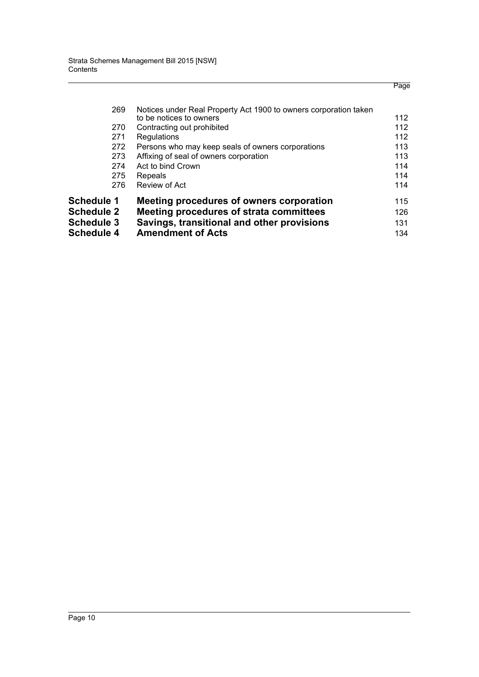|                   |                                                                  | Page |
|-------------------|------------------------------------------------------------------|------|
| 269               | Notices under Real Property Act 1900 to owners corporation taken |      |
|                   | to be notices to owners                                          | 112  |
| 270               | Contracting out prohibited                                       | 112  |
| 271               | Regulations                                                      | 112  |
| 272               | Persons who may keep seals of owners corporations                | 113  |
| 273               | Affixing of seal of owners corporation                           | 113  |
| 274               | Act to bind Crown                                                | 114  |
| 275               | Repeals                                                          | 114  |
| 276               | Review of Act                                                    | 114  |
| <b>Schedule 1</b> | Meeting procedures of owners corporation                         | 115  |
| <b>Schedule 2</b> | Meeting procedures of strata committees                          | 126  |
| <b>Schedule 3</b> | Savings, transitional and other provisions                       | 131  |
| <b>Schedule 4</b> | <b>Amendment of Acts</b>                                         | 134  |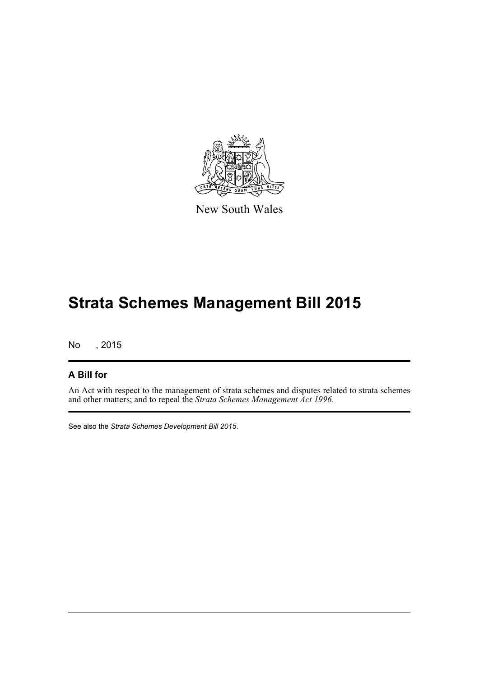

New South Wales

# **Strata Schemes Management Bill 2015**

No , 2015

#### **A Bill for**

An Act with respect to the management of strata schemes and disputes related to strata schemes and other matters; and to repeal the *Strata Schemes Management Act 1996*.

See also the *Strata Schemes Development Bill 2015*.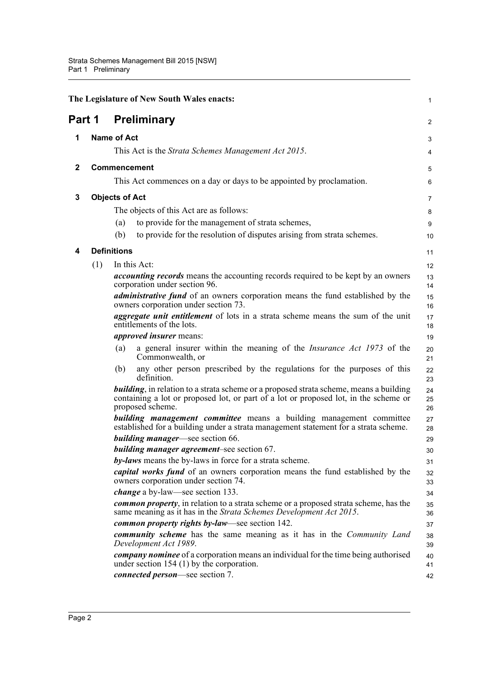<span id="page-20-4"></span><span id="page-20-3"></span><span id="page-20-2"></span><span id="page-20-1"></span><span id="page-20-0"></span>

|              |                       |                    | The Legislature of New South Wales enacts:                                                                                                                                                                 | $\mathbf{1}$   |
|--------------|-----------------------|--------------------|------------------------------------------------------------------------------------------------------------------------------------------------------------------------------------------------------------|----------------|
| Part 1       |                       |                    | <b>Preliminary</b>                                                                                                                                                                                         | 2              |
| 1            |                       | <b>Name of Act</b> |                                                                                                                                                                                                            | 3              |
|              |                       |                    | This Act is the Strata Schemes Management Act 2015.                                                                                                                                                        | 4              |
| $\mathbf{2}$ |                       |                    | <b>Commencement</b>                                                                                                                                                                                        | 5              |
|              |                       |                    | This Act commences on a day or days to be appointed by proclamation.                                                                                                                                       | 6              |
| 3            | <b>Objects of Act</b> |                    |                                                                                                                                                                                                            | $\overline{7}$ |
|              |                       |                    | The objects of this Act are as follows:                                                                                                                                                                    | 8              |
|              |                       | (a)                | to provide for the management of strata schemes,                                                                                                                                                           | 9              |
|              |                       | (b)                | to provide for the resolution of disputes arising from strata schemes.                                                                                                                                     | 10             |
| 4            |                       | <b>Definitions</b> |                                                                                                                                                                                                            | 11             |
|              | (1)                   |                    | In this Act:                                                                                                                                                                                               | 12             |
|              |                       |                    | <i>accounting records</i> means the accounting records required to be kept by an owners<br>corporation under section 96.                                                                                   | 13<br>14       |
|              |                       |                    | <i>administrative fund</i> of an owners corporation means the fund established by the<br>owners corporation under section 73.                                                                              | 15<br>16       |
|              |                       |                    | <i>aggregate unit entitlement</i> of lots in a strata scheme means the sum of the unit<br>entitlements of the lots.                                                                                        | 17<br>18       |
|              |                       |                    | <i>approved insurer</i> means:                                                                                                                                                                             | 19             |
|              |                       | (a)                | a general insurer within the meaning of the <i>Insurance Act 1973</i> of the<br>Commonwealth, or                                                                                                           | 20<br>21       |
|              |                       | (b)                | any other person prescribed by the regulations for the purposes of this<br>definition.                                                                                                                     | 22<br>23       |
|              |                       |                    | <b>building</b> , in relation to a strata scheme or a proposed strata scheme, means a building<br>containing a lot or proposed lot, or part of a lot or proposed lot, in the scheme or<br>proposed scheme. | 24<br>25<br>26 |
|              |                       |                    | <b>building management committee</b> means a building management committee<br>established for a building under a strata management statement for a strata scheme.                                          | 27<br>28       |
|              |                       |                    | <b>building manager</b> —see section 66.                                                                                                                                                                   | 29             |
|              |                       |                    | building manager agreement-see section 67.                                                                                                                                                                 | 30             |
|              |                       |                    | by-laws means the by-laws in force for a strata scheme.<br><i>capital works fund</i> of an owners corporation means the fund established by the                                                            | 31             |
|              |                       |                    | owners corporation under section 74.                                                                                                                                                                       | 32<br>33       |
|              |                       |                    | <i>change</i> a by-law—see section 133.                                                                                                                                                                    | 34             |
|              |                       |                    | <b><i>common property</i></b> , in relation to a strata scheme or a proposed strata scheme, has the<br>same meaning as it has in the Strata Schemes Development Act 2015.                                  | 35<br>36       |
|              |                       |                    | common property rights by-law—see section 142.                                                                                                                                                             | 37             |
|              |                       |                    | <b>community scheme</b> has the same meaning as it has in the <i>Community Land</i><br>Development Act 1989.                                                                                               | 38<br>39       |
|              |                       |                    | company nominee of a corporation means an individual for the time being authorised<br>under section 154 $(1)$ by the corporation.                                                                          | 40<br>41       |
|              |                       |                    | connected person-see section 7.                                                                                                                                                                            | 42             |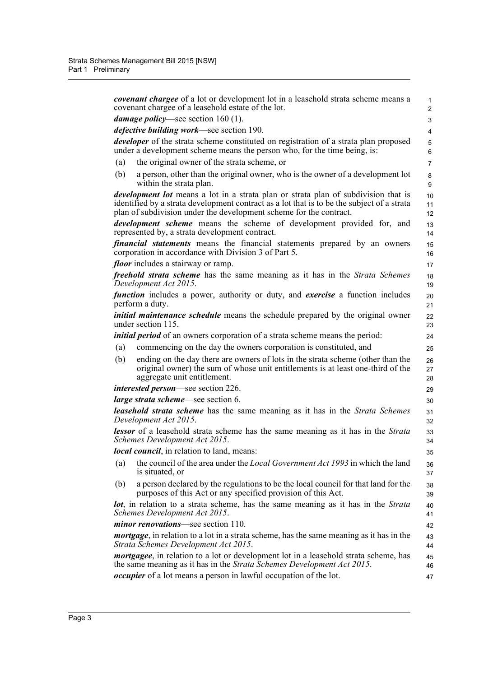*covenant chargee* of a lot or development lot in a leasehold strata scheme means a covenant chargee of a leasehold estate of the lot. *damage policy*—see section 160 (1). *defective building work*—see section 190. *developer* of the strata scheme constituted on registration of a strata plan proposed under a development scheme means the person who, for the time being, is: (a) the original owner of the strata scheme, or (b) a person, other than the original owner, who is the owner of a development lot within the strata plan. *development lot* means a lot in a strata plan or strata plan of subdivision that is identified by a strata development contract as a lot that is to be the subject of a strata plan of subdivision under the development scheme for the contract. *development scheme* means the scheme of development provided for, and represented by, a strata development contract. *financial statements* means the financial statements prepared by an owners corporation in accordance with Division 3 of Part 5. *floor* includes a stairway or ramp. *freehold strata scheme* has the same meaning as it has in the *Strata Schemes Development Act 2015*. *function* includes a power, authority or duty, and *exercise* a function includes perform a duty. *initial maintenance schedule* means the schedule prepared by the original owner under section 115. *initial period* of an owners corporation of a strata scheme means the period: (a) commencing on the day the owners corporation is constituted, and (b) ending on the day there are owners of lots in the strata scheme (other than the original owner) the sum of whose unit entitlements is at least one-third of the aggregate unit entitlement. *interested person*—see section 226. *large strata scheme*—see section 6. *leasehold strata scheme* has the same meaning as it has in the *Strata Schemes Development Act 2015*. *lessor* of a leasehold strata scheme has the same meaning as it has in the *Strata Schemes Development Act 2015*. *local council*, in relation to land, means: (a) the council of the area under the *Local Government Act 1993* in which the land is situated, or (b) a person declared by the regulations to be the local council for that land for the purposes of this Act or any specified provision of this Act. *lot*, in relation to a strata scheme, has the same meaning as it has in the *Strata Schemes Development Act 2015*. *minor renovations*—see section 110. *mortgage*, in relation to a lot in a strata scheme, has the same meaning as it has in the *Strata Schemes Development Act 2015*. *mortgagee*, in relation to a lot or development lot in a leasehold strata scheme, has the same meaning as it has in the *Strata Schemes Development Act 2015*. *occupier* of a lot means a person in lawful occupation of the lot. 1  $\overline{2}$  3 4 5 6 7 8 9 10 11 12 13 14 15 16 17 18 19 20 21 22 23 24  $25$ 26 27 28 29 30 31  $32$ 33 34 35 36 37 38 39 40 41 42 43 44 45 46 47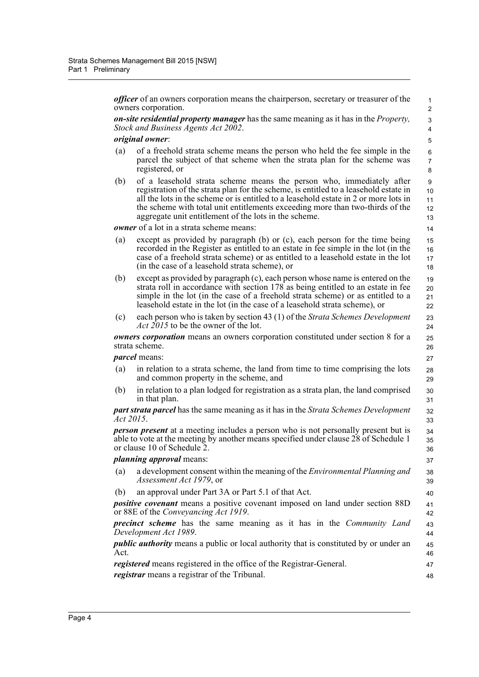*officer* of an owners corporation means the chairperson, secretary or treasurer of the owners corporation.

*on-site residential property manager* has the same meaning as it has in the *Property, Stock and Business Agents Act 2002*.

#### *original owner*:

- (a) of a freehold strata scheme means the person who held the fee simple in the parcel the subject of that scheme when the strata plan for the scheme was registered, or
- (b) of a leasehold strata scheme means the person who, immediately after registration of the strata plan for the scheme, is entitled to a leasehold estate in all the lots in the scheme or is entitled to a leasehold estate in 2 or more lots in the scheme with total unit entitlements exceeding more than two-thirds of the aggregate unit entitlement of the lots in the scheme.

*owner* of a lot in a strata scheme means:

13 14 15

> 47 48

- (a) except as provided by paragraph (b) or (c), each person for the time being recorded in the Register as entitled to an estate in fee simple in the lot (in the case of a freehold strata scheme) or as entitled to a leasehold estate in the lot (in the case of a leasehold strata scheme), or
- (b) except as provided by paragraph (c), each person whose name is entered on the strata roll in accordance with section 178 as being entitled to an estate in fee simple in the lot (in the case of a freehold strata scheme) or as entitled to a leasehold estate in the lot (in the case of a leasehold strata scheme), or
- (c) each person who is taken by section 43 (1) of the *Strata Schemes Development Act 2015* to be the owner of the lot.

*owners corporation* means an owners corporation constituted under section 8 for a strata scheme.

*parcel* means:

- (a) in relation to a strata scheme, the land from time to time comprising the lots and common property in the scheme, and
- (b) in relation to a plan lodged for registration as a strata plan, the land comprised in that plan.

*part strata parcel* has the same meaning as it has in the *Strata Schemes Development Act 2015*.

*person present* at a meeting includes a person who is not personally present but is able to vote at the meeting by another means specified under clause 28 of Schedule 1 or clause 10 of Schedule 2.

#### *planning approval* means:

- (a) a development consent within the meaning of the *Environmental Planning and Assessment Act 1979*, or
- (b) an approval under Part 3A or Part 5.1 of that Act.

*positive covenant* means a positive covenant imposed on land under section 88D or 88E of the *Conveyancing Act 1919*.

*precinct scheme* has the same meaning as it has in the *Community Land Development Act 1989*. 43 44

*public authority* means a public or local authority that is constituted by or under an Act. 45 46

*registered* means registered in the office of the Registrar-General. *registrar* means a registrar of the Tribunal.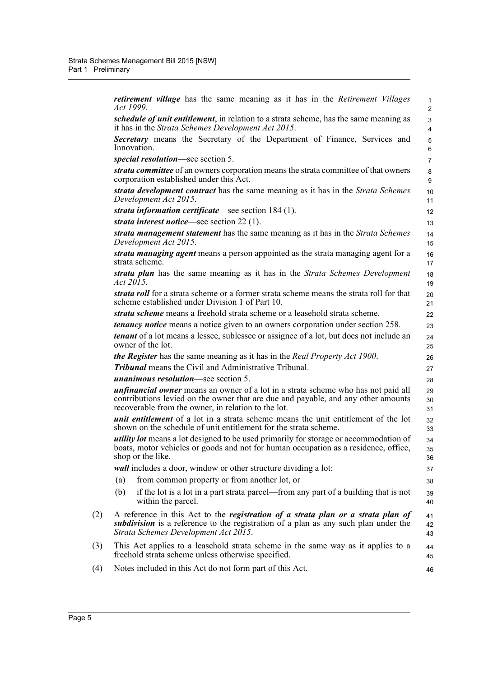|     | <i>retirement village</i> has the same meaning as it has in the <i>Retirement Villages</i><br>Act 1999.                                                                                                                              | $\mathbf 1$<br>$\overline{2}$ |
|-----|--------------------------------------------------------------------------------------------------------------------------------------------------------------------------------------------------------------------------------------|-------------------------------|
|     | <i>schedule of unit entitlement</i> , in relation to a strata scheme, has the same meaning as<br>it has in the Strata Schemes Development Act 2015.                                                                                  | 3<br>$\overline{4}$           |
|     | <b>Secretary</b> means the Secretary of the Department of Finance, Services and<br>Innovation.                                                                                                                                       | 5<br>6                        |
|     | special resolution—see section 5.                                                                                                                                                                                                    | $\overline{7}$                |
|     | <i>strata committee</i> of an owners corporation means the strata committee of that owners<br>corporation established under this Act.                                                                                                | 8<br>9                        |
|     | strata development contract has the same meaning as it has in the Strata Schemes<br>Development Act 2015.                                                                                                                            | 10<br>11                      |
|     | strata information certificate—see section 184 (1).                                                                                                                                                                                  | 12 <sup>2</sup>               |
|     | strata interest notice—see section $22(1)$ .                                                                                                                                                                                         | 13                            |
|     | strata management statement has the same meaning as it has in the Strata Schemes<br>Development Act 2015.                                                                                                                            | 14<br>15                      |
|     | strata managing agent means a person appointed as the strata managing agent for a<br>strata scheme.                                                                                                                                  | 16<br>17                      |
|     | strata plan has the same meaning as it has in the Strata Schemes Development<br>Act 2015.                                                                                                                                            | 18<br>19                      |
|     | strata roll for a strata scheme or a former strata scheme means the strata roll for that<br>scheme established under Division 1 of Part 10.                                                                                          | 20<br>21                      |
|     | strata scheme means a freehold strata scheme or a leasehold strata scheme.                                                                                                                                                           | 22                            |
|     | <i>tenancy notice</i> means a notice given to an owners corporation under section 258.                                                                                                                                               | 23                            |
|     | <i>tenant</i> of a lot means a lessee, sublessee or assignee of a lot, but does not include an<br>owner of the lot.                                                                                                                  | 24<br>25                      |
|     | <b>the Register</b> has the same meaning as it has in the Real Property Act 1900.                                                                                                                                                    | 26                            |
|     | <b>Tribunal</b> means the Civil and Administrative Tribunal.                                                                                                                                                                         | 27                            |
|     | <i>unanimous resolution</i> —see section 5.                                                                                                                                                                                          | 28                            |
|     | <i>unfinancial owner</i> means an owner of a lot in a strata scheme who has not paid all<br>contributions levied on the owner that are due and payable, and any other amounts<br>recoverable from the owner, in relation to the lot. | 29<br>30<br>31                |
|     | <i>unit entitlement</i> of a lot in a strata scheme means the unit entitlement of the lot<br>shown on the schedule of unit entitlement for the strata scheme.                                                                        | 32<br>33                      |
|     | <i>utility lot</i> means a lot designed to be used primarily for storage or accommodation of<br>boats, motor vehicles or goods and not for human occupation as a residence, office,<br>shop or the like.                             | 34<br>35<br>36                |
|     | <i>wall</i> includes a door, window or other structure dividing a lot:                                                                                                                                                               | 37                            |
|     | from common property or from another lot, or<br>(a)                                                                                                                                                                                  | 38                            |
|     | if the lot is a lot in a part strata parcel—from any part of a building that is not<br>(b)<br>within the parcel.                                                                                                                     | 39<br>40                      |
| (2) | A reference in this Act to the <i>registration of a strata plan or a strata plan of</i><br><i>subdivision</i> is a reference to the registration of a plan as any such plan under the<br>Strata Schemes Development Act 2015.        | 41<br>42<br>43                |
| (3) | This Act applies to a leasehold strata scheme in the same way as it applies to a<br>freehold strata scheme unless otherwise specified.                                                                                               | 44<br>45                      |
| (4) | Notes included in this Act do not form part of this Act.                                                                                                                                                                             | 46                            |
|     |                                                                                                                                                                                                                                      |                               |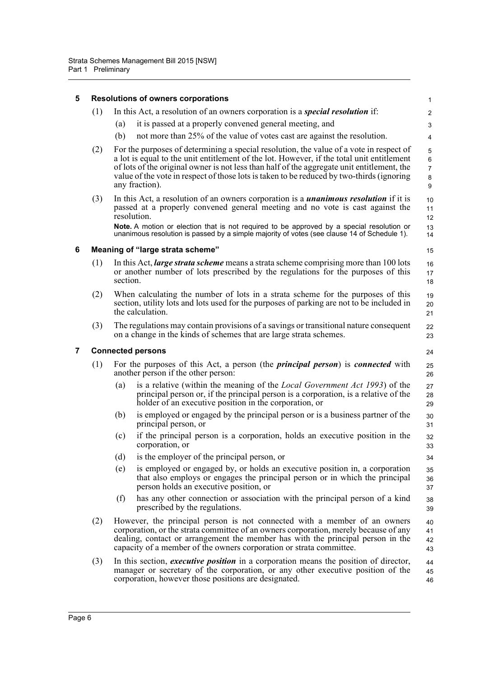<span id="page-24-2"></span><span id="page-24-1"></span><span id="page-24-0"></span>

| 5              |     | <b>Resolutions of owners corporations</b>                                                                                                                                                                                                                                                                                                                                                         | $\mathbf{1}$                       |  |  |  |  |  |
|----------------|-----|---------------------------------------------------------------------------------------------------------------------------------------------------------------------------------------------------------------------------------------------------------------------------------------------------------------------------------------------------------------------------------------------------|------------------------------------|--|--|--|--|--|
|                | (1) | In this Act, a resolution of an owners corporation is a <i>special resolution</i> if:                                                                                                                                                                                                                                                                                                             | 2                                  |  |  |  |  |  |
|                |     | it is passed at a properly convened general meeting, and<br>(a)                                                                                                                                                                                                                                                                                                                                   | 3                                  |  |  |  |  |  |
|                |     | (b)<br>not more than 25% of the value of votes cast are against the resolution.                                                                                                                                                                                                                                                                                                                   | 4                                  |  |  |  |  |  |
|                | (2) | For the purposes of determining a special resolution, the value of a vote in respect of<br>a lot is equal to the unit entitlement of the lot. However, if the total unit entitlement<br>of lots of the original owner is not less than half of the aggregate unit entitlement, the<br>value of the vote in respect of those lots is taken to be reduced by two-thirds (ignoring<br>any fraction). | 5<br>6<br>$\overline{7}$<br>8<br>9 |  |  |  |  |  |
|                | (3) | In this Act, a resolution of an owners corporation is a <i>unanimous resolution</i> if it is<br>passed at a properly convened general meeting and no vote is cast against the<br>resolution.                                                                                                                                                                                                      | 10<br>11<br>12                     |  |  |  |  |  |
|                |     | Note. A motion or election that is not required to be approved by a special resolution or<br>unanimous resolution is passed by a simple majority of votes (see clause 14 of Schedule 1).                                                                                                                                                                                                          | 13<br>14                           |  |  |  |  |  |
| 6              |     | Meaning of "large strata scheme"                                                                                                                                                                                                                                                                                                                                                                  | 15                                 |  |  |  |  |  |
|                | (1) | In this Act, <i>large strata scheme</i> means a strata scheme comprising more than 100 lots<br>or another number of lots prescribed by the regulations for the purposes of this<br>section.                                                                                                                                                                                                       | 16<br>17<br>18                     |  |  |  |  |  |
|                | (2) | When calculating the number of lots in a strata scheme for the purposes of this<br>section, utility lots and lots used for the purposes of parking are not to be included in<br>the calculation.                                                                                                                                                                                                  | 19<br>20<br>21                     |  |  |  |  |  |
|                | (3) | The regulations may contain provisions of a savings or transitional nature consequent<br>on a change in the kinds of schemes that are large strata schemes.                                                                                                                                                                                                                                       | 22<br>23                           |  |  |  |  |  |
| $\overline{7}$ |     | <b>Connected persons</b>                                                                                                                                                                                                                                                                                                                                                                          |                                    |  |  |  |  |  |
|                | (1) | For the purposes of this Act, a person (the <i>principal person</i> ) is <i>connected</i> with<br>another person if the other person:                                                                                                                                                                                                                                                             | 25<br>26                           |  |  |  |  |  |
|                |     | is a relative (within the meaning of the Local Government Act 1993) of the<br>(a)<br>principal person or, if the principal person is a corporation, is a relative of the<br>holder of an executive position in the corporation, or                                                                                                                                                                | 27<br>28<br>29                     |  |  |  |  |  |
|                |     | is employed or engaged by the principal person or is a business partner of the<br>(b)<br>principal person, or                                                                                                                                                                                                                                                                                     | 30<br>31                           |  |  |  |  |  |
|                |     | if the principal person is a corporation, holds an executive position in the<br>(c)<br>corporation, or                                                                                                                                                                                                                                                                                            | 32<br>33                           |  |  |  |  |  |
|                |     | is the employer of the principal person, or<br>(d)                                                                                                                                                                                                                                                                                                                                                | 34                                 |  |  |  |  |  |
|                |     | is employed or engaged by, or holds an executive position in, a corporation<br>(e)<br>that also employs or engages the principal person or in which the principal<br>person holds an executive position, or                                                                                                                                                                                       | 35<br>36<br>37                     |  |  |  |  |  |
|                |     | has any other connection or association with the principal person of a kind<br>(f)<br>prescribed by the regulations.                                                                                                                                                                                                                                                                              | 38<br>39                           |  |  |  |  |  |
|                | (2) | However, the principal person is not connected with a member of an owners<br>corporation, or the strata committee of an owners corporation, merely because of any<br>dealing, contact or arrangement the member has with the principal person in the<br>capacity of a member of the owners corporation or strata committee.                                                                       | 40<br>41<br>42<br>43               |  |  |  |  |  |
|                | (3) | In this section, <i>executive position</i> in a corporation means the position of director,<br>manager or secretary of the corporation, or any other executive position of the<br>corporation, however those positions are designated.                                                                                                                                                            | 44<br>45<br>46                     |  |  |  |  |  |
|                |     |                                                                                                                                                                                                                                                                                                                                                                                                   |                                    |  |  |  |  |  |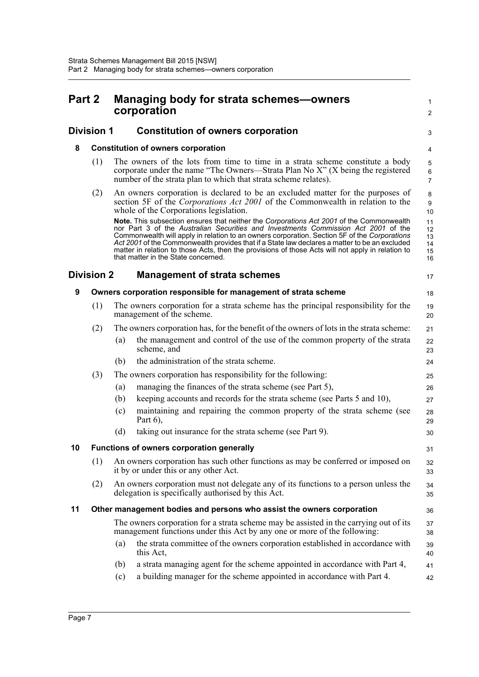<span id="page-25-6"></span><span id="page-25-5"></span><span id="page-25-4"></span><span id="page-25-3"></span><span id="page-25-2"></span><span id="page-25-1"></span><span id="page-25-0"></span>

| Part 2 |                   |                                                                | <b>Managing body for strata schemes-owners</b><br>corporation                                                                                                                                                                                                                                                                                                                                                                                                                                                               |                                          |  |  |  |
|--------|-------------------|----------------------------------------------------------------|-----------------------------------------------------------------------------------------------------------------------------------------------------------------------------------------------------------------------------------------------------------------------------------------------------------------------------------------------------------------------------------------------------------------------------------------------------------------------------------------------------------------------------|------------------------------------------|--|--|--|
|        | <b>Division 1</b> |                                                                | <b>Constitution of owners corporation</b>                                                                                                                                                                                                                                                                                                                                                                                                                                                                                   | 3                                        |  |  |  |
| 8      |                   | <b>Constitution of owners corporation</b>                      |                                                                                                                                                                                                                                                                                                                                                                                                                                                                                                                             |                                          |  |  |  |
|        | (1)               |                                                                | The owners of the lots from time to time in a strata scheme constitute a body<br>corporate under the name "The Owners—Strata Plan No X" (X being the registered<br>number of the strata plan to which that strata scheme relates).                                                                                                                                                                                                                                                                                          | $\mathbf 5$<br>$\,6\,$<br>$\overline{7}$ |  |  |  |
|        | (2)               |                                                                | An owners corporation is declared to be an excluded matter for the purposes of<br>section 5F of the <i>Corporations Act 2001</i> of the Commonwealth in relation to the<br>whole of the Corporations legislation.                                                                                                                                                                                                                                                                                                           | 8<br>$\boldsymbol{9}$<br>10              |  |  |  |
|        |                   |                                                                | Note. This subsection ensures that neither the Corporations Act 2001 of the Commonwealth<br>nor Part 3 of the Australian Securities and Investments Commission Act 2001 of the<br>Commonwealth will apply in relation to an owners corporation. Section 5F of the Corporations<br>Act 2001 of the Commonwealth provides that if a State law declares a matter to be an excluded<br>matter in relation to those Acts, then the provisions of those Acts will not apply in relation to<br>that matter in the State concerned. | 11<br>12<br>13<br>14<br>15<br>16         |  |  |  |
|        | <b>Division 2</b> | <b>Management of strata schemes</b>                            |                                                                                                                                                                                                                                                                                                                                                                                                                                                                                                                             |                                          |  |  |  |
| 9      |                   | Owners corporation responsible for management of strata scheme |                                                                                                                                                                                                                                                                                                                                                                                                                                                                                                                             |                                          |  |  |  |
|        | (1)               |                                                                | The owners corporation for a strata scheme has the principal responsibility for the<br>management of the scheme.                                                                                                                                                                                                                                                                                                                                                                                                            | 19<br>20                                 |  |  |  |
|        | (2)               |                                                                | The owners corporation has, for the benefit of the owners of lots in the strata scheme:                                                                                                                                                                                                                                                                                                                                                                                                                                     | 21                                       |  |  |  |
|        |                   | (a)                                                            | the management and control of the use of the common property of the strata<br>scheme, and                                                                                                                                                                                                                                                                                                                                                                                                                                   | 22<br>23                                 |  |  |  |
|        |                   | (b)                                                            | the administration of the strata scheme.                                                                                                                                                                                                                                                                                                                                                                                                                                                                                    | 24                                       |  |  |  |
|        | (3)               |                                                                | The owners corporation has responsibility for the following:                                                                                                                                                                                                                                                                                                                                                                                                                                                                | 25                                       |  |  |  |
|        |                   | (a)                                                            | managing the finances of the strata scheme (see Part 5),                                                                                                                                                                                                                                                                                                                                                                                                                                                                    | 26                                       |  |  |  |
|        |                   | (b)                                                            | keeping accounts and records for the strata scheme (see Parts 5 and 10),                                                                                                                                                                                                                                                                                                                                                                                                                                                    | 27                                       |  |  |  |
|        |                   | (c)                                                            | maintaining and repairing the common property of the strata scheme (see<br>Part $6$ ),                                                                                                                                                                                                                                                                                                                                                                                                                                      | 28<br>29                                 |  |  |  |
|        |                   | (d)                                                            | taking out insurance for the strata scheme (see Part 9).                                                                                                                                                                                                                                                                                                                                                                                                                                                                    | 30                                       |  |  |  |
| 10     |                   |                                                                | <b>Functions of owners corporation generally</b>                                                                                                                                                                                                                                                                                                                                                                                                                                                                            | 31                                       |  |  |  |
|        | (1)               |                                                                | An owners corporation has such other functions as may be conferred or imposed on<br>it by or under this or any other Act.                                                                                                                                                                                                                                                                                                                                                                                                   | 32<br>33                                 |  |  |  |
|        | (2)               |                                                                | An owners corporation must not delegate any of its functions to a person unless the<br>delegation is specifically authorised by this Act.                                                                                                                                                                                                                                                                                                                                                                                   | 34<br>35                                 |  |  |  |
| 11     |                   |                                                                | Other management bodies and persons who assist the owners corporation                                                                                                                                                                                                                                                                                                                                                                                                                                                       | 36                                       |  |  |  |
|        |                   |                                                                | The owners corporation for a strata scheme may be assisted in the carrying out of its<br>management functions under this Act by any one or more of the following:                                                                                                                                                                                                                                                                                                                                                           | 37<br>38                                 |  |  |  |
|        |                   | (a)                                                            | the strata committee of the owners corporation established in accordance with<br>this Act,                                                                                                                                                                                                                                                                                                                                                                                                                                  | 39<br>40                                 |  |  |  |
|        |                   | (b)                                                            | a strata managing agent for the scheme appointed in accordance with Part 4,                                                                                                                                                                                                                                                                                                                                                                                                                                                 | 41                                       |  |  |  |
|        |                   | (c)                                                            | a building manager for the scheme appointed in accordance with Part 4.                                                                                                                                                                                                                                                                                                                                                                                                                                                      | 42                                       |  |  |  |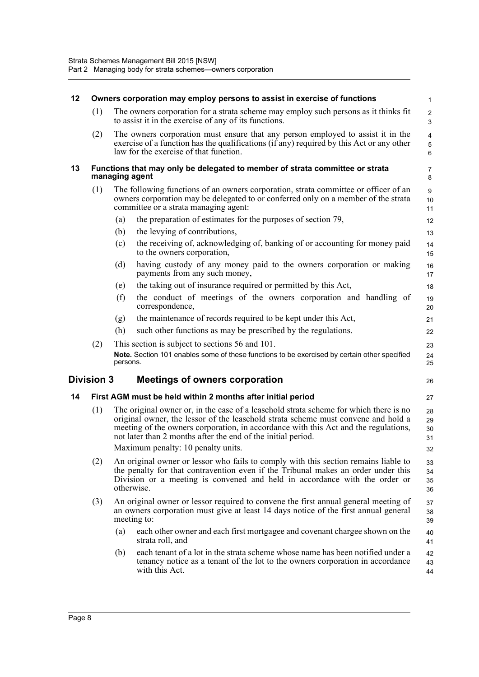<span id="page-26-3"></span><span id="page-26-2"></span><span id="page-26-1"></span><span id="page-26-0"></span>

| 12 | Owners corporation may employ persons to assist in exercise of functions |                |                                                                                                                                                                                                                                                                                                                                   |                              |  |
|----|--------------------------------------------------------------------------|----------------|-----------------------------------------------------------------------------------------------------------------------------------------------------------------------------------------------------------------------------------------------------------------------------------------------------------------------------------|------------------------------|--|
|    | (1)                                                                      |                | The owners corporation for a strata scheme may employ such persons as it thinks fit<br>to assist it in the exercise of any of its functions.                                                                                                                                                                                      | $\overline{2}$<br>3          |  |
|    | (2)<br>law for the exercise of that function.                            |                | The owners corporation must ensure that any person employed to assist it in the<br>exercise of a function has the qualifications (if any) required by this Act or any other                                                                                                                                                       | 4<br>$\mathbf 5$<br>$\,6\,$  |  |
| 13 |                                                                          | managing agent | Functions that may only be delegated to member of strata committee or strata                                                                                                                                                                                                                                                      | 7<br>8                       |  |
|    | (1)                                                                      |                | The following functions of an owners corporation, strata committee or officer of an<br>owners corporation may be delegated to or conferred only on a member of the strata<br>committee or a strata managing agent:                                                                                                                | $\boldsymbol{9}$<br>10<br>11 |  |
|    |                                                                          | (a)            | the preparation of estimates for the purposes of section 79,                                                                                                                                                                                                                                                                      | 12                           |  |
|    |                                                                          | (b)            | the levying of contributions,                                                                                                                                                                                                                                                                                                     | 13                           |  |
|    |                                                                          | (c)            | the receiving of, acknowledging of, banking of or accounting for money paid<br>to the owners corporation,                                                                                                                                                                                                                         | 14<br>15                     |  |
|    |                                                                          | (d)            | having custody of any money paid to the owners corporation or making<br>payments from any such money,                                                                                                                                                                                                                             | 16<br>17                     |  |
|    |                                                                          | (e)            | the taking out of insurance required or permitted by this Act,                                                                                                                                                                                                                                                                    | 18                           |  |
|    |                                                                          | (f)            | the conduct of meetings of the owners corporation and handling of<br>correspondence,                                                                                                                                                                                                                                              | 19<br>20                     |  |
|    |                                                                          | (g)            | the maintenance of records required to be kept under this Act,                                                                                                                                                                                                                                                                    | 21                           |  |
|    |                                                                          | (h)            | such other functions as may be prescribed by the regulations.                                                                                                                                                                                                                                                                     | 22                           |  |
|    | (2)                                                                      | persons.       | This section is subject to sections 56 and 101.<br>Note. Section 101 enables some of these functions to be exercised by certain other specified                                                                                                                                                                                   | 23<br>24<br>25               |  |
|    | <b>Division 3</b>                                                        |                | <b>Meetings of owners corporation</b>                                                                                                                                                                                                                                                                                             | 26                           |  |
| 14 |                                                                          |                | First AGM must be held within 2 months after initial period                                                                                                                                                                                                                                                                       | 27                           |  |
|    | (1)                                                                      |                | The original owner or, in the case of a leasehold strata scheme for which there is no<br>original owner, the lessor of the leasehold strata scheme must convene and hold a<br>meeting of the owners corporation, in accordance with this Act and the regulations,<br>not later than 2 months after the end of the initial period. | 28<br>29<br>30<br>31         |  |
|    |                                                                          |                | Maximum penalty: 10 penalty units.                                                                                                                                                                                                                                                                                                | 32                           |  |
|    | (2)                                                                      |                | An original owner or lessor who fails to comply with this section remains liable to<br>the penalty for that contravention even if the Tribunal makes an order under this<br>Division or a meeting is convened and held in accordance with the order or<br>otherwise.                                                              | 33<br>34<br>35<br>36         |  |
|    | (3)                                                                      |                | An original owner or lessor required to convene the first annual general meeting of<br>an owners corporation must give at least 14 days notice of the first annual general<br>meeting to:                                                                                                                                         | 37<br>38<br>39               |  |
|    |                                                                          | (a)            | each other owner and each first mortgagee and covenant chargee shown on the<br>strata roll, and                                                                                                                                                                                                                                   | 40<br>41                     |  |
|    |                                                                          | (b)            | each tenant of a lot in the strata scheme whose name has been notified under a<br>tenancy notice as a tenant of the lot to the owners corporation in accordance<br>with this Act.                                                                                                                                                 | 42<br>43<br>44               |  |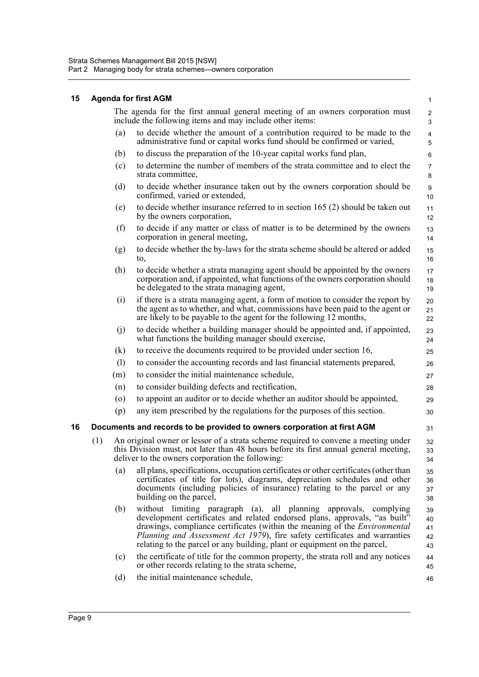#### <span id="page-27-0"></span>**15 Agenda for first AGM**

<span id="page-27-1"></span>

|    |                    | The agenda for the first annual general meeting of an owners corporation must<br>include the following items and may include other items:                                                                                                                                                                                                                                                       | $\overline{2}$<br>3        |
|----|--------------------|-------------------------------------------------------------------------------------------------------------------------------------------------------------------------------------------------------------------------------------------------------------------------------------------------------------------------------------------------------------------------------------------------|----------------------------|
|    | (a)                | to decide whether the amount of a contribution required to be made to the<br>administrative fund or capital works fund should be confirmed or varied,                                                                                                                                                                                                                                           | 4<br>5                     |
|    | (b)                | to discuss the preparation of the 10-year capital works fund plan,                                                                                                                                                                                                                                                                                                                              | 6                          |
|    | (c)                | to determine the number of members of the strata committee and to elect the<br>strata committee,                                                                                                                                                                                                                                                                                                | $\overline{7}$<br>$\bf 8$  |
|    | (d)                | to decide whether insurance taken out by the owners corporation should be<br>confirmed, varied or extended,                                                                                                                                                                                                                                                                                     | $\boldsymbol{9}$<br>10     |
|    | (e)                | to decide whether insurance referred to in section 165 (2) should be taken out<br>by the owners corporation,                                                                                                                                                                                                                                                                                    | 11<br>12                   |
|    | (f)                | to decide if any matter or class of matter is to be determined by the owners<br>corporation in general meeting,                                                                                                                                                                                                                                                                                 | 13<br>14                   |
|    | (g)                | to decide whether the by-laws for the strata scheme should be altered or added<br>to,                                                                                                                                                                                                                                                                                                           | 15<br>16                   |
|    | (h)                | to decide whether a strata managing agent should be appointed by the owners<br>corporation and, if appointed, what functions of the owners corporation should<br>be delegated to the strata managing agent,                                                                                                                                                                                     | 17<br>18<br>19             |
|    | (i)                | if there is a strata managing agent, a form of motion to consider the report by<br>the agent as to whether, and what, commissions have been paid to the agent or<br>are likely to be payable to the agent for the following 12 months,                                                                                                                                                          | 20<br>21<br>22             |
|    | (j)                | to decide whether a building manager should be appointed and, if appointed,<br>what functions the building manager should exercise,                                                                                                                                                                                                                                                             | 23<br>24                   |
|    | (k)                | to receive the documents required to be provided under section 16,                                                                                                                                                                                                                                                                                                                              | 25                         |
|    | (1)                | to consider the accounting records and last financial statements prepared,                                                                                                                                                                                                                                                                                                                      | 26                         |
|    | (m)                | to consider the initial maintenance schedule,                                                                                                                                                                                                                                                                                                                                                   | 27                         |
|    | (n)                | to consider building defects and rectification,                                                                                                                                                                                                                                                                                                                                                 | 28                         |
|    | $\left( 0 \right)$ | to appoint an auditor or to decide whether an auditor should be appointed,                                                                                                                                                                                                                                                                                                                      | 29                         |
|    | (p)                | any item prescribed by the regulations for the purposes of this section.                                                                                                                                                                                                                                                                                                                        | 30                         |
| 16 |                    | Documents and records to be provided to owners corporation at first AGM                                                                                                                                                                                                                                                                                                                         | 31                         |
|    | (1)                | An original owner or lessor of a strata scheme required to convene a meeting under<br>this Division must, not later than 48 hours before its first annual general meeting,<br>deliver to the owners corporation the following:                                                                                                                                                                  | 32<br>33<br>34             |
|    | (a)                | all plans, specifications, occupation certificates or other certificates (other than<br>certificates of title for lots), diagrams, depreciation schedules and other<br>documents (including policies of insurance) relating to the parcel or any<br>building on the parcel,                                                                                                                     | 35<br>36<br>37<br>38       |
|    | (b)                | without limiting paragraph (a), all planning approvals, complying<br>development certificates and related endorsed plans, approvals, "as built"<br>drawings, compliance certificates (within the meaning of the <i>Environmental</i><br>Planning and Assessment Act 1979), fire safety certificates and warranties<br>relating to the parcel or any building, plant or equipment on the parcel, | 39<br>40<br>41<br>42<br>43 |
|    | (c)                | the certificate of title for the common property, the strata roll and any notices<br>or other records relating to the strata scheme,                                                                                                                                                                                                                                                            | 44<br>45                   |
|    | (d)                | the initial maintenance schedule,                                                                                                                                                                                                                                                                                                                                                               | 46                         |
|    |                    |                                                                                                                                                                                                                                                                                                                                                                                                 |                            |

1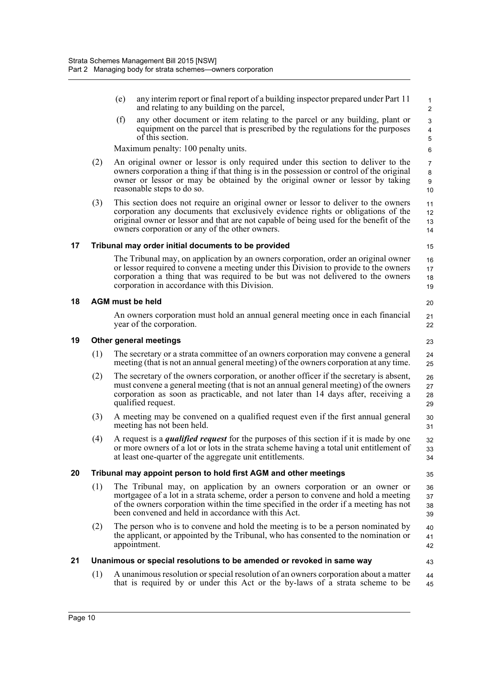<span id="page-28-4"></span><span id="page-28-3"></span><span id="page-28-2"></span><span id="page-28-1"></span><span id="page-28-0"></span>

|    |     | (e) | any interim report or final report of a building inspector prepared under Part 11<br>and relating to any building on the parcel,                                                                                                                                                                                   | 1<br>$\overline{2}$                    |
|----|-----|-----|--------------------------------------------------------------------------------------------------------------------------------------------------------------------------------------------------------------------------------------------------------------------------------------------------------------------|----------------------------------------|
|    |     | (f) | any other document or item relating to the parcel or any building, plant or<br>equipment on the parcel that is prescribed by the regulations for the purposes<br>of this section.                                                                                                                                  | 3<br>$\overline{\mathbf{4}}$<br>5      |
|    |     |     | Maximum penalty: 100 penalty units.                                                                                                                                                                                                                                                                                | 6                                      |
|    | (2) |     | An original owner or lessor is only required under this section to deliver to the<br>owners corporation a thing if that thing is in the possession or control of the original<br>owner or lessor or may be obtained by the original owner or lessor by taking<br>reasonable steps to do so.                        | $\overline{7}$<br>$\bf 8$<br>9<br>$10$ |
|    | (3) |     | This section does not require an original owner or lessor to deliver to the owners<br>corporation any documents that exclusively evidence rights or obligations of the<br>original owner or lessor and that are not capable of being used for the benefit of the<br>owners corporation or any of the other owners. | 11<br>12<br>13<br>14                   |
| 17 |     |     | Tribunal may order initial documents to be provided                                                                                                                                                                                                                                                                | 15                                     |
|    |     |     | The Tribunal may, on application by an owners corporation, order an original owner<br>or lessor required to convene a meeting under this Division to provide to the owners<br>corporation a thing that was required to be but was not delivered to the owners<br>corporation in accordance with this Division.     | 16<br>17<br>18<br>19                   |
| 18 |     |     | <b>AGM</b> must be held                                                                                                                                                                                                                                                                                            | 20                                     |
|    |     |     | An owners corporation must hold an annual general meeting once in each financial<br>year of the corporation.                                                                                                                                                                                                       | 21<br>22                               |
| 19 |     |     | Other general meetings                                                                                                                                                                                                                                                                                             | 23                                     |
|    | (1) |     | The secretary or a strata committee of an owners corporation may convene a general<br>meeting (that is not an annual general meeting) of the owners corporation at any time.                                                                                                                                       | 24<br>25                               |
|    | (2) |     | The secretary of the owners corporation, or another officer if the secretary is absent,<br>must convene a general meeting (that is not an annual general meeting) of the owners<br>corporation as soon as practicable, and not later than 14 days after, receiving a<br>qualified request.                         | 26<br>27<br>28<br>29                   |
|    | (3) |     | A meeting may be convened on a qualified request even if the first annual general<br>meeting has not been held.                                                                                                                                                                                                    | 30<br>31                               |
|    | (4) |     | A request is a <i>qualified request</i> for the purposes of this section if it is made by one<br>or more owners of a lot or lots in the strata scheme having a total unit entitlement of<br>at least one-quarter of the aggregate unit entitlements.                                                               | 32<br>33<br>34                         |
| 20 |     |     | Tribunal may appoint person to hold first AGM and other meetings                                                                                                                                                                                                                                                   | 35                                     |
|    | (1) |     | The Tribunal may, on application by an owners corporation or an owner or<br>mortgagee of a lot in a strata scheme, order a person to convene and hold a meeting<br>of the owners corporation within the time specified in the order if a meeting has not<br>been convened and held in accordance with this Act.    | 36<br>37<br>38<br>39                   |
|    | (2) |     | The person who is to convene and hold the meeting is to be a person nominated by<br>the applicant, or appointed by the Tribunal, who has consented to the nomination or<br>appointment.                                                                                                                            | 40<br>41<br>42                         |
| 21 |     |     | Unanimous or special resolutions to be amended or revoked in same way                                                                                                                                                                                                                                              | 43                                     |
|    | (1) |     | A unanimous resolution or special resolution of an owners corporation about a matter<br>that is required by or under this Act or the by-laws of a strata scheme to be                                                                                                                                              | 44<br>45                               |
|    |     |     |                                                                                                                                                                                                                                                                                                                    |                                        |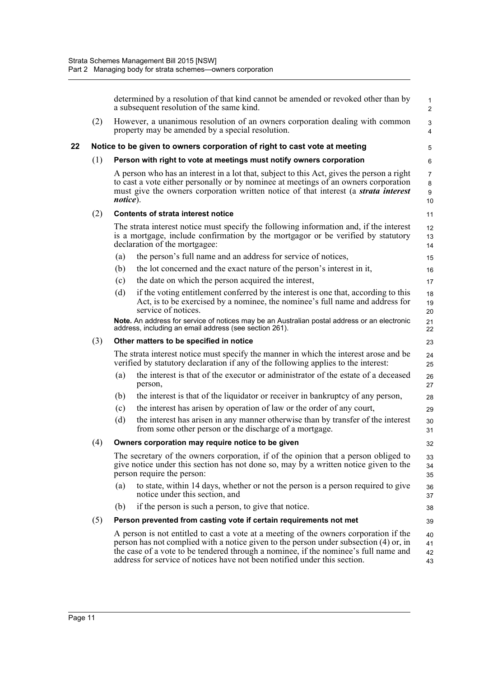<span id="page-29-0"></span>

|    |     |                                         | determined by a resolution of that kind cannot be amended or revoked other than by<br>a subsequent resolution of the same kind.                                                                                                                                                | $\mathbf{1}$<br>2                    |  |  |  |
|----|-----|-----------------------------------------|--------------------------------------------------------------------------------------------------------------------------------------------------------------------------------------------------------------------------------------------------------------------------------|--------------------------------------|--|--|--|
|    | (2) |                                         | However, a unanimous resolution of an owners corporation dealing with common<br>property may be amended by a special resolution.                                                                                                                                               | 3<br>$\overline{4}$                  |  |  |  |
| 22 |     |                                         | Notice to be given to owners corporation of right to cast vote at meeting                                                                                                                                                                                                      | 5                                    |  |  |  |
|    | (1) |                                         | Person with right to vote at meetings must notify owners corporation                                                                                                                                                                                                           | 6                                    |  |  |  |
|    |     | notice).                                | A person who has an interest in a lot that, subject to this Act, gives the person a right<br>to cast a vote either personally or by nominee at meetings of an owners corporation<br>must give the owners corporation written notice of that interest (a <i>strata interest</i> | $\overline{7}$<br>$\bf 8$<br>9<br>10 |  |  |  |
|    | (2) |                                         | <b>Contents of strata interest notice</b>                                                                                                                                                                                                                                      | 11                                   |  |  |  |
|    |     |                                         | The strata interest notice must specify the following information and, if the interest<br>is a mortgage, include confirmation by the mortgagor or be verified by statutory<br>declaration of the mortgagee:                                                                    | 12<br>13<br>14                       |  |  |  |
|    |     | (a)                                     | the person's full name and an address for service of notices,                                                                                                                                                                                                                  | 15                                   |  |  |  |
|    |     | (b)                                     | the lot concerned and the exact nature of the person's interest in it,                                                                                                                                                                                                         | 16                                   |  |  |  |
|    |     | (c)                                     | the date on which the person acquired the interest,                                                                                                                                                                                                                            | 17                                   |  |  |  |
|    |     | (d)                                     | if the voting entitlement conferred by the interest is one that, according to this<br>Act, is to be exercised by a nominee, the nominee's full name and address for<br>service of notices.                                                                                     | 18<br>19<br>20                       |  |  |  |
|    |     |                                         | Note. An address for service of notices may be an Australian postal address or an electronic<br>address, including an email address (see section 261).                                                                                                                         | 21<br>22                             |  |  |  |
|    | (3) | Other matters to be specified in notice |                                                                                                                                                                                                                                                                                |                                      |  |  |  |
|    |     |                                         | The strata interest notice must specify the manner in which the interest arose and be<br>verified by statutory declaration if any of the following applies to the interest:                                                                                                    | 24<br>25                             |  |  |  |
|    |     | (a)                                     | the interest is that of the executor or administrator of the estate of a deceased<br>person,                                                                                                                                                                                   | 26<br>27                             |  |  |  |
|    |     | (b)                                     | the interest is that of the liquidator or receiver in bankruptcy of any person,                                                                                                                                                                                                | 28                                   |  |  |  |
|    |     | (c)                                     | the interest has arisen by operation of law or the order of any court,                                                                                                                                                                                                         | 29                                   |  |  |  |
|    |     | (d)                                     | the interest has arisen in any manner otherwise than by transfer of the interest<br>from some other person or the discharge of a mortgage.                                                                                                                                     | 30<br>31                             |  |  |  |
|    | (4) |                                         | Owners corporation may require notice to be given                                                                                                                                                                                                                              | 32                                   |  |  |  |
|    |     |                                         | The secretary of the owners corporation, if of the opinion that a person obliged to<br>give notice under this section has not done so, may by a written notice given to the<br>person require the person:                                                                      | 33<br>34<br>35                       |  |  |  |
|    |     | (a)                                     | to state, within 14 days, whether or not the person is a person required to give<br>notice under this section, and                                                                                                                                                             | 36<br>37                             |  |  |  |
|    |     | (b)                                     | if the person is such a person, to give that notice.                                                                                                                                                                                                                           | 38                                   |  |  |  |
|    | (5) |                                         | Person prevented from casting vote if certain requirements not met                                                                                                                                                                                                             | 39                                   |  |  |  |
|    |     |                                         | A person is not entitled to cast a vote at a meeting of the owners corporation if the<br>person has not complied with a notice given to the person under subsection (4) or, in<br>the case of a vote to be tendered through a nominee, if the nominee's full name and          | 40<br>41<br>42                       |  |  |  |

address for service of notices have not been notified under this section.

43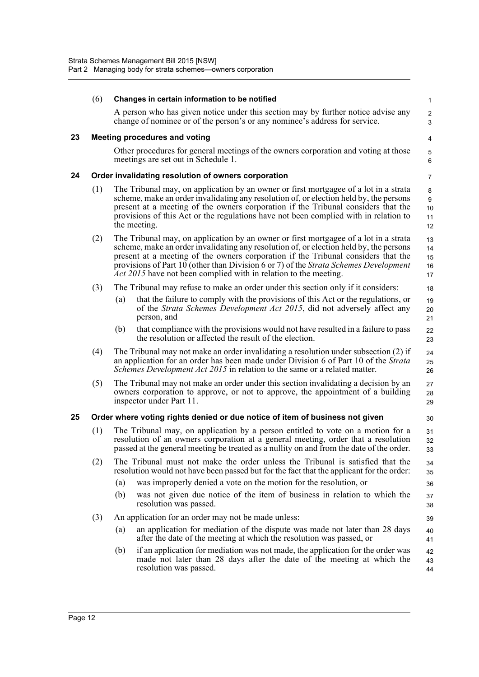<span id="page-30-2"></span><span id="page-30-1"></span><span id="page-30-0"></span>

|    | (6) | Changes in certain information to be notified                                                                                                                                                                                                                                                                                                                                                                                          | 1                          |
|----|-----|----------------------------------------------------------------------------------------------------------------------------------------------------------------------------------------------------------------------------------------------------------------------------------------------------------------------------------------------------------------------------------------------------------------------------------------|----------------------------|
|    |     | A person who has given notice under this section may by further notice advise any<br>change of nominee or of the person's or any nominee's address for service.                                                                                                                                                                                                                                                                        | $\overline{2}$<br>3        |
| 23 |     | <b>Meeting procedures and voting</b>                                                                                                                                                                                                                                                                                                                                                                                                   | 4                          |
|    |     | Other procedures for general meetings of the owners corporation and voting at those<br>meetings are set out in Schedule 1.                                                                                                                                                                                                                                                                                                             | 5<br>6                     |
| 24 |     | Order invalidating resolution of owners corporation                                                                                                                                                                                                                                                                                                                                                                                    | $\overline{7}$             |
|    | (1) | The Tribunal may, on application by an owner or first mortgagee of a lot in a strata<br>scheme, make an order invalidating any resolution of, or election held by, the persons<br>present at a meeting of the owners corporation if the Tribunal considers that the<br>provisions of this Act or the regulations have not been complied with in relation to<br>the meeting.                                                            | 8<br>9<br>10<br>11<br>12   |
|    | (2) | The Tribunal may, on application by an owner or first mortgagee of a lot in a strata<br>scheme, make an order invalidating any resolution of, or election held by, the persons<br>present at a meeting of the owners corporation if the Tribunal considers that the<br>provisions of Part 10 (other than Division 6 or 7) of the Strata Schemes Development<br><i>Act 2015</i> have not been complied with in relation to the meeting. | 13<br>14<br>15<br>16<br>17 |
|    | (3) | The Tribunal may refuse to make an order under this section only if it considers:                                                                                                                                                                                                                                                                                                                                                      | 18                         |
|    |     | that the failure to comply with the provisions of this Act or the regulations, or<br>(a)<br>of the Strata Schemes Development Act 2015, did not adversely affect any<br>person, and                                                                                                                                                                                                                                                    | 19<br>20<br>21             |
|    |     | (b)<br>that compliance with the provisions would not have resulted in a failure to pass<br>the resolution or affected the result of the election.                                                                                                                                                                                                                                                                                      | 22<br>23                   |
|    | (4) | The Tribunal may not make an order invalidating a resolution under subsection (2) if<br>an application for an order has been made under Division 6 of Part 10 of the Strata<br><i>Schemes Development Act 2015</i> in relation to the same or a related matter.                                                                                                                                                                        | 24<br>25<br>26             |
|    | (5) | The Tribunal may not make an order under this section invalidating a decision by an<br>owners corporation to approve, or not to approve, the appointment of a building<br>inspector under Part 11.                                                                                                                                                                                                                                     | 27<br>28<br>29             |
| 25 |     | Order where voting rights denied or due notice of item of business not given                                                                                                                                                                                                                                                                                                                                                           | 30                         |
|    | (1) | The Tribunal may, on application by a person entitled to vote on a motion for a<br>resolution of an owners corporation at a general meeting, order that a resolution<br>passed at the general meeting be treated as a nullity on and from the date of the order.                                                                                                                                                                       | 31<br>32<br>33             |
|    | (2) | The Tribunal must not make the order unless the Tribunal is satisfied that the<br>resolution would not have been passed but for the fact that the applicant for the order:                                                                                                                                                                                                                                                             | 34<br>35                   |
|    |     | was improperly denied a vote on the motion for the resolution, or<br>(a)                                                                                                                                                                                                                                                                                                                                                               | 36                         |
|    |     | (b)<br>was not given due notice of the item of business in relation to which the<br>resolution was passed.                                                                                                                                                                                                                                                                                                                             | 37<br>38                   |
|    | (3) | An application for an order may not be made unless:                                                                                                                                                                                                                                                                                                                                                                                    | 39                         |
|    |     | an application for mediation of the dispute was made not later than 28 days<br>(a)<br>after the date of the meeting at which the resolution was passed, or                                                                                                                                                                                                                                                                             | 40<br>41                   |
|    |     | if an application for mediation was not made, the application for the order was<br>(b)<br>made not later than 28 days after the date of the meeting at which the<br>resolution was passed.                                                                                                                                                                                                                                             | 42<br>43<br>44             |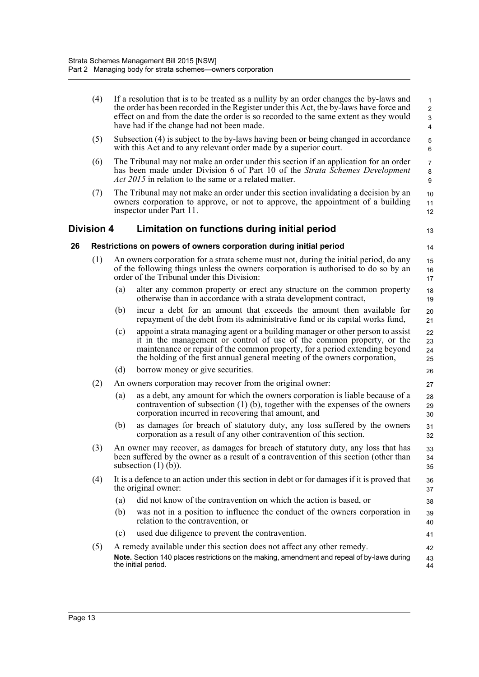<span id="page-31-1"></span><span id="page-31-0"></span>

| (4)<br>If a resolution that is to be treated as a nullity by an order changes the by-laws and<br>the order has been recorded in the Register under this Act, the by-laws have force and<br>effect on and from the date the order is so recorded to the same extent as they would<br>have had if the change had not been made.<br>(5)<br>Subsection (4) is subject to the by-laws having been or being changed in accordance<br>with this Act and to any relevant order made by a superior court.<br>(6)<br>The Tribunal may not make an order under this section if an application for an order<br>has been made under Division 6 of Part 10 of the <i>Strata Schemes Development</i><br><i>Act 2015</i> in relation to the same or a related matter.<br>The Tribunal may not make an order under this section invalidating a decision by an<br>(7)<br>owners corporation to approve, or not to approve, the appointment of a building<br>inspector under Part 11.<br><b>Division 4</b><br>Limitation on functions during initial period<br>26<br>Restrictions on powers of owners corporation during initial period<br>(1)<br>An owners corporation for a strata scheme must not, during the initial period, do any<br>of the following things unless the owners corporation is authorised to do so by an<br>order of the Tribunal under this Division:<br>alter any common property or erect any structure on the common property<br>(a)<br>otherwise than in accordance with a strata development contract,<br>incur a debt for an amount that exceeds the amount then available for<br>(b)<br>repayment of the debt from its administrative fund or its capital works fund,<br>appoint a strata managing agent or a building manager or other person to assist<br>(c)<br>it in the management or control of use of the common property, or the<br>maintenance or repair of the common property, for a period extending beyond<br>the holding of the first annual general meeting of the owners corporation,<br>(d)<br>borrow money or give securities.<br>(2)<br>An owners corporation may recover from the original owner:<br>as a debt, any amount for which the owners corporation is liable because of a<br>(a)<br>contravention of subsection $(1)$ (b), together with the expenses of the owners<br>corporation incurred in recovering that amount, and<br>as damages for breach of statutory duty, any loss suffered by the owners<br>(b)<br>corporation as a result of any other contravention of this section.<br>(3)<br>An owner may recover, as damages for breach of statutory duty, any loss that has<br>been suffered by the owner as a result of a contravention of this section (other than<br>subsection $(1)$ $(b)$ ).<br>It is a defence to an action under this section in debt or for damages if it is proved that<br>(4)<br>the original owner:<br>did not know of the contravention on which the action is based, or<br>(a)<br>was not in a position to influence the conduct of the owners corporation in<br>(b)<br>relation to the contravention, or<br>used due diligence to prevent the contravention.<br>(c)<br>A remedy available under this section does not affect any other remedy.<br>(5)<br>Note. Section 140 places restrictions on the making, amendment and repeal of by-laws during<br>the initial period. |  |  |                                                      |
|------------------------------------------------------------------------------------------------------------------------------------------------------------------------------------------------------------------------------------------------------------------------------------------------------------------------------------------------------------------------------------------------------------------------------------------------------------------------------------------------------------------------------------------------------------------------------------------------------------------------------------------------------------------------------------------------------------------------------------------------------------------------------------------------------------------------------------------------------------------------------------------------------------------------------------------------------------------------------------------------------------------------------------------------------------------------------------------------------------------------------------------------------------------------------------------------------------------------------------------------------------------------------------------------------------------------------------------------------------------------------------------------------------------------------------------------------------------------------------------------------------------------------------------------------------------------------------------------------------------------------------------------------------------------------------------------------------------------------------------------------------------------------------------------------------------------------------------------------------------------------------------------------------------------------------------------------------------------------------------------------------------------------------------------------------------------------------------------------------------------------------------------------------------------------------------------------------------------------------------------------------------------------------------------------------------------------------------------------------------------------------------------------------------------------------------------------------------------------------------------------------------------------------------------------------------------------------------------------------------------------------------------------------------------------------------------------------------------------------------------------------------------------------------------------------------------------------------------------------------------------------------------------------------------------------------------------------------------------------------------------------------------------------------------------------------------------------------------------------------------------------------------------------------------------------------------------------------------------------------------------------------------------------------------------------------------------------------------------|--|--|------------------------------------------------------|
|                                                                                                                                                                                                                                                                                                                                                                                                                                                                                                                                                                                                                                                                                                                                                                                                                                                                                                                                                                                                                                                                                                                                                                                                                                                                                                                                                                                                                                                                                                                                                                                                                                                                                                                                                                                                                                                                                                                                                                                                                                                                                                                                                                                                                                                                                                                                                                                                                                                                                                                                                                                                                                                                                                                                                                                                                                                                                                                                                                                                                                                                                                                                                                                                                                                                                                                                                      |  |  | 1<br>$\overline{2}$<br>$\mathsf 3$<br>$\overline{4}$ |
|                                                                                                                                                                                                                                                                                                                                                                                                                                                                                                                                                                                                                                                                                                                                                                                                                                                                                                                                                                                                                                                                                                                                                                                                                                                                                                                                                                                                                                                                                                                                                                                                                                                                                                                                                                                                                                                                                                                                                                                                                                                                                                                                                                                                                                                                                                                                                                                                                                                                                                                                                                                                                                                                                                                                                                                                                                                                                                                                                                                                                                                                                                                                                                                                                                                                                                                                                      |  |  | 5<br>$\,6\,$                                         |
|                                                                                                                                                                                                                                                                                                                                                                                                                                                                                                                                                                                                                                                                                                                                                                                                                                                                                                                                                                                                                                                                                                                                                                                                                                                                                                                                                                                                                                                                                                                                                                                                                                                                                                                                                                                                                                                                                                                                                                                                                                                                                                                                                                                                                                                                                                                                                                                                                                                                                                                                                                                                                                                                                                                                                                                                                                                                                                                                                                                                                                                                                                                                                                                                                                                                                                                                                      |  |  | $\overline{7}$<br>8<br>9                             |
|                                                                                                                                                                                                                                                                                                                                                                                                                                                                                                                                                                                                                                                                                                                                                                                                                                                                                                                                                                                                                                                                                                                                                                                                                                                                                                                                                                                                                                                                                                                                                                                                                                                                                                                                                                                                                                                                                                                                                                                                                                                                                                                                                                                                                                                                                                                                                                                                                                                                                                                                                                                                                                                                                                                                                                                                                                                                                                                                                                                                                                                                                                                                                                                                                                                                                                                                                      |  |  | 10<br>11<br>12                                       |
|                                                                                                                                                                                                                                                                                                                                                                                                                                                                                                                                                                                                                                                                                                                                                                                                                                                                                                                                                                                                                                                                                                                                                                                                                                                                                                                                                                                                                                                                                                                                                                                                                                                                                                                                                                                                                                                                                                                                                                                                                                                                                                                                                                                                                                                                                                                                                                                                                                                                                                                                                                                                                                                                                                                                                                                                                                                                                                                                                                                                                                                                                                                                                                                                                                                                                                                                                      |  |  | 13                                                   |
|                                                                                                                                                                                                                                                                                                                                                                                                                                                                                                                                                                                                                                                                                                                                                                                                                                                                                                                                                                                                                                                                                                                                                                                                                                                                                                                                                                                                                                                                                                                                                                                                                                                                                                                                                                                                                                                                                                                                                                                                                                                                                                                                                                                                                                                                                                                                                                                                                                                                                                                                                                                                                                                                                                                                                                                                                                                                                                                                                                                                                                                                                                                                                                                                                                                                                                                                                      |  |  | 14                                                   |
|                                                                                                                                                                                                                                                                                                                                                                                                                                                                                                                                                                                                                                                                                                                                                                                                                                                                                                                                                                                                                                                                                                                                                                                                                                                                                                                                                                                                                                                                                                                                                                                                                                                                                                                                                                                                                                                                                                                                                                                                                                                                                                                                                                                                                                                                                                                                                                                                                                                                                                                                                                                                                                                                                                                                                                                                                                                                                                                                                                                                                                                                                                                                                                                                                                                                                                                                                      |  |  | 15<br>16<br>17                                       |
|                                                                                                                                                                                                                                                                                                                                                                                                                                                                                                                                                                                                                                                                                                                                                                                                                                                                                                                                                                                                                                                                                                                                                                                                                                                                                                                                                                                                                                                                                                                                                                                                                                                                                                                                                                                                                                                                                                                                                                                                                                                                                                                                                                                                                                                                                                                                                                                                                                                                                                                                                                                                                                                                                                                                                                                                                                                                                                                                                                                                                                                                                                                                                                                                                                                                                                                                                      |  |  | 18<br>19                                             |
|                                                                                                                                                                                                                                                                                                                                                                                                                                                                                                                                                                                                                                                                                                                                                                                                                                                                                                                                                                                                                                                                                                                                                                                                                                                                                                                                                                                                                                                                                                                                                                                                                                                                                                                                                                                                                                                                                                                                                                                                                                                                                                                                                                                                                                                                                                                                                                                                                                                                                                                                                                                                                                                                                                                                                                                                                                                                                                                                                                                                                                                                                                                                                                                                                                                                                                                                                      |  |  | 20<br>21                                             |
|                                                                                                                                                                                                                                                                                                                                                                                                                                                                                                                                                                                                                                                                                                                                                                                                                                                                                                                                                                                                                                                                                                                                                                                                                                                                                                                                                                                                                                                                                                                                                                                                                                                                                                                                                                                                                                                                                                                                                                                                                                                                                                                                                                                                                                                                                                                                                                                                                                                                                                                                                                                                                                                                                                                                                                                                                                                                                                                                                                                                                                                                                                                                                                                                                                                                                                                                                      |  |  | 22<br>23<br>24<br>25                                 |
|                                                                                                                                                                                                                                                                                                                                                                                                                                                                                                                                                                                                                                                                                                                                                                                                                                                                                                                                                                                                                                                                                                                                                                                                                                                                                                                                                                                                                                                                                                                                                                                                                                                                                                                                                                                                                                                                                                                                                                                                                                                                                                                                                                                                                                                                                                                                                                                                                                                                                                                                                                                                                                                                                                                                                                                                                                                                                                                                                                                                                                                                                                                                                                                                                                                                                                                                                      |  |  | 26                                                   |
|                                                                                                                                                                                                                                                                                                                                                                                                                                                                                                                                                                                                                                                                                                                                                                                                                                                                                                                                                                                                                                                                                                                                                                                                                                                                                                                                                                                                                                                                                                                                                                                                                                                                                                                                                                                                                                                                                                                                                                                                                                                                                                                                                                                                                                                                                                                                                                                                                                                                                                                                                                                                                                                                                                                                                                                                                                                                                                                                                                                                                                                                                                                                                                                                                                                                                                                                                      |  |  | 27                                                   |
|                                                                                                                                                                                                                                                                                                                                                                                                                                                                                                                                                                                                                                                                                                                                                                                                                                                                                                                                                                                                                                                                                                                                                                                                                                                                                                                                                                                                                                                                                                                                                                                                                                                                                                                                                                                                                                                                                                                                                                                                                                                                                                                                                                                                                                                                                                                                                                                                                                                                                                                                                                                                                                                                                                                                                                                                                                                                                                                                                                                                                                                                                                                                                                                                                                                                                                                                                      |  |  | 28<br>29<br>30                                       |
|                                                                                                                                                                                                                                                                                                                                                                                                                                                                                                                                                                                                                                                                                                                                                                                                                                                                                                                                                                                                                                                                                                                                                                                                                                                                                                                                                                                                                                                                                                                                                                                                                                                                                                                                                                                                                                                                                                                                                                                                                                                                                                                                                                                                                                                                                                                                                                                                                                                                                                                                                                                                                                                                                                                                                                                                                                                                                                                                                                                                                                                                                                                                                                                                                                                                                                                                                      |  |  | 31<br>32                                             |
|                                                                                                                                                                                                                                                                                                                                                                                                                                                                                                                                                                                                                                                                                                                                                                                                                                                                                                                                                                                                                                                                                                                                                                                                                                                                                                                                                                                                                                                                                                                                                                                                                                                                                                                                                                                                                                                                                                                                                                                                                                                                                                                                                                                                                                                                                                                                                                                                                                                                                                                                                                                                                                                                                                                                                                                                                                                                                                                                                                                                                                                                                                                                                                                                                                                                                                                                                      |  |  | 33<br>34<br>35                                       |
|                                                                                                                                                                                                                                                                                                                                                                                                                                                                                                                                                                                                                                                                                                                                                                                                                                                                                                                                                                                                                                                                                                                                                                                                                                                                                                                                                                                                                                                                                                                                                                                                                                                                                                                                                                                                                                                                                                                                                                                                                                                                                                                                                                                                                                                                                                                                                                                                                                                                                                                                                                                                                                                                                                                                                                                                                                                                                                                                                                                                                                                                                                                                                                                                                                                                                                                                                      |  |  | 36<br>37                                             |
|                                                                                                                                                                                                                                                                                                                                                                                                                                                                                                                                                                                                                                                                                                                                                                                                                                                                                                                                                                                                                                                                                                                                                                                                                                                                                                                                                                                                                                                                                                                                                                                                                                                                                                                                                                                                                                                                                                                                                                                                                                                                                                                                                                                                                                                                                                                                                                                                                                                                                                                                                                                                                                                                                                                                                                                                                                                                                                                                                                                                                                                                                                                                                                                                                                                                                                                                                      |  |  | 38                                                   |
|                                                                                                                                                                                                                                                                                                                                                                                                                                                                                                                                                                                                                                                                                                                                                                                                                                                                                                                                                                                                                                                                                                                                                                                                                                                                                                                                                                                                                                                                                                                                                                                                                                                                                                                                                                                                                                                                                                                                                                                                                                                                                                                                                                                                                                                                                                                                                                                                                                                                                                                                                                                                                                                                                                                                                                                                                                                                                                                                                                                                                                                                                                                                                                                                                                                                                                                                                      |  |  | 39<br>40                                             |
|                                                                                                                                                                                                                                                                                                                                                                                                                                                                                                                                                                                                                                                                                                                                                                                                                                                                                                                                                                                                                                                                                                                                                                                                                                                                                                                                                                                                                                                                                                                                                                                                                                                                                                                                                                                                                                                                                                                                                                                                                                                                                                                                                                                                                                                                                                                                                                                                                                                                                                                                                                                                                                                                                                                                                                                                                                                                                                                                                                                                                                                                                                                                                                                                                                                                                                                                                      |  |  | 41                                                   |
|                                                                                                                                                                                                                                                                                                                                                                                                                                                                                                                                                                                                                                                                                                                                                                                                                                                                                                                                                                                                                                                                                                                                                                                                                                                                                                                                                                                                                                                                                                                                                                                                                                                                                                                                                                                                                                                                                                                                                                                                                                                                                                                                                                                                                                                                                                                                                                                                                                                                                                                                                                                                                                                                                                                                                                                                                                                                                                                                                                                                                                                                                                                                                                                                                                                                                                                                                      |  |  | 42<br>43<br>44                                       |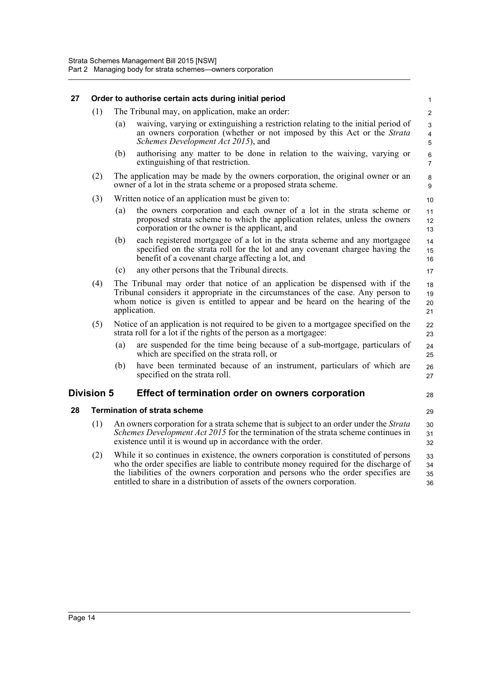<span id="page-32-2"></span><span id="page-32-1"></span><span id="page-32-0"></span>

| 27 |                                                                                                                                                                                                                                                                            |                                                                                                                                                                                                                                                                                                                                               | Order to authorise certain acts during initial period                                                                                                                                                          | $\mathbf{1}$              |  |
|----|----------------------------------------------------------------------------------------------------------------------------------------------------------------------------------------------------------------------------------------------------------------------------|-----------------------------------------------------------------------------------------------------------------------------------------------------------------------------------------------------------------------------------------------------------------------------------------------------------------------------------------------|----------------------------------------------------------------------------------------------------------------------------------------------------------------------------------------------------------------|---------------------------|--|
|    | (1)                                                                                                                                                                                                                                                                        |                                                                                                                                                                                                                                                                                                                                               | The Tribunal may, on application, make an order:                                                                                                                                                               | $\overline{2}$            |  |
|    |                                                                                                                                                                                                                                                                            | (a)                                                                                                                                                                                                                                                                                                                                           | waiving, varying or extinguishing a restriction relating to the initial period of<br>an owners corporation (whether or not imposed by this Act or the Strata<br>Schemes Development Act 2015), and             | 3<br>4<br>5               |  |
|    |                                                                                                                                                                                                                                                                            | (b)                                                                                                                                                                                                                                                                                                                                           | authorising any matter to be done in relation to the waiving, varying or<br>extinguishing of that restriction.                                                                                                 | $\,6\,$<br>$\overline{7}$ |  |
|    | (2)                                                                                                                                                                                                                                                                        |                                                                                                                                                                                                                                                                                                                                               | The application may be made by the owners corporation, the original owner or an<br>owner of a lot in the strata scheme or a proposed strata scheme.                                                            | 8<br>9                    |  |
|    | (3)                                                                                                                                                                                                                                                                        |                                                                                                                                                                                                                                                                                                                                               | Written notice of an application must be given to:                                                                                                                                                             | 10                        |  |
|    |                                                                                                                                                                                                                                                                            | (a)                                                                                                                                                                                                                                                                                                                                           | the owners corporation and each owner of a lot in the strata scheme or<br>proposed strata scheme to which the application relates, unless the owners<br>corporation or the owner is the applicant, and         | 11<br>12<br>13            |  |
|    |                                                                                                                                                                                                                                                                            | (b)                                                                                                                                                                                                                                                                                                                                           | each registered mortgagee of a lot in the strata scheme and any mortgagee<br>specified on the strata roll for the lot and any covenant chargee having the<br>benefit of a covenant charge affecting a lot, and | 14<br>15<br>16            |  |
|    |                                                                                                                                                                                                                                                                            | (c)                                                                                                                                                                                                                                                                                                                                           | any other persons that the Tribunal directs.                                                                                                                                                                   | 17                        |  |
|    | The Tribunal may order that notice of an application be dispensed with if the<br>(4)<br>Tribunal considers it appropriate in the circumstances of the case. Any person to<br>whom notice is given is entitled to appear and be heard on the hearing of the<br>application. |                                                                                                                                                                                                                                                                                                                                               |                                                                                                                                                                                                                |                           |  |
|    | (5)                                                                                                                                                                                                                                                                        |                                                                                                                                                                                                                                                                                                                                               | Notice of an application is not required to be given to a mortgagee specified on the<br>strata roll for a lot if the rights of the person as a mortgagee:                                                      | 22<br>23                  |  |
|    |                                                                                                                                                                                                                                                                            | (a)                                                                                                                                                                                                                                                                                                                                           | are suspended for the time being because of a sub-mortgage, particulars of<br>which are specified on the strata roll, or                                                                                       | 24<br>25                  |  |
|    |                                                                                                                                                                                                                                                                            | (b)                                                                                                                                                                                                                                                                                                                                           | have been terminated because of an instrument, particulars of which are<br>specified on the strata roll.                                                                                                       | 26<br>27                  |  |
|    | Division 5<br>Effect of termination order on owners corporation                                                                                                                                                                                                            |                                                                                                                                                                                                                                                                                                                                               |                                                                                                                                                                                                                |                           |  |
| 28 |                                                                                                                                                                                                                                                                            |                                                                                                                                                                                                                                                                                                                                               | <b>Termination of strata scheme</b>                                                                                                                                                                            | 29                        |  |
|    | (1)<br>An owners corporation for a strata scheme that is subject to an order under the Strata<br>Schemes Development Act 2015 for the termination of the strata scheme continues in<br>existence until it is wound up in accordance with the order.                        |                                                                                                                                                                                                                                                                                                                                               |                                                                                                                                                                                                                | 30<br>31<br>32            |  |
|    | (2)                                                                                                                                                                                                                                                                        | While it so continues in existence, the owners corporation is constituted of persons<br>who the order specifies are liable to contribute money required for the discharge of<br>the liabilities of the owners corporation and persons who the order specifies are<br>entitled to share in a distribution of assets of the owners corporation. |                                                                                                                                                                                                                |                           |  |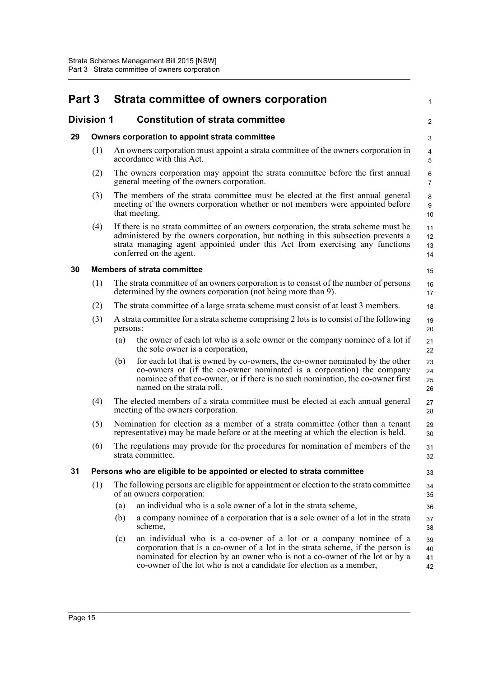<span id="page-33-4"></span><span id="page-33-3"></span><span id="page-33-2"></span><span id="page-33-1"></span><span id="page-33-0"></span>

| Part 3            |     |          | Strata committee of owners corporation                                                                                                                                                                                                                                                                      | 1                    |
|-------------------|-----|----------|-------------------------------------------------------------------------------------------------------------------------------------------------------------------------------------------------------------------------------------------------------------------------------------------------------------|----------------------|
| <b>Division 1</b> |     |          | <b>Constitution of strata committee</b>                                                                                                                                                                                                                                                                     | $\overline{c}$       |
| 29                |     |          | Owners corporation to appoint strata committee                                                                                                                                                                                                                                                              | 3                    |
|                   | (1) |          | An owners corporation must appoint a strata committee of the owners corporation in<br>accordance with this Act.                                                                                                                                                                                             | 4<br>5               |
|                   | (2) |          | The owners corporation may appoint the strata committee before the first annual<br>general meeting of the owners corporation.                                                                                                                                                                               | 6<br>$\overline{7}$  |
|                   | (3) |          | The members of the strata committee must be elected at the first annual general<br>meeting of the owners corporation whether or not members were appointed before<br>that meeting.                                                                                                                          | $\bf 8$<br>9<br>10   |
|                   | (4) |          | If there is no strata committee of an owners corporation, the strata scheme must be<br>administered by the owners corporation, but nothing in this subsection prevents a<br>strata managing agent appointed under this Act from exercising any functions<br>conferred on the agent.                         | 11<br>12<br>13<br>14 |
| 30                |     |          | <b>Members of strata committee</b>                                                                                                                                                                                                                                                                          | 15                   |
|                   | (1) |          | The strata committee of an owners corporation is to consist of the number of persons<br>determined by the owners corporation (not being more than 9).                                                                                                                                                       | 16<br>17             |
|                   | (2) |          | The strata committee of a large strata scheme must consist of at least 3 members.                                                                                                                                                                                                                           | 18                   |
|                   | (3) | persons: | A strata committee for a strata scheme comprising 2 lots is to consist of the following                                                                                                                                                                                                                     | 19<br>20             |
|                   |     | (a)      | the owner of each lot who is a sole owner or the company nominee of a lot if<br>the sole owner is a corporation,                                                                                                                                                                                            | 21<br>22             |
|                   |     | (b)      | for each lot that is owned by co-owners, the co-owner nominated by the other<br>co-owners or (if the co-owner nominated is a corporation) the company<br>nominee of that co-owner, or if there is no such nomination, the co-owner first<br>named on the strata roll.                                       | 23<br>24<br>25<br>26 |
|                   | (4) |          | The elected members of a strata committee must be elected at each annual general<br>meeting of the owners corporation.                                                                                                                                                                                      | 27<br>28             |
|                   | (5) |          | Nomination for election as a member of a strata committee (other than a tenant<br>representative) may be made before or at the meeting at which the election is held.                                                                                                                                       | 29<br>30             |
|                   | (6) |          | The regulations may provide for the procedures for nomination of members of the<br>strata committee.                                                                                                                                                                                                        | 31<br>32             |
| 31                |     |          | Persons who are eligible to be appointed or elected to strata committee                                                                                                                                                                                                                                     | 33                   |
|                   | (1) |          | The following persons are eligible for appointment or election to the strata committee<br>of an owners corporation:                                                                                                                                                                                         | 34<br>35             |
|                   |     | (a)      | an individual who is a sole owner of a lot in the strata scheme,                                                                                                                                                                                                                                            | 36                   |
|                   |     | (b)      | a company nominee of a corporation that is a sole owner of a lot in the strata<br>scheme,                                                                                                                                                                                                                   | 37<br>38             |
|                   |     | (c)      | an individual who is a co-owner of a lot or a company nominee of a<br>corporation that is a co-owner of a lot in the strata scheme, if the person is<br>nominated for election by an owner who is not a co-owner of the lot or by a<br>co-owner of the lot who is not a candidate for election as a member, | 39<br>40<br>41<br>42 |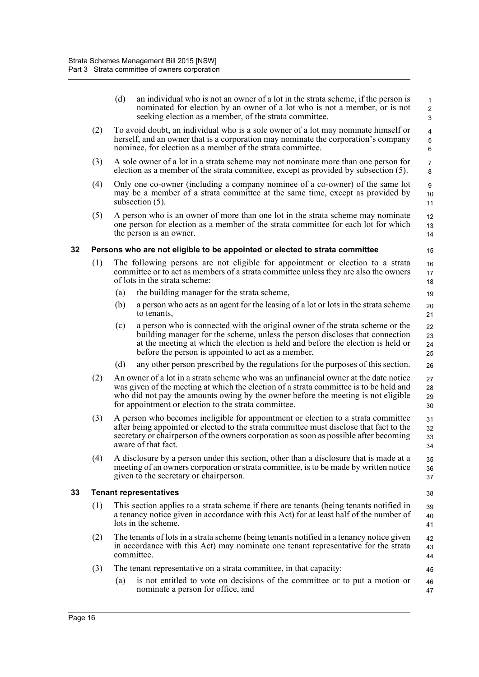<span id="page-34-1"></span><span id="page-34-0"></span>

|    |     | (d) | an individual who is not an owner of a lot in the strata scheme, if the person is<br>nominated for election by an owner of a lot who is not a member, or is not<br>seeking election as a member, of the strata committee.                                                                                                   | 1<br>$\sqrt{2}$<br>3                             |
|----|-----|-----|-----------------------------------------------------------------------------------------------------------------------------------------------------------------------------------------------------------------------------------------------------------------------------------------------------------------------------|--------------------------------------------------|
|    | (2) |     | To avoid doubt, an individual who is a sole owner of a lot may nominate himself or<br>herself, and an owner that is a corporation may nominate the corporation's company<br>nominee, for election as a member of the strata committee.                                                                                      | $\overline{\mathbf{4}}$<br>$\sqrt{5}$<br>$\,6\,$ |
|    | (3) |     | A sole owner of a lot in a strata scheme may not nominate more than one person for<br>election as a member of the strata committee, except as provided by subsection (5).                                                                                                                                                   | $\overline{7}$<br>8                              |
|    | (4) |     | Only one co-owner (including a company nominee of a co-owner) of the same lot<br>may be a member of a strata committee at the same time, except as provided by<br>subsection $(5)$ .                                                                                                                                        | $\boldsymbol{9}$<br>10<br>11                     |
|    | (5) |     | A person who is an owner of more than one lot in the strata scheme may nominate<br>one person for election as a member of the strata committee for each lot for which<br>the person is an owner.                                                                                                                            | 12<br>13<br>14                                   |
| 32 |     |     | Persons who are not eligible to be appointed or elected to strata committee                                                                                                                                                                                                                                                 | 15                                               |
|    | (1) |     | The following persons are not eligible for appointment or election to a strata<br>committee or to act as members of a strata committee unless they are also the owners<br>of lots in the strata scheme:                                                                                                                     | 16<br>17<br>18                                   |
|    |     | (a) | the building manager for the strata scheme,                                                                                                                                                                                                                                                                                 | 19                                               |
|    |     | (b) | a person who acts as an agent for the leasing of a lot or lots in the strata scheme<br>to tenants,                                                                                                                                                                                                                          | 20<br>21                                         |
|    |     | (c) | a person who is connected with the original owner of the strata scheme or the<br>building manager for the scheme, unless the person discloses that connection<br>at the meeting at which the election is held and before the election is held or<br>before the person is appointed to act as a member,                      | 22<br>23<br>24<br>25                             |
|    |     | (d) | any other person prescribed by the regulations for the purposes of this section.                                                                                                                                                                                                                                            | 26                                               |
|    | (2) |     | An owner of a lot in a strata scheme who was an unfinancial owner at the date notice<br>was given of the meeting at which the election of a strata committee is to be held and<br>who did not pay the amounts owing by the owner before the meeting is not eligible<br>for appointment or election to the strata committee. | 27<br>28<br>29<br>30                             |
|    | (3) |     | A person who becomes ineligible for appointment or election to a strata committee<br>after being appointed or elected to the strata committee must disclose that fact to the<br>secretary or chairperson of the owners corporation as soon as possible after becoming<br>aware of that fact.                                | 31<br>32<br>33<br>34                             |
|    | (4) |     | A disclosure by a person under this section, other than a disclosure that is made at a<br>meeting of an owners corporation or strata committee, is to be made by written notice<br>given to the secretary or chairperson.                                                                                                   | 35<br>36<br>37                                   |
| 33 |     |     | <b>Tenant representatives</b>                                                                                                                                                                                                                                                                                               | 38                                               |
|    | (1) |     | This section applies to a strata scheme if there are tenants (being tenants notified in<br>a tenancy notice given in accordance with this Act) for at least half of the number of<br>lots in the scheme.                                                                                                                    | 39<br>40<br>41                                   |
|    | (2) |     | The tenants of lots in a strata scheme (being tenants notified in a tenancy notice given<br>in accordance with this Act) may nominate one tenant representative for the strata<br>committee.                                                                                                                                | 42<br>43<br>44                                   |
|    | (3) |     | The tenant representative on a strata committee, in that capacity:                                                                                                                                                                                                                                                          | 45                                               |
|    |     | (a) | is not entitled to vote on decisions of the committee or to put a motion or<br>nominate a person for office, and                                                                                                                                                                                                            | 46<br>47                                         |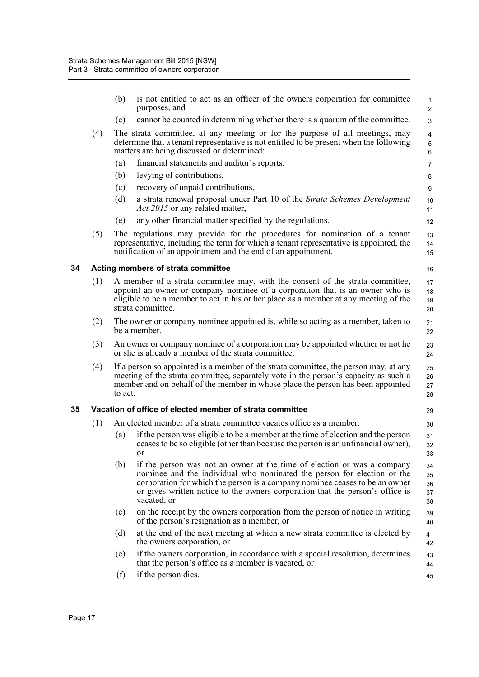<span id="page-35-1"></span><span id="page-35-0"></span>

|    |     | (b)                                                                 | is not entitled to act as an officer of the owners corporation for committee<br>purposes, and                                                                                                                                                                                                                                     | 1<br>$\overline{c}$               |  |  |  |
|----|-----|---------------------------------------------------------------------|-----------------------------------------------------------------------------------------------------------------------------------------------------------------------------------------------------------------------------------------------------------------------------------------------------------------------------------|-----------------------------------|--|--|--|
|    |     | (c)                                                                 | cannot be counted in determining whether there is a quorum of the committee.                                                                                                                                                                                                                                                      | 3                                 |  |  |  |
|    | (4) |                                                                     | The strata committee, at any meeting or for the purpose of all meetings, may<br>determine that a tenant representative is not entitled to be present when the following<br>matters are being discussed or determined:                                                                                                             | $\overline{4}$<br>$\sqrt{5}$<br>6 |  |  |  |
|    |     | (a)                                                                 | financial statements and auditor's reports,                                                                                                                                                                                                                                                                                       | 7                                 |  |  |  |
|    |     | (b)                                                                 | levying of contributions,                                                                                                                                                                                                                                                                                                         | 8                                 |  |  |  |
|    |     | (c)                                                                 | recovery of unpaid contributions,                                                                                                                                                                                                                                                                                                 | 9                                 |  |  |  |
|    |     | (d)                                                                 | a strata renewal proposal under Part 10 of the Strata Schemes Development<br><i>Act 2015</i> or any related matter,                                                                                                                                                                                                               | 10<br>11                          |  |  |  |
|    |     | (e)                                                                 | any other financial matter specified by the regulations.                                                                                                                                                                                                                                                                          | 12                                |  |  |  |
|    | (5) |                                                                     | The regulations may provide for the procedures for nomination of a tenant<br>representative, including the term for which a tenant representative is appointed, the<br>notification of an appointment and the end of an appointment.                                                                                              | 13<br>14<br>15                    |  |  |  |
| 34 |     |                                                                     | Acting members of strata committee                                                                                                                                                                                                                                                                                                | 16                                |  |  |  |
|    | (1) |                                                                     | A member of a strata committee may, with the consent of the strata committee,<br>appoint an owner or company nominee of a corporation that is an owner who is<br>eligible to be a member to act in his or her place as a member at any meeting of the<br>strata committee.                                                        | 17<br>18<br>19<br>20              |  |  |  |
|    | (2) |                                                                     | The owner or company nominee appointed is, while so acting as a member, taken to<br>be a member.                                                                                                                                                                                                                                  | 21<br>22                          |  |  |  |
|    | (3) |                                                                     | An owner or company nominee of a corporation may be appointed whether or not he<br>or she is already a member of the strata committee.                                                                                                                                                                                            | 23<br>24                          |  |  |  |
|    | (4) | to act.                                                             | If a person so appointed is a member of the strata committee, the person may, at any<br>meeting of the strata committee, separately vote in the person's capacity as such a<br>member and on behalf of the member in whose place the person has been appointed                                                                    | 25<br>26<br>27<br>28              |  |  |  |
| 35 |     |                                                                     | Vacation of office of elected member of strata committee                                                                                                                                                                                                                                                                          | 29                                |  |  |  |
|    | (1) | An elected member of a strata committee vacates office as a member: |                                                                                                                                                                                                                                                                                                                                   |                                   |  |  |  |
|    |     | (a)                                                                 | if the person was eligible to be a member at the time of election and the person<br>ceases to be so eligible (other than because the person is an unfinancial owner),<br>$\Omega$                                                                                                                                                 | 31<br>32<br>33                    |  |  |  |
|    |     | (b)                                                                 | if the person was not an owner at the time of election or was a company<br>nominee and the individual who nominated the person for election or the<br>corporation for which the person is a company nominee ceases to be an owner<br>or gives written notice to the owners corporation that the person's office is<br>vacated, or | 34<br>35<br>36<br>37<br>38        |  |  |  |
|    |     | (c)                                                                 | on the receipt by the owners corporation from the person of notice in writing<br>of the person's resignation as a member, or                                                                                                                                                                                                      | 39<br>40                          |  |  |  |
|    |     | (d)                                                                 | at the end of the next meeting at which a new strata committee is elected by<br>the owners corporation, or                                                                                                                                                                                                                        | 41<br>42                          |  |  |  |
|    |     | (e)                                                                 | if the owners corporation, in accordance with a special resolution, determines<br>that the person's office as a member is vacated, or                                                                                                                                                                                             | 43<br>44                          |  |  |  |
|    |     | (f)                                                                 | if the person dies.                                                                                                                                                                                                                                                                                                               | 45                                |  |  |  |
|    |     |                                                                     |                                                                                                                                                                                                                                                                                                                                   |                                   |  |  |  |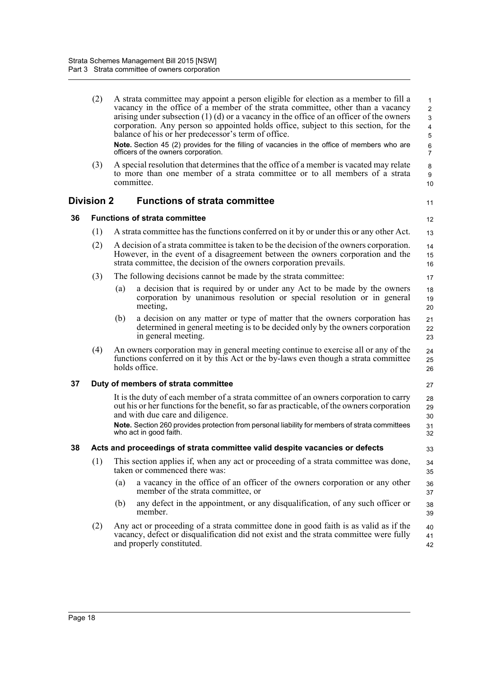|    | (2)        |     | A strata committee may appoint a person eligible for election as a member to fill a<br>vacancy in the office of a member of the strata committee, other than a vacancy<br>arising under subsection $(1)$ (d) or a vacancy in the office of an officer of the owners<br>corporation. Any person so appointed holds office, subject to this section, for the<br>balance of his or her predecessor's term of office.<br>Note. Section 45 (2) provides for the filling of vacancies in the office of members who are<br>officers of the owners corporation. | $\mathbf{1}$<br>$\overline{2}$<br>3<br>4<br>5<br>6<br>$\overline{7}$ |
|----|------------|-----|---------------------------------------------------------------------------------------------------------------------------------------------------------------------------------------------------------------------------------------------------------------------------------------------------------------------------------------------------------------------------------------------------------------------------------------------------------------------------------------------------------------------------------------------------------|----------------------------------------------------------------------|
|    | (3)        |     | A special resolution that determines that the office of a member is vacated may relate<br>to more than one member of a strata committee or to all members of a strata<br>committee.                                                                                                                                                                                                                                                                                                                                                                     | 8<br>9<br>10                                                         |
|    | Division 2 |     | <b>Functions of strata committee</b>                                                                                                                                                                                                                                                                                                                                                                                                                                                                                                                    | 11                                                                   |
| 36 |            |     | <b>Functions of strata committee</b>                                                                                                                                                                                                                                                                                                                                                                                                                                                                                                                    | 12                                                                   |
|    | (1)        |     | A strata committee has the functions conferred on it by or under this or any other Act.                                                                                                                                                                                                                                                                                                                                                                                                                                                                 | 13                                                                   |
|    | (2)        |     | A decision of a strata committee is taken to be the decision of the owners corporation.<br>However, in the event of a disagreement between the owners corporation and the<br>strata committee, the decision of the owners corporation prevails.                                                                                                                                                                                                                                                                                                         | 14<br>15<br>16                                                       |
|    | (3)        |     | The following decisions cannot be made by the strata committee:                                                                                                                                                                                                                                                                                                                                                                                                                                                                                         | 17                                                                   |
|    |            | (a) | a decision that is required by or under any Act to be made by the owners<br>corporation by unanimous resolution or special resolution or in general<br>meeting,                                                                                                                                                                                                                                                                                                                                                                                         | 18<br>19<br>20                                                       |
|    |            | (b) | a decision on any matter or type of matter that the owners corporation has<br>determined in general meeting is to be decided only by the owners corporation<br>in general meeting.                                                                                                                                                                                                                                                                                                                                                                      | 21<br>22<br>23                                                       |
|    | (4)        |     | An owners corporation may in general meeting continue to exercise all or any of the<br>functions conferred on it by this Act or the by-laws even though a strata committee<br>holds office.                                                                                                                                                                                                                                                                                                                                                             | 24<br>25<br>26                                                       |
| 37 |            |     | Duty of members of strata committee                                                                                                                                                                                                                                                                                                                                                                                                                                                                                                                     | 27                                                                   |
|    |            |     | It is the duty of each member of a strata committee of an owners corporation to carry<br>out his or her functions for the benefit, so far as practicable, of the owners corporation<br>and with due care and diligence.<br>Note. Section 260 provides protection from personal liability for members of strata committees<br>who act in good faith.                                                                                                                                                                                                     | 28<br>29<br>30<br>31<br>32                                           |
| 38 |            |     | Acts and proceedings of strata committee valid despite vacancies or defects                                                                                                                                                                                                                                                                                                                                                                                                                                                                             | 33                                                                   |
|    | (1)        |     | This section applies if, when any act or proceeding of a strata committee was done,<br>taken or commenced there was:                                                                                                                                                                                                                                                                                                                                                                                                                                    | 34<br>35                                                             |
|    |            | (a) | a vacancy in the office of an officer of the owners corporation or any other<br>member of the strata committee, or                                                                                                                                                                                                                                                                                                                                                                                                                                      | 36<br>37                                                             |
|    |            | (b) | any defect in the appointment, or any disqualification, of any such officer or<br>member.                                                                                                                                                                                                                                                                                                                                                                                                                                                               | 38<br>39                                                             |
|    | (2)        |     | Any act or proceeding of a strata committee done in good faith is as valid as if the<br>vacancy, defect or disqualification did not exist and the strata committee were fully<br>and properly constituted.                                                                                                                                                                                                                                                                                                                                              | 40<br>41<br>42                                                       |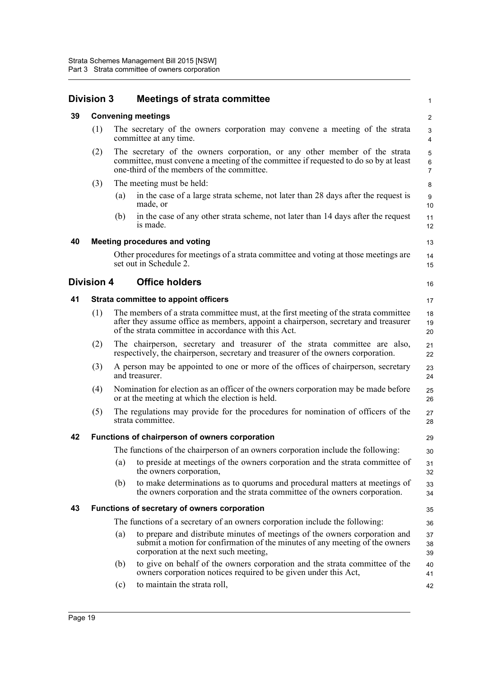|    | <b>Division 3</b> |     | <b>Meetings of strata committee</b>                                                                                                                                                                                                 | $\mathbf{1}$                   |
|----|-------------------|-----|-------------------------------------------------------------------------------------------------------------------------------------------------------------------------------------------------------------------------------------|--------------------------------|
| 39 |                   |     | <b>Convening meetings</b>                                                                                                                                                                                                           | $\overline{c}$                 |
|    | (1)               |     | The secretary of the owners corporation may convene a meeting of the strata<br>committee at any time.                                                                                                                               | 3<br>4                         |
|    | (2)               |     | The secretary of the owners corporation, or any other member of the strata<br>committee, must convene a meeting of the committee if requested to do so by at least<br>one-third of the members of the committee.                    | 5<br>$\,6\,$<br>$\overline{7}$ |
|    | (3)               |     | The meeting must be held:                                                                                                                                                                                                           | 8                              |
|    |                   | (a) | in the case of a large strata scheme, not later than 28 days after the request is<br>made, or                                                                                                                                       | 9<br>10                        |
|    |                   | (b) | in the case of any other strata scheme, not later than 14 days after the request<br>is made.                                                                                                                                        | 11<br>12                       |
| 40 |                   |     | <b>Meeting procedures and voting</b>                                                                                                                                                                                                | 13                             |
|    |                   |     | Other procedures for meetings of a strata committee and voting at those meetings are<br>set out in Schedule 2.                                                                                                                      | 14<br>15                       |
|    | <b>Division 4</b> |     | <b>Office holders</b>                                                                                                                                                                                                               | 16                             |
| 41 |                   |     | <b>Strata committee to appoint officers</b>                                                                                                                                                                                         | 17                             |
|    | (1)               |     | The members of a strata committee must, at the first meeting of the strata committee<br>after they assume office as members, appoint a chairperson, secretary and treasurer<br>of the strata committee in accordance with this Act. | 18<br>19<br>20                 |
|    | (2)               |     | The chairperson, secretary and treasurer of the strata committee are also,<br>respectively, the chairperson, secretary and treasurer of the owners corporation.                                                                     | 21<br>22                       |
|    | (3)               |     | A person may be appointed to one or more of the offices of chairperson, secretary<br>and treasurer.                                                                                                                                 | 23<br>24                       |
|    | (4)               |     | Nomination for election as an officer of the owners corporation may be made before<br>or at the meeting at which the election is held.                                                                                              | 25<br>26                       |
|    | (5)               |     | The regulations may provide for the procedures for nomination of officers of the<br>strata committee.                                                                                                                               | 27<br>28                       |
| 42 |                   |     | Functions of chairperson of owners corporation                                                                                                                                                                                      | 29                             |
|    |                   |     | The functions of the chairperson of an owners corporation include the following:                                                                                                                                                    | 30                             |
|    |                   | (a) | to preside at meetings of the owners corporation and the strata committee of<br>the owners corporation,                                                                                                                             | 31<br>32                       |
|    |                   | (b) | to make determinations as to quorums and procedural matters at meetings of<br>the owners corporation and the strata committee of the owners corporation.                                                                            | 33<br>34                       |
| 43 |                   |     | Functions of secretary of owners corporation                                                                                                                                                                                        | 35                             |
|    |                   |     | The functions of a secretary of an owners corporation include the following:                                                                                                                                                        | 36                             |
|    |                   | (a) | to prepare and distribute minutes of meetings of the owners corporation and<br>submit a motion for confirmation of the minutes of any meeting of the owners<br>corporation at the next such meeting,                                | 37<br>38<br>39                 |
|    |                   | (b) | to give on behalf of the owners corporation and the strata committee of the<br>owners corporation notices required to be given under this Act,                                                                                      | 40<br>41                       |
|    |                   | (c) | to maintain the strata roll,                                                                                                                                                                                                        | 42                             |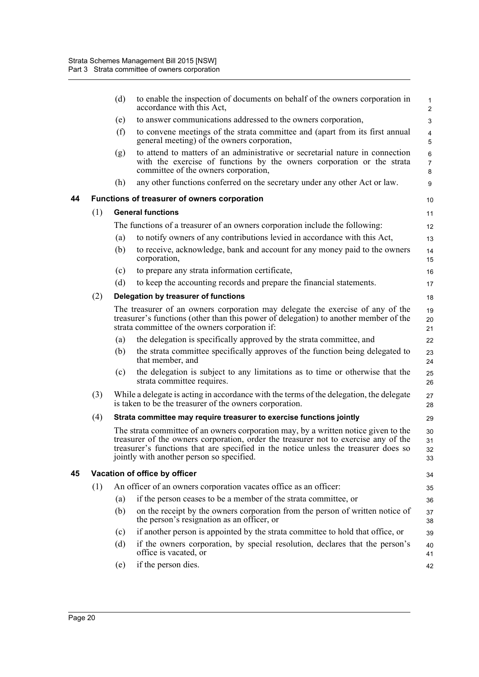|    |     | (d) | to enable the inspection of documents on behalf of the owners corporation in<br>accordance with this Act,                                                                                                                                                                                                      | 1<br>$\overline{2}$            |
|----|-----|-----|----------------------------------------------------------------------------------------------------------------------------------------------------------------------------------------------------------------------------------------------------------------------------------------------------------------|--------------------------------|
|    |     | (e) | to answer communications addressed to the owners corporation,                                                                                                                                                                                                                                                  | 3                              |
|    |     | (f) | to convene meetings of the strata committee and (apart from its first annual<br>general meeting) of the owners corporation,                                                                                                                                                                                    | 4<br>5                         |
|    |     | (g) | to attend to matters of an administrative or secretarial nature in connection<br>with the exercise of functions by the owners corporation or the strata<br>committee of the owners corporation,                                                                                                                | $\,6\,$<br>$\overline{7}$<br>8 |
|    |     | (h) | any other functions conferred on the secretary under any other Act or law.                                                                                                                                                                                                                                     | 9                              |
| 44 |     |     | Functions of treasurer of owners corporation                                                                                                                                                                                                                                                                   | 10                             |
|    | (1) |     | <b>General functions</b>                                                                                                                                                                                                                                                                                       | 11                             |
|    |     |     | The functions of a treasurer of an owners corporation include the following:                                                                                                                                                                                                                                   | 12                             |
|    |     | (a) | to notify owners of any contributions levied in accordance with this Act,                                                                                                                                                                                                                                      | 13                             |
|    |     | (b) | to receive, acknowledge, bank and account for any money paid to the owners<br>corporation,                                                                                                                                                                                                                     | 14<br>15                       |
|    |     | (c) | to prepare any strata information certificate,                                                                                                                                                                                                                                                                 | 16                             |
|    |     | (d) | to keep the accounting records and prepare the financial statements.                                                                                                                                                                                                                                           | 17                             |
|    | (2) |     | Delegation by treasurer of functions                                                                                                                                                                                                                                                                           | 18                             |
|    |     |     | The treasurer of an owners corporation may delegate the exercise of any of the<br>treasurer's functions (other than this power of delegation) to another member of the<br>strata committee of the owners corporation if:                                                                                       | 19<br>20<br>21                 |
|    |     | (a) | the delegation is specifically approved by the strata committee, and                                                                                                                                                                                                                                           | 22                             |
|    |     | (b) | the strata committee specifically approves of the function being delegated to<br>that member, and                                                                                                                                                                                                              | 23<br>24                       |
|    |     | (c) | the delegation is subject to any limitations as to time or otherwise that the<br>strata committee requires.                                                                                                                                                                                                    | 25<br>26                       |
|    | (3) |     | While a delegate is acting in accordance with the terms of the delegation, the delegate<br>is taken to be the treasurer of the owners corporation.                                                                                                                                                             | 27<br>28                       |
|    | (4) |     | Strata committee may require treasurer to exercise functions jointly                                                                                                                                                                                                                                           | 29                             |
|    |     |     | The strata committee of an owners corporation may, by a written notice given to the<br>treasurer of the owners corporation, order the treasurer not to exercise any of the<br>treasurer's functions that are specified in the notice unless the treasurer does so<br>jointly with another person so specified. | 30<br>31<br>32<br>33           |
| 45 |     |     | Vacation of office by officer                                                                                                                                                                                                                                                                                  | 34                             |
|    | (1) |     | An officer of an owners corporation vacates office as an officer:                                                                                                                                                                                                                                              | 35                             |
|    |     | (a) | if the person ceases to be a member of the strata committee, or                                                                                                                                                                                                                                                | 36                             |
|    |     | (b) | on the receipt by the owners corporation from the person of written notice of<br>the person's resignation as an officer, or                                                                                                                                                                                    | 37<br>38                       |
|    |     | (c) | if another person is appointed by the strata committee to hold that office, or                                                                                                                                                                                                                                 | 39                             |
|    |     | (d) | if the owners corporation, by special resolution, declares that the person's<br>office is vacated, or                                                                                                                                                                                                          | 40<br>41                       |
|    |     | (e) | if the person dies.                                                                                                                                                                                                                                                                                            | 42                             |
|    |     |     |                                                                                                                                                                                                                                                                                                                |                                |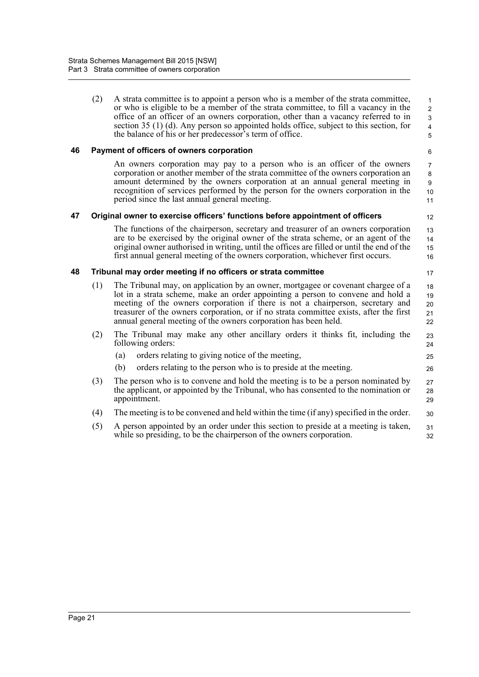(2) A strata committee is to appoint a person who is a member of the strata committee, or who is eligible to be a member of the strata committee, to fill a vacancy in the office of an officer of an owners corporation, other than a vacancy referred to in section 35 (1) (d). Any person so appointed holds office, subject to this section, for the balance of his or her predecessor's term of office.

12

17

25 26

## **46 Payment of officers of owners corporation**

An owners corporation may pay to a person who is an officer of the owners corporation or another member of the strata committee of the owners corporation an amount determined by the owners corporation at an annual general meeting in recognition of services performed by the person for the owners corporation in the period since the last annual general meeting.

#### **47 Original owner to exercise officers' functions before appointment of officers**

The functions of the chairperson, secretary and treasurer of an owners corporation are to be exercised by the original owner of the strata scheme, or an agent of the original owner authorised in writing, until the offices are filled or until the end of the first annual general meeting of the owners corporation, whichever first occurs. 13 14 15 16

#### **48 Tribunal may order meeting if no officers or strata committee**

- (1) The Tribunal may, on application by an owner, mortgagee or covenant chargee of a lot in a strata scheme, make an order appointing a person to convene and hold a meeting of the owners corporation if there is not a chairperson, secretary and treasurer of the owners corporation, or if no strata committee exists, after the first annual general meeting of the owners corporation has been held. 18 19 20 21 22
- (2) The Tribunal may make any other ancillary orders it thinks fit, including the following orders: 23 24
	- (a) orders relating to giving notice of the meeting,
	- (b) orders relating to the person who is to preside at the meeting.
- (3) The person who is to convene and hold the meeting is to be a person nominated by the applicant, or appointed by the Tribunal, who has consented to the nomination or appointment. 27 28 29
- (4) The meeting is to be convened and held within the time (if any) specified in the order. 30
- (5) A person appointed by an order under this section to preside at a meeting is taken, while so presiding, to be the chairperson of the owners corporation. 31 32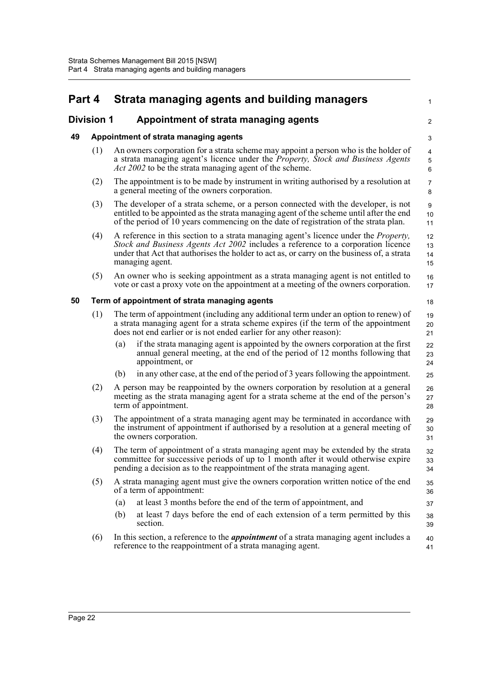| Part 4            |     | Strata managing agents and building managers                                                                                                                                                                                                                                                      | $\mathbf{1}$         |
|-------------------|-----|---------------------------------------------------------------------------------------------------------------------------------------------------------------------------------------------------------------------------------------------------------------------------------------------------|----------------------|
| <b>Division 1</b> |     | Appointment of strata managing agents                                                                                                                                                                                                                                                             | 2                    |
| 49                |     | Appointment of strata managing agents                                                                                                                                                                                                                                                             | 3                    |
|                   | (1) | An owners corporation for a strata scheme may appoint a person who is the holder of<br>a strata managing agent's licence under the <i>Property</i> , Stock and Business Agents<br><i>Act 2002</i> to be the strata managing agent of the scheme.                                                  | 4<br>5<br>6          |
|                   | (2) | The appointment is to be made by instrument in writing authorised by a resolution at<br>a general meeting of the owners corporation.                                                                                                                                                              | $\overline{7}$<br>8  |
|                   | (3) | The developer of a strata scheme, or a person connected with the developer, is not<br>entitled to be appointed as the strata managing agent of the scheme until after the end<br>of the period of 10 years commencing on the date of registration of the strata plan.                             | 9<br>10<br>11        |
|                   | (4) | A reference in this section to a strata managing agent's licence under the <i>Property</i> ,<br>Stock and Business Agents Act 2002 includes a reference to a corporation licence<br>under that Act that authorises the holder to act as, or carry on the business of, a strata<br>managing agent. | 12<br>13<br>14<br>15 |
|                   | (5) | An owner who is seeking appointment as a strata managing agent is not entitled to<br>vote or cast a proxy vote on the appointment at a meeting of the owners corporation.                                                                                                                         | 16<br>17             |
| 50                |     | Term of appointment of strata managing agents                                                                                                                                                                                                                                                     | 18                   |
|                   | (1) | The term of appointment (including any additional term under an option to renew) of<br>a strata managing agent for a strata scheme expires (if the term of the appointment<br>does not end earlier or is not ended earlier for any other reason):                                                 | 19<br>20<br>21       |
|                   |     | if the strata managing agent is appointed by the owners corporation at the first<br>(a)<br>annual general meeting, at the end of the period of 12 months following that<br>appointment, or                                                                                                        | 22<br>23<br>24       |
|                   |     | in any other case, at the end of the period of 3 years following the appointment.<br>(b)                                                                                                                                                                                                          | 25                   |
|                   | (2) | A person may be reappointed by the owners corporation by resolution at a general<br>meeting as the strata managing agent for a strata scheme at the end of the person's<br>term of appointment.                                                                                                   | 26<br>27<br>28       |
|                   | (3) | The appointment of a strata managing agent may be terminated in accordance with<br>the instrument of appointment if authorised by a resolution at a general meeting of<br>the owners corporation.                                                                                                 | 29<br>30<br>31       |
|                   | (4) | The term of appointment of a strata managing agent may be extended by the strata<br>committee for successive periods of up to 1 month after it would otherwise expire<br>pending a decision as to the reappointment of the strata managing agent.                                                 | 32<br>33<br>34       |
|                   | (5) | A strata managing agent must give the owners corporation written notice of the end<br>of a term of appointment:                                                                                                                                                                                   | 35<br>36             |
|                   |     | at least 3 months before the end of the term of appointment, and<br>(a)                                                                                                                                                                                                                           | 37                   |
|                   |     | at least 7 days before the end of each extension of a term permitted by this<br>(b)<br>section.                                                                                                                                                                                                   | 38<br>39             |
|                   | (6) | In this section, a reference to the <i>appointment</i> of a strata managing agent includes a<br>reference to the reappointment of a strata managing agent.                                                                                                                                        | 40<br>41             |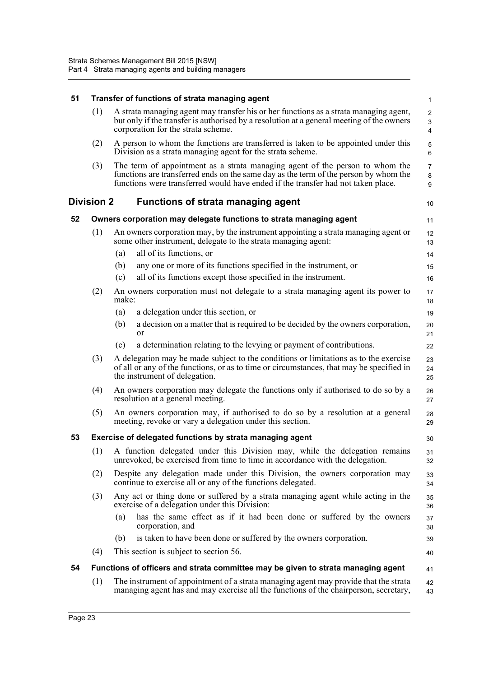| 51 | Transfer of functions of strata managing agent |                                                                                                                                                                                                                                                          |                                                 |  |  |
|----|------------------------------------------------|----------------------------------------------------------------------------------------------------------------------------------------------------------------------------------------------------------------------------------------------------------|-------------------------------------------------|--|--|
|    | (1)                                            | A strata managing agent may transfer his or her functions as a strata managing agent,<br>but only if the transfer is authorised by a resolution at a general meeting of the owners<br>corporation for the strata scheme.                                 | $\overline{c}$<br>$\mathsf 3$<br>$\overline{4}$ |  |  |
|    | (2)                                            | A person to whom the functions are transferred is taken to be appointed under this<br>Division as a strata managing agent for the strata scheme.                                                                                                         | $\mathbf 5$<br>$\,6\,$                          |  |  |
|    | (3)                                            | The term of appointment as a strata managing agent of the person to whom the<br>functions are transferred ends on the same day as the term of the person by whom the<br>functions were transferred would have ended if the transfer had not taken place. | $\overline{7}$<br>8<br>9                        |  |  |
|    | <b>Division 2</b>                              | <b>Functions of strata managing agent</b>                                                                                                                                                                                                                | 10                                              |  |  |
| 52 |                                                | Owners corporation may delegate functions to strata managing agent                                                                                                                                                                                       | 11                                              |  |  |
|    | (1)                                            | An owners corporation may, by the instrument appointing a strata managing agent or<br>some other instrument, delegate to the strata managing agent:                                                                                                      | 12<br>13                                        |  |  |
|    |                                                | all of its functions, or<br>(a)                                                                                                                                                                                                                          | 14                                              |  |  |
|    |                                                | any one or more of its functions specified in the instrument, or<br>(b)                                                                                                                                                                                  | 15                                              |  |  |
|    |                                                | all of its functions except those specified in the instrument.<br>(c)                                                                                                                                                                                    | 16                                              |  |  |
|    | (2)                                            | An owners corporation must not delegate to a strata managing agent its power to<br>make:                                                                                                                                                                 | 17<br>18                                        |  |  |
|    |                                                | a delegation under this section, or<br>(a)                                                                                                                                                                                                               | 19                                              |  |  |
|    |                                                | a decision on a matter that is required to be decided by the owners corporation,<br>(b)<br>or                                                                                                                                                            | 20<br>21                                        |  |  |
|    |                                                | a determination relating to the levying or payment of contributions.<br>(c)                                                                                                                                                                              | 22                                              |  |  |
|    | (3)                                            | A delegation may be made subject to the conditions or limitations as to the exercise<br>of all or any of the functions, or as to time or circumstances, that may be specified in<br>the instrument of delegation.                                        | 23<br>24<br>25                                  |  |  |
|    | (4)                                            | An owners corporation may delegate the functions only if authorised to do so by a<br>resolution at a general meeting.                                                                                                                                    |                                                 |  |  |
|    | (5)                                            | An owners corporation may, if authorised to do so by a resolution at a general<br>meeting, revoke or vary a delegation under this section.                                                                                                               | 28<br>29                                        |  |  |
| 53 |                                                | Exercise of delegated functions by strata managing agent                                                                                                                                                                                                 | 30                                              |  |  |
|    | (1)                                            | A function delegated under this Division may, while the delegation remains<br>unrevoked, be exercised from time to time in accordance with the delegation.                                                                                               | 31<br>32                                        |  |  |
|    | (2)                                            | Despite any delegation made under this Division, the owners corporation may<br>continue to exercise all or any of the functions delegated.                                                                                                               | 33<br>34                                        |  |  |
|    | (3)                                            | Any act or thing done or suffered by a strata managing agent while acting in the<br>exercise of a delegation under this Division:                                                                                                                        | 35<br>36                                        |  |  |
|    |                                                | has the same effect as if it had been done or suffered by the owners<br>(a)<br>corporation, and                                                                                                                                                          | 37<br>38                                        |  |  |
|    |                                                | is taken to have been done or suffered by the owners corporation.<br>(b)                                                                                                                                                                                 | 39                                              |  |  |
|    | (4)                                            | This section is subject to section 56.                                                                                                                                                                                                                   | 40                                              |  |  |
| 54 |                                                | Functions of officers and strata committee may be given to strata managing agent                                                                                                                                                                         | 41                                              |  |  |
|    | (1)                                            | The instrument of appointment of a strata managing agent may provide that the strata<br>managing agent has and may exercise all the functions of the chairperson, secretary,                                                                             | 42<br>43                                        |  |  |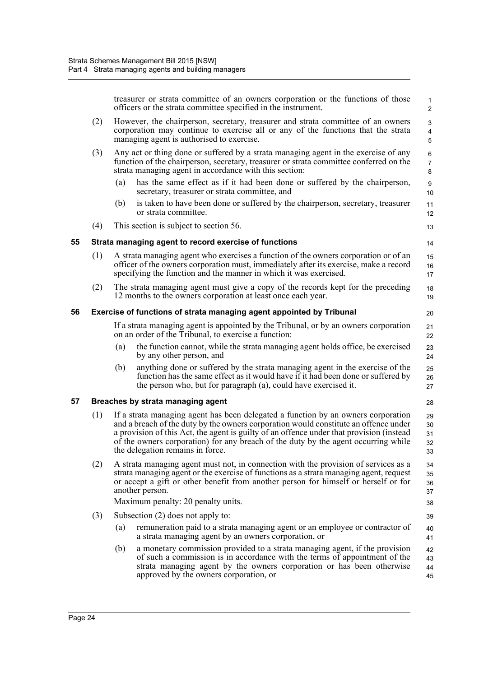|    |     | treasurer or strata committee of an owners corporation or the functions of those<br>officers or the strata committee specified in the instrument.                                                                                                                                                                                                                                               | $\mathbf{1}$<br>2          |
|----|-----|-------------------------------------------------------------------------------------------------------------------------------------------------------------------------------------------------------------------------------------------------------------------------------------------------------------------------------------------------------------------------------------------------|----------------------------|
|    | (2) | However, the chairperson, secretary, treasurer and strata committee of an owners<br>corporation may continue to exercise all or any of the functions that the strata<br>managing agent is authorised to exercise.                                                                                                                                                                               | 3<br>$\overline{4}$<br>5   |
|    | (3) | Any act or thing done or suffered by a strata managing agent in the exercise of any<br>function of the chairperson, secretary, treasurer or strata committee conferred on the<br>strata managing agent in accordance with this section:                                                                                                                                                         | 6<br>$\overline{7}$<br>8   |
|    |     | has the same effect as if it had been done or suffered by the chairperson,<br>(a)<br>secretary, treasurer or strata committee, and                                                                                                                                                                                                                                                              | $\boldsymbol{9}$<br>10     |
|    |     | is taken to have been done or suffered by the chairperson, secretary, treasurer<br>(b)<br>or strata committee.                                                                                                                                                                                                                                                                                  | 11<br>12                   |
|    | (4) | This section is subject to section 56.                                                                                                                                                                                                                                                                                                                                                          | 13                         |
| 55 |     | Strata managing agent to record exercise of functions                                                                                                                                                                                                                                                                                                                                           | 14                         |
|    | (1) | A strata managing agent who exercises a function of the owners corporation or of an<br>officer of the owners corporation must, immediately after its exercise, make a record<br>specifying the function and the manner in which it was exercised.                                                                                                                                               | 15<br>16<br>17             |
|    | (2) | The strata managing agent must give a copy of the records kept for the preceding<br>12 months to the owners corporation at least once each year.                                                                                                                                                                                                                                                | 18<br>19                   |
| 56 |     | Exercise of functions of strata managing agent appointed by Tribunal                                                                                                                                                                                                                                                                                                                            | 20                         |
|    |     | If a strata managing agent is appointed by the Tribunal, or by an owners corporation<br>on an order of the Tribunal, to exercise a function:                                                                                                                                                                                                                                                    | 21<br>22                   |
|    |     | the function cannot, while the strata managing agent holds office, be exercised<br>(a)<br>by any other person, and                                                                                                                                                                                                                                                                              | 23<br>24                   |
|    |     | (b)<br>anything done or suffered by the strata managing agent in the exercise of the<br>function has the same effect as it would have if it had been done or suffered by<br>the person who, but for paragraph (a), could have exercised it.                                                                                                                                                     | 25<br>26<br>27             |
| 57 |     | Breaches by strata managing agent                                                                                                                                                                                                                                                                                                                                                               | 28                         |
|    | (1) | If a strata managing agent has been delegated a function by an owners corporation<br>and a breach of the duty by the owners corporation would constitute an offence under<br>a provision of this Act, the agent is guilty of an offence under that provision (instead<br>of the owners corporation) for any breach of the duty by the agent occurring while<br>the delegation remains in force. | 29<br>30<br>31<br>32<br>33 |
|    | (2) | A strata managing agent must not, in connection with the provision of services as a<br>strata managing agent or the exercise of functions as a strata managing agent, request<br>or accept a gift or other benefit from another person for himself or herself or for<br>another person.                                                                                                         | 34<br>35<br>36<br>37       |
|    |     | Maximum penalty: 20 penalty units.                                                                                                                                                                                                                                                                                                                                                              | 38                         |
|    | (3) | Subsection $(2)$ does not apply to:                                                                                                                                                                                                                                                                                                                                                             | 39                         |
|    |     | (a)<br>remuneration paid to a strata managing agent or an employee or contractor of<br>a strata managing agent by an owners corporation, or                                                                                                                                                                                                                                                     | 40<br>41                   |
|    |     | (b)<br>a monetary commission provided to a strata managing agent, if the provision<br>of such a commission is in accordance with the terms of appointment of the<br>strata managing agent by the owners corporation or has been otherwise<br>approved by the owners corporation, or                                                                                                             | 42<br>43<br>44<br>45       |
|    |     |                                                                                                                                                                                                                                                                                                                                                                                                 |                            |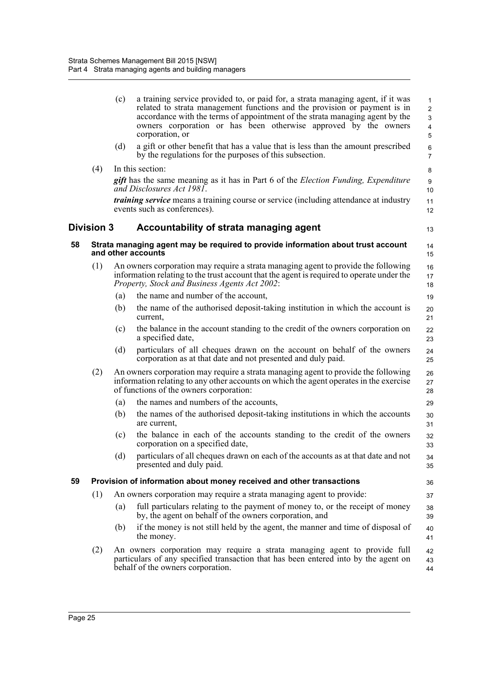|    |            | (c)<br>(d) | a training service provided to, or paid for, a strata managing agent, if it was<br>related to strata management functions and the provision or payment is in<br>accordance with the terms of appointment of the strata managing agent by the<br>owners corporation or has been otherwise approved by the owners<br>corporation, or<br>a gift or other benefit that has a value that is less than the amount prescribed | $\mathbf{1}$<br>$\overline{2}$<br>3<br>$\overline{4}$<br>5<br>6 |
|----|------------|------------|------------------------------------------------------------------------------------------------------------------------------------------------------------------------------------------------------------------------------------------------------------------------------------------------------------------------------------------------------------------------------------------------------------------------|-----------------------------------------------------------------|
|    |            |            | by the regulations for the purposes of this subsection.                                                                                                                                                                                                                                                                                                                                                                | $\overline{7}$                                                  |
|    | (4)        |            | In this section:                                                                                                                                                                                                                                                                                                                                                                                                       | 8                                                               |
|    |            |            | <b>gift</b> has the same meaning as it has in Part 6 of the <i>Election Funding, Expenditure</i><br>and Disclosures Act 1981.                                                                                                                                                                                                                                                                                          | 9<br>10                                                         |
|    |            |            | <i>training service</i> means a training course or service (including attendance at industry<br>events such as conferences).                                                                                                                                                                                                                                                                                           | 11<br>12                                                        |
|    | Division 3 |            | Accountability of strata managing agent                                                                                                                                                                                                                                                                                                                                                                                | 13                                                              |
| 58 |            |            | Strata managing agent may be required to provide information about trust account<br>and other accounts                                                                                                                                                                                                                                                                                                                 | 14<br>15                                                        |
|    | (1)        |            | An owners corporation may require a strata managing agent to provide the following                                                                                                                                                                                                                                                                                                                                     | 16                                                              |
|    |            |            | information relating to the trust account that the agent is required to operate under the<br>Property, Stock and Business Agents Act 2002:                                                                                                                                                                                                                                                                             | 17<br>18                                                        |
|    |            | (a)        | the name and number of the account,                                                                                                                                                                                                                                                                                                                                                                                    | 19                                                              |
|    |            | (b)        | the name of the authorised deposit-taking institution in which the account is<br>current,                                                                                                                                                                                                                                                                                                                              | 20<br>21                                                        |
|    |            | (c)        | the balance in the account standing to the credit of the owners corporation on<br>a specified date,                                                                                                                                                                                                                                                                                                                    | 22<br>23                                                        |
|    |            | (d)        | particulars of all cheques drawn on the account on behalf of the owners<br>corporation as at that date and not presented and duly paid.                                                                                                                                                                                                                                                                                | 24<br>25                                                        |
|    | (2)        |            | An owners corporation may require a strata managing agent to provide the following<br>information relating to any other accounts on which the agent operates in the exercise<br>of functions of the owners corporation:                                                                                                                                                                                                | 26<br>27<br>28                                                  |
|    |            | (a)        | the names and numbers of the accounts,                                                                                                                                                                                                                                                                                                                                                                                 | 29                                                              |
|    |            | (b)        | the names of the authorised deposit-taking institutions in which the accounts<br>are current,                                                                                                                                                                                                                                                                                                                          | 30<br>31                                                        |
|    |            | (c)        | the balance in each of the accounts standing to the credit of the owners<br>corporation on a specified date,                                                                                                                                                                                                                                                                                                           | 32<br>33                                                        |
|    |            | (d)        | particulars of all cheques drawn on each of the accounts as at that date and not<br>presented and duly paid.                                                                                                                                                                                                                                                                                                           | 34<br>35                                                        |
| 59 |            |            | Provision of information about money received and other transactions                                                                                                                                                                                                                                                                                                                                                   | 36                                                              |
|    | (1)        |            | An owners corporation may require a strata managing agent to provide:                                                                                                                                                                                                                                                                                                                                                  | 37                                                              |
|    |            | (a)        | full particulars relating to the payment of money to, or the receipt of money<br>by, the agent on behalf of the owners corporation, and                                                                                                                                                                                                                                                                                | 38<br>39                                                        |
|    |            | (b)        | if the money is not still held by the agent, the manner and time of disposal of<br>the money.                                                                                                                                                                                                                                                                                                                          | 40<br>41                                                        |
|    | (2)        |            | An owners corporation may require a strata managing agent to provide full<br>particulars of any specified transaction that has been entered into by the agent on<br>behalf of the owners corporation.                                                                                                                                                                                                                  | 42<br>43<br>44                                                  |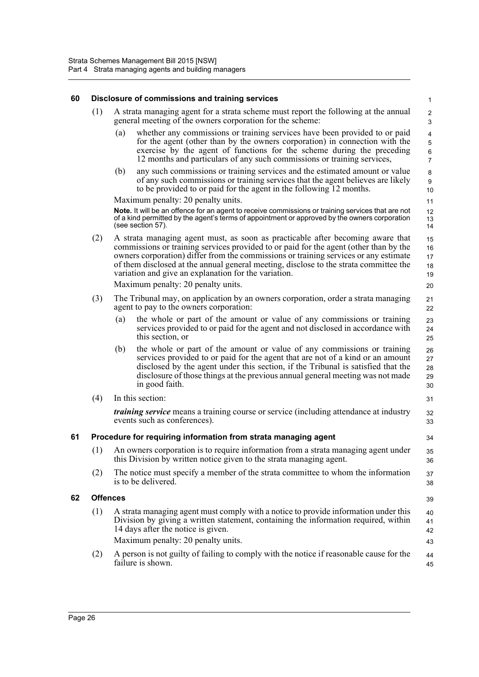| 60 |                 |                                    | Disclosure of commissions and training services                                                                                                                                                                                                                                                                                                                                                                  | $\mathbf{1}$                                                       |  |  |
|----|-----------------|------------------------------------|------------------------------------------------------------------------------------------------------------------------------------------------------------------------------------------------------------------------------------------------------------------------------------------------------------------------------------------------------------------------------------------------------------------|--------------------------------------------------------------------|--|--|
|    | (1)             |                                    | A strata managing agent for a strata scheme must report the following at the annual<br>general meeting of the owners corporation for the scheme:                                                                                                                                                                                                                                                                 | $\overline{c}$<br>$\mathsf 3$                                      |  |  |
|    |                 | (a)                                | whether any commissions or training services have been provided to or paid<br>for the agent (other than by the owners corporation) in connection with the<br>exercise by the agent of functions for the scheme during the preceding<br>12 months and particulars of any such commissions or training services,                                                                                                   | $\overline{\mathbf{4}}$<br>$\sqrt{5}$<br>$\,6\,$<br>$\overline{7}$ |  |  |
|    |                 | (b)                                | any such commissions or training services and the estimated amount or value<br>of any such commissions or training services that the agent believes are likely<br>to be provided to or paid for the agent in the following 12 months.                                                                                                                                                                            | 8<br>$\boldsymbol{9}$<br>10                                        |  |  |
|    |                 | Maximum penalty: 20 penalty units. |                                                                                                                                                                                                                                                                                                                                                                                                                  |                                                                    |  |  |
|    |                 |                                    | Note. It will be an offence for an agent to receive commissions or training services that are not<br>of a kind permitted by the agent's terms of appointment or approved by the owners corporation<br>(see section 57).                                                                                                                                                                                          | 12<br>13<br>14                                                     |  |  |
|    | (2)             |                                    | A strata managing agent must, as soon as practicable after becoming aware that<br>commissions or training services provided to or paid for the agent (other than by the<br>owners corporation) differ from the commissions or training services or any estimate<br>of them disclosed at the annual general meeting, disclose to the strata committee the<br>variation and give an explanation for the variation. | 15<br>16<br>17<br>18<br>19                                         |  |  |
|    |                 |                                    | Maximum penalty: 20 penalty units.                                                                                                                                                                                                                                                                                                                                                                               | 20                                                                 |  |  |
|    | (3)             |                                    | The Tribunal may, on application by an owners corporation, order a strata managing<br>agent to pay to the owners corporation:                                                                                                                                                                                                                                                                                    | 21<br>22                                                           |  |  |
|    |                 | (a)                                | the whole or part of the amount or value of any commissions or training<br>services provided to or paid for the agent and not disclosed in accordance with<br>this section, or                                                                                                                                                                                                                                   | 23<br>24<br>25                                                     |  |  |
|    |                 | (b)                                | the whole or part of the amount or value of any commissions or training<br>services provided to or paid for the agent that are not of a kind or an amount<br>disclosed by the agent under this section, if the Tribunal is satisfied that the<br>disclosure of those things at the previous annual general meeting was not made<br>in good faith.                                                                | 26<br>27<br>28<br>29<br>30                                         |  |  |
|    | (4)             |                                    | In this section:                                                                                                                                                                                                                                                                                                                                                                                                 | 31                                                                 |  |  |
|    |                 |                                    | <i>training service</i> means a training course or service (including attendance at industry<br>events such as conferences).                                                                                                                                                                                                                                                                                     | 32<br>33                                                           |  |  |
| 61 |                 |                                    | Procedure for requiring information from strata managing agent                                                                                                                                                                                                                                                                                                                                                   | 34                                                                 |  |  |
|    | (1)             |                                    | An owners corporation is to require information from a strata managing agent under<br>this Division by written notice given to the strata managing agent.                                                                                                                                                                                                                                                        | 35<br>36                                                           |  |  |
|    | (2)             |                                    | The notice must specify a member of the strata committee to whom the information<br>is to be delivered.                                                                                                                                                                                                                                                                                                          | 37<br>38                                                           |  |  |
| 62 | <b>Offences</b> |                                    |                                                                                                                                                                                                                                                                                                                                                                                                                  | 39                                                                 |  |  |
|    | (1)             |                                    | A strata managing agent must comply with a notice to provide information under this<br>Division by giving a written statement, containing the information required, within<br>14 days after the notice is given.                                                                                                                                                                                                 | 40<br>41<br>42                                                     |  |  |
|    |                 |                                    | Maximum penalty: 20 penalty units.                                                                                                                                                                                                                                                                                                                                                                               | 43                                                                 |  |  |
|    | (2)             |                                    | A person is not guilty of failing to comply with the notice if reasonable cause for the<br>failure is shown.                                                                                                                                                                                                                                                                                                     | 44<br>45                                                           |  |  |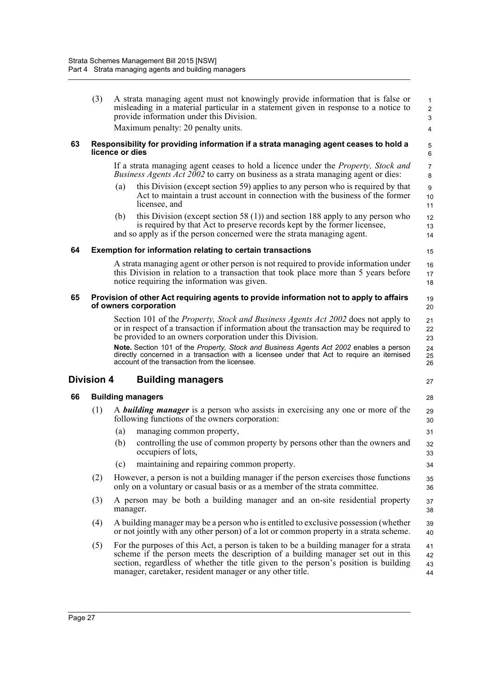|    | (3)        |                 | A strata managing agent must not knowingly provide information that is false or<br>misleading in a material particular in a statement given in response to a notice to<br>provide information under this Division.<br>Maximum penalty: 20 penalty units.                                                                                                                          | $\mathbf{1}$<br>$\overline{c}$<br>3<br>4 |
|----|------------|-----------------|-----------------------------------------------------------------------------------------------------------------------------------------------------------------------------------------------------------------------------------------------------------------------------------------------------------------------------------------------------------------------------------|------------------------------------------|
| 63 |            | licence or dies | Responsibility for providing information if a strata managing agent ceases to hold a                                                                                                                                                                                                                                                                                              | 5<br>6                                   |
|    |            | (a)             | If a strata managing agent ceases to hold a licence under the <i>Property</i> , <i>Stock and</i><br><i>Business Agents Act 2002</i> to carry on business as a strata managing agent or dies:<br>this Division (except section 59) applies to any person who is required by that<br>Act to maintain a trust account in connection with the business of the former<br>licensee, and | $\overline{7}$<br>8<br>9<br>10<br>11     |
|    |            | (b)             | this Division (except section 58 $(1)$ ) and section 188 apply to any person who<br>is required by that Act to preserve records kept by the former licensee,<br>and so apply as if the person concerned were the strata managing agent.                                                                                                                                           | 12<br>13<br>14                           |
| 64 |            |                 | <b>Exemption for information relating to certain transactions</b>                                                                                                                                                                                                                                                                                                                 | 15                                       |
|    |            |                 | A strata managing agent or other person is not required to provide information under<br>this Division in relation to a transaction that took place more than 5 years before<br>notice requiring the information was given.                                                                                                                                                        | 16<br>17<br>18                           |
| 65 |            |                 | Provision of other Act requiring agents to provide information not to apply to affairs<br>of owners corporation                                                                                                                                                                                                                                                                   | 19<br>20                                 |
|    |            |                 | Section 101 of the <i>Property, Stock and Business Agents Act 2002</i> does not apply to<br>or in respect of a transaction if information about the transaction may be required to<br>be provided to an owners corporation under this Division.                                                                                                                                   | 21<br>22<br>23                           |
|    |            |                 | Note. Section 101 of the Property, Stock and Business Agents Act 2002 enables a person<br>directly concerned in a transaction with a licensee under that Act to require an itemised<br>account of the transaction from the licensee.                                                                                                                                              | 24<br>25<br>26                           |
|    | Division 4 |                 | <b>Building managers</b>                                                                                                                                                                                                                                                                                                                                                          | 27                                       |
| 66 |            |                 | <b>Building managers</b>                                                                                                                                                                                                                                                                                                                                                          | 28                                       |
|    | (1)        |                 | A <b>building manager</b> is a person who assists in exercising any one or more of the<br>following functions of the owners corporation:                                                                                                                                                                                                                                          | 29<br>30                                 |
|    |            | (a)             | managing common property,                                                                                                                                                                                                                                                                                                                                                         | 31                                       |
|    |            | (b)             | controlling the use of common property by persons other than the owners and<br>occupiers of lots,                                                                                                                                                                                                                                                                                 | 32<br>33                                 |
|    |            | (c)             | maintaining and repairing common property.                                                                                                                                                                                                                                                                                                                                        | 34                                       |
|    | (2)        |                 | However, a person is not a building manager if the person exercises those functions<br>only on a voluntary or casual basis or as a member of the strata committee.                                                                                                                                                                                                                | 35<br>36                                 |
|    | (3)        | manager.        | A person may be both a building manager and an on-site residential property                                                                                                                                                                                                                                                                                                       | 37<br>38                                 |
|    | (4)        |                 | A building manager may be a person who is entitled to exclusive possession (whether<br>or not jointly with any other person) of a lot or common property in a strata scheme.                                                                                                                                                                                                      | 39<br>40                                 |
|    | (5)        |                 | For the purposes of this Act, a person is taken to be a building manager for a strata<br>scheme if the person meets the description of a building manager set out in this<br>section, regardless of whether the title given to the person's position is building<br>manager, caretaker, resident manager or any other title.                                                      | 41<br>42<br>43<br>44                     |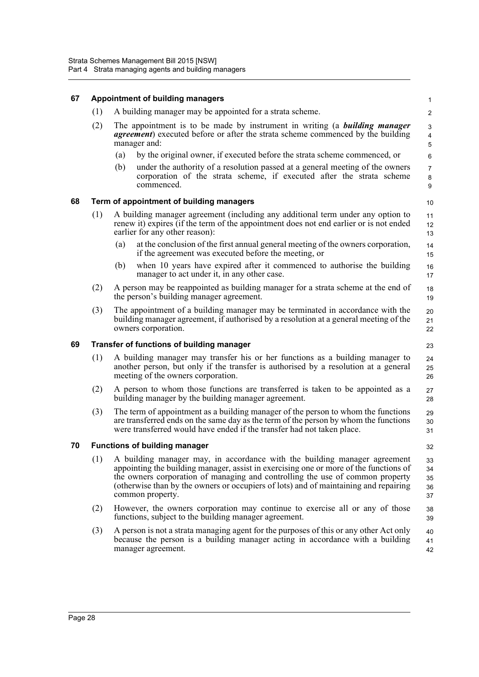#### **67 Appointment of building managers** (1) A building manager may be appointed for a strata scheme. (2) The appointment is to be made by instrument in writing (a *building manager agreement*) executed before or after the strata scheme commenced by the building manager and: (a) by the original owner, if executed before the strata scheme commenced, or (b) under the authority of a resolution passed at a general meeting of the owners corporation of the strata scheme, if executed after the strata scheme commenced. **68 Term of appointment of building managers** (1) A building manager agreement (including any additional term under any option to renew it) expires (if the term of the appointment does not end earlier or is not ended earlier for any other reason): (a) at the conclusion of the first annual general meeting of the owners corporation, if the agreement was executed before the meeting, or (b) when 10 years have expired after it commenced to authorise the building manager to act under it, in any other case. (2) A person may be reappointed as building manager for a strata scheme at the end of the person's building manager agreement. (3) The appointment of a building manager may be terminated in accordance with the building manager agreement, if authorised by a resolution at a general meeting of the owners corporation. **69 Transfer of functions of building manager** (1) A building manager may transfer his or her functions as a building manager to another person, but only if the transfer is authorised by a resolution at a general meeting of the owners corporation. (2) A person to whom those functions are transferred is taken to be appointed as a building manager by the building manager agreement. (3) The term of appointment as a building manager of the person to whom the functions are transferred ends on the same day as the term of the person by whom the functions were transferred would have ended if the transfer had not taken place. **70 Functions of building manager** (1) A building manager may, in accordance with the building manager agreement appointing the building manager, assist in exercising one or more of the functions of the owners corporation of managing and controlling the use of common property (otherwise than by the owners or occupiers of lots) and of maintaining and repairing common property. (2) However, the owners corporation may continue to exercise all or any of those functions, subject to the building manager agreement. (3) A person is not a strata managing agent for the purposes of this or any other Act only because the person is a building manager acting in accordance with a building manager agreement. 1  $\overline{2}$  3 4 5 6 7 8 9 10 11 12 13 14 15 16 17 18 19 20 21 22 23 24  $25$ 26 27 28 29 30 31 32 33 34 35 36 37 38 39 40 41 42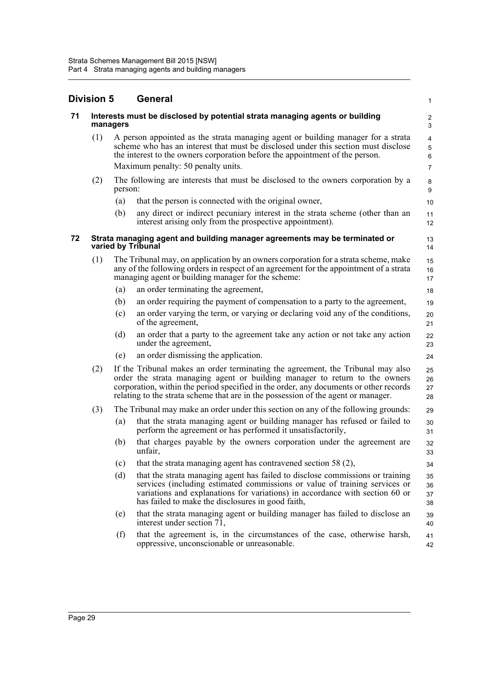|    | <b>Division 5</b> |          | General                                                                                                                                                                                                                                                                                                                                      | 1                                                         |
|----|-------------------|----------|----------------------------------------------------------------------------------------------------------------------------------------------------------------------------------------------------------------------------------------------------------------------------------------------------------------------------------------------|-----------------------------------------------------------|
| 71 |                   | managers | Interests must be disclosed by potential strata managing agents or building                                                                                                                                                                                                                                                                  | 2<br>3                                                    |
|    | (1)               |          | A person appointed as the strata managing agent or building manager for a strata<br>scheme who has an interest that must be disclosed under this section must disclose<br>the interest to the owners corporation before the appointment of the person.<br>Maximum penalty: 50 penalty units.                                                 | $\overline{4}$<br>$\sqrt{5}$<br>$\,6\,$<br>$\overline{7}$ |
|    | (2)               | person:  | The following are interests that must be disclosed to the owners corporation by a                                                                                                                                                                                                                                                            | $\bf 8$<br>9                                              |
|    |                   | (a)      | that the person is connected with the original owner,                                                                                                                                                                                                                                                                                        | 10                                                        |
|    |                   | (b)      | any direct or indirect pecuniary interest in the strata scheme (other than an<br>interest arising only from the prospective appointment).                                                                                                                                                                                                    | 11<br>12                                                  |
| 72 |                   |          | Strata managing agent and building manager agreements may be terminated or<br>varied by Tribunal                                                                                                                                                                                                                                             | 13<br>14                                                  |
|    | (1)               |          | The Tribunal may, on application by an owners corporation for a strata scheme, make<br>any of the following orders in respect of an agreement for the appointment of a strata<br>managing agent or building manager for the scheme:                                                                                                          | 15<br>16<br>17                                            |
|    |                   | (a)      | an order terminating the agreement,                                                                                                                                                                                                                                                                                                          | 18                                                        |
|    |                   | (b)      | an order requiring the payment of compensation to a party to the agreement,                                                                                                                                                                                                                                                                  | 19                                                        |
|    |                   | (c)      | an order varying the term, or varying or declaring void any of the conditions,<br>of the agreement,                                                                                                                                                                                                                                          | 20<br>21                                                  |
|    |                   | (d)      | an order that a party to the agreement take any action or not take any action<br>under the agreement,                                                                                                                                                                                                                                        | 22<br>23                                                  |
|    |                   | (e)      | an order dismissing the application.                                                                                                                                                                                                                                                                                                         | 24                                                        |
|    | (2)               |          | If the Tribunal makes an order terminating the agreement, the Tribunal may also<br>order the strata managing agent or building manager to return to the owners<br>corporation, within the period specified in the order, any documents or other records<br>relating to the strata scheme that are in the possession of the agent or manager. | 25<br>26<br>27<br>28                                      |
|    | (3)               |          | The Tribunal may make an order under this section on any of the following grounds:                                                                                                                                                                                                                                                           | 29                                                        |
|    |                   | (a)      | that the strata managing agent or building manager has refused or failed to<br>perform the agreement or has performed it unsatisfactorily,                                                                                                                                                                                                   | 30<br>31                                                  |
|    |                   | (b)      | that charges payable by the owners corporation under the agreement are<br>unfair.                                                                                                                                                                                                                                                            | 32<br>33                                                  |
|    |                   | (c)      | that the strata managing agent has contravened section 58 (2),                                                                                                                                                                                                                                                                               | 34                                                        |
|    |                   | (d)      | that the strata managing agent has failed to disclose commissions or training<br>services (including estimated commissions or value of training services or<br>variations and explanations for variations) in accordance with section 60 or<br>has failed to make the disclosures in good faith,                                             | 35<br>36<br>37<br>38                                      |
|    |                   | (e)      | that the strata managing agent or building manager has failed to disclose an<br>interest under section 71,                                                                                                                                                                                                                                   | 39<br>40                                                  |
|    |                   | (f)      | that the agreement is, in the circumstances of the case, otherwise harsh,<br>oppressive, unconscionable or unreasonable.                                                                                                                                                                                                                     | 41<br>42                                                  |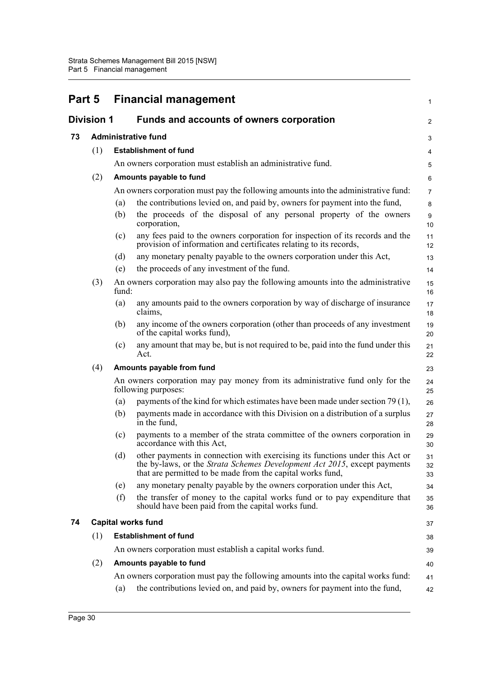| Part 5 |                   |       | <b>Financial management</b>                                                                                                                                                                                            | $\mathbf{1}$   |
|--------|-------------------|-------|------------------------------------------------------------------------------------------------------------------------------------------------------------------------------------------------------------------------|----------------|
|        | <b>Division 1</b> |       | <b>Funds and accounts of owners corporation</b>                                                                                                                                                                        | 2              |
| 73     |                   |       | <b>Administrative fund</b>                                                                                                                                                                                             | 3              |
|        | (1)               |       | <b>Establishment of fund</b>                                                                                                                                                                                           | 4              |
|        |                   |       | An owners corporation must establish an administrative fund.                                                                                                                                                           | 5              |
|        | (2)               |       | Amounts payable to fund                                                                                                                                                                                                | 6              |
|        |                   |       | An owners corporation must pay the following amounts into the administrative fund:                                                                                                                                     | $\overline{7}$ |
|        |                   | (a)   | the contributions levied on, and paid by, owners for payment into the fund,                                                                                                                                            | 8              |
|        |                   | (b)   | the proceeds of the disposal of any personal property of the owners<br>corporation,                                                                                                                                    | 9<br>10        |
|        |                   | (c)   | any fees paid to the owners corporation for inspection of its records and the<br>provision of information and certificates relating to its records,                                                                    | 11<br>12       |
|        |                   | (d)   | any monetary penalty payable to the owners corporation under this Act,                                                                                                                                                 | 13             |
|        |                   | (e)   | the proceeds of any investment of the fund.                                                                                                                                                                            | 14             |
|        | (3)               | fund: | An owners corporation may also pay the following amounts into the administrative                                                                                                                                       | 15<br>16       |
|        |                   | (a)   | any amounts paid to the owners corporation by way of discharge of insurance<br>claims,                                                                                                                                 | 17<br>18       |
|        |                   | (b)   | any income of the owners corporation (other than proceeds of any investment<br>of the capital works fund),                                                                                                             | 19<br>20       |
|        |                   | (c)   | any amount that may be, but is not required to be, paid into the fund under this<br>Act.                                                                                                                               | 21<br>22       |
|        | (4)               |       | Amounts payable from fund                                                                                                                                                                                              | 23             |
|        |                   |       | An owners corporation may pay money from its administrative fund only for the<br>following purposes:                                                                                                                   | 24<br>25       |
|        |                   | (a)   | payments of the kind for which estimates have been made under section 79 (1),                                                                                                                                          | 26             |
|        |                   | (b)   | payments made in accordance with this Division on a distribution of a surplus<br>in the fund,                                                                                                                          | 27<br>28       |
|        |                   | (c)   | payments to a member of the strata committee of the owners corporation in<br>accordance with this Act,                                                                                                                 | 29<br>30       |
|        |                   | (d)   | other payments in connection with exercising its functions under this Act or<br>the by-laws, or the Strata Schemes Development Act 2015, except payments<br>that are permitted to be made from the capital works fund, | 31<br>32<br>33 |
|        |                   | (e)   | any monetary penalty payable by the owners corporation under this Act,                                                                                                                                                 | 34             |
|        |                   | (f)   | the transfer of money to the capital works fund or to pay expenditure that<br>should have been paid from the capital works fund.                                                                                       | 35<br>36       |
| 74     |                   |       | <b>Capital works fund</b>                                                                                                                                                                                              | 37             |
|        | (1)               |       | <b>Establishment of fund</b>                                                                                                                                                                                           | 38             |
|        |                   |       | An owners corporation must establish a capital works fund.                                                                                                                                                             | 39             |
|        | (2)               |       | Amounts payable to fund                                                                                                                                                                                                | 40             |
|        |                   | (a)   | An owners corporation must pay the following amounts into the capital works fund:<br>the contributions levied on, and paid by, owners for payment into the fund,                                                       | 41<br>42       |
|        |                   |       |                                                                                                                                                                                                                        |                |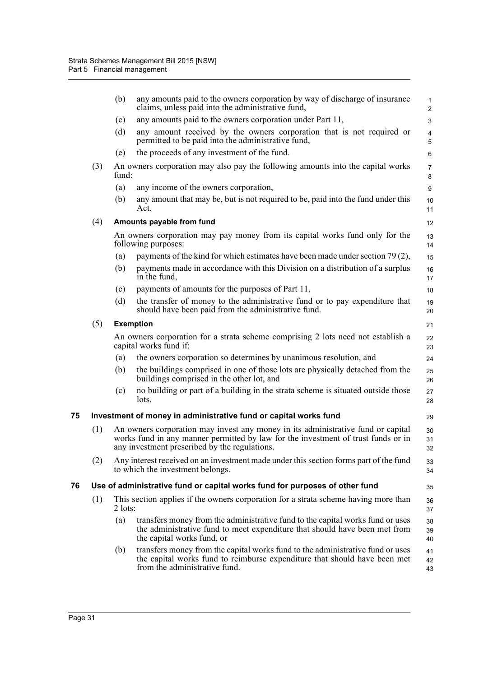|    |     | (b)       | any amounts paid to the owners corporation by way of discharge of insurance<br>claims, unless paid into the administrative fund,                                                                                       | $\mathbf{1}$<br>$\overline{2}$ |
|----|-----|-----------|------------------------------------------------------------------------------------------------------------------------------------------------------------------------------------------------------------------------|--------------------------------|
|    |     | (c)       | any amounts paid to the owners corporation under Part 11,                                                                                                                                                              | 3                              |
|    |     | (d)       | any amount received by the owners corporation that is not required or<br>permitted to be paid into the administrative fund,                                                                                            | 4<br>5                         |
|    |     | (e)       | the proceeds of any investment of the fund.                                                                                                                                                                            | 6                              |
|    | (3) | fund:     | An owners corporation may also pay the following amounts into the capital works                                                                                                                                        | $\overline{7}$<br>8            |
|    |     | (a)       | any income of the owners corporation,                                                                                                                                                                                  | 9                              |
|    |     | (b)       | any amount that may be, but is not required to be, paid into the fund under this<br>Act.                                                                                                                               | 10<br>11                       |
|    | (4) |           | Amounts payable from fund                                                                                                                                                                                              | 12                             |
|    |     |           | An owners corporation may pay money from its capital works fund only for the<br>following purposes:                                                                                                                    | 13<br>14                       |
|    |     | (a)       | payments of the kind for which estimates have been made under section 79 (2),                                                                                                                                          | 15                             |
|    |     | (b)       | payments made in accordance with this Division on a distribution of a surplus<br>in the fund,                                                                                                                          | 16<br>17                       |
|    |     | (c)       | payments of amounts for the purposes of Part 11,                                                                                                                                                                       | 18                             |
|    |     | (d)       | the transfer of money to the administrative fund or to pay expenditure that<br>should have been paid from the administrative fund.                                                                                     | 19<br>20                       |
|    | (5) |           | <b>Exemption</b>                                                                                                                                                                                                       | 21                             |
|    |     |           | An owners corporation for a strata scheme comprising 2 lots need not establish a<br>capital works fund if:                                                                                                             | 22<br>23                       |
|    |     | (a)       | the owners corporation so determines by unanimous resolution, and                                                                                                                                                      | 24                             |
|    |     | (b)       | the buildings comprised in one of those lots are physically detached from the<br>buildings comprised in the other lot, and                                                                                             | 25<br>26                       |
|    |     | (c)       | no building or part of a building in the strata scheme is situated outside those<br>lots.                                                                                                                              | 27<br>28                       |
| 75 |     |           | Investment of money in administrative fund or capital works fund                                                                                                                                                       | 29                             |
|    | (1) |           | An owners corporation may invest any money in its administrative fund or capital<br>works fund in any manner permitted by law for the investment of trust funds or in<br>any investment prescribed by the regulations. | 30<br>31<br>32                 |
|    | (2) |           | Any interest received on an investment made under this section forms part of the fund<br>to which the investment belongs.                                                                                              | 33<br>34                       |
| 76 |     |           | Use of administrative fund or capital works fund for purposes of other fund                                                                                                                                            | 35                             |
|    | (1) | $2$ lots: | This section applies if the owners corporation for a strata scheme having more than                                                                                                                                    | 36<br>37                       |
|    |     | (a)       | transfers money from the administrative fund to the capital works fund or uses<br>the administrative fund to meet expenditure that should have been met from<br>the capital works fund, or                             | 38<br>39<br>40                 |
|    |     | (b)       | transfers money from the capital works fund to the administrative fund or uses<br>the capital works fund to reimburse expenditure that should have been met<br>from the administrative fund.                           | 41<br>42<br>43                 |
|    |     |           |                                                                                                                                                                                                                        |                                |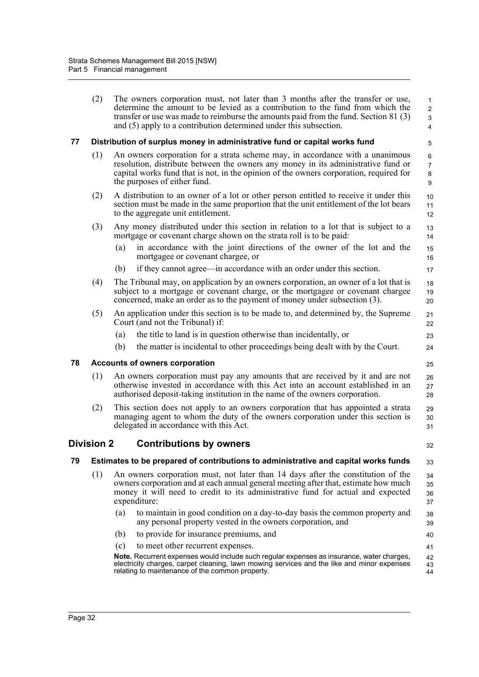- (2) The owners corporation must, not later than 3 months after the transfer or use, determine the amount to be levied as a contribution to the fund from which the transfer or use was made to reimburse the amounts paid from the fund. Section 81 (3) and (5) apply to a contribution determined under this subsection. **77 Distribution of surplus money in administrative fund or capital works fund** (1) An owners corporation for a strata scheme may, in accordance with a unanimous resolution, distribute between the owners any money in its administrative fund or capital works fund that is not, in the opinion of the owners corporation, required for the purposes of either fund. (2) A distribution to an owner of a lot or other person entitled to receive it under this section must be made in the same proportion that the unit entitlement of the lot bears to the aggregate unit entitlement. (3) Any money distributed under this section in relation to a lot that is subject to a mortgage or covenant charge shown on the strata roll is to be paid: (a) in accordance with the joint directions of the owner of the lot and the mortgagee or covenant chargee, or (b) if they cannot agree—in accordance with an order under this section. (4) The Tribunal may, on application by an owners corporation, an owner of a lot that is subject to a mortgage or covenant charge, or the mortgagee or covenant chargee concerned, make an order as to the payment of money under subsection (3). (5) An application under this section is to be made to, and determined by, the Supreme Court (and not the Tribunal) if: (a) the title to land is in question otherwise than incidentally, or 1  $\overline{2}$  3 4 5 6 7 8 9 10 11 12 13 14 15 16 17 18 19 20 21 22 23 24
	- (b) the matter is incidental to other proceedings being dealt with by the Court.

## **78 Accounts of owners corporation**

- (1) An owners corporation must pay any amounts that are received by it and are not otherwise invested in accordance with this Act into an account established in an authorised deposit-taking institution in the name of the owners corporation. 26 27 28
- (2) This section does not apply to an owners corporation that has appointed a strata managing agent to whom the duty of the owners corporation under this section is delegated in accordance with this Act.  $29$ 30 31

# **Division 2 Contributions by owners**

#### **79 Estimates to be prepared of contributions to administrative and capital works funds** 33

- (1) An owners corporation must, not later than 14 days after the constitution of the owners corporation and at each annual general meeting after that, estimate how much money it will need to credit to its administrative fund for actual and expected expenditure: 34 35 36 37
	- (a) to maintain in good condition on a day-to-day basis the common property and any personal property vested in the owners corporation, and 38 39
	- (b) to provide for insurance premiums, and
	- (c) to meet other recurrent expenses.

**Note.** Recurrent expenses would include such regular expenses as insurance, water charges, electricity charges, carpet cleaning, lawn mowing services and the like and minor expenses relating to maintenance of the common property. 42 43 44

25

32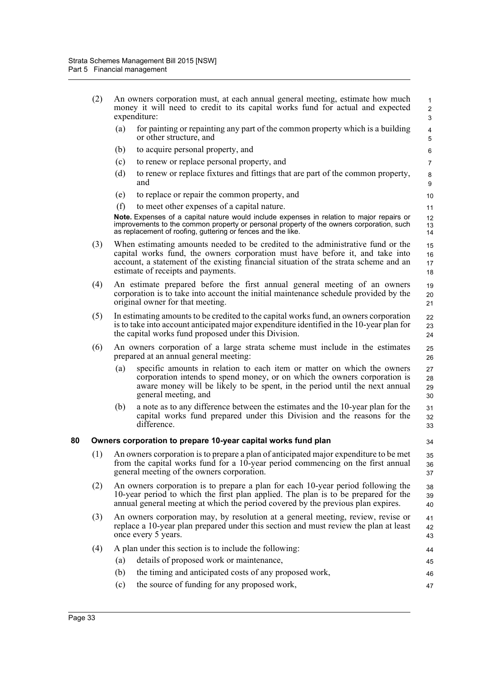|    | (2) |     | An owners corporation must, at each annual general meeting, estimate how much<br>money it will need to credit to its capital works fund for actual and expected<br>expenditure:                                                                                                                | $\mathbf{1}$<br>$\overline{c}$<br>3 |
|----|-----|-----|------------------------------------------------------------------------------------------------------------------------------------------------------------------------------------------------------------------------------------------------------------------------------------------------|-------------------------------------|
|    |     | (a) | for painting or repainting any part of the common property which is a building<br>or other structure, and                                                                                                                                                                                      | $\overline{\mathbf{4}}$<br>5        |
|    |     | (b) | to acquire personal property, and                                                                                                                                                                                                                                                              | 6                                   |
|    |     | (c) | to renew or replace personal property, and                                                                                                                                                                                                                                                     | 7                                   |
|    |     | (d) | to renew or replace fixtures and fittings that are part of the common property,<br>and                                                                                                                                                                                                         | 8<br>9                              |
|    |     | (e) | to replace or repair the common property, and                                                                                                                                                                                                                                                  | 10                                  |
|    |     | (f) | to meet other expenses of a capital nature.                                                                                                                                                                                                                                                    | 11                                  |
|    |     |     | Note. Expenses of a capital nature would include expenses in relation to major repairs or<br>improvements to the common property or personal property of the owners corporation, such<br>as replacement of roofing, guttering or fences and the like.                                          | 12<br>13<br>14                      |
|    | (3) |     | When estimating amounts needed to be credited to the administrative fund or the<br>capital works fund, the owners corporation must have before it, and take into<br>account, a statement of the existing financial situation of the strata scheme and an<br>estimate of receipts and payments. | 15<br>16<br>17<br>18                |
|    | (4) |     | An estimate prepared before the first annual general meeting of an owners<br>corporation is to take into account the initial maintenance schedule provided by the<br>original owner for that meeting.                                                                                          | 19<br>20<br>21                      |
|    | (5) |     | In estimating amounts to be credited to the capital works fund, an owners corporation<br>is to take into account anticipated major expenditure identified in the 10-year plan for<br>the capital works fund proposed under this Division.                                                      | 22<br>23<br>24                      |
|    | (6) |     | An owners corporation of a large strata scheme must include in the estimates<br>prepared at an annual general meeting:                                                                                                                                                                         | 25<br>26                            |
|    |     | (a) | specific amounts in relation to each item or matter on which the owners<br>corporation intends to spend money, or on which the owners corporation is<br>aware money will be likely to be spent, in the period until the next annual<br>general meeting, and                                    | 27<br>28<br>29<br>30                |
|    |     | (b) | a note as to any difference between the estimates and the 10-year plan for the<br>capital works fund prepared under this Division and the reasons for the<br>difference.                                                                                                                       | 31<br>32<br>33                      |
| 80 |     |     | Owners corporation to prepare 10-year capital works fund plan                                                                                                                                                                                                                                  | 34                                  |
|    |     |     | (1) An owners corporation is to prepare a plan of anticipated major expenditure to be met<br>from the capital works fund for a 10-year period commencing on the first annual<br>general meeting of the owners corporation.                                                                     | 35<br>36<br>37                      |
|    | (2) |     | An owners corporation is to prepare a plan for each 10-year period following the<br>10-year period to which the first plan applied. The plan is to be prepared for the<br>annual general meeting at which the period covered by the previous plan expires.                                     | 38<br>39<br>40                      |
|    | (3) |     | An owners corporation may, by resolution at a general meeting, review, revise or<br>replace a 10-year plan prepared under this section and must review the plan at least<br>once every 5 years.                                                                                                | 41<br>42<br>43                      |
|    | (4) |     | A plan under this section is to include the following:                                                                                                                                                                                                                                         | 44                                  |
|    |     | (a) | details of proposed work or maintenance,                                                                                                                                                                                                                                                       | 45                                  |
|    |     | (b) | the timing and anticipated costs of any proposed work,                                                                                                                                                                                                                                         | 46                                  |
|    |     | (c) | the source of funding for any proposed work,                                                                                                                                                                                                                                                   | 47                                  |
|    |     |     |                                                                                                                                                                                                                                                                                                |                                     |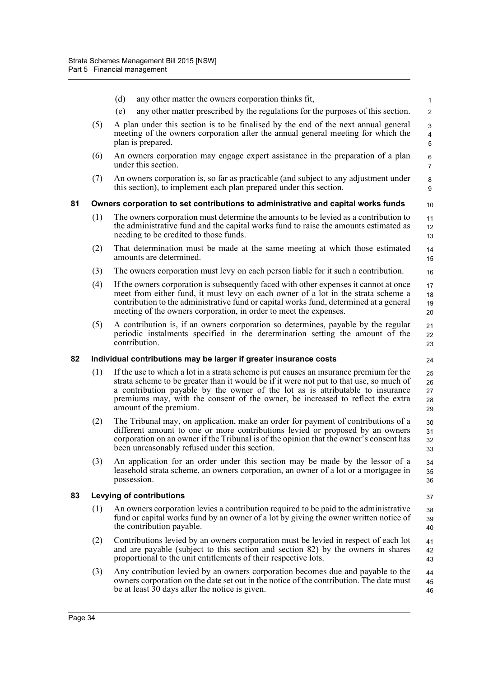|    |     | (d)<br>any other matter the owners corporation thinks fit,                                                                                                                                                                                                                                                                                                                       | $\mathbf{1}$                      |
|----|-----|----------------------------------------------------------------------------------------------------------------------------------------------------------------------------------------------------------------------------------------------------------------------------------------------------------------------------------------------------------------------------------|-----------------------------------|
|    |     | any other matter prescribed by the regulations for the purposes of this section.<br>(e)                                                                                                                                                                                                                                                                                          | $\overline{2}$                    |
|    | (5) | A plan under this section is to be finalised by the end of the next annual general<br>meeting of the owners corporation after the annual general meeting for which the<br>plan is prepared.                                                                                                                                                                                      | 3<br>$\overline{\mathbf{4}}$<br>5 |
|    | (6) | An owners corporation may engage expert assistance in the preparation of a plan<br>under this section.                                                                                                                                                                                                                                                                           | 6<br>$\overline{7}$               |
|    | (7) | An owners corporation is, so far as practicable (and subject to any adjustment under<br>this section), to implement each plan prepared under this section.                                                                                                                                                                                                                       | 8<br>9                            |
| 81 |     | Owners corporation to set contributions to administrative and capital works funds                                                                                                                                                                                                                                                                                                | 10                                |
|    | (1) | The owners corporation must determine the amounts to be levied as a contribution to<br>the administrative fund and the capital works fund to raise the amounts estimated as<br>needing to be credited to those funds.                                                                                                                                                            | 11<br>12<br>13                    |
|    | (2) | That determination must be made at the same meeting at which those estimated<br>amounts are determined.                                                                                                                                                                                                                                                                          | 14<br>15                          |
|    | (3) | The owners corporation must levy on each person liable for it such a contribution.                                                                                                                                                                                                                                                                                               | 16                                |
|    | (4) | If the owners corporation is subsequently faced with other expenses it cannot at once<br>meet from either fund, it must levy on each owner of a lot in the strata scheme a<br>contribution to the administrative fund or capital works fund, determined at a general<br>meeting of the owners corporation, in order to meet the expenses.                                        | 17<br>18<br>19<br>20              |
|    | (5) | A contribution is, if an owners corporation so determines, payable by the regular<br>periodic instalments specified in the determination setting the amount of the<br>contribution.                                                                                                                                                                                              | 21<br>22<br>23                    |
| 82 |     | Individual contributions may be larger if greater insurance costs                                                                                                                                                                                                                                                                                                                | 24                                |
|    |     |                                                                                                                                                                                                                                                                                                                                                                                  |                                   |
|    | (1) | If the use to which a lot in a strata scheme is put causes an insurance premium for the<br>strata scheme to be greater than it would be if it were not put to that use, so much of<br>a contribution payable by the owner of the lot as is attributable to insurance<br>premiums may, with the consent of the owner, be increased to reflect the extra<br>amount of the premium. | 25<br>26<br>27<br>28<br>29        |
|    | (2) | The Tribunal may, on application, make an order for payment of contributions of a<br>different amount to one or more contributions levied or proposed by an owners<br>corporation on an owner if the Tribunal is of the opinion that the owner's consent has<br>been unreasonably refused under this section.                                                                    | 30<br>31<br>32<br>33              |
|    | (3) | An application for an order under this section may be made by the lessor of a<br>leasehold strata scheme, an owners corporation, an owner of a lot or a mortgagee in<br>possession.                                                                                                                                                                                              | 34<br>35<br>36                    |
| 83 |     | <b>Levying of contributions</b>                                                                                                                                                                                                                                                                                                                                                  | 37                                |
|    | (1) | An owners corporation levies a contribution required to be paid to the administrative<br>fund or capital works fund by an owner of a lot by giving the owner written notice of<br>the contribution payable.                                                                                                                                                                      | 38<br>39<br>40                    |
|    | (2) | Contributions levied by an owners corporation must be levied in respect of each lot<br>and are payable (subject to this section and section 82) by the owners in shares<br>proportional to the unit entitlements of their respective lots.                                                                                                                                       | 41<br>42<br>43                    |
|    | (3) | Any contribution levied by an owners corporation becomes due and payable to the<br>owners corporation on the date set out in the notice of the contribution. The date must<br>be at least 30 days after the notice is given.                                                                                                                                                     | 44<br>45<br>46                    |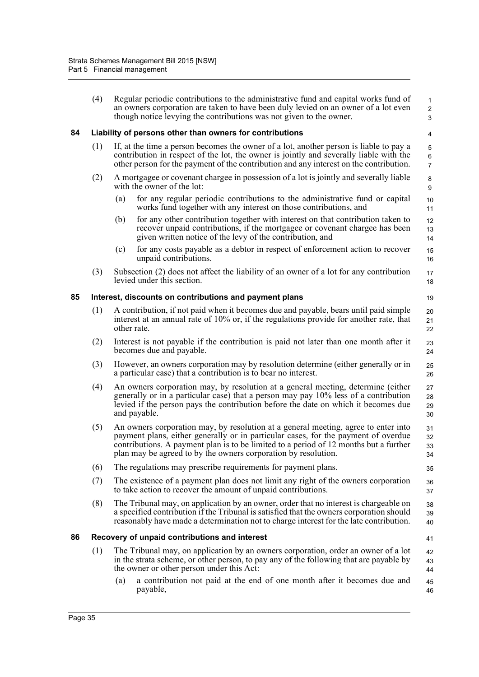|    | (4) | Regular periodic contributions to the administrative fund and capital works fund of<br>an owners corporation are taken to have been duly levied on an owner of a lot even<br>though notice levying the contributions was not given to the owner.                                                                                    | $\mathbf{1}$<br>$\overline{2}$<br>3 |
|----|-----|-------------------------------------------------------------------------------------------------------------------------------------------------------------------------------------------------------------------------------------------------------------------------------------------------------------------------------------|-------------------------------------|
| 84 |     | Liability of persons other than owners for contributions                                                                                                                                                                                                                                                                            | 4                                   |
|    | (1) | If, at the time a person becomes the owner of a lot, another person is liable to pay a<br>contribution in respect of the lot, the owner is jointly and severally liable with the<br>other person for the payment of the contribution and any interest on the contribution.                                                          | 5<br>6<br>$\overline{7}$            |
|    | (2) | A mortgagee or covenant chargee in possession of a lot is jointly and severally liable<br>with the owner of the lot:                                                                                                                                                                                                                | $\bf 8$<br>9                        |
|    |     | for any regular periodic contributions to the administrative fund or capital<br>(a)<br>works fund together with any interest on those contributions, and                                                                                                                                                                            | 10<br>11                            |
|    |     | for any other contribution together with interest on that contribution taken to<br>(b)<br>recover unpaid contributions, if the mortgage or covenant chargee has been<br>given written notice of the levy of the contribution, and                                                                                                   | 12<br>13<br>14                      |
|    |     | for any costs payable as a debtor in respect of enforcement action to recover<br>(c)<br>unpaid contributions.                                                                                                                                                                                                                       | 15<br>16                            |
|    | (3) | Subsection (2) does not affect the liability of an owner of a lot for any contribution<br>levied under this section.                                                                                                                                                                                                                | 17<br>18                            |
| 85 |     | Interest, discounts on contributions and payment plans                                                                                                                                                                                                                                                                              | 19                                  |
|    | (1) | A contribution, if not paid when it becomes due and payable, bears until paid simple<br>interest at an annual rate of 10% or, if the regulations provide for another rate, that<br>other rate.                                                                                                                                      | 20<br>21<br>22                      |
|    | (2) | Interest is not payable if the contribution is paid not later than one month after it<br>becomes due and payable.                                                                                                                                                                                                                   | 23<br>24                            |
|    | (3) | However, an owners corporation may by resolution determine (either generally or in<br>a particular case) that a contribution is to bear no interest.                                                                                                                                                                                | 25<br>26                            |
|    | (4) | An owners corporation may, by resolution at a general meeting, determine (either<br>generally or in a particular case) that a person may pay 10% less of a contribution<br>levied if the person pays the contribution before the date on which it becomes due<br>and payable.                                                       | 27<br>28<br>29<br>30                |
|    | (5) | An owners corporation may, by resolution at a general meeting, agree to enter into<br>payment plans, either generally or in particular cases, for the payment of overdue<br>contributions. A payment plan is to be limited to a period of 12 months but a further<br>plan may be agreed to by the owners corporation by resolution. | 31<br>32<br>33<br>34                |
|    | (6) | The regulations may prescribe requirements for payment plans.                                                                                                                                                                                                                                                                       | 35                                  |
|    | (7) | The existence of a payment plan does not limit any right of the owners corporation<br>to take action to recover the amount of unpaid contributions.                                                                                                                                                                                 | 36<br>37                            |
|    | (8) | The Tribunal may, on application by an owner, order that no interest is chargeable on<br>a specified contribution if the Tribunal is satisfied that the owners corporation should<br>reasonably have made a determination not to charge interest for the late contribution.                                                         | 38<br>39<br>40                      |
| 86 |     | Recovery of unpaid contributions and interest                                                                                                                                                                                                                                                                                       | 41                                  |
|    | (1) | The Tribunal may, on application by an owners corporation, order an owner of a lot<br>in the strata scheme, or other person, to pay any of the following that are payable by<br>the owner or other person under this Act:                                                                                                           | 42<br>43<br>44                      |
|    |     | a contribution not paid at the end of one month after it becomes due and<br>(a)<br>payable,                                                                                                                                                                                                                                         | 45<br>46                            |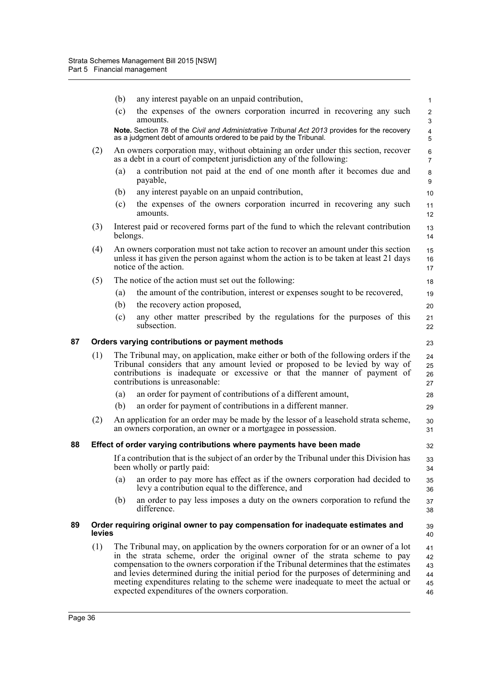|    |        | (b)      | any interest payable on an unpaid contribution,                                                                                                                                                                                                                                                                                                                                                                                                                                           | $\mathbf{1}$                     |
|----|--------|----------|-------------------------------------------------------------------------------------------------------------------------------------------------------------------------------------------------------------------------------------------------------------------------------------------------------------------------------------------------------------------------------------------------------------------------------------------------------------------------------------------|----------------------------------|
|    |        | (c)      | the expenses of the owners corporation incurred in recovering any such<br>amounts.                                                                                                                                                                                                                                                                                                                                                                                                        | $\overline{2}$<br>$\mathfrak{S}$ |
|    |        |          | Note. Section 78 of the Civil and Administrative Tribunal Act 2013 provides for the recovery<br>as a judgment debt of amounts ordered to be paid by the Tribunal.                                                                                                                                                                                                                                                                                                                         | $\overline{\mathbf{4}}$<br>5     |
|    | (2)    |          | An owners corporation may, without obtaining an order under this section, recover<br>as a debt in a court of competent jurisdiction any of the following:                                                                                                                                                                                                                                                                                                                                 | 6<br>$\overline{7}$              |
|    |        | (a)      | a contribution not paid at the end of one month after it becomes due and<br>payable,                                                                                                                                                                                                                                                                                                                                                                                                      | 8<br>$\boldsymbol{9}$            |
|    |        | (b)      | any interest payable on an unpaid contribution,                                                                                                                                                                                                                                                                                                                                                                                                                                           | 10                               |
|    |        | (c)      | the expenses of the owners corporation incurred in recovering any such<br>amounts.                                                                                                                                                                                                                                                                                                                                                                                                        | 11<br>12                         |
|    | (3)    | belongs. | Interest paid or recovered forms part of the fund to which the relevant contribution                                                                                                                                                                                                                                                                                                                                                                                                      | 13<br>14                         |
|    | (4)    |          | An owners corporation must not take action to recover an amount under this section<br>unless it has given the person against whom the action is to be taken at least 21 days<br>notice of the action.                                                                                                                                                                                                                                                                                     | 15<br>16<br>17                   |
|    | (5)    |          | The notice of the action must set out the following:                                                                                                                                                                                                                                                                                                                                                                                                                                      | 18                               |
|    |        | (a)      | the amount of the contribution, interest or expenses sought to be recovered,                                                                                                                                                                                                                                                                                                                                                                                                              | 19                               |
|    |        | (b)      | the recovery action proposed,                                                                                                                                                                                                                                                                                                                                                                                                                                                             | 20                               |
|    |        | (c)      | any other matter prescribed by the regulations for the purposes of this<br>subsection.                                                                                                                                                                                                                                                                                                                                                                                                    | 21<br>22                         |
| 87 |        |          | Orders varying contributions or payment methods                                                                                                                                                                                                                                                                                                                                                                                                                                           | 23                               |
|    | (1)    |          | The Tribunal may, on application, make either or both of the following orders if the<br>Tribunal considers that any amount levied or proposed to be levied by way of<br>contributions is inadequate or excessive or that the manner of payment of<br>contributions is unreasonable:                                                                                                                                                                                                       | 24<br>25<br>26<br>27             |
|    |        | (a)      | an order for payment of contributions of a different amount,                                                                                                                                                                                                                                                                                                                                                                                                                              | 28                               |
|    |        | (b)      | an order for payment of contributions in a different manner.                                                                                                                                                                                                                                                                                                                                                                                                                              | 29                               |
|    | (2)    |          | An application for an order may be made by the lessor of a leasehold strata scheme,<br>an owners corporation, an owner or a mortgagee in possession.                                                                                                                                                                                                                                                                                                                                      | 30<br>31                         |
| 88 |        |          | Effect of order varying contributions where payments have been made                                                                                                                                                                                                                                                                                                                                                                                                                       | 32                               |
|    |        |          | If a contribution that is the subject of an order by the Tribunal under this Division has<br>been wholly or partly paid:                                                                                                                                                                                                                                                                                                                                                                  | 33<br>34                         |
|    |        | (a)      | an order to pay more has effect as if the owners corporation had decided to<br>levy a contribution equal to the difference, and                                                                                                                                                                                                                                                                                                                                                           | 35<br>36                         |
|    |        | (b)      | an order to pay less imposes a duty on the owners corporation to refund the<br>difference.                                                                                                                                                                                                                                                                                                                                                                                                | 37<br>38                         |
| 89 | levies |          | Order requiring original owner to pay compensation for inadequate estimates and                                                                                                                                                                                                                                                                                                                                                                                                           | 39<br>40                         |
|    | (1)    |          | The Tribunal may, on application by the owners corporation for or an owner of a lot<br>in the strata scheme, order the original owner of the strata scheme to pay<br>compensation to the owners corporation if the Tribunal determines that the estimates<br>and levies determined during the initial period for the purposes of determining and<br>meeting expenditures relating to the scheme were inadequate to meet the actual or<br>expected expenditures of the owners corporation. | 41<br>42<br>43<br>44<br>45<br>46 |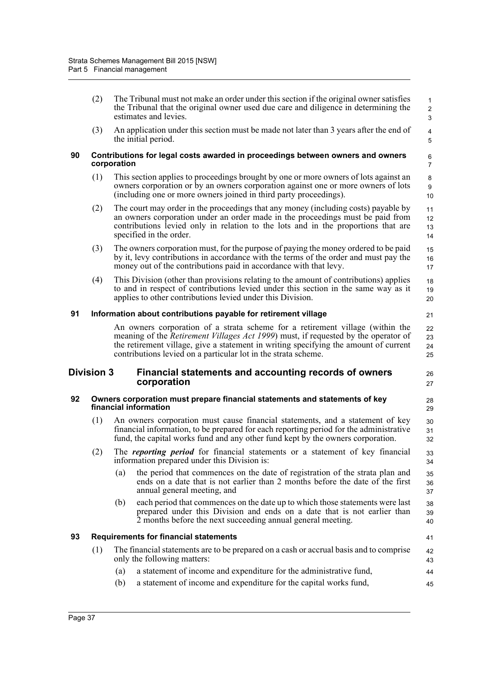|    | (2)                                                                                                 |             | The Tribunal must not make an order under this section if the original owner satisfies<br>the Tribunal that the original owner used due care and diligence in determining the<br>estimates and levies.                                                                                                                                | 1<br>$\overline{2}$<br>3                  |  |  |
|----|-----------------------------------------------------------------------------------------------------|-------------|---------------------------------------------------------------------------------------------------------------------------------------------------------------------------------------------------------------------------------------------------------------------------------------------------------------------------------------|-------------------------------------------|--|--|
|    | (3)                                                                                                 |             | An application under this section must be made not later than 3 years after the end of<br>the initial period.                                                                                                                                                                                                                         | $\overline{\mathbf{4}}$<br>$\overline{5}$ |  |  |
| 90 |                                                                                                     | corporation | Contributions for legal costs awarded in proceedings between owners and owners                                                                                                                                                                                                                                                        | 6<br>7                                    |  |  |
|    | (1)                                                                                                 |             | This section applies to proceedings brought by one or more owners of lots against an<br>owners corporation or by an owners corporation against one or more owners of lots<br>(including one or more owners joined in third party proceedings).                                                                                        | 8<br>$\boldsymbol{9}$<br>10               |  |  |
|    | (2)                                                                                                 |             | The court may order in the proceedings that any money (including costs) payable by<br>an owners corporation under an order made in the proceedings must be paid from<br>contributions levied only in relation to the lots and in the proportions that are<br>specified in the order.                                                  | 11<br>12<br>13<br>14                      |  |  |
|    | (3)                                                                                                 |             | The owners corporation must, for the purpose of paying the money ordered to be paid<br>by it, levy contributions in accordance with the terms of the order and must pay the<br>money out of the contributions paid in accordance with that levy.                                                                                      | 15<br>16<br>17                            |  |  |
|    | (4)                                                                                                 |             | This Division (other than provisions relating to the amount of contributions) applies<br>to and in respect of contributions levied under this section in the same way as it<br>applies to other contributions levied under this Division.                                                                                             | 18<br>19<br>20                            |  |  |
| 91 | Information about contributions payable for retirement village<br>21                                |             |                                                                                                                                                                                                                                                                                                                                       |                                           |  |  |
|    |                                                                                                     |             | An owners corporation of a strata scheme for a retirement village (within the<br>meaning of the <i>Retirement Villages Act 1999</i> ) must, if requested by the operator of<br>the retirement village, give a statement in writing specifying the amount of current<br>contributions levied on a particular lot in the strata scheme. | 22<br>23<br>24<br>25                      |  |  |
|    | Division 3                                                                                          |             | Financial statements and accounting records of owners<br>corporation                                                                                                                                                                                                                                                                  | 26<br>27                                  |  |  |
| 92 | Owners corporation must prepare financial statements and statements of key<br>financial information |             |                                                                                                                                                                                                                                                                                                                                       | 28<br>29                                  |  |  |
|    | (1)                                                                                                 |             | An owners corporation must cause financial statements, and a statement of key<br>financial information, to be prepared for each reporting period for the administrative<br>fund, the capital works fund and any other fund kept by the owners corporation.                                                                            | 30<br>31<br>32                            |  |  |
|    | (2)                                                                                                 |             | The <i>reporting period</i> for financial statements or a statement of key financial<br>information prepared under this Division is:                                                                                                                                                                                                  | 33<br>34                                  |  |  |
|    |                                                                                                     | (a)         | the period that commences on the date of registration of the strata plan and<br>ends on a date that is not earlier than 2 months before the date of the first<br>annual general meeting, and                                                                                                                                          | 35<br>36<br>37                            |  |  |
|    |                                                                                                     | (b)         | each period that commences on the date up to which those statements were last<br>prepared under this Division and ends on a date that is not earlier than<br>2 months before the next succeeding annual general meeting.                                                                                                              | 38<br>39<br>40                            |  |  |
| 93 |                                                                                                     |             | <b>Requirements for financial statements</b>                                                                                                                                                                                                                                                                                          | 41                                        |  |  |
|    | (1)                                                                                                 |             | The financial statements are to be prepared on a cash or accrual basis and to comprise<br>only the following matters:                                                                                                                                                                                                                 | 42<br>43                                  |  |  |
|    |                                                                                                     | (a)         | a statement of income and expenditure for the administrative fund,                                                                                                                                                                                                                                                                    | 44                                        |  |  |
|    |                                                                                                     | (b)         | a statement of income and expenditure for the capital works fund,                                                                                                                                                                                                                                                                     | 45                                        |  |  |

Page 37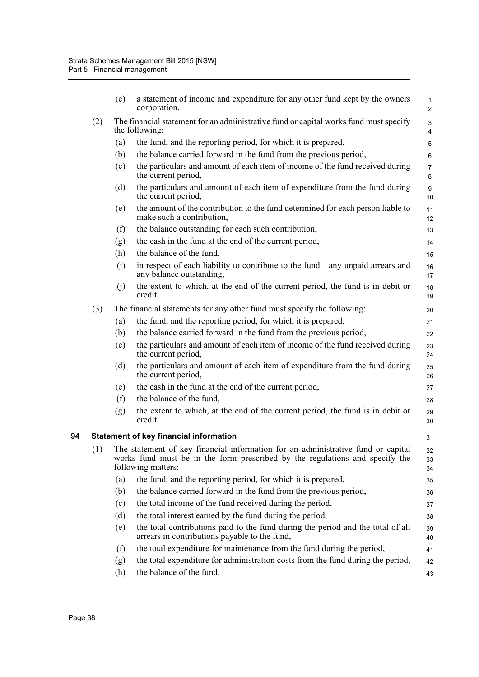|    |     | (c) | a statement of income and expenditure for any other fund kept by the owners<br>corporation.                                                                                                | $\mathbf{1}$<br>$\overline{2}$              |
|----|-----|-----|--------------------------------------------------------------------------------------------------------------------------------------------------------------------------------------------|---------------------------------------------|
|    | (2) |     | The financial statement for an administrative fund or capital works fund must specify<br>the following:                                                                                    | $\ensuremath{\mathsf{3}}$<br>$\overline{4}$ |
|    |     | (a) | the fund, and the reporting period, for which it is prepared,                                                                                                                              | $\sqrt{5}$                                  |
|    |     | (b) | the balance carried forward in the fund from the previous period,                                                                                                                          | 6                                           |
|    |     | (c) | the particulars and amount of each item of income of the fund received during<br>the current period,                                                                                       | $\overline{7}$<br>8                         |
|    |     | (d) | the particulars and amount of each item of expenditure from the fund during<br>the current period,                                                                                         | $\boldsymbol{9}$<br>10                      |
|    |     | (e) | the amount of the contribution to the fund determined for each person liable to<br>make such a contribution,                                                                               | 11<br>12                                    |
|    |     | (f) | the balance outstanding for each such contribution,                                                                                                                                        | 13                                          |
|    |     | (g) | the cash in the fund at the end of the current period,                                                                                                                                     | 14                                          |
|    |     | (h) | the balance of the fund,                                                                                                                                                                   | 15                                          |
|    |     | (i) | in respect of each liability to contribute to the fund—any unpaid arrears and<br>any balance outstanding.                                                                                  | 16<br>17                                    |
|    |     | (j) | the extent to which, at the end of the current period, the fund is in debit or<br>credit.                                                                                                  | 18<br>19                                    |
|    | (3) |     | The financial statements for any other fund must specify the following:                                                                                                                    | 20                                          |
|    |     | (a) | the fund, and the reporting period, for which it is prepared,                                                                                                                              | 21                                          |
|    |     | (b) | the balance carried forward in the fund from the previous period,                                                                                                                          | 22                                          |
|    |     | (c) | the particulars and amount of each item of income of the fund received during<br>the current period,                                                                                       | 23<br>24                                    |
|    |     | (d) | the particulars and amount of each item of expenditure from the fund during<br>the current period,                                                                                         | 25<br>26                                    |
|    |     | (e) | the cash in the fund at the end of the current period,                                                                                                                                     | 27                                          |
|    |     | (f) | the balance of the fund,                                                                                                                                                                   | 28                                          |
|    |     | (g) | the extent to which, at the end of the current period, the fund is in debit or<br>credit.                                                                                                  | 29<br>30                                    |
| 94 |     |     | <b>Statement of key financial information</b>                                                                                                                                              | 31                                          |
|    |     |     | (1) The statement of key financial information for an administrative fund or capital<br>works fund must be in the form prescribed by the regulations and specify the<br>following matters: | 32<br>33<br>34                              |
|    |     | (a) | the fund, and the reporting period, for which it is prepared,                                                                                                                              | 35                                          |
|    |     | (b) | the balance carried forward in the fund from the previous period,                                                                                                                          | 36                                          |
|    |     | (c) | the total income of the fund received during the period,                                                                                                                                   | 37                                          |
|    |     | (d) | the total interest earned by the fund during the period,                                                                                                                                   | 38                                          |
|    |     | (e) | the total contributions paid to the fund during the period and the total of all<br>arrears in contributions payable to the fund,                                                           | 39<br>40                                    |
|    |     | (f) | the total expenditure for maintenance from the fund during the period,                                                                                                                     | 41                                          |
|    |     | (g) | the total expenditure for administration costs from the fund during the period,                                                                                                            | 42                                          |
|    |     | (h) | the balance of the fund,                                                                                                                                                                   | 43                                          |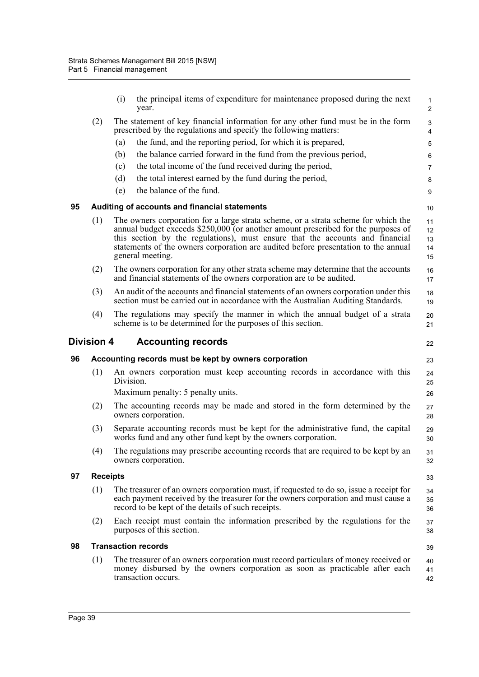|    |                   | (i)       | the principal items of expenditure for maintenance proposed during the next<br>year.                                                                                                                                                                                                                                                                               | $\mathbf{1}$<br>$\overline{2}$ |
|----|-------------------|-----------|--------------------------------------------------------------------------------------------------------------------------------------------------------------------------------------------------------------------------------------------------------------------------------------------------------------------------------------------------------------------|--------------------------------|
|    | (2)               |           | The statement of key financial information for any other fund must be in the form<br>prescribed by the regulations and specify the following matters:                                                                                                                                                                                                              | 3<br>4                         |
|    |                   | (a)       | the fund, and the reporting period, for which it is prepared,                                                                                                                                                                                                                                                                                                      | 5                              |
|    |                   | (b)       | the balance carried forward in the fund from the previous period,                                                                                                                                                                                                                                                                                                  | 6                              |
|    |                   | (c)       | the total income of the fund received during the period,                                                                                                                                                                                                                                                                                                           | $\overline{7}$                 |
|    |                   | (d)       | the total interest earned by the fund during the period,                                                                                                                                                                                                                                                                                                           | 8                              |
|    |                   | (e)       | the balance of the fund.                                                                                                                                                                                                                                                                                                                                           | 9                              |
| 95 |                   |           | Auditing of accounts and financial statements                                                                                                                                                                                                                                                                                                                      | 10                             |
|    | (1)               |           | The owners corporation for a large strata scheme, or a strata scheme for which the<br>annual budget exceeds \$250,000 (or another amount prescribed for the purposes of<br>this section by the regulations), must ensure that the accounts and financial<br>statements of the owners corporation are audited before presentation to the annual<br>general meeting. | 11<br>12<br>13<br>14<br>15     |
|    | (2)               |           | The owners corporation for any other strata scheme may determine that the accounts<br>and financial statements of the owners corporation are to be audited.                                                                                                                                                                                                        | 16<br>17                       |
|    | (3)               |           | An audit of the accounts and financial statements of an owners corporation under this<br>section must be carried out in accordance with the Australian Auditing Standards.                                                                                                                                                                                         | 18<br>19                       |
|    | (4)               |           | The regulations may specify the manner in which the annual budget of a strata<br>scheme is to be determined for the purposes of this section.                                                                                                                                                                                                                      | 20<br>21                       |
|    | <b>Division 4</b> |           | <b>Accounting records</b>                                                                                                                                                                                                                                                                                                                                          | 22                             |
| 96 |                   |           | Accounting records must be kept by owners corporation                                                                                                                                                                                                                                                                                                              | 23                             |
|    | (1)               | Division. | An owners corporation must keep accounting records in accordance with this<br>Maximum penalty: 5 penalty units.                                                                                                                                                                                                                                                    | 24<br>25                       |
|    |                   |           |                                                                                                                                                                                                                                                                                                                                                                    | 26                             |
|    | (2)               |           | The accounting records may be made and stored in the form determined by the<br>owners corporation.                                                                                                                                                                                                                                                                 | 27<br>28                       |
|    | (3)               |           | Separate accounting records must be kept for the administrative fund, the capital<br>works fund and any other fund kept by the owners corporation.                                                                                                                                                                                                                 | 29<br>30                       |
|    | (4)               |           | The regulations may prescribe accounting records that are required to be kept by an<br>owners corporation.                                                                                                                                                                                                                                                         | 31<br>32                       |
| 97 | <b>Receipts</b>   |           |                                                                                                                                                                                                                                                                                                                                                                    | 33                             |
|    | (1)               |           | The treasurer of an owners corporation must, if requested to do so, issue a receipt for                                                                                                                                                                                                                                                                            | 34                             |
|    |                   |           | each payment received by the treasurer for the owners corporation and must cause a<br>record to be kept of the details of such receipts.                                                                                                                                                                                                                           | 35<br>36                       |
|    | (2)               |           | Each receipt must contain the information prescribed by the regulations for the<br>purposes of this section.                                                                                                                                                                                                                                                       | 37<br>38                       |
| 98 |                   |           | <b>Transaction records</b>                                                                                                                                                                                                                                                                                                                                         | 39                             |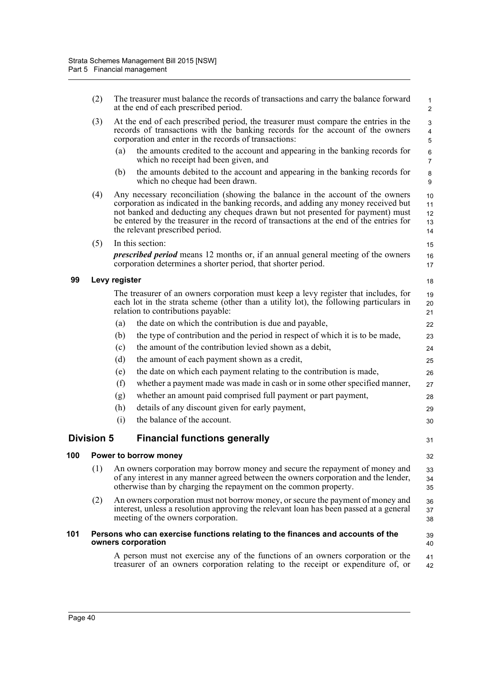|     | (2)               |               | The treasurer must balance the records of transactions and carry the balance forward<br>at the end of each prescribed period.                                                                                                                                                                                                                                                        | $\mathbf{1}$<br>$\overline{2}$    |
|-----|-------------------|---------------|--------------------------------------------------------------------------------------------------------------------------------------------------------------------------------------------------------------------------------------------------------------------------------------------------------------------------------------------------------------------------------------|-----------------------------------|
|     | (3)               |               | At the end of each prescribed period, the treasurer must compare the entries in the<br>records of transactions with the banking records for the account of the owners<br>corporation and enter in the records of transactions:                                                                                                                                                       | 3<br>$\overline{\mathbf{4}}$<br>5 |
|     |                   | (a)           | the amounts credited to the account and appearing in the banking records for<br>which no receipt had been given, and                                                                                                                                                                                                                                                                 | $\,6\,$<br>$\overline{7}$         |
|     |                   | (b)           | the amounts debited to the account and appearing in the banking records for<br>which no cheque had been drawn.                                                                                                                                                                                                                                                                       | 8<br>9                            |
|     | (4)               |               | Any necessary reconciliation (showing the balance in the account of the owners<br>corporation as indicated in the banking records, and adding any money received but<br>not banked and deducting any cheques drawn but not presented for payment) must<br>be entered by the treasurer in the record of transactions at the end of the entries for<br>the relevant prescribed period. | 10<br>11<br>12<br>13<br>14        |
|     | (5)               |               | In this section:                                                                                                                                                                                                                                                                                                                                                                     | 15                                |
|     |                   |               | <i>prescribed period</i> means 12 months or, if an annual general meeting of the owners<br>corporation determines a shorter period, that shorter period.                                                                                                                                                                                                                             | 16<br>17                          |
| 99  |                   | Levy register |                                                                                                                                                                                                                                                                                                                                                                                      | 18                                |
|     |                   |               | The treasurer of an owners corporation must keep a levy register that includes, for<br>each lot in the strata scheme (other than a utility lot), the following particulars in<br>relation to contributions payable:                                                                                                                                                                  | 19<br>20<br>21                    |
|     |                   | (a)           | the date on which the contribution is due and payable,                                                                                                                                                                                                                                                                                                                               | 22                                |
|     |                   | (b)           | the type of contribution and the period in respect of which it is to be made,                                                                                                                                                                                                                                                                                                        | 23                                |
|     |                   | (c)           | the amount of the contribution levied shown as a debit,                                                                                                                                                                                                                                                                                                                              | 24                                |
|     |                   | (d)           | the amount of each payment shown as a credit,                                                                                                                                                                                                                                                                                                                                        | 25                                |
|     |                   | (e)           | the date on which each payment relating to the contribution is made,                                                                                                                                                                                                                                                                                                                 | 26                                |
|     |                   | (f)           | whether a payment made was made in cash or in some other specified manner,                                                                                                                                                                                                                                                                                                           | 27                                |
|     |                   | (g)           | whether an amount paid comprised full payment or part payment,                                                                                                                                                                                                                                                                                                                       | 28                                |
|     |                   | (h)           | details of any discount given for early payment,                                                                                                                                                                                                                                                                                                                                     | 29                                |
|     |                   | (i)           | the balance of the account.                                                                                                                                                                                                                                                                                                                                                          | 30                                |
|     | <b>Division 5</b> |               | <b>Financial functions generally</b>                                                                                                                                                                                                                                                                                                                                                 | 31                                |
| 100 |                   |               | Power to borrow money                                                                                                                                                                                                                                                                                                                                                                | 32                                |
|     | (1)               |               | An owners corporation may borrow money and secure the repayment of money and<br>of any interest in any manner agreed between the owners corporation and the lender,<br>otherwise than by charging the repayment on the common property.                                                                                                                                              | 33<br>34<br>35                    |
|     | (2)               |               | An owners corporation must not borrow money, or secure the payment of money and<br>interest, unless a resolution approving the relevant loan has been passed at a general<br>meeting of the owners corporation.                                                                                                                                                                      | 36<br>37<br>38                    |
| 101 |                   |               | Persons who can exercise functions relating to the finances and accounts of the<br>owners corporation                                                                                                                                                                                                                                                                                | 39<br>40                          |
|     |                   |               | A person must not exercise any of the functions of an owners corporation or the<br>treasurer of an owners corporation relating to the receipt or expenditure of, or                                                                                                                                                                                                                  | 41<br>42                          |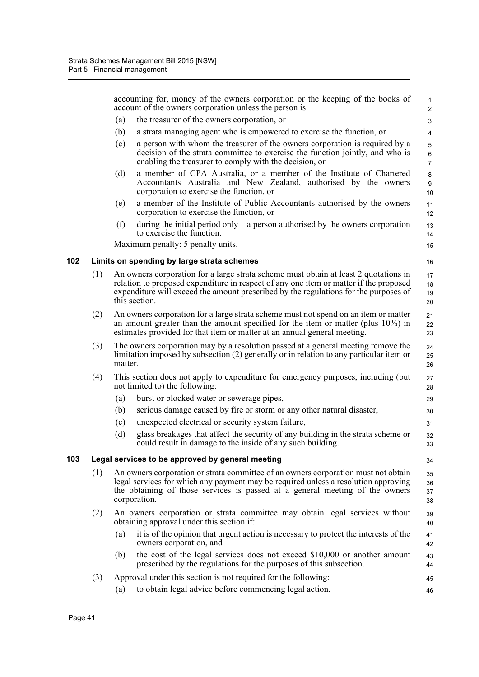|     |     |         | accounting for, money of the owners corporation or the keeping of the books of<br>account of the owners corporation unless the person is:                                                                                                                                              | $\mathbf{1}$<br>$\overline{c}$ |
|-----|-----|---------|----------------------------------------------------------------------------------------------------------------------------------------------------------------------------------------------------------------------------------------------------------------------------------------|--------------------------------|
|     |     | (a)     | the treasurer of the owners corporation, or                                                                                                                                                                                                                                            | 3                              |
|     |     | (b)     | a strata managing agent who is empowered to exercise the function, or                                                                                                                                                                                                                  | 4                              |
|     |     | (c)     | a person with whom the treasurer of the owners corporation is required by a<br>decision of the strata committee to exercise the function jointly, and who is<br>enabling the treasurer to comply with the decision, or                                                                 | 5<br>6<br>$\overline{7}$       |
|     |     | (d)     | a member of CPA Australia, or a member of the Institute of Chartered<br>Accountants Australia and New Zealand, authorised by the owners<br>corporation to exercise the function, or                                                                                                    | 8<br>9<br>10                   |
|     |     | (e)     | a member of the Institute of Public Accountants authorised by the owners<br>corporation to exercise the function, or                                                                                                                                                                   | 11<br>12                       |
|     |     | (f)     | during the initial period only—a person authorised by the owners corporation<br>to exercise the function.                                                                                                                                                                              | 13<br>14                       |
|     |     |         | Maximum penalty: 5 penalty units.                                                                                                                                                                                                                                                      | 15                             |
| 102 |     |         | Limits on spending by large strata schemes                                                                                                                                                                                                                                             | 16                             |
|     | (1) |         | An owners corporation for a large strata scheme must obtain at least 2 quotations in<br>relation to proposed expenditure in respect of any one item or matter if the proposed<br>expenditure will exceed the amount prescribed by the regulations for the purposes of<br>this section. | 17<br>18<br>19<br>20           |
|     | (2) |         | An owners corporation for a large strata scheme must not spend on an item or matter<br>an amount greater than the amount specified for the item or matter (plus 10%) in<br>estimates provided for that item or matter at an annual general meeting.                                    | 21<br>22<br>23                 |
|     | (3) | matter. | The owners corporation may by a resolution passed at a general meeting remove the<br>limitation imposed by subsection (2) generally or in relation to any particular item or                                                                                                           | 24<br>25<br>26                 |
|     | (4) |         | This section does not apply to expenditure for emergency purposes, including (but<br>not limited to) the following:                                                                                                                                                                    | 27<br>28                       |
|     |     | (a)     | burst or blocked water or sewerage pipes,                                                                                                                                                                                                                                              | 29                             |
|     |     | (b)     | serious damage caused by fire or storm or any other natural disaster,                                                                                                                                                                                                                  | 30                             |
|     |     | (c)     | unexpected electrical or security system failure,                                                                                                                                                                                                                                      | 31                             |
|     |     | (d)     | glass breakages that affect the security of any building in the strata scheme or<br>could result in damage to the inside of any such building.                                                                                                                                         | 32<br>33                       |
| 103 |     |         | Legal services to be approved by general meeting                                                                                                                                                                                                                                       | 34                             |
|     | (1) |         | An owners corporation or strata committee of an owners corporation must not obtain<br>legal services for which any payment may be required unless a resolution approving<br>the obtaining of those services is passed at a general meeting of the owners<br>corporation.               | 35<br>36<br>37<br>38           |
|     | (2) |         | An owners corporation or strata committee may obtain legal services without<br>obtaining approval under this section if:                                                                                                                                                               | 39<br>40                       |
|     |     | (a)     | it is of the opinion that urgent action is necessary to protect the interests of the<br>owners corporation, and                                                                                                                                                                        | 41<br>42                       |
|     |     | (b)     | the cost of the legal services does not exceed \$10,000 or another amount<br>prescribed by the regulations for the purposes of this subsection.                                                                                                                                        | 43<br>44                       |
|     | (3) |         | Approval under this section is not required for the following:                                                                                                                                                                                                                         | 45                             |
|     |     | (a)     | to obtain legal advice before commencing legal action,                                                                                                                                                                                                                                 | 46                             |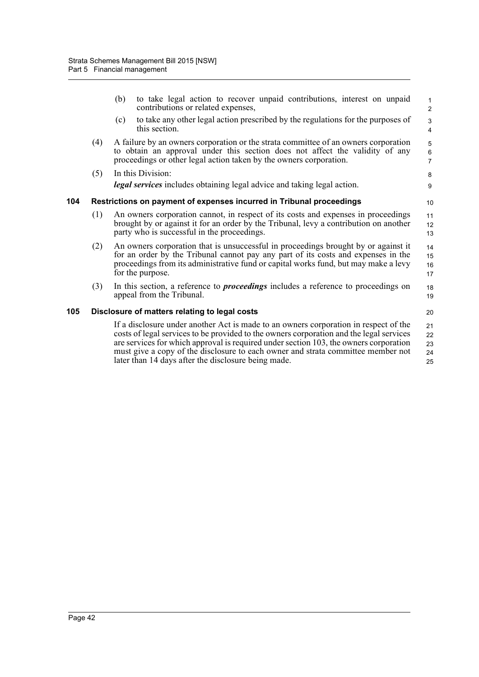|     |     | (b) | to take legal action to recover unpaid contributions, interest on unpaid<br>contributions or related expenses,                                                                                                                                                                                                                                                                                                      | 1<br>$\overline{2}$                         |
|-----|-----|-----|---------------------------------------------------------------------------------------------------------------------------------------------------------------------------------------------------------------------------------------------------------------------------------------------------------------------------------------------------------------------------------------------------------------------|---------------------------------------------|
|     |     | (c) | to take any other legal action prescribed by the regulations for the purposes of<br>this section.                                                                                                                                                                                                                                                                                                                   | $\ensuremath{\mathsf{3}}$<br>$\overline{4}$ |
|     | (4) |     | A failure by an owners corporation or the strata committee of an owners corporation<br>to obtain an approval under this section does not affect the validity of any<br>proceedings or other legal action taken by the owners corporation.                                                                                                                                                                           | $\,$ 5 $\,$<br>$\,6\,$<br>$\overline{7}$    |
|     | (5) |     | In this Division:                                                                                                                                                                                                                                                                                                                                                                                                   | 8                                           |
|     |     |     | <b>legal services</b> includes obtaining legal advice and taking legal action.                                                                                                                                                                                                                                                                                                                                      | 9                                           |
| 104 |     |     | Restrictions on payment of expenses incurred in Tribunal proceedings                                                                                                                                                                                                                                                                                                                                                | 10                                          |
|     | (1) |     | An owners corporation cannot, in respect of its costs and expenses in proceedings<br>brought by or against it for an order by the Tribunal, levy a contribution on another<br>party who is successful in the proceedings.                                                                                                                                                                                           | 11<br>12<br>13                              |
|     | (2) |     | An owners corporation that is unsuccessful in proceedings brought by or against it<br>for an order by the Tribunal cannot pay any part of its costs and expenses in the<br>proceedings from its administrative fund or capital works fund, but may make a levy<br>for the purpose.                                                                                                                                  | 14<br>15<br>16<br>17                        |
|     | (3) |     | In this section, a reference to <i>proceedings</i> includes a reference to proceedings on<br>appeal from the Tribunal.                                                                                                                                                                                                                                                                                              | 18<br>19                                    |
| 105 |     |     | Disclosure of matters relating to legal costs                                                                                                                                                                                                                                                                                                                                                                       | 20                                          |
|     |     |     | If a disclosure under another Act is made to an owners corporation in respect of the<br>costs of legal services to be provided to the owners corporation and the legal services<br>are services for which approval is required under section 103, the owners corporation<br>must give a copy of the disclosure to each owner and strata committee member not<br>later than 14 days after the disclosure being made. | 21<br>22<br>23<br>24<br>25                  |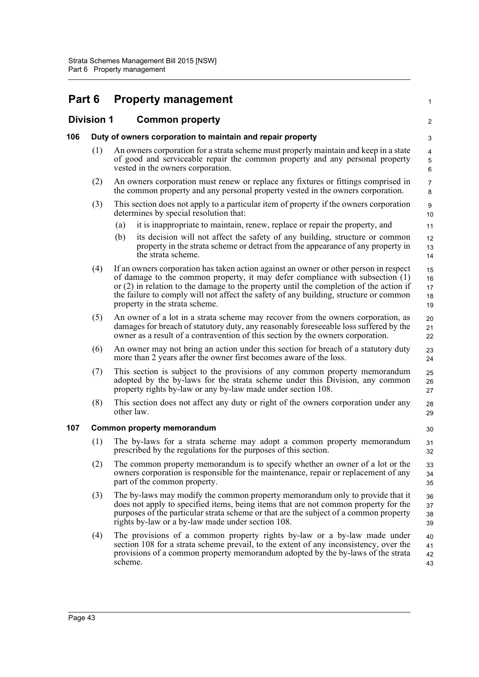| Part 6 | <b>Property management</b> |
|--------|----------------------------|
|--------|----------------------------|

# **Division 1 Common property**

|     | <b>Division 1</b> | <b>Common property</b>                                                                                                                                                                                                                                                                                                                                                                        | $\overline{2}$             |
|-----|-------------------|-----------------------------------------------------------------------------------------------------------------------------------------------------------------------------------------------------------------------------------------------------------------------------------------------------------------------------------------------------------------------------------------------|----------------------------|
| 106 |                   | Duty of owners corporation to maintain and repair property                                                                                                                                                                                                                                                                                                                                    | 3                          |
|     | (1)               | An owners corporation for a strata scheme must properly maintain and keep in a state<br>of good and serviceable repair the common property and any personal property<br>vested in the owners corporation.                                                                                                                                                                                     | 4<br>5<br>$\,6\,$          |
|     | (2)               | An owners corporation must renew or replace any fixtures or fittings comprised in<br>the common property and any personal property vested in the owners corporation.                                                                                                                                                                                                                          | $\overline{7}$<br>8        |
|     | (3)               | This section does not apply to a particular item of property if the owners corporation<br>determines by special resolution that:                                                                                                                                                                                                                                                              | 9<br>10                    |
|     |                   | it is inappropriate to maintain, renew, replace or repair the property, and<br>(a)<br>its decision will not affect the safety of any building, structure or common<br>(b)<br>property in the strata scheme or detract from the appearance of any property in<br>the strata scheme.                                                                                                            | 11<br>12<br>13<br>14       |
|     | (4)               | If an owners corporation has taken action against an owner or other person in respect<br>of damage to the common property, it may defer compliance with subsection (1)<br>or $(2)$ in relation to the damage to the property until the completion of the action if<br>the failure to comply will not affect the safety of any building, structure or common<br>property in the strata scheme. | 15<br>16<br>17<br>18<br>19 |
|     | (5)               | An owner of a lot in a strata scheme may recover from the owners corporation, as<br>damages for breach of statutory duty, any reasonably foreseeable loss suffered by the<br>owner as a result of a contravention of this section by the owners corporation.                                                                                                                                  | 20<br>21<br>22             |
|     | (6)               | An owner may not bring an action under this section for breach of a statutory duty<br>more than 2 years after the owner first becomes aware of the loss.                                                                                                                                                                                                                                      | 23<br>24                   |
|     | (7)               | This section is subject to the provisions of any common property memorandum<br>adopted by the by-laws for the strata scheme under this Division, any common<br>property rights by-law or any by-law made under section 108.                                                                                                                                                                   | 25<br>26<br>27             |
|     | (8)               | This section does not affect any duty or right of the owners corporation under any<br>other law.                                                                                                                                                                                                                                                                                              | 28<br>29                   |
| 107 |                   | Common property memorandum                                                                                                                                                                                                                                                                                                                                                                    | 30                         |
|     | (1)               | The by-laws for a strata scheme may adopt a common property memorandum<br>prescribed by the regulations for the purposes of this section.                                                                                                                                                                                                                                                     | 31<br>32                   |
|     | (2)               | The common property memorandum is to specify whether an owner of a lot or the<br>owners corporation is responsible for the maintenance, repair or replacement of any<br>part of the common property.                                                                                                                                                                                          | 33<br>34<br>35             |
|     | (3)               | The by-laws may modify the common property memorandum only to provide that it<br>does not apply to specified items, being items that are not common property for the<br>purposes of the particular strata scheme or that are the subject of a common property<br>rights by-law or a by-law made under section 108.                                                                            | 36<br>37<br>38<br>39       |
|     | (4)               | The provisions of a common property rights by-law or a by-law made under<br>section 108 for a strata scheme prevail, to the extent of any inconsistency, over the<br>provisions of a common property memorandum adopted by the by-laws of the strata<br>scheme.                                                                                                                               | 40<br>41<br>42<br>43       |
|     |                   |                                                                                                                                                                                                                                                                                                                                                                                               |                            |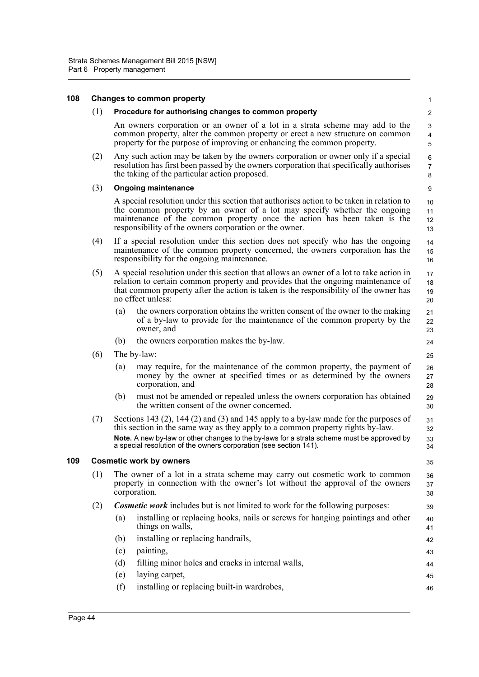#### **108 Changes to common property** (1) **Procedure for authorising changes to common property** An owners corporation or an owner of a lot in a strata scheme may add to the common property, alter the common property or erect a new structure on common property for the purpose of improving or enhancing the common property. (2) Any such action may be taken by the owners corporation or owner only if a special resolution has first been passed by the owners corporation that specifically authorises the taking of the particular action proposed. (3) **Ongoing maintenance** A special resolution under this section that authorises action to be taken in relation to the common property by an owner of a lot may specify whether the ongoing maintenance of the common property once the action has been taken is the responsibility of the owners corporation or the owner. (4) If a special resolution under this section does not specify who has the ongoing maintenance of the common property concerned, the owners corporation has the responsibility for the ongoing maintenance. (5) A special resolution under this section that allows an owner of a lot to take action in relation to certain common property and provides that the ongoing maintenance of that common property after the action is taken is the responsibility of the owner has no effect unless: (a) the owners corporation obtains the written consent of the owner to the making of a by-law to provide for the maintenance of the common property by the owner, and (b) the owners corporation makes the by-law. (6) The by-law: (a) may require, for the maintenance of the common property, the payment of money by the owner at specified times or as determined by the owners corporation, and (b) must not be amended or repealed unless the owners corporation has obtained the written consent of the owner concerned. (7) Sections 143 (2), 144 (2) and (3) and 145 apply to a by-law made for the purposes of this section in the same way as they apply to a common property rights by-law. **Note.** A new by-law or other changes to the by-laws for a strata scheme must be approved by a special resolution of the owners corporation (see section 141). **109 Cosmetic work by owners** (1) The owner of a lot in a strata scheme may carry out cosmetic work to common property in connection with the owner's lot without the approval of the owners corporation. (2) *Cosmetic work* includes but is not limited to work for the following purposes: (a) installing or replacing hooks, nails or screws for hanging paintings and other things on walls, (b) installing or replacing handrails, (c) painting, (d) filling minor holes and cracks in internal walls, (e) laying carpet, (f) installing or replacing built-in wardrobes, 1  $\overline{2}$  3 4 5 6 7 8  $\overline{Q}$ 10 11 12 13 14 15 16 17 18 19 20 21 22 23 24 25 26 27 28 29 30 31 32 33 34 35 36 37 38 39 40 41 42 43 44 45 46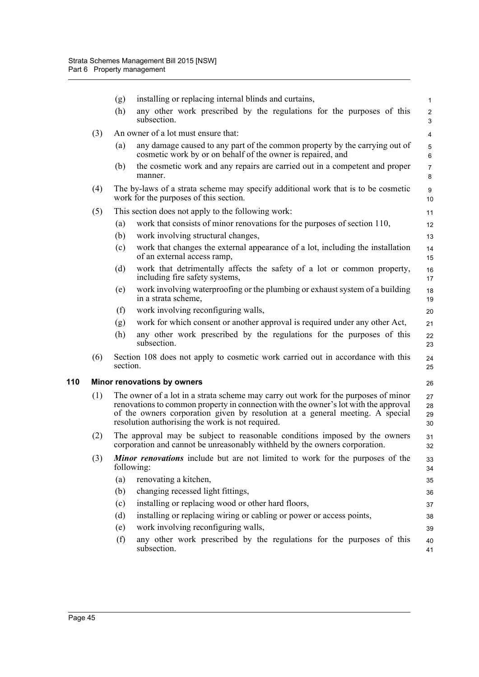|     | (g)                                                                                                                                                                                                                                                                                                            | installing or replacing internal blinds and curtains,                                                                                                    | $\mathbf{1}$        |  |
|-----|----------------------------------------------------------------------------------------------------------------------------------------------------------------------------------------------------------------------------------------------------------------------------------------------------------------|----------------------------------------------------------------------------------------------------------------------------------------------------------|---------------------|--|
|     | (h)                                                                                                                                                                                                                                                                                                            | any other work prescribed by the regulations for the purposes of this<br>subsection.                                                                     | $\overline{c}$<br>3 |  |
| (3) | An owner of a lot must ensure that:<br>4                                                                                                                                                                                                                                                                       |                                                                                                                                                          |                     |  |
|     | (a)                                                                                                                                                                                                                                                                                                            | any damage caused to any part of the common property by the carrying out of<br>cosmetic work by or on behalf of the owner is repaired, and               | 5<br>6              |  |
|     | (b)                                                                                                                                                                                                                                                                                                            | the cosmetic work and any repairs are carried out in a competent and proper<br>manner.                                                                   | $\overline{7}$<br>8 |  |
| (4) | The by-laws of a strata scheme may specify additional work that is to be cosmetic<br>work for the purposes of this section.                                                                                                                                                                                    |                                                                                                                                                          |                     |  |
| (5) | This section does not apply to the following work:<br>11                                                                                                                                                                                                                                                       |                                                                                                                                                          |                     |  |
|     | (a)                                                                                                                                                                                                                                                                                                            | work that consists of minor renovations for the purposes of section 110,                                                                                 | 12                  |  |
|     | (b)                                                                                                                                                                                                                                                                                                            | work involving structural changes,                                                                                                                       | 13                  |  |
|     | (c)                                                                                                                                                                                                                                                                                                            | work that changes the external appearance of a lot, including the installation<br>of an external access ramp,                                            | 14<br>15            |  |
|     | (d)                                                                                                                                                                                                                                                                                                            | work that detrimentally affects the safety of a lot or common property,<br>including fire safety systems,                                                | 16<br>17            |  |
|     | (e)                                                                                                                                                                                                                                                                                                            | work involving waterproofing or the plumbing or exhaust system of a building<br>in a strata scheme,                                                      | 18<br>19            |  |
|     | (f)                                                                                                                                                                                                                                                                                                            | work involving reconfiguring walls,                                                                                                                      | 20                  |  |
|     | (g)                                                                                                                                                                                                                                                                                                            | work for which consent or another approval is required under any other Act,                                                                              | 21                  |  |
|     | (h)                                                                                                                                                                                                                                                                                                            | any other work prescribed by the regulations for the purposes of this<br>subsection.                                                                     | 22<br>23            |  |
| (6) | section.                                                                                                                                                                                                                                                                                                       | Section 108 does not apply to cosmetic work carried out in accordance with this                                                                          |                     |  |
|     |                                                                                                                                                                                                                                                                                                                | Minor renovations by owners                                                                                                                              | 26                  |  |
| (1) | The owner of a lot in a strata scheme may carry out work for the purposes of minor<br>renovations to common property in connection with the owner's lot with the approval<br>of the owners corporation given by resolution at a general meeting. A special<br>resolution authorising the work is not required. |                                                                                                                                                          |                     |  |
| (2) |                                                                                                                                                                                                                                                                                                                | The approval may be subject to reasonable conditions imposed by the owners<br>corporation and cannot be unreasonably withheld by the owners corporation. |                     |  |
| (3) | Minor renovations include but are not limited to work for the purposes of the<br>following:                                                                                                                                                                                                                    |                                                                                                                                                          |                     |  |
|     | (a)                                                                                                                                                                                                                                                                                                            | renovating a kitchen,                                                                                                                                    | 35                  |  |
|     | (b)                                                                                                                                                                                                                                                                                                            | changing recessed light fittings,                                                                                                                        | 36                  |  |
|     | (c)                                                                                                                                                                                                                                                                                                            | installing or replacing wood or other hard floors,                                                                                                       | 37                  |  |
|     | (d)                                                                                                                                                                                                                                                                                                            | installing or replacing wiring or cabling or power or access points,                                                                                     | 38                  |  |
|     | (e)                                                                                                                                                                                                                                                                                                            | work involving reconfiguring walls,                                                                                                                      | 39                  |  |
|     | (f)                                                                                                                                                                                                                                                                                                            | any other work prescribed by the regulations for the purposes of this<br>subsection.                                                                     | 40<br>41            |  |
|     |                                                                                                                                                                                                                                                                                                                |                                                                                                                                                          |                     |  |

**110 Minor renovations by owners**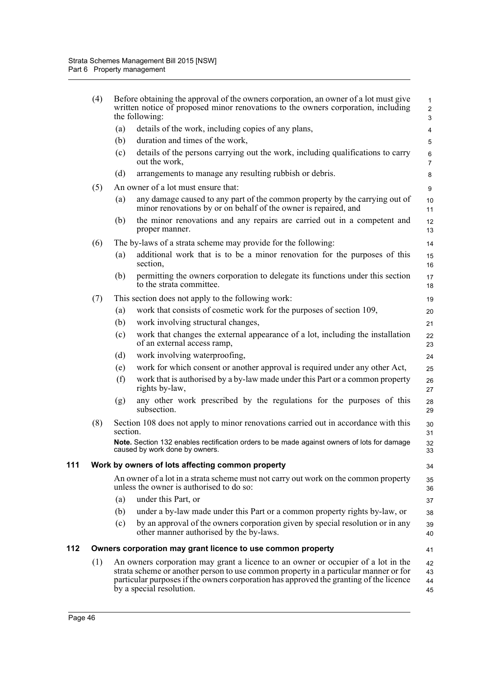|     | (4)                                                               |          | Before obtaining the approval of the owners corporation, an owner of a lot must give<br>written notice of proposed minor renovations to the owners corporation, including<br>the following:                                                                                                     | $\mathbf{1}$<br>$\overline{c}$<br>$\mathsf 3$ |  |  |  |  |
|-----|-------------------------------------------------------------------|----------|-------------------------------------------------------------------------------------------------------------------------------------------------------------------------------------------------------------------------------------------------------------------------------------------------|-----------------------------------------------|--|--|--|--|
|     |                                                                   | (a)      | details of the work, including copies of any plans,                                                                                                                                                                                                                                             | 4                                             |  |  |  |  |
|     |                                                                   | (b)      | duration and times of the work,                                                                                                                                                                                                                                                                 | 5                                             |  |  |  |  |
|     |                                                                   | (c)      | details of the persons carrying out the work, including qualifications to carry<br>out the work,                                                                                                                                                                                                | $\,6\,$<br>$\overline{7}$                     |  |  |  |  |
|     |                                                                   | (d)      | arrangements to manage any resulting rubbish or debris.                                                                                                                                                                                                                                         | 8                                             |  |  |  |  |
|     | (5)                                                               |          | An owner of a lot must ensure that:                                                                                                                                                                                                                                                             | 9                                             |  |  |  |  |
|     |                                                                   | (a)      | any damage caused to any part of the common property by the carrying out of<br>minor renovations by or on behalf of the owner is repaired, and                                                                                                                                                  | 10<br>11                                      |  |  |  |  |
|     |                                                                   | (b)      | the minor renovations and any repairs are carried out in a competent and<br>proper manner.                                                                                                                                                                                                      | 12<br>13                                      |  |  |  |  |
|     | (6)                                                               |          | The by-laws of a strata scheme may provide for the following:                                                                                                                                                                                                                                   | 14                                            |  |  |  |  |
|     |                                                                   | (a)      | additional work that is to be a minor renovation for the purposes of this<br>section,                                                                                                                                                                                                           | 15<br>16                                      |  |  |  |  |
|     |                                                                   | (b)      | permitting the owners corporation to delegate its functions under this section<br>to the strata committee.                                                                                                                                                                                      | 17<br>18                                      |  |  |  |  |
|     | (7)                                                               |          | This section does not apply to the following work:                                                                                                                                                                                                                                              | 19                                            |  |  |  |  |
|     |                                                                   | (a)      | work that consists of cosmetic work for the purposes of section 109,                                                                                                                                                                                                                            | 20                                            |  |  |  |  |
|     |                                                                   | (b)      | work involving structural changes,                                                                                                                                                                                                                                                              | 21                                            |  |  |  |  |
|     |                                                                   | (c)      | work that changes the external appearance of a lot, including the installation<br>of an external access ramp,                                                                                                                                                                                   | 22<br>23                                      |  |  |  |  |
|     |                                                                   | (d)      | work involving waterproofing,                                                                                                                                                                                                                                                                   | 24                                            |  |  |  |  |
|     |                                                                   | (e)      | work for which consent or another approval is required under any other Act,                                                                                                                                                                                                                     | 25                                            |  |  |  |  |
|     |                                                                   | (f)      | work that is authorised by a by-law made under this Part or a common property<br>rights by-law,                                                                                                                                                                                                 | 26<br>27                                      |  |  |  |  |
|     |                                                                   | (g)      | any other work prescribed by the regulations for the purposes of this<br>subsection.                                                                                                                                                                                                            | 28<br>29                                      |  |  |  |  |
|     | (8)                                                               | section. | Section 108 does not apply to minor renovations carried out in accordance with this                                                                                                                                                                                                             | 30<br>31                                      |  |  |  |  |
|     |                                                                   |          | Note. Section 132 enables rectification orders to be made against owners of lots for damage<br>caused by work done by owners.                                                                                                                                                                   | 32<br>33                                      |  |  |  |  |
| 111 | Work by owners of lots affecting common property<br>34            |          |                                                                                                                                                                                                                                                                                                 |                                               |  |  |  |  |
|     |                                                                   |          | An owner of a lot in a strata scheme must not carry out work on the common property<br>unless the owner is authorised to do so:                                                                                                                                                                 | 35<br>36                                      |  |  |  |  |
|     |                                                                   | (a)      | under this Part, or                                                                                                                                                                                                                                                                             | 37                                            |  |  |  |  |
|     |                                                                   | (b)      | under a by-law made under this Part or a common property rights by-law, or                                                                                                                                                                                                                      | 38                                            |  |  |  |  |
|     |                                                                   | (c)      | by an approval of the owners corporation given by special resolution or in any<br>other manner authorised by the by-laws.                                                                                                                                                                       | 39<br>40                                      |  |  |  |  |
| 112 | Owners corporation may grant licence to use common property<br>41 |          |                                                                                                                                                                                                                                                                                                 |                                               |  |  |  |  |
|     | (1)                                                               |          | An owners corporation may grant a licence to an owner or occupier of a lot in the<br>strata scheme or another person to use common property in a particular manner or for<br>particular purposes if the owners corporation has approved the granting of the licence<br>by a special resolution. | 42<br>43<br>44<br>45                          |  |  |  |  |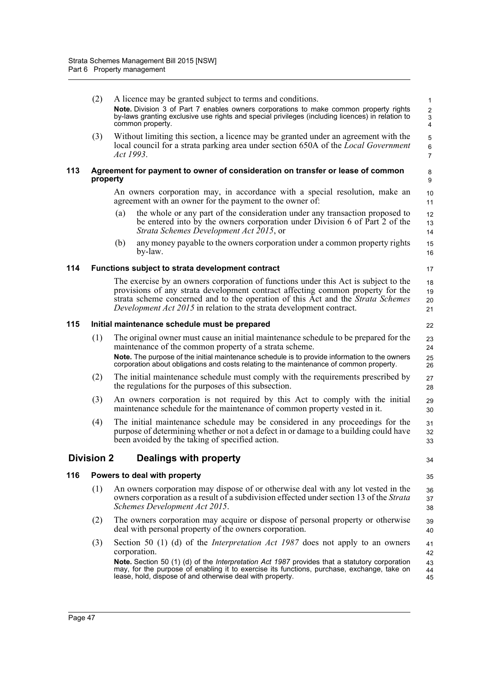|     | (2)                                                                                        | A licence may be granted subject to terms and conditions.                                                                                                                                                                                                                                                                                  | 1                                 |  |  |
|-----|--------------------------------------------------------------------------------------------|--------------------------------------------------------------------------------------------------------------------------------------------------------------------------------------------------------------------------------------------------------------------------------------------------------------------------------------------|-----------------------------------|--|--|
|     |                                                                                            | Note. Division 3 of Part 7 enables owners corporations to make common property rights<br>by-laws granting exclusive use rights and special privileges (including licences) in relation to<br>common property.                                                                                                                              | $\overline{\mathbf{c}}$<br>3<br>4 |  |  |
|     | (3)                                                                                        | Without limiting this section, a licence may be granted under an agreement with the<br>local council for a strata parking area under section 650A of the <i>Local Government</i><br>Act 1993.                                                                                                                                              | 5<br>6<br>$\overline{7}$          |  |  |
| 113 | Agreement for payment to owner of consideration on transfer or lease of common<br>property |                                                                                                                                                                                                                                                                                                                                            |                                   |  |  |
|     |                                                                                            | An owners corporation may, in accordance with a special resolution, make an<br>agreement with an owner for the payment to the owner of:                                                                                                                                                                                                    | 10<br>11                          |  |  |
|     |                                                                                            | the whole or any part of the consideration under any transaction proposed to<br>(a)<br>be entered into by the owners corporation under Division 6 of Part 2 of the<br>Strata Schemes Development Act 2015, or                                                                                                                              | 12<br>13<br>14                    |  |  |
|     |                                                                                            | any money payable to the owners corporation under a common property rights<br>(b)<br>by-law.                                                                                                                                                                                                                                               | 15<br>16                          |  |  |
| 114 |                                                                                            | Functions subject to strata development contract                                                                                                                                                                                                                                                                                           | 17                                |  |  |
|     |                                                                                            | The exercise by an owners corporation of functions under this Act is subject to the<br>provisions of any strata development contract affecting common property for the<br>strata scheme concerned and to the operation of this Act and the Strata Schemes<br>Development Act 2015 in relation to the strata development contract.          | 18<br>19<br>20<br>21              |  |  |
| 115 |                                                                                            | Initial maintenance schedule must be prepared                                                                                                                                                                                                                                                                                              | 22                                |  |  |
|     | (1)                                                                                        | The original owner must cause an initial maintenance schedule to be prepared for the<br>maintenance of the common property of a strata scheme.<br>Note. The purpose of the initial maintenance schedule is to provide information to the owners<br>corporation about obligations and costs relating to the maintenance of common property. | 23<br>24<br>25<br>26              |  |  |
|     | (2)                                                                                        | The initial maintenance schedule must comply with the requirements prescribed by<br>the regulations for the purposes of this subsection.                                                                                                                                                                                                   | 27<br>28                          |  |  |
|     | (3)                                                                                        | An owners corporation is not required by this Act to comply with the initial<br>maintenance schedule for the maintenance of common property vested in it.                                                                                                                                                                                  | 29<br>30                          |  |  |
|     | (4)                                                                                        | The initial maintenance schedule may be considered in any proceedings for the<br>purpose of determining whether or not a defect in or damage to a building could have<br>been avoided by the taking of specified action.                                                                                                                   | 31<br>32<br>33                    |  |  |
|     | <b>Division 2</b>                                                                          | <b>Dealings with property</b>                                                                                                                                                                                                                                                                                                              | 34                                |  |  |
| 116 |                                                                                            | Powers to deal with property                                                                                                                                                                                                                                                                                                               | 35                                |  |  |
|     | (1)                                                                                        | An owners corporation may dispose of or otherwise deal with any lot vested in the<br>owners corporation as a result of a subdivision effected under section 13 of the Strata<br>Schemes Development Act 2015.                                                                                                                              | 36<br>37<br>38                    |  |  |
|     | (2)                                                                                        | The owners corporation may acquire or dispose of personal property or otherwise<br>deal with personal property of the owners corporation.                                                                                                                                                                                                  | 39<br>40                          |  |  |
|     | (3)                                                                                        | Section 50 (1) (d) of the <i>Interpretation Act 1987</i> does not apply to an owners<br>corporation.                                                                                                                                                                                                                                       | 41<br>42                          |  |  |
|     |                                                                                            | Note. Section 50 (1) (d) of the Interpretation Act 1987 provides that a statutory corporation<br>may, for the purpose of enabling it to exercise its functions, purchase, exchange, take on<br>lease, hold, dispose of and otherwise deal with property.                                                                                   | 43<br>44<br>45                    |  |  |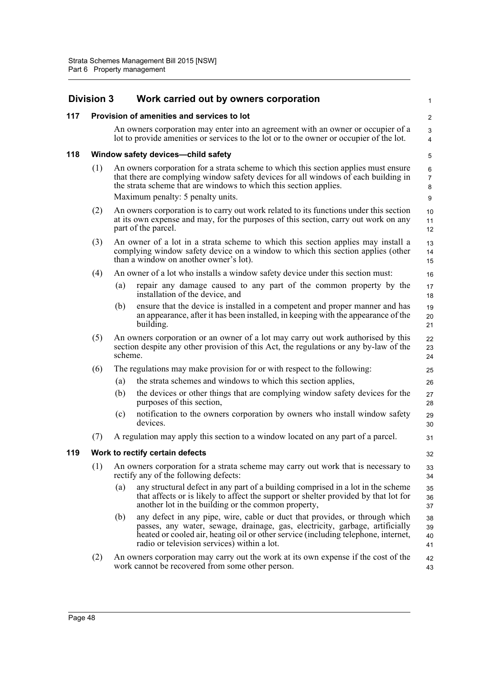|     | <b>Division 3</b>                                                        |         | Work carried out by owners corporation                                                                                                                                                                                                                                                           | 1                             |  |
|-----|--------------------------------------------------------------------------|---------|--------------------------------------------------------------------------------------------------------------------------------------------------------------------------------------------------------------------------------------------------------------------------------------------------|-------------------------------|--|
| 117 | Provision of amenities and services to lot                               |         |                                                                                                                                                                                                                                                                                                  |                               |  |
|     |                                                                          |         | An owners corporation may enter into an agreement with an owner or occupier of a<br>lot to provide amenities or services to the lot or to the owner or occupier of the lot.                                                                                                                      | 3<br>$\overline{4}$           |  |
| 118 | Window safety devices-child safety                                       |         |                                                                                                                                                                                                                                                                                                  | 5                             |  |
|     | (1)<br>the strata scheme that are windows to which this section applies. |         | An owners corporation for a strata scheme to which this section applies must ensure<br>that there are complying window safety devices for all windows of each building in<br>Maximum penalty: 5 penalty units.                                                                                   | 6<br>$\overline{7}$<br>8<br>9 |  |
|     | (2)                                                                      |         | An owners corporation is to carry out work related to its functions under this section<br>at its own expense and may, for the purposes of this section, carry out work on any<br>part of the parcel.                                                                                             | 10<br>11<br>12                |  |
|     | (3)                                                                      |         | An owner of a lot in a strata scheme to which this section applies may install a<br>complying window safety device on a window to which this section applies (other<br>than a window on another owner's lot).                                                                                    | 13<br>14<br>15                |  |
|     | (4)                                                                      |         | An owner of a lot who installs a window safety device under this section must:                                                                                                                                                                                                                   | 16                            |  |
|     |                                                                          | (a)     | repair any damage caused to any part of the common property by the<br>installation of the device, and                                                                                                                                                                                            | 17<br>18                      |  |
|     |                                                                          | (b)     | ensure that the device is installed in a competent and proper manner and has<br>an appearance, after it has been installed, in keeping with the appearance of the<br>building.                                                                                                                   | 19<br>20<br>21                |  |
|     | (5)                                                                      | scheme. | An owners corporation or an owner of a lot may carry out work authorised by this<br>section despite any other provision of this Act, the regulations or any by-law of the                                                                                                                        | 22<br>23<br>24                |  |
|     | (6)                                                                      |         | The regulations may make provision for or with respect to the following:                                                                                                                                                                                                                         | 25                            |  |
|     |                                                                          | (a)     | the strata schemes and windows to which this section applies,                                                                                                                                                                                                                                    | 26                            |  |
|     |                                                                          | (b)     | the devices or other things that are complying window safety devices for the<br>purposes of this section,                                                                                                                                                                                        | 27<br>28                      |  |
|     |                                                                          | (c)     | notification to the owners corporation by owners who install window safety<br>devices.                                                                                                                                                                                                           | 29<br>30                      |  |
|     | (7)                                                                      |         | A regulation may apply this section to a window located on any part of a parcel.                                                                                                                                                                                                                 | 31                            |  |
| 119 | Work to rectify certain defects                                          |         |                                                                                                                                                                                                                                                                                                  |                               |  |
|     | (1)                                                                      |         | An owners corporation for a strata scheme may carry out work that is necessary to<br>rectify any of the following defects:                                                                                                                                                                       | 33<br>34                      |  |
|     |                                                                          | (a)     | any structural defect in any part of a building comprised in a lot in the scheme<br>that affects or is likely to affect the support or shelter provided by that lot for<br>another lot in the building or the common property,                                                                   | 35<br>36<br>37                |  |
|     |                                                                          | (b)     | any defect in any pipe, wire, cable or duct that provides, or through which<br>passes, any water, sewage, drainage, gas, electricity, garbage, artificially<br>heated or cooled air, heating oil or other service (including telephone, internet,<br>radio or television services) within a lot. | 38<br>39<br>40<br>41          |  |
|     | (2)                                                                      |         | An owners corporation may carry out the work at its own expense if the cost of the<br>work cannot be recovered from some other person.                                                                                                                                                           | 42<br>43                      |  |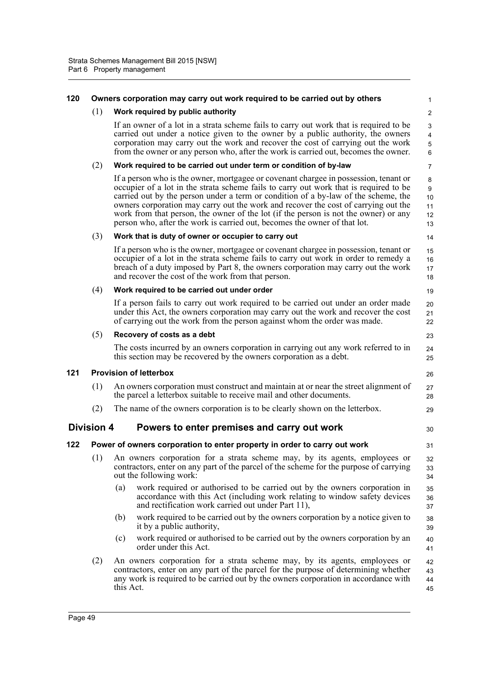#### **120 Owners corporation may carry out work required to be carried out by others**

14

19

23 24  $25$ 

26

29

30

31

## (1) **Work required by public authority**

If an owner of a lot in a strata scheme fails to carry out work that is required to be carried out under a notice given to the owner by a public authority, the owners corporation may carry out the work and recover the cost of carrying out the work from the owner or any person who, after the work is carried out, becomes the owner.

#### (2) **Work required to be carried out under term or condition of by-law**

If a person who is the owner, mortgagee or covenant chargee in possession, tenant or occupier of a lot in the strata scheme fails to carry out work that is required to be carried out by the person under a term or condition of a by-law of the scheme, the owners corporation may carry out the work and recover the cost of carrying out the work from that person, the owner of the lot (if the person is not the owner) or any person who, after the work is carried out, becomes the owner of that lot. 10 11 12 13

#### (3) **Work that is duty of owner or occupier to carry out**

If a person who is the owner, mortgagee or covenant chargee in possession, tenant or occupier of a lot in the strata scheme fails to carry out work in order to remedy a breach of a duty imposed by Part 8, the owners corporation may carry out the work and recover the cost of the work from that person. 15 16 17 18

#### (4) **Work required to be carried out under order**

If a person fails to carry out work required to be carried out under an order made under this Act, the owners corporation may carry out the work and recover the cost of carrying out the work from the person against whom the order was made. 20 21 22

#### (5) **Recovery of costs as a debt**

The costs incurred by an owners corporation in carrying out any work referred to in this section may be recovered by the owners corporation as a debt.

## **121 Provision of letterbox**

- (1) An owners corporation must construct and maintain at or near the street alignment of the parcel a letterbox suitable to receive mail and other documents. 27 28
- (2) The name of the owners corporation is to be clearly shown on the letterbox.

# **Division 4 Powers to enter premises and carry out work**

# **122 Power of owners corporation to enter property in order to carry out work**

- (1) An owners corporation for a strata scheme may, by its agents, employees or contractors, enter on any part of the parcel of the scheme for the purpose of carrying out the following work: 32 33 34
	- (a) work required or authorised to be carried out by the owners corporation in accordance with this Act (including work relating to window safety devices and rectification work carried out under Part 11), 35 36 37
	- (b) work required to be carried out by the owners corporation by a notice given to it by a public authority, 38 39
	- (c) work required or authorised to be carried out by the owners corporation by an order under this Act. 40 41
- (2) An owners corporation for a strata scheme may, by its agents, employees or contractors, enter on any part of the parcel for the purpose of determining whether any work is required to be carried out by the owners corporation in accordance with this Act. 42 43 44 45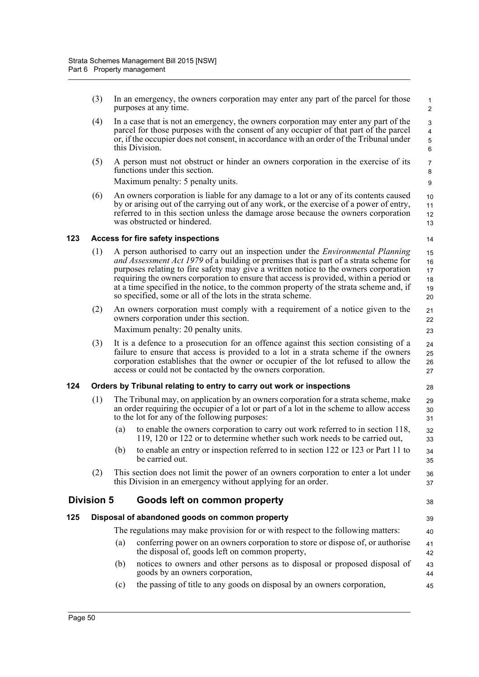(3) In an emergency, the owners corporation may enter any part of the parcel for those purposes at any time.

28

38

45

- (4) In a case that is not an emergency, the owners corporation may enter any part of the parcel for those purposes with the consent of any occupier of that part of the parcel or, if the occupier does not consent, in accordance with an order of the Tribunal under this Division.
- (5) A person must not obstruct or hinder an owners corporation in the exercise of its functions under this section.

Maximum penalty: 5 penalty units.

(6) An owners corporation is liable for any damage to a lot or any of its contents caused by or arising out of the carrying out of any work, or the exercise of a power of entry, referred to in this section unless the damage arose because the owners corporation was obstructed or hindered.

## **123 Access for fire safety inspections**

- (1) A person authorised to carry out an inspection under the *Environmental Planning and Assessment Act 1979* of a building or premises that is part of a strata scheme for purposes relating to fire safety may give a written notice to the owners corporation requiring the owners corporation to ensure that access is provided, within a period or at a time specified in the notice, to the common property of the strata scheme and, if so specified, some or all of the lots in the strata scheme. 15 16 17 18 19 20
- (2) An owners corporation must comply with a requirement of a notice given to the owners corporation under this section.

Maximum penalty: 20 penalty units.

(3) It is a defence to a prosecution for an offence against this section consisting of a failure to ensure that access is provided to a lot in a strata scheme if the owners corporation establishes that the owner or occupier of the lot refused to allow the access or could not be contacted by the owners corporation.

# **124 Orders by Tribunal relating to entry to carry out work or inspections**

- (1) The Tribunal may, on application by an owners corporation for a strata scheme, make an order requiring the occupier of a lot or part of a lot in the scheme to allow access to the lot for any of the following purposes: 29 30 31
	- (a) to enable the owners corporation to carry out work referred to in section 118, 119, 120 or 122 or to determine whether such work needs to be carried out,
	- (b) to enable an entry or inspection referred to in section 122 or 123 or Part 11 to be carried out.
- (2) This section does not limit the power of an owners corporation to enter a lot under this Division in an emergency without applying for an order. 37

# **Division 5 Goods left on common property**

## **125 Disposal of abandoned goods on common property**

- The regulations may make provision for or with respect to the following matters:
- (a) conferring power on an owners corporation to store or dispose of, or authorise the disposal of, goods left on common property,
- (b) notices to owners and other persons as to disposal or proposed disposal of goods by an owners corporation, 43 44
- (c) the passing of title to any goods on disposal by an owners corporation,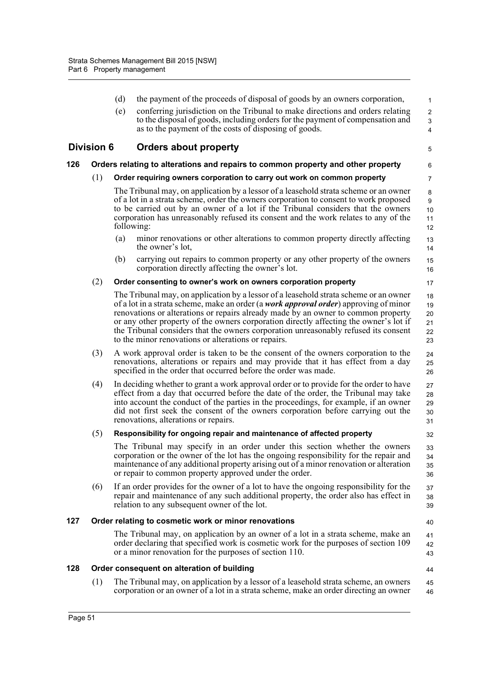(d) the payment of the proceeds of disposal of goods by an owners corporation, (e) conferring jurisdiction on the Tribunal to make directions and orders relating to the disposal of goods, including orders for the payment of compensation and as to the payment of the costs of disposing of goods. **Division 6 Orders about property 126 Orders relating to alterations and repairs to common property and other property** (1) **Order requiring owners corporation to carry out work on common property** The Tribunal may, on application by a lessor of a leasehold strata scheme or an owner of a lot in a strata scheme, order the owners corporation to consent to work proposed to be carried out by an owner of a lot if the Tribunal considers that the owners corporation has unreasonably refused its consent and the work relates to any of the following: (a) minor renovations or other alterations to common property directly affecting the owner's lot, (b) carrying out repairs to common property or any other property of the owners corporation directly affecting the owner's lot. (2) **Order consenting to owner's work on owners corporation property** The Tribunal may, on application by a lessor of a leasehold strata scheme or an owner of a lot in a strata scheme, make an order (a *work approval order*) approving of minor renovations or alterations or repairs already made by an owner to common property or any other property of the owners corporation directly affecting the owner's lot if the Tribunal considers that the owners corporation unreasonably refused its consent to the minor renovations or alterations or repairs. (3) A work approval order is taken to be the consent of the owners corporation to the renovations, alterations or repairs and may provide that it has effect from a day specified in the order that occurred before the order was made. (4) In deciding whether to grant a work approval order or to provide for the order to have effect from a day that occurred before the date of the order, the Tribunal may take into account the conduct of the parties in the proceedings, for example, if an owner did not first seek the consent of the owners corporation before carrying out the renovations, alterations or repairs. (5) **Responsibility for ongoing repair and maintenance of affected property** The Tribunal may specify in an order under this section whether the owners corporation or the owner of the lot has the ongoing responsibility for the repair and maintenance of any additional property arising out of a minor renovation or alteration or repair to common property approved under the order. (6) If an order provides for the owner of a lot to have the ongoing responsibility for the repair and maintenance of any such additional property, the order also has effect in relation to any subsequent owner of the lot. **127 Order relating to cosmetic work or minor renovations** The Tribunal may, on application by an owner of a lot in a strata scheme, make an 1 2 3 4 5 6 7 8 9 10 11 12 13 14 15 16 17 18 19 20 21 22 23 24 25 26 27 28 29 30 31 32 33 34 35 36 37 38 39 40 41

## **128 Order consequent on alteration of building**

or a minor renovation for the purposes of section 110.

(1) The Tribunal may, on application by a lessor of a leasehold strata scheme, an owners corporation or an owner of a lot in a strata scheme, make an order directing an owner 45 46

order declaring that specified work is cosmetic work for the purposes of section 109

42 43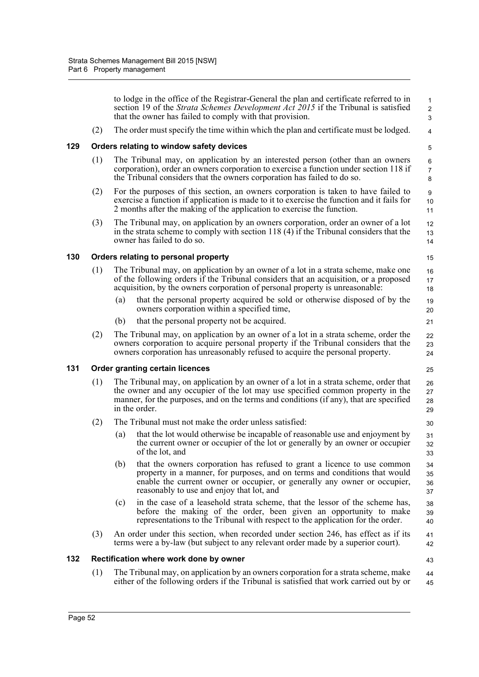to lodge in the office of the Registrar-General the plan and certificate referred to in section 19 of the *Strata Schemes Development Act 2015* if the Tribunal is satisfied that the owner has failed to comply with that provision. (2) The order must specify the time within which the plan and certificate must be lodged. **129 Orders relating to window safety devices** (1) The Tribunal may, on application by an interested person (other than an owners corporation), order an owners corporation to exercise a function under section 118 if the Tribunal considers that the owners corporation has failed to do so. (2) For the purposes of this section, an owners corporation is taken to have failed to exercise a function if application is made to it to exercise the function and it fails for 2 months after the making of the application to exercise the function. (3) The Tribunal may, on application by an owners corporation, order an owner of a lot in the strata scheme to comply with section 118 (4) if the Tribunal considers that the owner has failed to do so. **130 Orders relating to personal property** (1) The Tribunal may, on application by an owner of a lot in a strata scheme, make one of the following orders if the Tribunal considers that an acquisition, or a proposed acquisition, by the owners corporation of personal property is unreasonable: (a) that the personal property acquired be sold or otherwise disposed of by the owners corporation within a specified time, (b) that the personal property not be acquired. (2) The Tribunal may, on application by an owner of a lot in a strata scheme, order the owners corporation to acquire personal property if the Tribunal considers that the owners corporation has unreasonably refused to acquire the personal property. **131 Order granting certain licences** (1) The Tribunal may, on application by an owner of a lot in a strata scheme, order that the owner and any occupier of the lot may use specified common property in the manner, for the purposes, and on the terms and conditions (if any), that are specified in the order. (2) The Tribunal must not make the order unless satisfied: (a) that the lot would otherwise be incapable of reasonable use and enjoyment by the current owner or occupier of the lot or generally by an owner or occupier of the lot, and (b) that the owners corporation has refused to grant a licence to use common property in a manner, for purposes, and on terms and conditions that would enable the current owner or occupier, or generally any owner or occupier, reasonably to use and enjoy that lot, and (c) in the case of a leasehold strata scheme, that the lessor of the scheme has, before the making of the order, been given an opportunity to make representations to the Tribunal with respect to the application for the order. (3) An order under this section, when recorded under section 246, has effect as if its terms were a by-law (but subject to any relevant order made by a superior court). **132 Rectification where work done by owner** (1) The Tribunal may, on application by an owners corporation for a strata scheme, make 1  $\overline{2}$  3 4 5 6 7 8 9 10 11 12 13 14 15 16 17 18 19 20 21 22 23 24 25 26 27 28 29 30 31 32 33 34 35 36 37 38 39 40 41 42 43 44

either of the following orders if the Tribunal is satisfied that work carried out by or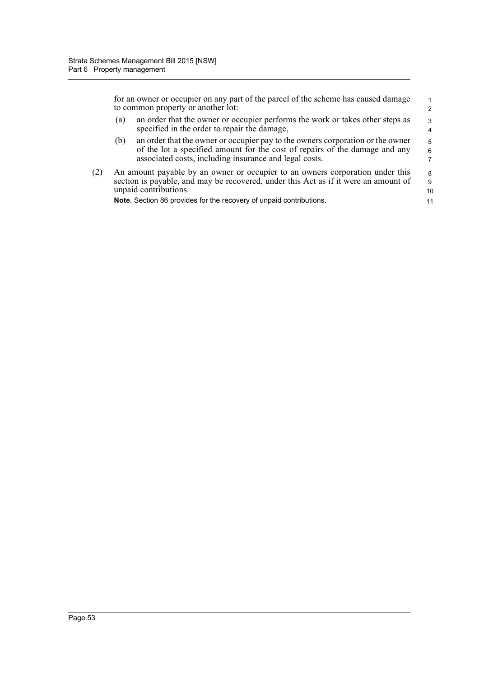|     |                                                                                                                                                                                                                                                                      | for an owner or occupier on any part of the parcel of the scheme has caused damage<br>to common property or another lot:                                                                                                |                    |  |
|-----|----------------------------------------------------------------------------------------------------------------------------------------------------------------------------------------------------------------------------------------------------------------------|-------------------------------------------------------------------------------------------------------------------------------------------------------------------------------------------------------------------------|--------------------|--|
|     | (a)                                                                                                                                                                                                                                                                  | an order that the owner or occupier performs the work or takes other steps as<br>specified in the order to repair the damage,                                                                                           | 3<br>4             |  |
|     | (b)                                                                                                                                                                                                                                                                  | an order that the owner or occupier pay to the owners corporation or the owner<br>of the lot a specified amount for the cost of repairs of the damage and any<br>associated costs, including insurance and legal costs. | 5<br>6<br>7        |  |
| (2) | An amount payable by an owner or occupier to an owners corporation under this<br>section is payable, and may be recovered, under this Act as if it were an amount of<br>unpaid contributions.<br>Note. Section 86 provides for the recovery of unpaid contributions. |                                                                                                                                                                                                                         | 8<br>9<br>10<br>11 |  |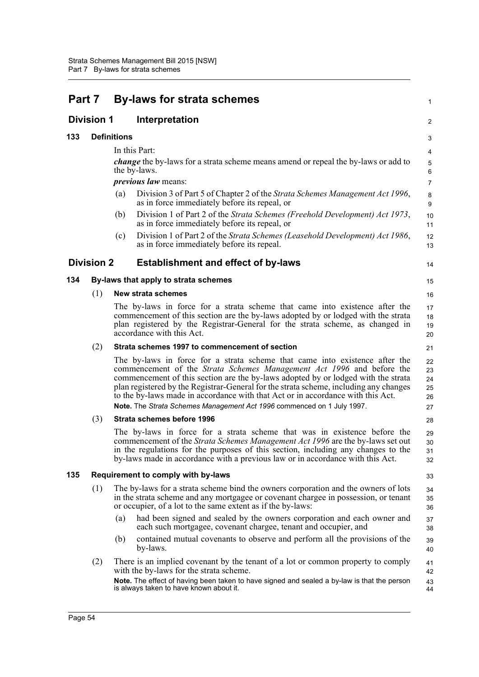| Part 7 |                   | <b>By-laws for strata schemes</b>                                                                                                                                                                                                                                                                                                                                                                                                                                                               | 1                                |  |
|--------|-------------------|-------------------------------------------------------------------------------------------------------------------------------------------------------------------------------------------------------------------------------------------------------------------------------------------------------------------------------------------------------------------------------------------------------------------------------------------------------------------------------------------------|----------------------------------|--|
|        | <b>Division 1</b> | Interpretation                                                                                                                                                                                                                                                                                                                                                                                                                                                                                  | 2                                |  |
| 133    |                   | <b>Definitions</b>                                                                                                                                                                                                                                                                                                                                                                                                                                                                              |                                  |  |
|        |                   | In this Part:                                                                                                                                                                                                                                                                                                                                                                                                                                                                                   | 4                                |  |
|        |                   | <i>change</i> the by-laws for a strata scheme means amend or repeal the by-laws or add to<br>the by-laws.                                                                                                                                                                                                                                                                                                                                                                                       | 5<br>6                           |  |
|        |                   | <i>previous law means:</i>                                                                                                                                                                                                                                                                                                                                                                                                                                                                      | $\overline{7}$                   |  |
|        |                   | Division 3 of Part 5 of Chapter 2 of the Strata Schemes Management Act 1996,<br>(a)<br>as in force immediately before its repeal, or                                                                                                                                                                                                                                                                                                                                                            | $\bf 8$<br>9                     |  |
|        |                   | Division 1 of Part 2 of the Strata Schemes (Freehold Development) Act 1973,<br>(b)<br>as in force immediately before its repeal, or                                                                                                                                                                                                                                                                                                                                                             | 10<br>11                         |  |
|        |                   | Division 1 of Part 2 of the Strata Schemes (Leasehold Development) Act 1986,<br>(c)<br>as in force immediately before its repeal.                                                                                                                                                                                                                                                                                                                                                               | 12<br>13                         |  |
|        | <b>Division 2</b> | <b>Establishment and effect of by-laws</b>                                                                                                                                                                                                                                                                                                                                                                                                                                                      | 14                               |  |
| 134    |                   | By-laws that apply to strata schemes                                                                                                                                                                                                                                                                                                                                                                                                                                                            | 15                               |  |
|        | (1)               | <b>New strata schemes</b>                                                                                                                                                                                                                                                                                                                                                                                                                                                                       | 16                               |  |
|        |                   | The by-laws in force for a strata scheme that came into existence after the<br>commencement of this section are the by-laws adopted by or lodged with the strata<br>plan registered by the Registrar-General for the strata scheme, as changed in<br>accordance with this Act.                                                                                                                                                                                                                  | 17<br>18<br>19<br>20             |  |
|        | (2)               | Strata schemes 1997 to commencement of section                                                                                                                                                                                                                                                                                                                                                                                                                                                  | 21                               |  |
|        |                   | The by-laws in force for a strata scheme that came into existence after the<br>commencement of the Strata Schemes Management Act 1996 and before the<br>commencement of this section are the by-laws adopted by or lodged with the strata<br>plan registered by the Registrar-General for the strata scheme, including any changes<br>to the by-laws made in accordance with that Act or in accordance with this Act.<br>Note. The Strata Schemes Management Act 1996 commenced on 1 July 1997. | 22<br>23<br>24<br>25<br>26<br>27 |  |
|        | (3)               | Strata schemes before 1996                                                                                                                                                                                                                                                                                                                                                                                                                                                                      | 28                               |  |
|        |                   | The by-laws in force for a strata scheme that was in existence before the<br>commencement of the <i>Strata Schemes Management Act 1996</i> are the by-laws set out<br>in the regulations for the purposes of this section, including any changes to the<br>by-laws made in accordance with a previous law or in accordance with this Act.                                                                                                                                                       | 29<br>30<br>31<br>32             |  |
| 135    |                   | Requirement to comply with by-laws                                                                                                                                                                                                                                                                                                                                                                                                                                                              | 33                               |  |
|        | (1)               | The by-laws for a strata scheme bind the owners corporation and the owners of lots<br>in the strata scheme and any mortgagee or covenant chargee in possession, or tenant<br>or occupier, of a lot to the same extent as if the by-laws:                                                                                                                                                                                                                                                        | 34<br>35<br>36                   |  |
|        |                   | had been signed and sealed by the owners corporation and each owner and<br>(a)<br>each such mortgagee, covenant chargee, tenant and occupier, and                                                                                                                                                                                                                                                                                                                                               | 37<br>38                         |  |
|        |                   | contained mutual covenants to observe and perform all the provisions of the<br>(b)<br>by-laws.                                                                                                                                                                                                                                                                                                                                                                                                  | 39<br>40                         |  |
|        | (2)               | There is an implied covenant by the tenant of a lot or common property to comply<br>with the by-laws for the strata scheme.                                                                                                                                                                                                                                                                                                                                                                     | 41<br>42                         |  |
|        |                   | Note. The effect of having been taken to have signed and sealed a by-law is that the person<br>is always taken to have known about it.                                                                                                                                                                                                                                                                                                                                                          | 43<br>44                         |  |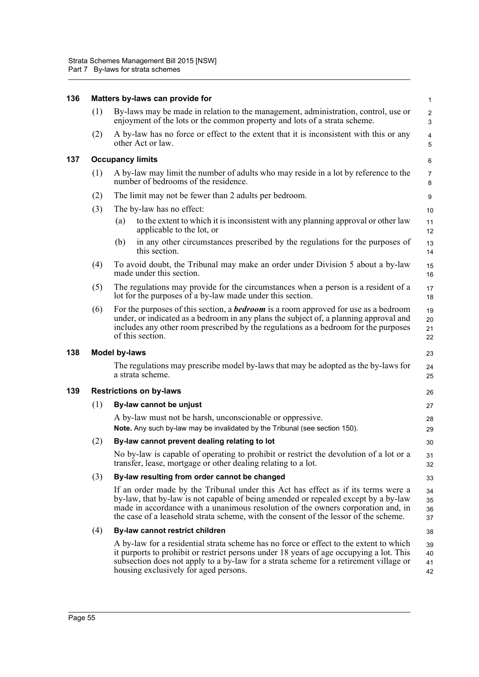| 136 |     | Matters by-laws can provide for                                                                                                                                                                                                                                                                                                                     | $\mathbf{1}$                 |
|-----|-----|-----------------------------------------------------------------------------------------------------------------------------------------------------------------------------------------------------------------------------------------------------------------------------------------------------------------------------------------------------|------------------------------|
|     | (1) | By-laws may be made in relation to the management, administration, control, use or<br>enjoyment of the lots or the common property and lots of a strata scheme.                                                                                                                                                                                     | $\overline{c}$<br>3          |
|     | (2) | A by-law has no force or effect to the extent that it is inconsistent with this or any<br>other Act or law.                                                                                                                                                                                                                                         | $\overline{\mathbf{4}}$<br>5 |
| 137 |     | <b>Occupancy limits</b>                                                                                                                                                                                                                                                                                                                             | $\,6\,$                      |
|     | (1) | A by-law may limit the number of adults who may reside in a lot by reference to the<br>number of bedrooms of the residence.                                                                                                                                                                                                                         | $\overline{7}$<br>8          |
|     | (2) | The limit may not be fewer than 2 adults per bedroom.                                                                                                                                                                                                                                                                                               | 9                            |
|     | (3) | The by-law has no effect:                                                                                                                                                                                                                                                                                                                           | 10                           |
|     |     | to the extent to which it is inconsistent with any planning approval or other law<br>(a)<br>applicable to the lot, or                                                                                                                                                                                                                               | 11<br>12                     |
|     |     | in any other circumstances prescribed by the regulations for the purposes of<br>(b)<br>this section.                                                                                                                                                                                                                                                | 13<br>14                     |
|     | (4) | To avoid doubt, the Tribunal may make an order under Division 5 about a by-law<br>made under this section.                                                                                                                                                                                                                                          | 15<br>16                     |
|     | (5) | The regulations may provide for the circumstances when a person is a resident of a<br>lot for the purposes of a by-law made under this section.                                                                                                                                                                                                     | 17<br>18                     |
|     | (6) | For the purposes of this section, a <b>bedroom</b> is a room approved for use as a bedroom<br>under, or indicated as a bedroom in any plans the subject of, a planning approval and<br>includes any other room prescribed by the regulations as a bedroom for the purposes<br>of this section.                                                      | 19<br>20<br>21<br>22         |
| 138 |     | <b>Model by-laws</b>                                                                                                                                                                                                                                                                                                                                | 23                           |
|     |     | The regulations may prescribe model by-laws that may be adopted as the by-laws for<br>a strata scheme.                                                                                                                                                                                                                                              | 24<br>25                     |
| 139 |     | <b>Restrictions on by-laws</b>                                                                                                                                                                                                                                                                                                                      | 26                           |
|     | (1) | By-law cannot be unjust                                                                                                                                                                                                                                                                                                                             | 27                           |
|     |     | A by-law must not be harsh, unconscionable or oppressive.<br>Note. Any such by-law may be invalidated by the Tribunal (see section 150).                                                                                                                                                                                                            | 28<br>29                     |
|     | (2) | By-law cannot prevent dealing relating to lot                                                                                                                                                                                                                                                                                                       | 30                           |
|     |     | No by-law is capable of operating to prohibit or restrict the devolution of a lot or a<br>transfer, lease, mortgage or other dealing relating to a lot.                                                                                                                                                                                             | 31<br>32                     |
|     | (3) | By-law resulting from order cannot be changed                                                                                                                                                                                                                                                                                                       | 33                           |
|     |     | If an order made by the Tribunal under this Act has effect as if its terms were a<br>by-law, that by-law is not capable of being amended or repealed except by a by-law<br>made in accordance with a unanimous resolution of the owners corporation and, in<br>the case of a leasehold strata scheme, with the consent of the lessor of the scheme. | 34<br>35<br>36<br>37         |
|     | (4) | By-law cannot restrict children                                                                                                                                                                                                                                                                                                                     | 38                           |
|     |     | A by-law for a residential strata scheme has no force or effect to the extent to which<br>it purports to prohibit or restrict persons under 18 years of age occupying a lot. This<br>subsection does not apply to a by-law for a strata scheme for a retirement village or<br>housing exclusively for aged persons.                                 | 39<br>40<br>41<br>42         |
|     |     |                                                                                                                                                                                                                                                                                                                                                     |                              |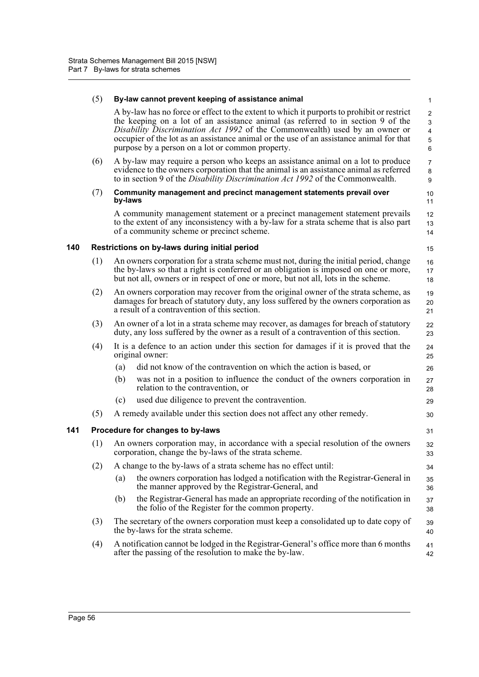|     | (5) |         | By-law cannot prevent keeping of assistance animal                                                                                                                                                                                                                                                                                                                                                           | $\mathbf{1}$                                                           |
|-----|-----|---------|--------------------------------------------------------------------------------------------------------------------------------------------------------------------------------------------------------------------------------------------------------------------------------------------------------------------------------------------------------------------------------------------------------------|------------------------------------------------------------------------|
|     |     |         | A by-law has no force or effect to the extent to which it purports to prohibit or restrict<br>the keeping on a lot of an assistance animal (as referred to in section 9 of the<br>Disability Discrimination Act 1992 of the Commonwealth) used by an owner or<br>occupier of the lot as an assistance animal or the use of an assistance animal for that<br>purpose by a person on a lot or common property. | $\overline{2}$<br>3<br>$\overline{\mathbf{4}}$<br>$\mathbf 5$<br>$\,6$ |
|     | (6) |         | A by-law may require a person who keeps an assistance animal on a lot to produce<br>evidence to the owners corporation that the animal is an assistance animal as referred<br>to in section 9 of the <i>Disability Discrimination Act 1992</i> of the Commonwealth.                                                                                                                                          | $\overline{7}$<br>$\bf 8$<br>9                                         |
|     | (7) | by-laws | Community management and precinct management statements prevail over                                                                                                                                                                                                                                                                                                                                         | 10<br>11                                                               |
|     |     |         | A community management statement or a precinct management statement prevails<br>to the extent of any inconsistency with a by-law for a strata scheme that is also part<br>of a community scheme or precinct scheme.                                                                                                                                                                                          | 12<br>13<br>14                                                         |
| 140 |     |         | Restrictions on by-laws during initial period                                                                                                                                                                                                                                                                                                                                                                | 15                                                                     |
|     | (1) |         | An owners corporation for a strata scheme must not, during the initial period, change<br>the by-laws so that a right is conferred or an obligation is imposed on one or more,<br>but not all, owners or in respect of one or more, but not all, lots in the scheme.                                                                                                                                          | 16<br>17<br>18                                                         |
|     | (2) |         | An owners corporation may recover from the original owner of the strata scheme, as<br>damages for breach of statutory duty, any loss suffered by the owners corporation as<br>a result of a contravention of this section.                                                                                                                                                                                   | 19<br>20<br>21                                                         |
|     | (3) |         | An owner of a lot in a strata scheme may recover, as damages for breach of statutory<br>duty, any loss suffered by the owner as a result of a contravention of this section.                                                                                                                                                                                                                                 | 22<br>23                                                               |
|     | (4) |         | It is a defence to an action under this section for damages if it is proved that the<br>original owner:                                                                                                                                                                                                                                                                                                      | 24<br>25                                                               |
|     |     | (a)     | did not know of the contravention on which the action is based, or                                                                                                                                                                                                                                                                                                                                           | 26                                                                     |
|     |     | (b)     | was not in a position to influence the conduct of the owners corporation in<br>relation to the contravention, or                                                                                                                                                                                                                                                                                             | 27<br>28                                                               |
|     |     | (c)     | used due diligence to prevent the contravention.                                                                                                                                                                                                                                                                                                                                                             | 29                                                                     |
|     | (5) |         | A remedy available under this section does not affect any other remedy.                                                                                                                                                                                                                                                                                                                                      | 30                                                                     |
| 141 |     |         | Procedure for changes to by-laws                                                                                                                                                                                                                                                                                                                                                                             | 31                                                                     |
|     | (1) |         | An owners corporation may, in accordance with a special resolution of the owners<br>corporation, change the by-laws of the strata scheme.                                                                                                                                                                                                                                                                    | 32<br>33                                                               |
|     | (2) |         | A change to the by-laws of a strata scheme has no effect until:                                                                                                                                                                                                                                                                                                                                              | 34                                                                     |
|     |     | (a)     | the owners corporation has lodged a notification with the Registrar-General in<br>the manner approved by the Registrar-General, and                                                                                                                                                                                                                                                                          | 35<br>36                                                               |
|     |     | (b)     | the Registrar-General has made an appropriate recording of the notification in<br>the folio of the Register for the common property.                                                                                                                                                                                                                                                                         | 37<br>38                                                               |
|     | (3) |         | The secretary of the owners corporation must keep a consolidated up to date copy of<br>the by-laws for the strata scheme.                                                                                                                                                                                                                                                                                    | 39<br>40                                                               |
|     | (4) |         | A notification cannot be lodged in the Registrar-General's office more than 6 months<br>after the passing of the resolution to make the by-law.                                                                                                                                                                                                                                                              | 41<br>42                                                               |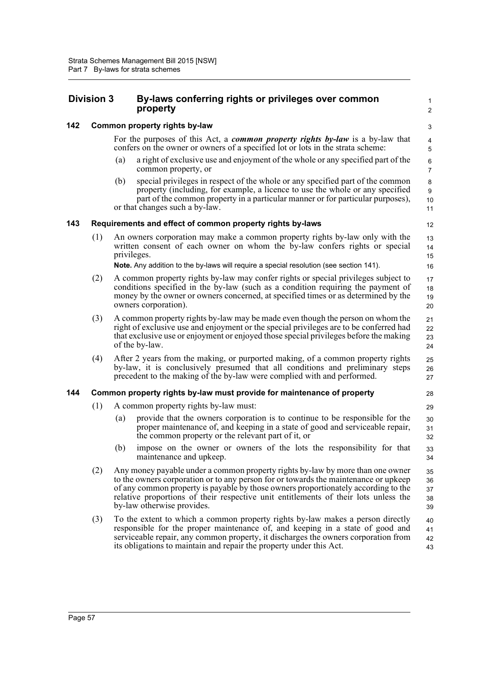# **Division 3 By-laws conferring rights or privileges over common property**

 2 3

1

# **142 Common property rights by-law**

For the purposes of this Act, a *common property rights by-law* is a by-law that confers on the owner or owners of a specified lot or lots in the strata scheme:

- (a) a right of exclusive use and enjoyment of the whole or any specified part of the common property, or
- (b) special privileges in respect of the whole or any specified part of the common property (including, for example, a licence to use the whole or any specified part of the common property in a particular manner or for particular purposes), or that changes such a by-law.

# **143 Requirements and effect of common property rights by-laws**

(1) An owners corporation may make a common property rights by-law only with the written consent of each owner on whom the by-law confers rights or special privileges.

**Note.** Any addition to the by-laws will require a special resolution (see section 141).

- (2) A common property rights by-law may confer rights or special privileges subject to conditions specified in the by-law (such as a condition requiring the payment of money by the owner or owners concerned, at specified times or as determined by the owners corporation). 17 18 19 20
- (3) A common property rights by-law may be made even though the person on whom the right of exclusive use and enjoyment or the special privileges are to be conferred had that exclusive use or enjoyment or enjoyed those special privileges before the making of the by-law.
- (4) After 2 years from the making, or purported making, of a common property rights by-law, it is conclusively presumed that all conditions and preliminary steps precedent to the making of the by-law were complied with and performed.

# **144 Common property rights by-law must provide for maintenance of property**

- (1) A common property rights by-law must:
	- (a) provide that the owners corporation is to continue to be responsible for the proper maintenance of, and keeping in a state of good and serviceable repair, the common property or the relevant part of it, or
	- (b) impose on the owner or owners of the lots the responsibility for that maintenance and upkeep.
- (2) Any money payable under a common property rights by-law by more than one owner to the owners corporation or to any person for or towards the maintenance or upkeep of any common property is payable by those owners proportionately according to the relative proportions of their respective unit entitlements of their lots unless the by-law otherwise provides. 35 36 37 38 39
- (3) To the extent to which a common property rights by-law makes a person directly responsible for the proper maintenance of, and keeping in a state of good and serviceable repair, any common property, it discharges the owners corporation from its obligations to maintain and repair the property under this Act. 40 41 42 43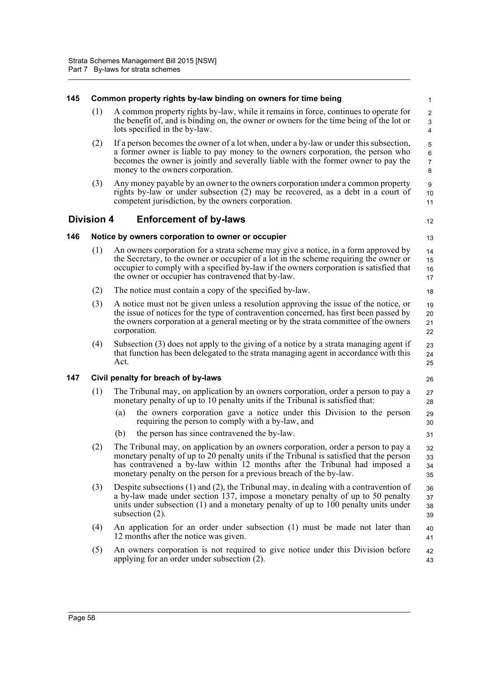| 145 |                   | Common property rights by-law binding on owners for time being                                                                                                                                                                                                                                                                     | $\mathbf{1}$                                   |
|-----|-------------------|------------------------------------------------------------------------------------------------------------------------------------------------------------------------------------------------------------------------------------------------------------------------------------------------------------------------------------|------------------------------------------------|
|     | (1)               | A common property rights by-law, while it remains in force, continues to operate for<br>the benefit of, and is binding on, the owner or owners for the time being of the lot or<br>lots specified in the by-law.                                                                                                                   | $\overline{c}$<br>3<br>$\overline{\mathbf{4}}$ |
|     | (2)               | If a person becomes the owner of a lot when, under a by-law or under this subsection,<br>a former owner is liable to pay money to the owners corporation, the person who<br>becomes the owner is jointly and severally liable with the former owner to pay the<br>money to the owners corporation.                                 | 5<br>$\,6\,$<br>$\overline{7}$<br>8            |
|     | (3)               | Any money payable by an owner to the owners corporation under a common property<br>rights by-law or under subsection (2) may be recovered, as a debt in a court of<br>competent jurisdiction, by the owners corporation.                                                                                                           | 9<br>10<br>11                                  |
|     | <b>Division 4</b> | <b>Enforcement of by-laws</b>                                                                                                                                                                                                                                                                                                      | 12                                             |
| 146 |                   | Notice by owners corporation to owner or occupier                                                                                                                                                                                                                                                                                  | 13                                             |
|     | (1)               | An owners corporation for a strata scheme may give a notice, in a form approved by<br>the Secretary, to the owner or occupier of a lot in the scheme requiring the owner or<br>occupier to comply with a specified by-law if the owners corporation is satisfied that<br>the owner or occupier has contravened that by-law.        | 14<br>15<br>16<br>17                           |
|     | (2)               | The notice must contain a copy of the specified by-law.                                                                                                                                                                                                                                                                            | 18                                             |
|     | (3)               | A notice must not be given unless a resolution approving the issue of the notice, or<br>the issue of notices for the type of contravention concerned, has first been passed by<br>the owners corporation at a general meeting or by the strata committee of the owners<br>corporation.                                             | 19<br>20<br>21<br>22                           |
|     | (4)               | Subsection (3) does not apply to the giving of a notice by a strata managing agent if<br>that function has been delegated to the strata managing agent in accordance with this<br>Act.                                                                                                                                             | 23<br>24<br>25                                 |
| 147 |                   | Civil penalty for breach of by-laws                                                                                                                                                                                                                                                                                                | 26                                             |
|     | (1)               | The Tribunal may, on application by an owners corporation, order a person to pay a<br>monetary penalty of up to 10 penalty units if the Tribunal is satisfied that:                                                                                                                                                                | 27<br>28                                       |
|     |                   | the owners corporation gave a notice under this Division to the person<br>(a)<br>requiring the person to comply with a by-law, and                                                                                                                                                                                                 | 29<br>30                                       |
|     |                   | the person has since contravened the by-law.<br>(b)                                                                                                                                                                                                                                                                                | 31                                             |
|     | (2)               | The Tribunal may, on application by an owners corporation, order a person to pay a<br>monetary penalty of up to 20 penalty units if the Tribunal is satisfied that the person<br>has contravened a by-law within 12 months after the Tribunal had imposed a<br>monetary penalty on the person for a previous breach of the by-law. | 32<br>33<br>34<br>35                           |
|     | (3)               | Despite subsections $(1)$ and $(2)$ , the Tribunal may, in dealing with a contravention of<br>a by-law made under section 137, impose a monetary penalty of up to 50 penalty<br>units under subsection (1) and a monetary penalty of up to 100 penalty units under<br>subsection $(2)$ .                                           | 36<br>37<br>38<br>39                           |
|     | (4)               | An application for an order under subsection (1) must be made not later than<br>12 months after the notice was given.                                                                                                                                                                                                              | 40<br>41                                       |
|     | (5)               | An owners corporation is not required to give notice under this Division before<br>applying for an order under subsection (2).                                                                                                                                                                                                     | 42<br>43                                       |
|     |                   |                                                                                                                                                                                                                                                                                                                                    |                                                |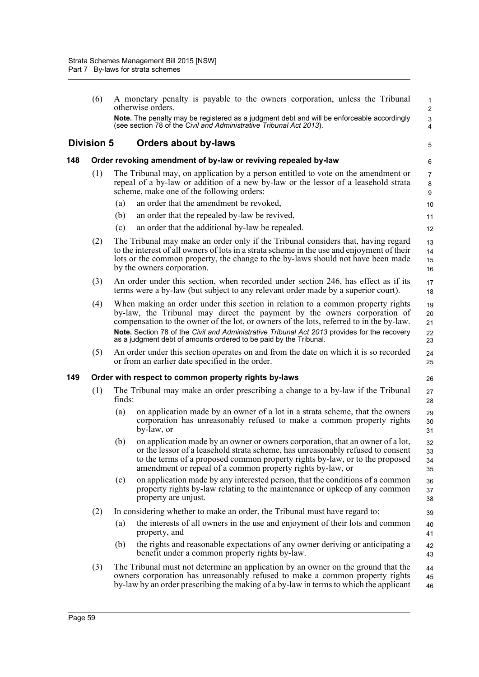(6) A monetary penalty is payable to the owners corporation, unless the Tribunal otherwise orders. **Note.** The penalty may be registered as a judgment debt and will be enforceable accordingly (see section 78 of the *Civil and Administrative Tribunal Act 2013*). **Division 5 Orders about by-laws 148 Order revoking amendment of by-law or reviving repealed by-law** (1) The Tribunal may, on application by a person entitled to vote on the amendment or repeal of a by-law or addition of a new by-law or the lessor of a leasehold strata scheme, make one of the following orders: (a) an order that the amendment be revoked, (b) an order that the repealed by-law be revived, (c) an order that the additional by-law be repealed. (2) The Tribunal may make an order only if the Tribunal considers that, having regard to the interest of all owners of lots in a strata scheme in the use and enjoyment of their lots or the common property, the change to the by-laws should not have been made by the owners corporation. (3) An order under this section, when recorded under section 246, has effect as if its terms were a by-law (but subject to any relevant order made by a superior court). (4) When making an order under this section in relation to a common property rights by-law, the Tribunal may direct the payment by the owners corporation of compensation to the owner of the lot, or owners of the lots, referred to in the by-law. **Note.** Section 78 of the *Civil and Administrative Tribunal Act 2013* provides for the recovery as a judgment debt of amounts ordered to be paid by the Tribunal. (5) An order under this section operates on and from the date on which it is so recorded or from an earlier date specified in the order. **149 Order with respect to common property rights by-laws** (1) The Tribunal may make an order prescribing a change to a by-law if the Tribunal finds: (a) on application made by an owner of a lot in a strata scheme, that the owners corporation has unreasonably refused to make a common property rights by-law, or (b) on application made by an owner or owners corporation, that an owner of a lot, or the lessor of a leasehold strata scheme, has unreasonably refused to consent to the terms of a proposed common property rights by-law, or to the proposed amendment or repeal of a common property rights by-law, or (c) on application made by any interested person, that the conditions of a common property rights by-law relating to the maintenance or upkeep of any common property are unjust. (2) In considering whether to make an order, the Tribunal must have regard to: (a) the interests of all owners in the use and enjoyment of their lots and common property, and (b) the rights and reasonable expectations of any owner deriving or anticipating a benefit under a common property rights by-law. (3) The Tribunal must not determine an application by an owner on the ground that the owners corporation has unreasonably refused to make a common property rights by-law by an order prescribing the making of a by-law in terms to which the applicant 1  $\overline{2}$  3 4 5 6 7 8 9 10 11 12 13 14 15 16 17 18 19 20 21  $22$ 23  $24$ 25 26 27 28 29 30 31 32 33 34 35 36 37 38 39  $40$ 41 42 43 44 45 46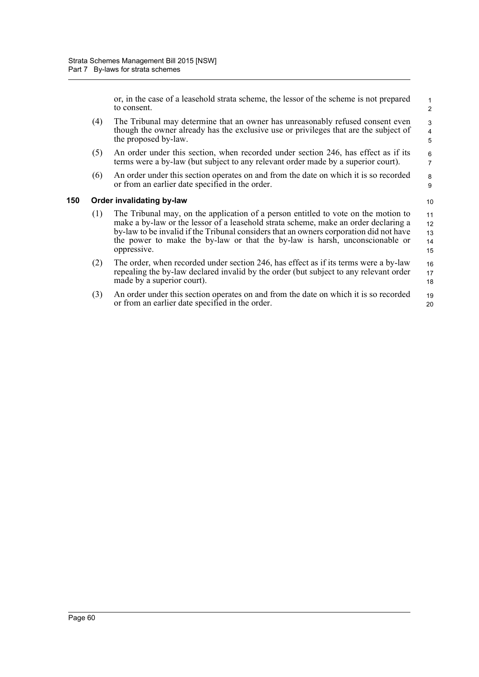or, in the case of a leasehold strata scheme, the lessor of the scheme is not prepared to consent.

- (4) The Tribunal may determine that an owner has unreasonably refused consent even though the owner already has the exclusive use or privileges that are the subject of the proposed by-law.
- (5) An order under this section, when recorded under section 246, has effect as if its terms were a by-law (but subject to any relevant order made by a superior court).
- (6) An order under this section operates on and from the date on which it is so recorded or from an earlier date specified in the order.

#### **150 Order invalidating by-law**

10

- (1) The Tribunal may, on the application of a person entitled to vote on the motion to make a by-law or the lessor of a leasehold strata scheme, make an order declaring a by-law to be invalid if the Tribunal considers that an owners corporation did not have the power to make the by-law or that the by-law is harsh, unconscionable or oppressive. 11 12 13 14 15
- (2) The order, when recorded under section 246, has effect as if its terms were a by-law repealing the by-law declared invalid by the order (but subject to any relevant order made by a superior court). 16 17 18
- (3) An order under this section operates on and from the date on which it is so recorded or from an earlier date specified in the order. 19 20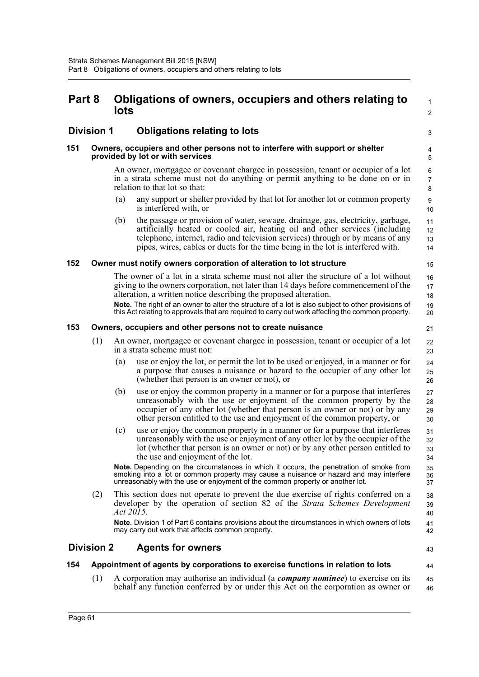# **Part 8 Obligations of owners, occupiers and others relating to lots**

# **Division 1 Obligations relating to lots**

#### **151 Owners, occupiers and other persons not to interfere with support or shelter provided by lot or with services**

An owner, mortgagee or covenant chargee in possession, tenant or occupier of a lot in a strata scheme must not do anything or permit anything to be done on or in relation to that lot so that:

- (a) any support or shelter provided by that lot for another lot or common property is interfered with, or
- (b) the passage or provision of water, sewage, drainage, gas, electricity, garbage, artificially heated or cooled air, heating oil and other services (including telephone, internet, radio and television services) through or by means of any pipes, wires, cables or ducts for the time being in the lot is interfered with.

#### **152 Owner must notify owners corporation of alteration to lot structure**

The owner of a lot in a strata scheme must not alter the structure of a lot without giving to the owners corporation, not later than 14 days before commencement of the alteration, a written notice describing the proposed alteration.

**Note.** The right of an owner to alter the structure of a lot is also subject to other provisions of this Act relating to approvals that are required to carry out work affecting the common property.

#### **153 Owners, occupiers and other persons not to create nuisance**

- (1) An owner, mortgagee or covenant chargee in possession, tenant or occupier of a lot in a strata scheme must not:
	- (a) use or enjoy the lot, or permit the lot to be used or enjoyed, in a manner or for a purpose that causes a nuisance or hazard to the occupier of any other lot (whether that person is an owner or not), or
	- (b) use or enjoy the common property in a manner or for a purpose that interferes unreasonably with the use or enjoyment of the common property by the occupier of any other lot (whether that person is an owner or not) or by any other person entitled to the use and enjoyment of the common property, or 27 28 29 30
	- (c) use or enjoy the common property in a manner or for a purpose that interferes unreasonably with the use or enjoyment of any other lot by the occupier of the lot (whether that person is an owner or not) or by any other person entitled to the use and enjoyment of the lot.

**Note.** Depending on the circumstances in which it occurs, the penetration of smoke from smoking into a lot or common property may cause a nuisance or hazard and may interfere unreasonably with the use or enjoyment of the common property or another lot.

(2) This section does not operate to prevent the due exercise of rights conferred on a developer by the operation of section 82 of the *Strata Schemes Development Act 2015*. 38 39 40

**Note.** Division 1 of Part 6 contains provisions about the circumstances in which owners of lots may carry out work that affects common property.

## **Division 2 Agents for owners**

43

41 42

44

 1  $\overline{2}$ 

3

### **154 Appointment of agents by corporations to exercise functions in relation to lots**

(1) A corporation may authorise an individual (a *company nominee*) to exercise on its behalf any function conferred by or under this Act on the corporation as owner or 45 46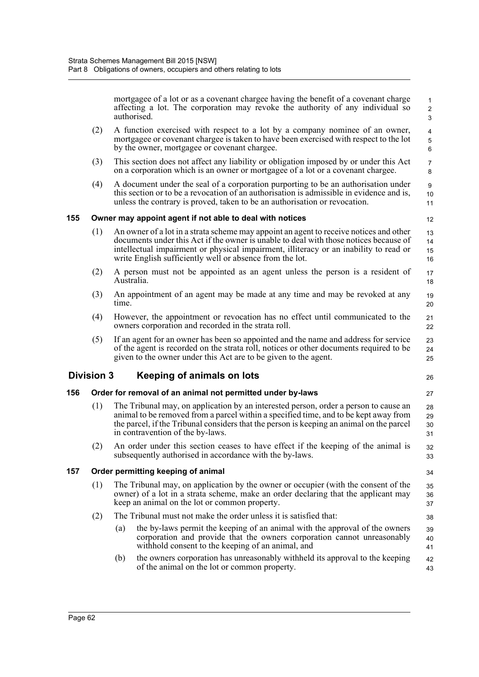mortgagee of a lot or as a covenant chargee having the benefit of a covenant charge affecting a lot. The corporation may revoke the authority of any individual so authorised.

- (2) A function exercised with respect to a lot by a company nominee of an owner, mortgagee or covenant chargee is taken to have been exercised with respect to the lot by the owner, mortgagee or covenant chargee.
- (3) This section does not affect any liability or obligation imposed by or under this Act on a corporation which is an owner or mortgagee of a lot or a covenant chargee.
- (4) A document under the seal of a corporation purporting to be an authorisation under this section or to be a revocation of an authorisation is admissible in evidence and is, unless the contrary is proved, taken to be an authorisation or revocation.

#### **155 Owner may appoint agent if not able to deal with notices**

- (1) An owner of a lot in a strata scheme may appoint an agent to receive notices and other documents under this Act if the owner is unable to deal with those notices because of intellectual impairment or physical impairment, illiteracy or an inability to read or write English sufficiently well or absence from the lot. 13 14 15 16
- (2) A person must not be appointed as an agent unless the person is a resident of Australia. 17 18
- (3) An appointment of an agent may be made at any time and may be revoked at any time. 19 20
- (4) However, the appointment or revocation has no effect until communicated to the owners corporation and recorded in the strata roll. 21 22
- (5) If an agent for an owner has been so appointed and the name and address for service of the agent is recorded on the strata roll, notices or other documents required to be given to the owner under this Act are to be given to the agent. 23 24 25

## **Division 3 Keeping of animals on lots**

26 27

34

38

12

### **156 Order for removal of an animal not permitted under by-laws**

- (1) The Tribunal may, on application by an interested person, order a person to cause an animal to be removed from a parcel within a specified time, and to be kept away from the parcel, if the Tribunal considers that the person is keeping an animal on the parcel in contravention of the by-laws. 28 29 30 31
- (2) An order under this section ceases to have effect if the keeping of the animal is subsequently authorised in accordance with the by-laws. 32 33

### **157 Order permitting keeping of animal**

- (1) The Tribunal may, on application by the owner or occupier (with the consent of the owner) of a lot in a strata scheme, make an order declaring that the applicant may keep an animal on the lot or common property. 35 36 37
- (2) The Tribunal must not make the order unless it is satisfied that:
	- (a) the by-laws permit the keeping of an animal with the approval of the owners corporation and provide that the owners corporation cannot unreasonably withhold consent to the keeping of an animal, and 39 40 41
	- (b) the owners corporation has unreasonably withheld its approval to the keeping of the animal on the lot or common property. 42 43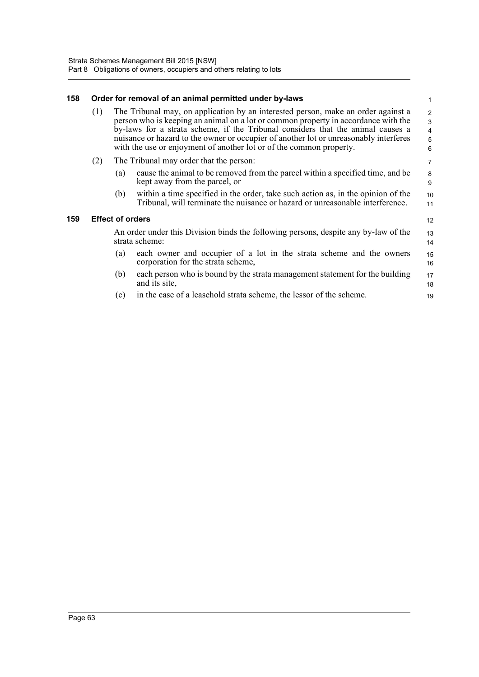#### **158 Order for removal of an animal permitted under by-laws**

| (1) | The Tribunal may, on application by an interested person, make an order against a<br>person who is keeping an animal on a lot or common property in accordance with the<br>by-laws for a strata scheme, if the Tribunal considers that the animal causes a<br>nuisance or hazard to the owner or occupier of another lot or unreasonably interferes<br>with the use or enjoyment of another lot or of the common property. | $\overline{2}$<br>$\mathbf{3}$<br>$\overline{4}$<br>-5<br>6 |
|-----|----------------------------------------------------------------------------------------------------------------------------------------------------------------------------------------------------------------------------------------------------------------------------------------------------------------------------------------------------------------------------------------------------------------------------|-------------------------------------------------------------|
|-----|----------------------------------------------------------------------------------------------------------------------------------------------------------------------------------------------------------------------------------------------------------------------------------------------------------------------------------------------------------------------------------------------------------------------------|-------------------------------------------------------------|

1

12

19

- (2) The Tribunal may order that the person:
	- (a) cause the animal to be removed from the parcel within a specified time, and be kept away from the parcel, or
	- (b) within a time specified in the order, take such action as, in the opinion of the Tribunal, will terminate the nuisance or hazard or unreasonable interference.

#### **159 Effect of orders**

An order under this Division binds the following persons, despite any by-law of the strata scheme: 13 14

- (a) each owner and occupier of a lot in the strata scheme and the owners corporation for the strata scheme, 15 16
- (b) each person who is bound by the strata management statement for the building and its site, 17 18
- (c) in the case of a leasehold strata scheme, the lessor of the scheme.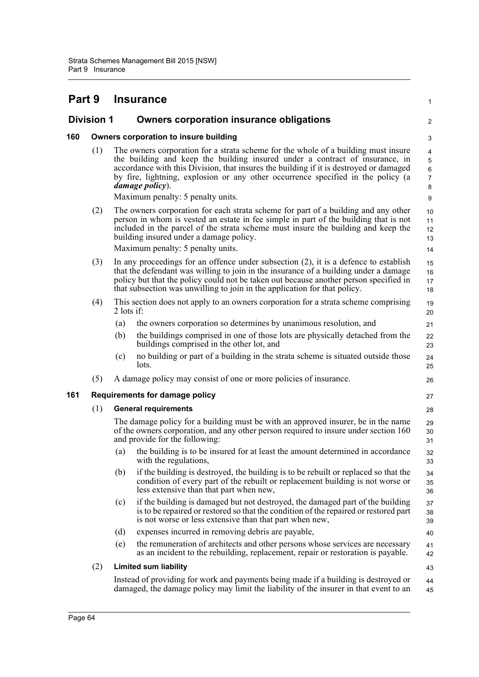#### **Part 9 Insurance Division 1 Owners corporation insurance obligations 160 Owners corporation to insure building** (1) The owners corporation for a strata scheme for the whole of a building must insure the building and keep the building insured under a contract of insurance, in accordance with this Division, that insures the building if it is destroyed or damaged by fire, lightning, explosion or any other occurrence specified in the policy (a *damage policy*). Maximum penalty: 5 penalty units. (2) The owners corporation for each strata scheme for part of a building and any other person in whom is vested an estate in fee simple in part of the building that is not included in the parcel of the strata scheme must insure the building and keep the building insured under a damage policy. Maximum penalty: 5 penalty units. (3) In any proceedings for an offence under subsection (2), it is a defence to establish that the defendant was willing to join in the insurance of a building under a damage policy but that the policy could not be taken out because another person specified in that subsection was unwilling to join in the application for that policy. (4) This section does not apply to an owners corporation for a strata scheme comprising 2 lots if: (a) the owners corporation so determines by unanimous resolution, and (b) the buildings comprised in one of those lots are physically detached from the buildings comprised in the other lot, and (c) no building or part of a building in the strata scheme is situated outside those lots. (5) A damage policy may consist of one or more policies of insurance. **161 Requirements for damage policy** (1) **General requirements** The damage policy for a building must be with an approved insurer, be in the name of the owners corporation, and any other person required to insure under section 160 and provide for the following: (a) the building is to be insured for at least the amount determined in accordance with the regulations, (b) if the building is destroyed, the building is to be rebuilt or replaced so that the condition of every part of the rebuilt or replacement building is not worse or less extensive than that part when new, (c) if the building is damaged but not destroyed, the damaged part of the building is to be repaired or restored so that the condition of the repaired or restored part is not worse or less extensive than that part when new, (d) expenses incurred in removing debris are payable, (e) the remuneration of architects and other persons whose services are necessary as an incident to the rebuilding, replacement, repair or restoration is payable. (2) **Limited sum liability** Instead of providing for work and payments being made if a building is destroyed or damaged, the damage policy may limit the liability of the insurer in that event to an 1 2 3 4 5 6 7 8 9 10 11 12 13 14 15 16 17 18 19 20 21 22 23 24 25 26 27 28 29 30 31 32 33 34 35 36 37 38 39 40 41 42 43 44 45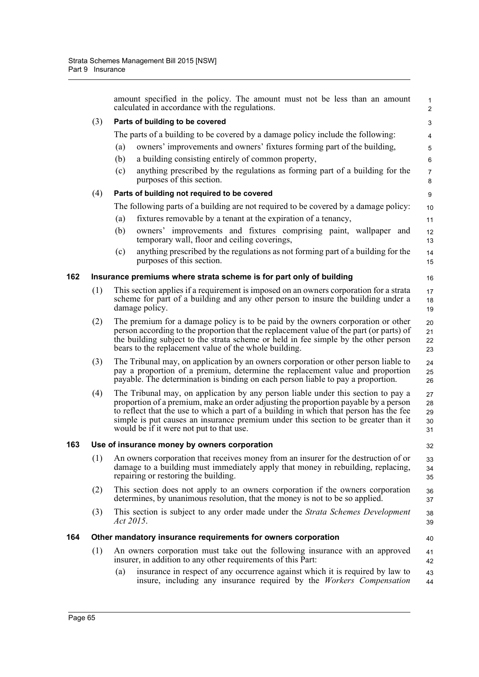|     |     | amount specified in the policy. The amount must not be less than an amount<br>calculated in accordance with the regulations.                                                                                                                                                                                                                                                                         | $\mathbf{1}$<br>2          |
|-----|-----|------------------------------------------------------------------------------------------------------------------------------------------------------------------------------------------------------------------------------------------------------------------------------------------------------------------------------------------------------------------------------------------------------|----------------------------|
|     | (3) | Parts of building to be covered                                                                                                                                                                                                                                                                                                                                                                      | 3                          |
|     |     | The parts of a building to be covered by a damage policy include the following:                                                                                                                                                                                                                                                                                                                      | 4                          |
|     |     | owners' improvements and owners' fixtures forming part of the building,<br>(a)                                                                                                                                                                                                                                                                                                                       | 5                          |
|     |     | (b)<br>a building consisting entirely of common property,                                                                                                                                                                                                                                                                                                                                            | $\,6\,$                    |
|     |     | anything prescribed by the regulations as forming part of a building for the<br>(c)                                                                                                                                                                                                                                                                                                                  | $\overline{7}$             |
|     |     | purposes of this section.                                                                                                                                                                                                                                                                                                                                                                            | 8                          |
|     | (4) | Parts of building not required to be covered                                                                                                                                                                                                                                                                                                                                                         | $\boldsymbol{9}$           |
|     |     | The following parts of a building are not required to be covered by a damage policy:                                                                                                                                                                                                                                                                                                                 | 10                         |
|     |     | fixtures removable by a tenant at the expiration of a tenancy,<br>(a)                                                                                                                                                                                                                                                                                                                                | 11                         |
|     |     | owners' improvements and fixtures comprising paint, wallpaper and<br>(b)<br>temporary wall, floor and ceiling coverings,                                                                                                                                                                                                                                                                             | 12<br>13                   |
|     |     | anything prescribed by the regulations as not forming part of a building for the<br>(c)<br>purposes of this section.                                                                                                                                                                                                                                                                                 | 14<br>15                   |
| 162 |     | Insurance premiums where strata scheme is for part only of building                                                                                                                                                                                                                                                                                                                                  | 16                         |
|     | (1) | This section applies if a requirement is imposed on an owners corporation for a strata<br>scheme for part of a building and any other person to insure the building under a<br>damage policy.                                                                                                                                                                                                        | 17<br>18<br>19             |
|     | (2) | The premium for a damage policy is to be paid by the owners corporation or other<br>person according to the proportion that the replacement value of the part (or parts) of<br>the building subject to the strata scheme or held in fee simple by the other person<br>bears to the replacement value of the whole building.                                                                          | 20<br>21<br>22<br>23       |
|     | (3) | The Tribunal may, on application by an owners corporation or other person liable to<br>pay a proportion of a premium, determine the replacement value and proportion<br>payable. The determination is binding on each person liable to pay a proportion.                                                                                                                                             | 24<br>25<br>26             |
|     | (4) | The Tribunal may, on application by any person liable under this section to pay a<br>proportion of a premium, make an order adjusting the proportion payable by a person<br>to reflect that the use to which a part of a building in which that person has the fee<br>simple is put causes an insurance premium under this section to be greater than it<br>would be if it were not put to that use. | 27<br>28<br>29<br>30<br>31 |
| 163 |     | Use of insurance money by owners corporation                                                                                                                                                                                                                                                                                                                                                         | 32                         |
|     | (1) | An owners corporation that receives money from an insurer for the destruction of or<br>damage to a building must immediately apply that money in rebuilding, replacing,<br>repairing or restoring the building.                                                                                                                                                                                      | 33<br>34<br>35             |
|     | (2) | This section does not apply to an owners corporation if the owners corporation<br>determines, by unanimous resolution, that the money is not to be so applied.                                                                                                                                                                                                                                       | 36<br>37                   |
|     | (3) | This section is subject to any order made under the <i>Strata Schemes Development</i><br>Act 2015.                                                                                                                                                                                                                                                                                                   | 38<br>39                   |
| 164 |     | Other mandatory insurance requirements for owners corporation                                                                                                                                                                                                                                                                                                                                        | 40                         |
|     | (1) | An owners corporation must take out the following insurance with an approved<br>insurer, in addition to any other requirements of this Part:                                                                                                                                                                                                                                                         | 41<br>42                   |
|     |     | insurance in respect of any occurrence against which it is required by law to<br>(a)<br>insure, including any insurance required by the <i>Workers Compensation</i>                                                                                                                                                                                                                                  | 43<br>44                   |
|     |     |                                                                                                                                                                                                                                                                                                                                                                                                      |                            |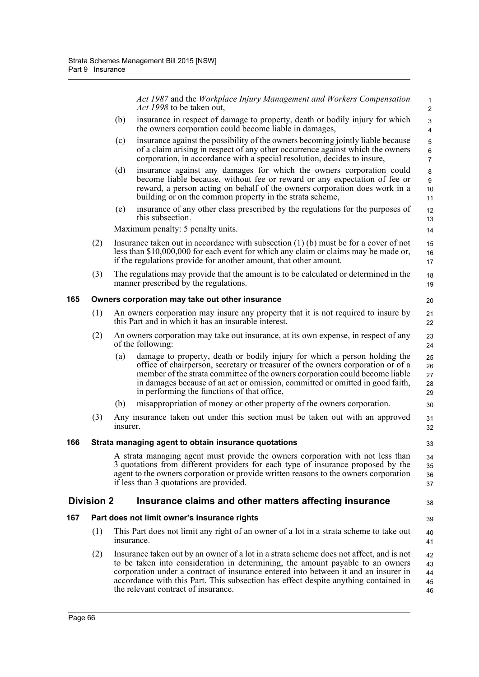*Act 1987* and the *Workplace Injury Management and Workers Compensation Act 1998* to be taken out,

30

33

38 39

- (b) insurance in respect of damage to property, death or bodily injury for which the owners corporation could become liable in damages,
- (c) insurance against the possibility of the owners becoming jointly liable because of a claim arising in respect of any other occurrence against which the owners corporation, in accordance with a special resolution, decides to insure,
- (d) insurance against any damages for which the owners corporation could become liable because, without fee or reward or any expectation of fee or reward, a person acting on behalf of the owners corporation does work in a building or on the common property in the strata scheme,
- (e) insurance of any other class prescribed by the regulations for the purposes of this subsection.

Maximum penalty: 5 penalty units.

- (2) Insurance taken out in accordance with subsection (1) (b) must be for a cover of not less than \$10,000,000 for each event for which any claim or claims may be made or, if the regulations provide for another amount, that other amount.
- (3) The regulations may provide that the amount is to be calculated or determined in the manner prescribed by the regulations. 18 19

### **165 Owners corporation may take out other insurance**

- (1) An owners corporation may insure any property that it is not required to insure by this Part and in which it has an insurable interest.
- (2) An owners corporation may take out insurance, at its own expense, in respect of any of the following:
	- (a) damage to property, death or bodily injury for which a person holding the office of chairperson, secretary or treasurer of the owners corporation or of a member of the strata committee of the owners corporation could become liable in damages because of an act or omission, committed or omitted in good faith, in performing the functions of that office, 25 26 27 28 29
	- (b) misappropriation of money or other property of the owners corporation.
- (3) Any insurance taken out under this section must be taken out with an approved insurer. 31 32

#### **166 Strata managing agent to obtain insurance quotations**

A strata managing agent must provide the owners corporation with not less than 3 quotations from different providers for each type of insurance proposed by the agent to the owners corporation or provide written reasons to the owners corporation if less than 3 quotations are provided.  $34$  $35$ 36 37

### **Division 2 Insurance claims and other matters affecting insurance**

### **167 Part does not limit owner's insurance rights**

- (1) This Part does not limit any right of an owner of a lot in a strata scheme to take out insurance. 40 41
- (2) Insurance taken out by an owner of a lot in a strata scheme does not affect, and is not to be taken into consideration in determining, the amount payable to an owners corporation under a contract of insurance entered into between it and an insurer in accordance with this Part. This subsection has effect despite anything contained in the relevant contract of insurance. 42 43 44 45 46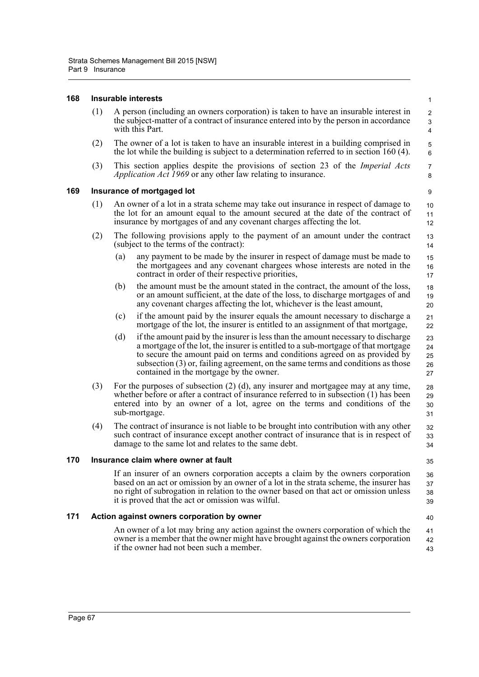#### **168 Insurable interests**

| (1) | A person (including an owners corporation) is taken to have an insurable interest in<br>the subject-matter of a contract of insurance entered into by the person in accordance<br>with this Part. |
|-----|---------------------------------------------------------------------------------------------------------------------------------------------------------------------------------------------------|
|-----|---------------------------------------------------------------------------------------------------------------------------------------------------------------------------------------------------|

- (2) The owner of a lot is taken to have an insurable interest in a building comprised in the lot while the building is subject to a determination referred to in section 160 (4).
- (3) This section applies despite the provisions of section 23 of the *Imperial Acts Application Act 1969* or any other law relating to insurance.

#### **169 Insurance of mortgaged lot**

- (1) An owner of a lot in a strata scheme may take out insurance in respect of damage to the lot for an amount equal to the amount secured at the date of the contract of insurance by mortgages of and any covenant charges affecting the lot.
- (2) The following provisions apply to the payment of an amount under the contract (subject to the terms of the contract): 13 14
	- (a) any payment to be made by the insurer in respect of damage must be made to the mortgagees and any covenant chargees whose interests are noted in the contract in order of their respective priorities,
	- (b) the amount must be the amount stated in the contract, the amount of the loss, or an amount sufficient, at the date of the loss, to discharge mortgages of and any covenant charges affecting the lot, whichever is the least amount,
	- (c) if the amount paid by the insurer equals the amount necessary to discharge a mortgage of the lot, the insurer is entitled to an assignment of that mortgage,
	- (d) if the amount paid by the insurer is less than the amount necessary to discharge a mortgage of the lot, the insurer is entitled to a sub-mortgage of that mortgage to secure the amount paid on terms and conditions agreed on as provided by subsection (3) or, failing agreement, on the same terms and conditions as those contained in the mortgage by the owner. 23 24 25 26 27
- (3) For the purposes of subsection (2) (d), any insurer and mortgagee may at any time, whether before or after a contract of insurance referred to in subsection (1) has been entered into by an owner of a lot, agree on the terms and conditions of the sub-mortgage. 28 29 30 31
- (4) The contract of insurance is not liable to be brought into contribution with any other such contract of insurance except another contract of insurance that is in respect of damage to the same lot and relates to the same debt. 32 33 34

#### **170 Insurance claim where owner at fault**

35

40

If an insurer of an owners corporation accepts a claim by the owners corporation based on an act or omission by an owner of a lot in the strata scheme, the insurer has no right of subrogation in relation to the owner based on that act or omission unless it is proved that the act or omission was wilful. 36 37 38 39

#### **171 Action against owners corporation by owner**

An owner of a lot may bring any action against the owners corporation of which the owner is a member that the owner might have brought against the owners corporation if the owner had not been such a member. 41 42 43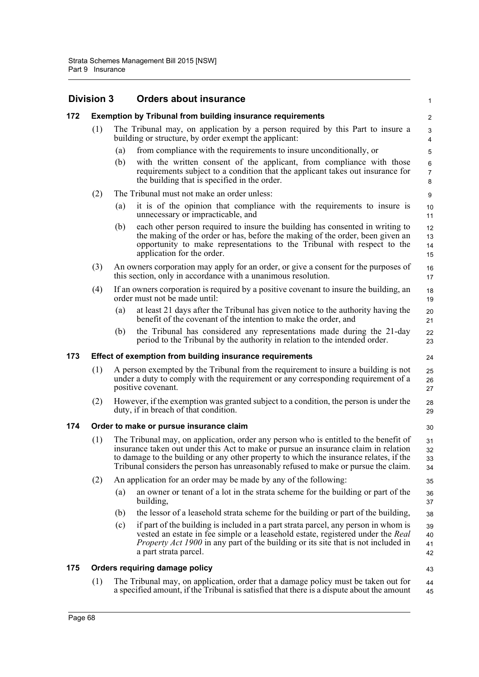|     | <b>Division 3</b>                       |     | <b>Orders about insurance</b>                                                                                                                                                                                                                                                                                                                                | $\mathbf{1}$             |  |  |
|-----|-----------------------------------------|-----|--------------------------------------------------------------------------------------------------------------------------------------------------------------------------------------------------------------------------------------------------------------------------------------------------------------------------------------------------------------|--------------------------|--|--|
| 172 |                                         |     | <b>Exemption by Tribunal from building insurance requirements</b>                                                                                                                                                                                                                                                                                            | 2                        |  |  |
|     | (1)                                     |     | The Tribunal may, on application by a person required by this Part to insure a<br>building or structure, by order exempt the applicant:                                                                                                                                                                                                                      | 3<br>4                   |  |  |
|     |                                         | (a) | from compliance with the requirements to insure unconditionally, or                                                                                                                                                                                                                                                                                          | 5                        |  |  |
|     |                                         | (b) | with the written consent of the applicant, from compliance with those<br>requirements subject to a condition that the applicant takes out insurance for<br>the building that is specified in the order.                                                                                                                                                      | 6<br>$\overline{7}$<br>8 |  |  |
|     | (2)                                     |     | The Tribunal must not make an order unless:                                                                                                                                                                                                                                                                                                                  | 9                        |  |  |
|     |                                         | (a) | it is of the opinion that compliance with the requirements to insure is<br>unnecessary or impracticable, and                                                                                                                                                                                                                                                 | 10<br>11                 |  |  |
|     |                                         | (b) | each other person required to insure the building has consented in writing to<br>the making of the order or has, before the making of the order, been given an<br>opportunity to make representations to the Tribunal with respect to the<br>application for the order.                                                                                      | 12<br>13<br>14<br>15     |  |  |
|     | (3)                                     |     | An owners corporation may apply for an order, or give a consent for the purposes of<br>this section, only in accordance with a unanimous resolution.                                                                                                                                                                                                         | 16<br>17                 |  |  |
|     | (4)                                     |     | If an owners corporation is required by a positive covenant to insure the building, an<br>order must not be made until:                                                                                                                                                                                                                                      | 18<br>19                 |  |  |
|     |                                         | (a) | at least 21 days after the Tribunal has given notice to the authority having the<br>benefit of the covenant of the intention to make the order, and                                                                                                                                                                                                          | 20<br>21                 |  |  |
|     |                                         | (b) | the Tribunal has considered any representations made during the 21-day<br>period to the Tribunal by the authority in relation to the intended order.                                                                                                                                                                                                         | 22<br>23                 |  |  |
| 173 |                                         |     | Effect of exemption from building insurance requirements                                                                                                                                                                                                                                                                                                     | 24                       |  |  |
|     | (1)                                     |     | A person exempted by the Tribunal from the requirement to insure a building is not<br>under a duty to comply with the requirement or any corresponding requirement of a<br>positive covenant.                                                                                                                                                                | 25<br>26<br>27           |  |  |
|     | (2)                                     |     | However, if the exemption was granted subject to a condition, the person is under the<br>duty, if in breach of that condition.                                                                                                                                                                                                                               | 28<br>29                 |  |  |
| 174 | Order to make or pursue insurance claim |     |                                                                                                                                                                                                                                                                                                                                                              |                          |  |  |
|     | (1)                                     |     | The Tribunal may, on application, order any person who is entitled to the benefit of<br>insurance taken out under this Act to make or pursue an insurance claim in relation<br>to damage to the building or any other property to which the insurance relates, if the<br>Tribunal considers the person has unreasonably refused to make or pursue the claim. | 31<br>32<br>33<br>34     |  |  |
|     | (2)                                     |     | An application for an order may be made by any of the following:                                                                                                                                                                                                                                                                                             | 35                       |  |  |
|     |                                         | (a) | an owner or tenant of a lot in the strata scheme for the building or part of the<br>building,                                                                                                                                                                                                                                                                | 36<br>37                 |  |  |
|     |                                         | (b) | the lessor of a leasehold strata scheme for the building or part of the building,                                                                                                                                                                                                                                                                            | 38                       |  |  |
|     |                                         | (c) | if part of the building is included in a part strata parcel, any person in whom is<br>vested an estate in fee simple or a leasehold estate, registered under the Real<br><i>Property Act 1900</i> in any part of the building or its site that is not included in<br>a part strata parcel.                                                                   | 39<br>40<br>41<br>42     |  |  |
| 175 |                                         |     | Orders requiring damage policy                                                                                                                                                                                                                                                                                                                               | 43                       |  |  |
|     | (1)                                     |     | The Tribunal may, on application, order that a damage policy must be taken out for<br>a specified amount, if the Tribunal is satisfied that there is a dispute about the amount                                                                                                                                                                              | 44<br>45                 |  |  |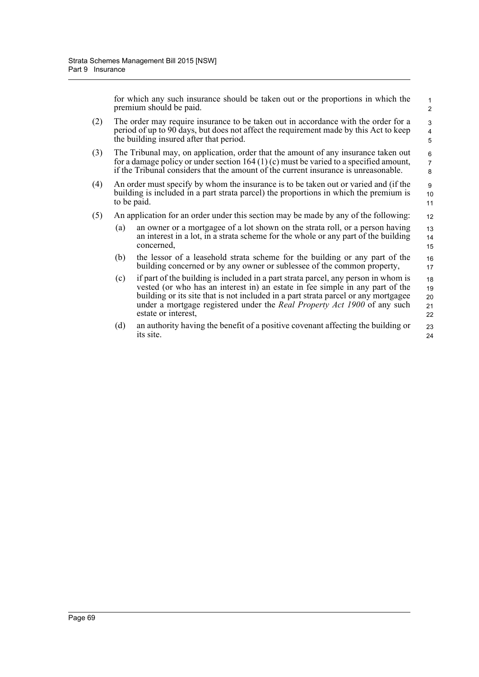for which any such insurance should be taken out or the proportions in which the premium should be paid.

16 17

- (2) The order may require insurance to be taken out in accordance with the order for a period of up to 90 days, but does not affect the requirement made by this Act to keep the building insured after that period.
- (3) The Tribunal may, on application, order that the amount of any insurance taken out for a damage policy or under section 164 (1) (c) must be varied to a specified amount, if the Tribunal considers that the amount of the current insurance is unreasonable.
- (4) An order must specify by whom the insurance is to be taken out or varied and (if the building is included in a part strata parcel) the proportions in which the premium is to be paid.
- (5) An application for an order under this section may be made by any of the following:
	- (a) an owner or a mortgagee of a lot shown on the strata roll, or a person having an interest in a lot, in a strata scheme for the whole or any part of the building concerned, 13 14 15
	- (b) the lessor of a leasehold strata scheme for the building or any part of the building concerned or by any owner or sublessee of the common property,
	- (c) if part of the building is included in a part strata parcel, any person in whom is vested (or who has an interest in) an estate in fee simple in any part of the building or its site that is not included in a part strata parcel or any mortgagee under a mortgage registered under the *Real Property Act 1900* of any such estate or interest, 18 19 20 21 22
	- (d) an authority having the benefit of a positive covenant affecting the building or its site.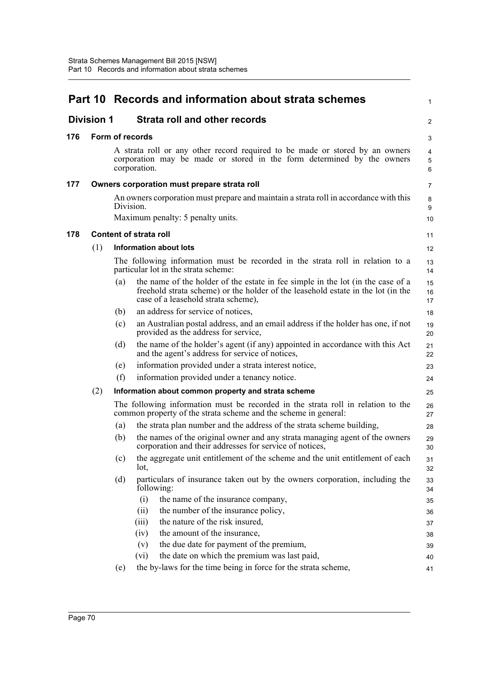|     |                   |                 | Part 10 Records and information about strata schemes                                                                                                                                                       | $\mathbf{1}$             |
|-----|-------------------|-----------------|------------------------------------------------------------------------------------------------------------------------------------------------------------------------------------------------------------|--------------------------|
|     | <b>Division 1</b> |                 | <b>Strata roll and other records</b>                                                                                                                                                                       | 2                        |
| 176 |                   | Form of records |                                                                                                                                                                                                            | 3                        |
|     |                   |                 | A strata roll or any other record required to be made or stored by an owners<br>corporation may be made or stored in the form determined by the owners<br>corporation.                                     | $\overline{4}$<br>5<br>6 |
| 177 |                   |                 | Owners corporation must prepare strata roll                                                                                                                                                                | $\overline{7}$           |
|     |                   | Division.       | An owners corporation must prepare and maintain a strata roll in accordance with this<br>Maximum penalty: 5 penalty units.                                                                                 | 8<br>9<br>10             |
| 178 |                   |                 | <b>Content of strata roll</b>                                                                                                                                                                              | 11                       |
|     | (1)               |                 | Information about lots                                                                                                                                                                                     | 12                       |
|     |                   |                 | The following information must be recorded in the strata roll in relation to a<br>particular lot in the strata scheme:                                                                                     | 13<br>14                 |
|     |                   | (a)             | the name of the holder of the estate in fee simple in the lot (in the case of a<br>freehold strata scheme) or the holder of the leasehold estate in the lot (in the<br>case of a leasehold strata scheme), | 15<br>16<br>17           |
|     |                   | (b)             | an address for service of notices,                                                                                                                                                                         | 18                       |
|     |                   | (c)             | an Australian postal address, and an email address if the holder has one, if not<br>provided as the address for service,                                                                                   | 19<br>20                 |
|     |                   | (d)             | the name of the holder's agent (if any) appointed in accordance with this Act<br>and the agent's address for service of notices,                                                                           | 21<br>22                 |
|     |                   | (e)             | information provided under a strata interest notice,                                                                                                                                                       | 23                       |
|     |                   | (f)             | information provided under a tenancy notice.                                                                                                                                                               | 24                       |
|     | (2)               |                 | Information about common property and strata scheme                                                                                                                                                        | 25                       |
|     |                   |                 | The following information must be recorded in the strata roll in relation to the<br>common property of the strata scheme and the scheme in general:                                                        | 26<br>27                 |
|     |                   | (a)             | the strata plan number and the address of the strata scheme building,                                                                                                                                      | 28                       |
|     |                   | (b)             | the names of the original owner and any strata managing agent of the owners<br>corporation and their addresses for service of notices,                                                                     | 29<br>30                 |
|     |                   | (c)             | the aggregate unit entitlement of the scheme and the unit entitlement of each<br>lot.                                                                                                                      | 31<br>32                 |
|     |                   | (d)             | particulars of insurance taken out by the owners corporation, including the<br>following:                                                                                                                  | 33<br>34                 |
|     |                   |                 | (i)<br>the name of the insurance company,                                                                                                                                                                  | 35                       |
|     |                   |                 | the number of the insurance policy,<br>(ii)                                                                                                                                                                | 36                       |
|     |                   |                 | the nature of the risk insured,<br>(iii)                                                                                                                                                                   | 37                       |
|     |                   |                 | the amount of the insurance,<br>(iv)<br>the due date for payment of the premium,<br>(v)                                                                                                                    | 38                       |
|     |                   |                 | the date on which the premium was last paid,<br>(vi)                                                                                                                                                       | 39<br>40                 |
|     |                   | (e)             | the by-laws for the time being in force for the strata scheme,                                                                                                                                             | 41                       |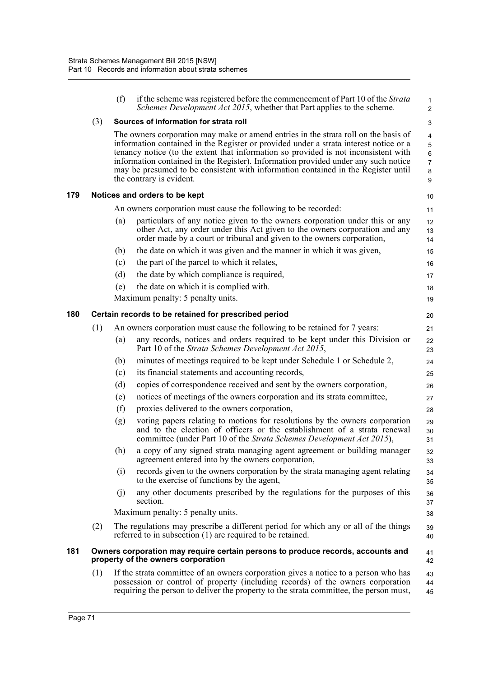|     |     | (f) | if the scheme was registered before the commencement of Part 10 of the Strata<br>Schemes Development Act 2015, whether that Part applies to the scheme.                                                                                                                                                                                                                                                                                                                    | $\mathbf{1}$<br>$\overline{2}$                    |
|-----|-----|-----|----------------------------------------------------------------------------------------------------------------------------------------------------------------------------------------------------------------------------------------------------------------------------------------------------------------------------------------------------------------------------------------------------------------------------------------------------------------------------|---------------------------------------------------|
|     | (3) |     | Sources of information for strata roll                                                                                                                                                                                                                                                                                                                                                                                                                                     | 3                                                 |
|     |     |     | The owners corporation may make or amend entries in the strata roll on the basis of<br>information contained in the Register or provided under a strata interest notice or a<br>tenancy notice (to the extent that information so provided is not inconsistent with<br>information contained in the Register). Information provided under any such notice<br>may be presumed to be consistent with information contained in the Register until<br>the contrary is evident. | 4<br>$\mathbf 5$<br>6<br>$\overline{7}$<br>8<br>9 |
| 179 |     |     | Notices and orders to be kept                                                                                                                                                                                                                                                                                                                                                                                                                                              | 10                                                |
|     |     |     | An owners corporation must cause the following to be recorded:                                                                                                                                                                                                                                                                                                                                                                                                             | 11                                                |
|     |     | (a) | particulars of any notice given to the owners corporation under this or any<br>other Act, any order under this Act given to the owners corporation and any<br>order made by a court or tribunal and given to the owners corporation,                                                                                                                                                                                                                                       | 12<br>13<br>14                                    |
|     |     | (b) | the date on which it was given and the manner in which it was given,                                                                                                                                                                                                                                                                                                                                                                                                       | 15                                                |
|     |     | (c) | the part of the parcel to which it relates,                                                                                                                                                                                                                                                                                                                                                                                                                                | 16                                                |
|     |     | (d) | the date by which compliance is required,                                                                                                                                                                                                                                                                                                                                                                                                                                  | 17                                                |
|     |     | (e) | the date on which it is complied with.                                                                                                                                                                                                                                                                                                                                                                                                                                     | 18                                                |
|     |     |     | Maximum penalty: 5 penalty units.                                                                                                                                                                                                                                                                                                                                                                                                                                          | 19                                                |
| 180 |     |     | Certain records to be retained for prescribed period                                                                                                                                                                                                                                                                                                                                                                                                                       | 20                                                |
|     | (1) |     | An owners corporation must cause the following to be retained for 7 years:                                                                                                                                                                                                                                                                                                                                                                                                 | 21                                                |
|     |     | (a) | any records, notices and orders required to be kept under this Division or<br>Part 10 of the Strata Schemes Development Act 2015,                                                                                                                                                                                                                                                                                                                                          | 22<br>23                                          |
|     |     | (b) | minutes of meetings required to be kept under Schedule 1 or Schedule 2,                                                                                                                                                                                                                                                                                                                                                                                                    | 24                                                |
|     |     | (c) | its financial statements and accounting records,                                                                                                                                                                                                                                                                                                                                                                                                                           | 25                                                |
|     |     | (d) | copies of correspondence received and sent by the owners corporation,                                                                                                                                                                                                                                                                                                                                                                                                      | 26                                                |
|     |     | (e) | notices of meetings of the owners corporation and its strata committee,                                                                                                                                                                                                                                                                                                                                                                                                    | 27                                                |
|     |     | (f) | proxies delivered to the owners corporation,                                                                                                                                                                                                                                                                                                                                                                                                                               | 28                                                |
|     |     | (g) | voting papers relating to motions for resolutions by the owners corporation<br>and to the election of officers or the establishment of a strata renewal<br>committee (under Part 10 of the Strata Schemes Development Act 2015),                                                                                                                                                                                                                                           | 29<br>30<br>31                                    |
|     |     |     | (h) a copy of any signed strata managing agent agreement or building manager<br>agreement entered into by the owners corporation,                                                                                                                                                                                                                                                                                                                                          | 32<br>33                                          |
|     |     | (i) | records given to the owners corporation by the strata managing agent relating<br>to the exercise of functions by the agent,                                                                                                                                                                                                                                                                                                                                                | 34<br>35                                          |
|     |     | (i) | any other documents prescribed by the regulations for the purposes of this<br>section.                                                                                                                                                                                                                                                                                                                                                                                     | 36<br>37                                          |
|     |     |     | Maximum penalty: 5 penalty units.                                                                                                                                                                                                                                                                                                                                                                                                                                          | 38                                                |
|     | (2) |     | The regulations may prescribe a different period for which any or all of the things<br>referred to in subsection (1) are required to be retained.                                                                                                                                                                                                                                                                                                                          | 39<br>40                                          |
| 181 |     |     | Owners corporation may require certain persons to produce records, accounts and<br>property of the owners corporation                                                                                                                                                                                                                                                                                                                                                      | 41<br>42                                          |
|     | (1) |     | If the strata committee of an owners corporation gives a notice to a person who has<br>possession or control of property (including records) of the owners corporation<br>requiring the person to deliver the property to the strata committee, the person must,                                                                                                                                                                                                           | 43<br>44<br>45                                    |
|     |     |     |                                                                                                                                                                                                                                                                                                                                                                                                                                                                            |                                                   |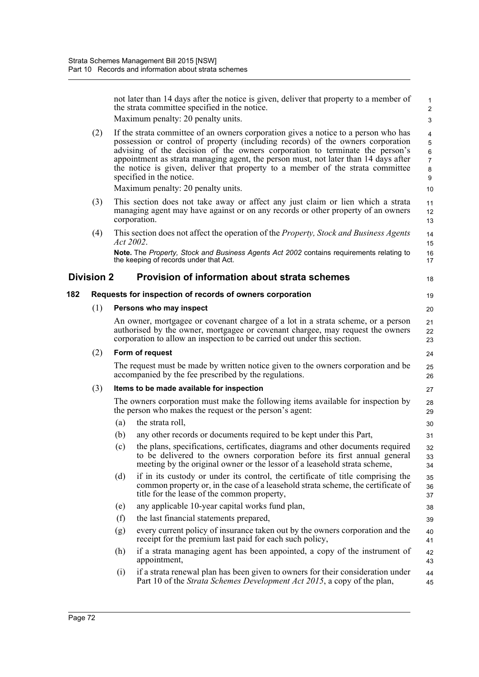|     |                   |           | not later than 14 days after the notice is given, deliver that property to a member of<br>the strata committee specified in the notice.                                                                                                                                                                                                                                                                                                                                                           | $\mathbf{1}$<br>$\overline{c}$                                     |
|-----|-------------------|-----------|---------------------------------------------------------------------------------------------------------------------------------------------------------------------------------------------------------------------------------------------------------------------------------------------------------------------------------------------------------------------------------------------------------------------------------------------------------------------------------------------------|--------------------------------------------------------------------|
|     |                   |           | Maximum penalty: 20 penalty units.                                                                                                                                                                                                                                                                                                                                                                                                                                                                | $\mathsf 3$                                                        |
|     | (2)               |           | If the strata committee of an owners corporation gives a notice to a person who has<br>possession or control of property (including records) of the owners corporation<br>advising of the decision of the owners corporation to terminate the person's<br>appointment as strata managing agent, the person must, not later than 14 days after<br>the notice is given, deliver that property to a member of the strata committee<br>specified in the notice.<br>Maximum penalty: 20 penalty units. | 4<br>5<br>$\,6\,$<br>$\overline{7}$<br>8<br>$\boldsymbol{9}$<br>10 |
|     | (3)               |           | This section does not take away or affect any just claim or lien which a strata<br>managing agent may have against or on any records or other property of an owners<br>corporation.                                                                                                                                                                                                                                                                                                               | 11<br>12<br>13                                                     |
|     | (4)               | Act 2002. | This section does not affect the operation of the <i>Property</i> , <i>Stock and Business Agents</i>                                                                                                                                                                                                                                                                                                                                                                                              | 14<br>15                                                           |
|     |                   |           | Note. The Property, Stock and Business Agents Act 2002 contains requirements relating to<br>the keeping of records under that Act.                                                                                                                                                                                                                                                                                                                                                                | 16<br>17                                                           |
|     | <b>Division 2</b> |           | <b>Provision of information about strata schemes</b>                                                                                                                                                                                                                                                                                                                                                                                                                                              | 18                                                                 |
| 182 |                   |           | Requests for inspection of records of owners corporation                                                                                                                                                                                                                                                                                                                                                                                                                                          | 19                                                                 |
|     | (1)               |           | Persons who may inspect                                                                                                                                                                                                                                                                                                                                                                                                                                                                           | 20                                                                 |
|     |                   |           | An owner, mortgagee or covenant chargee of a lot in a strata scheme, or a person<br>authorised by the owner, mortgagee or covenant chargee, may request the owners<br>corporation to allow an inspection to be carried out under this section.                                                                                                                                                                                                                                                    | 21<br>22<br>23                                                     |
|     | (2)               |           | Form of request                                                                                                                                                                                                                                                                                                                                                                                                                                                                                   | 24                                                                 |
|     |                   |           | The request must be made by written notice given to the owners corporation and be<br>accompanied by the fee prescribed by the regulations.                                                                                                                                                                                                                                                                                                                                                        | 25<br>26                                                           |
|     | (3)               |           | Items to be made available for inspection                                                                                                                                                                                                                                                                                                                                                                                                                                                         | 27                                                                 |
|     |                   |           | The owners corporation must make the following items available for inspection by<br>the person who makes the request or the person's agent:                                                                                                                                                                                                                                                                                                                                                       | 28<br>29                                                           |
|     |                   | (a)       | the strata roll,                                                                                                                                                                                                                                                                                                                                                                                                                                                                                  | 30                                                                 |
|     |                   | (b)       | any other records or documents required to be kept under this Part,                                                                                                                                                                                                                                                                                                                                                                                                                               | 31                                                                 |
|     |                   | (c)       | the plans, specifications, certificates, diagrams and other documents required<br>to be delivered to the owners corporation before its first annual general<br>meeting by the original owner or the lessor of a leasehold strata scheme,                                                                                                                                                                                                                                                          | 32<br>33<br>34                                                     |
|     |                   | (d)       | if in its custody or under its control, the certificate of title comprising the<br>common property or, in the case of a leasehold strata scheme, the certificate of<br>title for the lease of the common property,                                                                                                                                                                                                                                                                                | 35<br>36<br>37                                                     |
|     |                   | (e)       | any applicable 10-year capital works fund plan,                                                                                                                                                                                                                                                                                                                                                                                                                                                   | 38                                                                 |
|     |                   | (f)       | the last financial statements prepared,                                                                                                                                                                                                                                                                                                                                                                                                                                                           | 39                                                                 |
|     |                   | (g)       | every current policy of insurance taken out by the owners corporation and the<br>receipt for the premium last paid for each such policy,                                                                                                                                                                                                                                                                                                                                                          | 40<br>41                                                           |
|     |                   | (h)       | if a strata managing agent has been appointed, a copy of the instrument of<br>appointment,                                                                                                                                                                                                                                                                                                                                                                                                        | 42<br>43                                                           |
|     |                   | (i)       | if a strata renewal plan has been given to owners for their consideration under<br>Part 10 of the <i>Strata Schemes Development Act 2015</i> , a copy of the plan,                                                                                                                                                                                                                                                                                                                                | 44<br>45                                                           |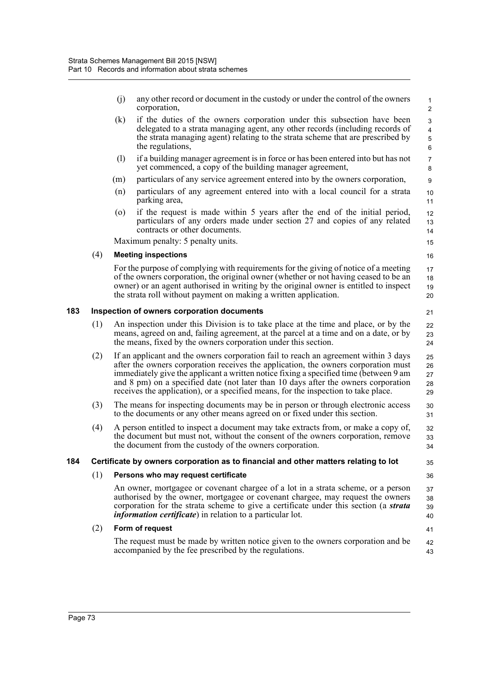|     |     | (j) | any other record or document in the custody or under the control of the owners<br>corporation,                                                                                                                                                                                                                                                                                                                                                 | 1<br>2                                                 |
|-----|-----|-----|------------------------------------------------------------------------------------------------------------------------------------------------------------------------------------------------------------------------------------------------------------------------------------------------------------------------------------------------------------------------------------------------------------------------------------------------|--------------------------------------------------------|
|     |     | (k) | if the duties of the owners corporation under this subsection have been<br>delegated to a strata managing agent, any other records (including records of<br>the strata managing agent) relating to the strata scheme that are prescribed by<br>the regulations,                                                                                                                                                                                | 3<br>$\overline{\mathbf{4}}$<br>$\mathbf 5$<br>$\,6\,$ |
|     |     | (1) | if a building manager agreement is in force or has been entered into but has not<br>yet commenced, a copy of the building manager agreement,                                                                                                                                                                                                                                                                                                   | $\overline{7}$<br>8                                    |
|     |     | (m) | particulars of any service agreement entered into by the owners corporation,                                                                                                                                                                                                                                                                                                                                                                   | $\boldsymbol{9}$                                       |
|     |     | (n) | particulars of any agreement entered into with a local council for a strata<br>parking area,                                                                                                                                                                                                                                                                                                                                                   | $10$<br>11                                             |
|     |     | (0) | if the request is made within 5 years after the end of the initial period,<br>particulars of any orders made under section 27 and copies of any related<br>contracts or other documents.                                                                                                                                                                                                                                                       | 12<br>13<br>14                                         |
|     |     |     | Maximum penalty: 5 penalty units.                                                                                                                                                                                                                                                                                                                                                                                                              | 15                                                     |
|     | (4) |     | <b>Meeting inspections</b>                                                                                                                                                                                                                                                                                                                                                                                                                     | 16                                                     |
|     |     |     | For the purpose of complying with requirements for the giving of notice of a meeting<br>of the owners corporation, the original owner (whether or not having ceased to be an<br>owner) or an agent authorised in writing by the original owner is entitled to inspect<br>the strata roll without payment on making a written application.                                                                                                      | 17<br>18<br>19<br>20                                   |
| 183 |     |     | Inspection of owners corporation documents                                                                                                                                                                                                                                                                                                                                                                                                     | 21                                                     |
|     | (1) |     | An inspection under this Division is to take place at the time and place, or by the<br>means, agreed on and, failing agreement, at the parcel at a time and on a date, or by<br>the means, fixed by the owners corporation under this section.                                                                                                                                                                                                 | 22<br>23<br>24                                         |
|     | (2) |     | If an applicant and the owners corporation fail to reach an agreement within 3 days<br>after the owners corporation receives the application, the owners corporation must<br>immediately give the applicant a written notice fixing a specified time (between 9 am<br>and 8 pm) on a specified date (not later than 10 days after the owners corporation<br>receives the application), or a specified means, for the inspection to take place. | 25<br>26<br>27<br>28<br>29                             |
|     | (3) |     | The means for inspecting documents may be in person or through electronic access<br>to the documents or any other means agreed on or fixed under this section.                                                                                                                                                                                                                                                                                 | 30<br>31                                               |
|     | (4) |     | A person entitled to inspect a document may take extracts from, or make a copy of,<br>the document but must not, without the consent of the owners corporation, remove<br>the document from the custody of the owners corporation.                                                                                                                                                                                                             | 32<br>33<br>34                                         |
| 184 |     |     | Certificate by owners corporation as to financial and other matters relating to lot                                                                                                                                                                                                                                                                                                                                                            | 35                                                     |
|     | (1) |     | Persons who may request certificate                                                                                                                                                                                                                                                                                                                                                                                                            | 36                                                     |
|     |     |     | An owner, mortgagee or covenant chargee of a lot in a strata scheme, or a person<br>authorised by the owner, mortgagee or covenant chargee, may request the owners<br>corporation for the strata scheme to give a certificate under this section (a <i>strata</i><br><i>information certificate</i> ) in relation to a particular lot.                                                                                                         | 37<br>38<br>39<br>40                                   |
|     | (2) |     | Form of request                                                                                                                                                                                                                                                                                                                                                                                                                                | 41                                                     |
|     |     |     | The request must be made by written notice given to the owners corporation and be<br>accompanied by the fee prescribed by the regulations.                                                                                                                                                                                                                                                                                                     | 42<br>43                                               |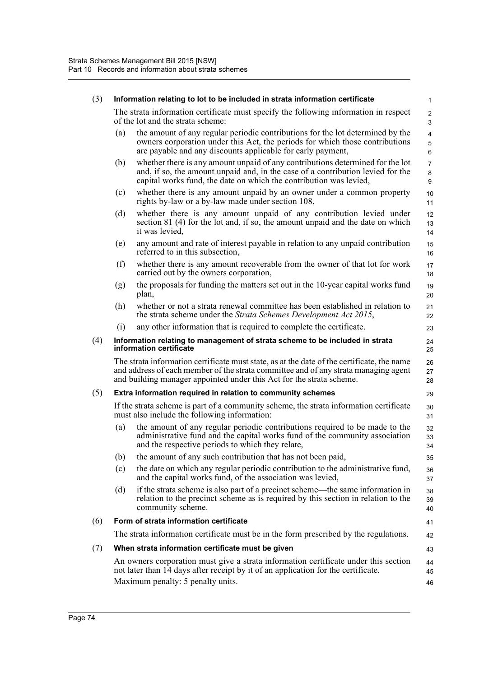| (3) |     | Information relating to lot to be included in strata information certificate                                                                                                                                                                              | $\mathbf{1}$             |
|-----|-----|-----------------------------------------------------------------------------------------------------------------------------------------------------------------------------------------------------------------------------------------------------------|--------------------------|
|     |     | The strata information certificate must specify the following information in respect<br>of the lot and the strata scheme:                                                                                                                                 | 2<br>3                   |
|     | (a) | the amount of any regular periodic contributions for the lot determined by the<br>owners corporation under this Act, the periods for which those contributions<br>are payable and any discounts applicable for early payment,                             | $\overline{4}$<br>5<br>6 |
|     | (b) | whether there is any amount unpaid of any contributions determined for the lot<br>and, if so, the amount unpaid and, in the case of a contribution levied for the<br>capital works fund, the date on which the contribution was levied,                   | $\overline{7}$<br>8<br>9 |
|     | (c) | whether there is any amount unpaid by an owner under a common property<br>rights by-law or a by-law made under section 108,                                                                                                                               | 10<br>11                 |
|     | (d) | whether there is any amount unpaid of any contribution levied under<br>section 81 (4) for the lot and, if so, the amount unpaid and the date on which<br>it was levied,                                                                                   | 12<br>13<br>14           |
|     | (e) | any amount and rate of interest payable in relation to any unpaid contribution<br>referred to in this subsection,                                                                                                                                         | 15<br>16                 |
|     | (f) | whether there is any amount recoverable from the owner of that lot for work<br>carried out by the owners corporation,                                                                                                                                     | 17<br>18                 |
|     | (g) | the proposals for funding the matters set out in the 10-year capital works fund<br>plan,                                                                                                                                                                  | 19<br>20                 |
|     | (h) | whether or not a strata renewal committee has been established in relation to<br>the strata scheme under the Strata Schemes Development Act 2015,                                                                                                         | 21<br>22                 |
|     | (i) | any other information that is required to complete the certificate.                                                                                                                                                                                       | 23                       |
| (4) |     | Information relating to management of strata scheme to be included in strata<br>information certificate                                                                                                                                                   | 24<br>25                 |
|     |     | The strata information certificate must state, as at the date of the certificate, the name<br>and address of each member of the strata committee and of any strata managing agent<br>and building manager appointed under this Act for the strata scheme. | 26<br>27<br>28           |
| (5) |     | Extra information required in relation to community schemes                                                                                                                                                                                               | 29                       |
|     |     | If the strata scheme is part of a community scheme, the strata information certificate<br>must also include the following information:                                                                                                                    | 30<br>31                 |
|     | (a) | the amount of any regular periodic contributions required to be made to the<br>administrative fund and the capital works fund of the community association<br>and the respective periods to which they relate,                                            | 32<br>33<br>34           |
|     | (b) | the amount of any such contribution that has not been paid,                                                                                                                                                                                               | 35                       |
|     | (c) | the date on which any regular periodic contribution to the administrative fund,<br>and the capital works fund, of the association was levied,                                                                                                             | 36<br>37                 |
|     | (d) | if the strata scheme is also part of a precinct scheme—the same information in<br>relation to the precinct scheme as is required by this section in relation to the<br>community scheme.                                                                  | 38<br>39<br>40           |
| (6) |     | Form of strata information certificate                                                                                                                                                                                                                    | 41                       |
|     |     | The strata information certificate must be in the form prescribed by the regulations.                                                                                                                                                                     | 42                       |
| (7) |     | When strata information certificate must be given                                                                                                                                                                                                         | 43                       |
|     |     | An owners corporation must give a strata information certificate under this section<br>not later than 14 days after receipt by it of an application for the certificate.<br>Maximum penalty: 5 penalty units.                                             | 44<br>45                 |
|     |     |                                                                                                                                                                                                                                                           | 46                       |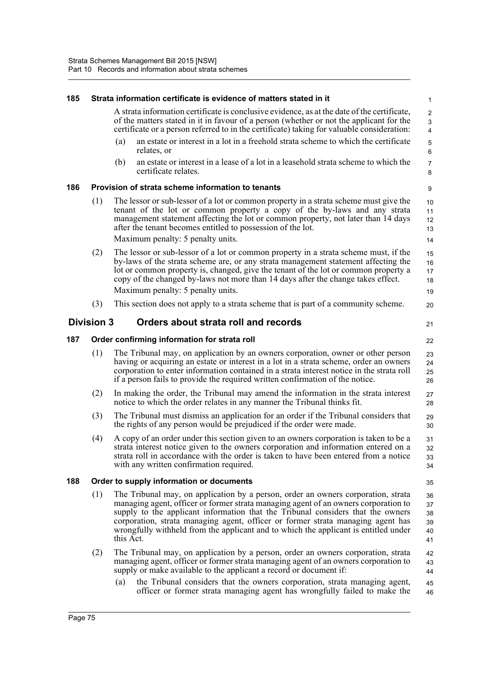| 185 |                   |           | Strata information certificate is evidence of matters stated in it                                                                                                                                                                                                                                                                                                                                                                    | $\mathbf{1}$                          |
|-----|-------------------|-----------|---------------------------------------------------------------------------------------------------------------------------------------------------------------------------------------------------------------------------------------------------------------------------------------------------------------------------------------------------------------------------------------------------------------------------------------|---------------------------------------|
|     |                   |           | A strata information certificate is conclusive evidence, as at the date of the certificate,<br>of the matters stated in it in favour of a person (whether or not the applicant for the<br>certificate or a person referred to in the certificate) taking for valuable consideration:                                                                                                                                                  | $\overline{c}$<br>3<br>$\overline{4}$ |
|     |                   | (a)       | an estate or interest in a lot in a freehold strata scheme to which the certificate<br>relates, or                                                                                                                                                                                                                                                                                                                                    | 5<br>$\,6\,$                          |
|     |                   | (b)       | an estate or interest in a lease of a lot in a leasehold strata scheme to which the<br>certificate relates.                                                                                                                                                                                                                                                                                                                           | $\overline{7}$<br>8                   |
| 186 |                   |           | Provision of strata scheme information to tenants                                                                                                                                                                                                                                                                                                                                                                                     | 9                                     |
|     | (1)               |           | The lessor or sub-lessor of a lot or common property in a strata scheme must give the<br>tenant of the lot or common property a copy of the by-laws and any strata<br>management statement affecting the lot or common property, not later than 14 days<br>after the tenant becomes entitled to possession of the lot.                                                                                                                | 10<br>11<br>12<br>13                  |
|     |                   |           | Maximum penalty: 5 penalty units.                                                                                                                                                                                                                                                                                                                                                                                                     | 14                                    |
|     | (2)               |           | The lessor or sub-lessor of a lot or common property in a strata scheme must, if the<br>by-laws of the strata scheme are, or any strata management statement affecting the<br>lot or common property is, changed, give the tenant of the lot or common property a<br>copy of the changed by-laws not more than 14 days after the change takes effect.<br>Maximum penalty: 5 penalty units.                                            | 15<br>16<br>17<br>18<br>19            |
|     | (3)               |           | This section does not apply to a strata scheme that is part of a community scheme.                                                                                                                                                                                                                                                                                                                                                    | 20                                    |
|     | <b>Division 3</b> |           | Orders about strata roll and records                                                                                                                                                                                                                                                                                                                                                                                                  | 21                                    |
| 187 |                   |           | Order confirming information for strata roll                                                                                                                                                                                                                                                                                                                                                                                          | 22                                    |
|     | (1)               |           | The Tribunal may, on application by an owners corporation, owner or other person<br>having or acquiring an estate or interest in a lot in a strata scheme, order an owners<br>corporation to enter information contained in a strata interest notice in the strata roll<br>if a person fails to provide the required written confirmation of the notice.                                                                              | 23<br>24<br>25<br>26                  |
|     | (2)               |           | In making the order, the Tribunal may amend the information in the strata interest<br>notice to which the order relates in any manner the Tribunal thinks fit.                                                                                                                                                                                                                                                                        | 27<br>28                              |
|     | (3)               |           | The Tribunal must dismiss an application for an order if the Tribunal considers that<br>the rights of any person would be prejudiced if the order were made.                                                                                                                                                                                                                                                                          | 29<br>30                              |
|     | (4)               |           | A copy of an order under this section given to an owners corporation is taken to be a<br>strata interest notice given to the owners corporation and information entered on a<br>strata roll in accordance with the order is taken to have been entered from a notice<br>with any written confirmation required.                                                                                                                       | 31<br>32<br>33<br>34                  |
| 188 |                   |           | Order to supply information or documents                                                                                                                                                                                                                                                                                                                                                                                              | 35                                    |
|     | (1)               | this Act. | The Tribunal may, on application by a person, order an owners corporation, strata<br>managing agent, officer or former strata managing agent of an owners corporation to<br>supply to the applicant information that the Tribunal considers that the owners<br>corporation, strata managing agent, officer or former strata managing agent has<br>wrongfully withheld from the applicant and to which the applicant is entitled under | 36<br>37<br>38<br>39<br>40<br>41      |
|     | (2)               |           | The Tribunal may, on application by a person, order an owners corporation, strata<br>managing agent, officer or former strata managing agent of an owners corporation to<br>supply or make available to the applicant a record or document if:                                                                                                                                                                                        | 42<br>43<br>44                        |
|     |                   | (a)       | the Tribunal considers that the owners corporation, strata managing agent,<br>officer or former strata managing agent has wrongfully failed to make the                                                                                                                                                                                                                                                                               | 45<br>46                              |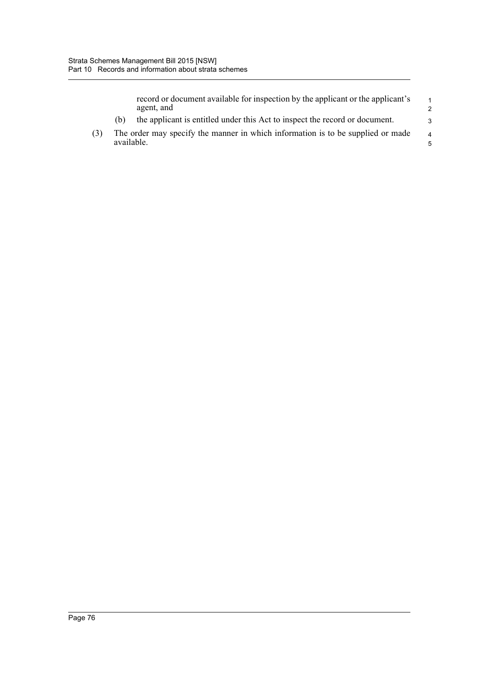|     |            | record or document available for inspection by the applicant or the applicant's<br>agent, and | $\overline{1}$<br>$\mathcal{P}$ |
|-----|------------|-----------------------------------------------------------------------------------------------|---------------------------------|
|     | (h)        | the applicant is entitled under this Act to inspect the record or document.                   | $\mathcal{R}$                   |
| (3) | available. | The order may specify the manner in which information is to be supplied or made               | $\overline{4}$<br>.5            |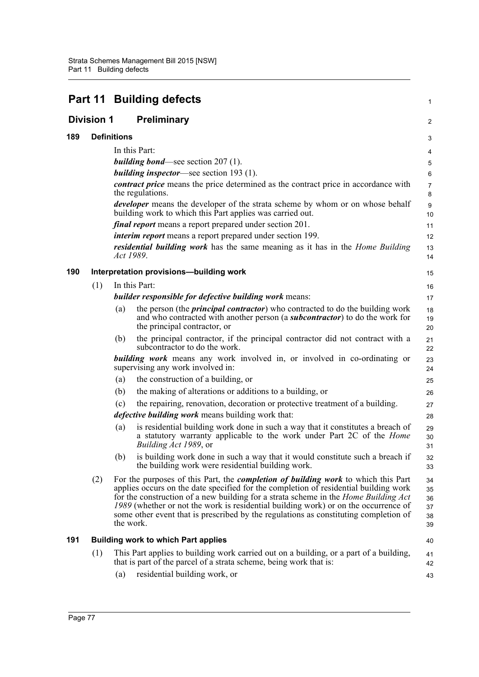|                   |                    | Part 11 Building defects                                                                                                                                                                                                                                                                                                                                                                                                                                            | 1                                |
|-------------------|--------------------|---------------------------------------------------------------------------------------------------------------------------------------------------------------------------------------------------------------------------------------------------------------------------------------------------------------------------------------------------------------------------------------------------------------------------------------------------------------------|----------------------------------|
| <b>Division 1</b> |                    | Preliminary                                                                                                                                                                                                                                                                                                                                                                                                                                                         | 2                                |
| 189               | <b>Definitions</b> |                                                                                                                                                                                                                                                                                                                                                                                                                                                                     | 3                                |
|                   |                    | In this Part:                                                                                                                                                                                                                                                                                                                                                                                                                                                       | 4                                |
|                   |                    | <i>building bond</i> —see section $207(1)$ .                                                                                                                                                                                                                                                                                                                                                                                                                        | 5                                |
|                   |                    | <i>building inspector</i> —see section $193$ (1).                                                                                                                                                                                                                                                                                                                                                                                                                   | 6                                |
|                   |                    | contract price means the price determined as the contract price in accordance with<br>the regulations.                                                                                                                                                                                                                                                                                                                                                              | $\overline{7}$<br>8              |
|                   |                    | <i>developer</i> means the developer of the strata scheme by whom or on whose behalf<br>building work to which this Part applies was carried out.                                                                                                                                                                                                                                                                                                                   | 9<br>10                          |
|                   |                    | <i>final report</i> means a report prepared under section 201.                                                                                                                                                                                                                                                                                                                                                                                                      | 11                               |
|                   |                    | <i>interim report</i> means a report prepared under section 199.                                                                                                                                                                                                                                                                                                                                                                                                    | 12                               |
|                   |                    | residential building work has the same meaning as it has in the <i>Home Building</i><br>Act 1989.                                                                                                                                                                                                                                                                                                                                                                   | 13<br>14                         |
| 190               |                    | Interpretation provisions-building work                                                                                                                                                                                                                                                                                                                                                                                                                             | 15                               |
|                   | (1)                | In this Part:                                                                                                                                                                                                                                                                                                                                                                                                                                                       | 16                               |
|                   |                    | builder responsible for defective building work means:                                                                                                                                                                                                                                                                                                                                                                                                              | 17                               |
|                   |                    | the person (the <i>principal contractor</i> ) who contracted to do the building work<br>(a)<br>and who contracted with another person (a <b>subcontractor</b> ) to do the work for<br>the principal contractor, or                                                                                                                                                                                                                                                  | 18<br>19<br>20                   |
|                   |                    | the principal contractor, if the principal contractor did not contract with a<br>(b)<br>subcontractor to do the work.                                                                                                                                                                                                                                                                                                                                               | 21<br>22                         |
|                   |                    | <b>building work</b> means any work involved in, or involved in co-ordinating or<br>supervising any work involved in:                                                                                                                                                                                                                                                                                                                                               | 23<br>24                         |
|                   |                    | the construction of a building, or<br>(a)                                                                                                                                                                                                                                                                                                                                                                                                                           | 25                               |
|                   |                    | the making of alterations or additions to a building, or<br>(b)                                                                                                                                                                                                                                                                                                                                                                                                     | 26                               |
|                   |                    | the repairing, renovation, decoration or protective treatment of a building.<br>(c)                                                                                                                                                                                                                                                                                                                                                                                 | 27                               |
|                   |                    | <i>defective building work</i> means building work that:                                                                                                                                                                                                                                                                                                                                                                                                            | 28                               |
|                   |                    | is residential building work done in such a way that it constitutes a breach of<br>(a)<br>a statutory warranty applicable to the work under Part 2C of the <i>Home</i><br>Building Act 1989, or                                                                                                                                                                                                                                                                     | 29<br>30<br>31                   |
|                   |                    | is building work done in such a way that it would constitute such a breach if<br>(b)<br>the building work were residential building work.                                                                                                                                                                                                                                                                                                                           | 32<br>33                         |
|                   | (2)                | For the purposes of this Part, the <i>completion of building work</i> to which this Part<br>applies occurs on the date specified for the completion of residential building work<br>for the construction of a new building for a strata scheme in the Home Building Act<br>1989 (whether or not the work is residential building work) or on the occurrence of<br>some other event that is prescribed by the regulations as constituting completion of<br>the work. | 34<br>35<br>36<br>37<br>38<br>39 |
| 191               |                    | <b>Building work to which Part applies</b>                                                                                                                                                                                                                                                                                                                                                                                                                          | 40                               |
|                   | (1)                | This Part applies to building work carried out on a building, or a part of a building,<br>that is part of the parcel of a strata scheme, being work that is:                                                                                                                                                                                                                                                                                                        | 41<br>42                         |
|                   |                    | residential building work, or<br>(a)                                                                                                                                                                                                                                                                                                                                                                                                                                | 43                               |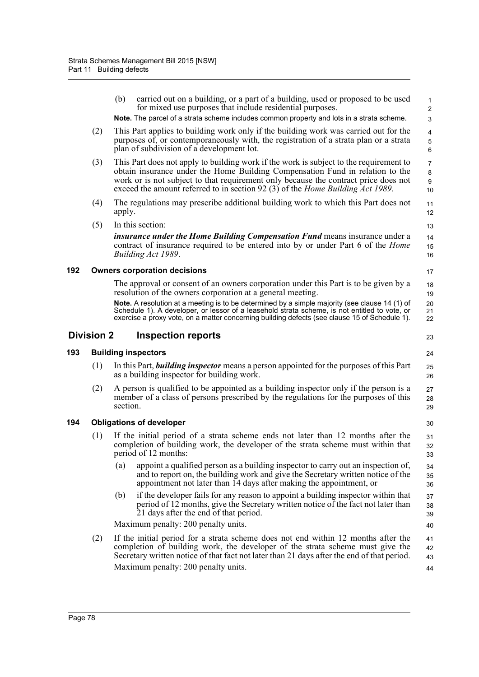|     |                                     | (b)<br>carried out on a building, or a part of a building, used or proposed to be used<br>for mixed use purposes that include residential purposes.<br>Note. The parcel of a strata scheme includes common property and lots in a strata scheme.                                                                                                 | $\mathbf{1}$<br>2<br>3 |  |  |
|-----|-------------------------------------|--------------------------------------------------------------------------------------------------------------------------------------------------------------------------------------------------------------------------------------------------------------------------------------------------------------------------------------------------|------------------------|--|--|
|     | (2)                                 | This Part applies to building work only if the building work was carried out for the<br>purposes of, or contemporaneously with, the registration of a strata plan or a strata<br>plan of subdivision of a development lot.                                                                                                                       | 4<br>$\mathbf 5$<br>6  |  |  |
|     | (3)                                 | This Part does not apply to building work if the work is subject to the requirement to<br>obtain insurance under the Home Building Compensation Fund in relation to the<br>work or is not subject to that requirement only because the contract price does not<br>exceed the amount referred to in section 92 (3) of the Home Building Act 1989. | 7<br>8<br>9<br>10      |  |  |
|     | (4)                                 | The regulations may prescribe additional building work to which this Part does not<br>apply.                                                                                                                                                                                                                                                     | 11<br>12               |  |  |
|     | (5)                                 | In this section:                                                                                                                                                                                                                                                                                                                                 | 13                     |  |  |
|     |                                     | insurance under the Home Building Compensation Fund means insurance under a<br>contract of insurance required to be entered into by or under Part 6 of the <i>Home</i><br>Building Act 1989.                                                                                                                                                     | 14<br>15<br>16         |  |  |
| 192 | <b>Owners corporation decisions</b> |                                                                                                                                                                                                                                                                                                                                                  |                        |  |  |
|     |                                     | The approval or consent of an owners corporation under this Part is to be given by a<br>resolution of the owners corporation at a general meeting.                                                                                                                                                                                               | 18<br>19               |  |  |
|     |                                     | Note. A resolution at a meeting is to be determined by a simple majority (see clause 14 (1) of<br>Schedule 1). A developer, or lessor of a leasehold strata scheme, is not entitled to vote, or<br>exercise a proxy vote, on a matter concerning building defects (see clause 15 of Schedule 1).                                                 | 20<br>21<br>22         |  |  |
|     | <b>Division 2</b>                   | <b>Inspection reports</b>                                                                                                                                                                                                                                                                                                                        | 23                     |  |  |
| 193 |                                     | <b>Building inspectors</b>                                                                                                                                                                                                                                                                                                                       | 24                     |  |  |
|     | (1)                                 | In this Part, <b>building inspector</b> means a person appointed for the purposes of this Part<br>as a building inspector for building work.                                                                                                                                                                                                     | 25<br>26               |  |  |
|     | (2)                                 | A person is qualified to be appointed as a building inspector only if the person is a<br>member of a class of persons prescribed by the regulations for the purposes of this<br>section.                                                                                                                                                         | 27<br>28<br>29         |  |  |
| 194 |                                     | <b>Obligations of developer</b>                                                                                                                                                                                                                                                                                                                  | 30                     |  |  |
|     | (1)                                 | If the initial period of a strata scheme ends not later than 12 months after the<br>completion of building work, the developer of the strata scheme must within that<br>period of 12 months:                                                                                                                                                     | 31<br>32<br>33         |  |  |
|     |                                     | appoint a qualified person as a building inspector to carry out an inspection of,<br>(a)                                                                                                                                                                                                                                                         | 34<br>35               |  |  |
|     |                                     | and to report on, the building work and give the Secretary written notice of the<br>appointment not later than 14 days after making the appointment, or                                                                                                                                                                                          | 36                     |  |  |
|     |                                     | if the developer fails for any reason to appoint a building inspector within that<br>(b)<br>period of 12 months, give the Secretary written notice of the fact not later than<br>21 days after the end of that period.                                                                                                                           | 37<br>38<br>39         |  |  |
|     |                                     | Maximum penalty: 200 penalty units.                                                                                                                                                                                                                                                                                                              | 40                     |  |  |
|     | (2)                                 | If the initial period for a strata scheme does not end within 12 months after the<br>completion of building work, the developer of the strata scheme must give the<br>Secretary written notice of that fact not later than 21 days after the end of that period.<br>Maximum penalty: 200 penalty units.                                          | 41<br>42<br>43         |  |  |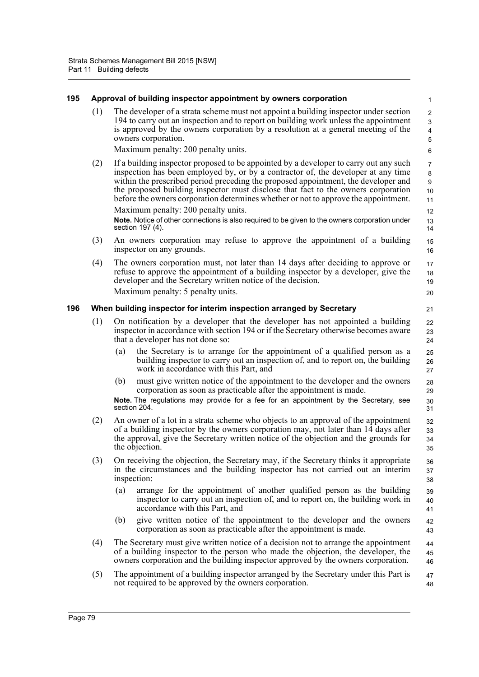| 195 |     |     | Approval of building inspector appointment by owners corporation                                                                                                                                                                                                                                                                                                                                                                                                                                                                                                                                          | $\mathbf{1}$                                                              |
|-----|-----|-----|-----------------------------------------------------------------------------------------------------------------------------------------------------------------------------------------------------------------------------------------------------------------------------------------------------------------------------------------------------------------------------------------------------------------------------------------------------------------------------------------------------------------------------------------------------------------------------------------------------------|---------------------------------------------------------------------------|
|     | (1) |     | The developer of a strata scheme must not appoint a building inspector under section<br>194 to carry out an inspection and to report on building work unless the appointment<br>is approved by the owners corporation by a resolution at a general meeting of the<br>owners corporation.<br>Maximum penalty: 200 penalty units.                                                                                                                                                                                                                                                                           | $\overline{c}$<br>$\mathbf{3}$<br>$\overline{\mathbf{4}}$<br>5<br>$\,6\,$ |
|     | (2) |     | If a building inspector proposed to be appointed by a developer to carry out any such<br>inspection has been employed by, or by a contractor of, the developer at any time<br>within the prescribed period preceding the proposed appointment, the developer and<br>the proposed building inspector must disclose that fact to the owners corporation<br>before the owners corporation determines whether or not to approve the appointment.<br>Maximum penalty: 200 penalty units.<br>Note. Notice of other connections is also required to be given to the owners corporation under<br>section 197 (4). | 7<br>8<br>9<br>10<br>11<br>12<br>13<br>14                                 |
|     | (3) |     | An owners corporation may refuse to approve the appointment of a building<br>inspector on any grounds.                                                                                                                                                                                                                                                                                                                                                                                                                                                                                                    | 15<br>16                                                                  |
|     | (4) |     | The owners corporation must, not later than 14 days after deciding to approve or<br>refuse to approve the appointment of a building inspector by a developer, give the<br>developer and the Secretary written notice of the decision.                                                                                                                                                                                                                                                                                                                                                                     | 17<br>18<br>19                                                            |
|     |     |     | Maximum penalty: 5 penalty units.                                                                                                                                                                                                                                                                                                                                                                                                                                                                                                                                                                         | 20                                                                        |
| 196 |     |     | When building inspector for interim inspection arranged by Secretary                                                                                                                                                                                                                                                                                                                                                                                                                                                                                                                                      | 21                                                                        |
|     | (1) |     | On notification by a developer that the developer has not appointed a building<br>inspector in accordance with section 194 or if the Secretary otherwise becomes aware<br>that a developer has not done so:                                                                                                                                                                                                                                                                                                                                                                                               | 22<br>23<br>24                                                            |
|     |     | (a) | the Secretary is to arrange for the appointment of a qualified person as a<br>building inspector to carry out an inspection of, and to report on, the building<br>work in accordance with this Part, and                                                                                                                                                                                                                                                                                                                                                                                                  | 25<br>26<br>27                                                            |
|     |     | (b) | must give written notice of the appointment to the developer and the owners<br>corporation as soon as practicable after the appointment is made.<br>Note. The regulations may provide for a fee for an appointment by the Secretary, see<br>section 204.                                                                                                                                                                                                                                                                                                                                                  | 28<br>29<br>30<br>31                                                      |
|     | (2) |     | An owner of a lot in a strata scheme who objects to an approval of the appointment<br>of a building inspector by the owners corporation may, not later than 14 days after<br>the approval, give the Secretary written notice of the objection and the grounds for<br>the objection.                                                                                                                                                                                                                                                                                                                       | 32<br>33<br>34<br>35                                                      |
|     | (3) |     | On receiving the objection, the Secretary may, if the Secretary thinks it appropriate<br>in the circumstances and the building inspector has not carried out an interim<br>inspection:                                                                                                                                                                                                                                                                                                                                                                                                                    | 36<br>37<br>38                                                            |
|     |     | (a) | arrange for the appointment of another qualified person as the building<br>inspector to carry out an inspection of, and to report on, the building work in<br>accordance with this Part, and                                                                                                                                                                                                                                                                                                                                                                                                              | 39<br>40<br>41                                                            |
|     |     | (b) | give written notice of the appointment to the developer and the owners<br>corporation as soon as practicable after the appointment is made.                                                                                                                                                                                                                                                                                                                                                                                                                                                               | 42<br>43                                                                  |
|     | (4) |     | The Secretary must give written notice of a decision not to arrange the appointment<br>of a building inspector to the person who made the objection, the developer, the<br>owners corporation and the building inspector approved by the owners corporation.                                                                                                                                                                                                                                                                                                                                              | 44<br>45<br>46                                                            |
|     | (5) |     | The appointment of a building inspector arranged by the Secretary under this Part is<br>not required to be approved by the owners corporation.                                                                                                                                                                                                                                                                                                                                                                                                                                                            | 47<br>48                                                                  |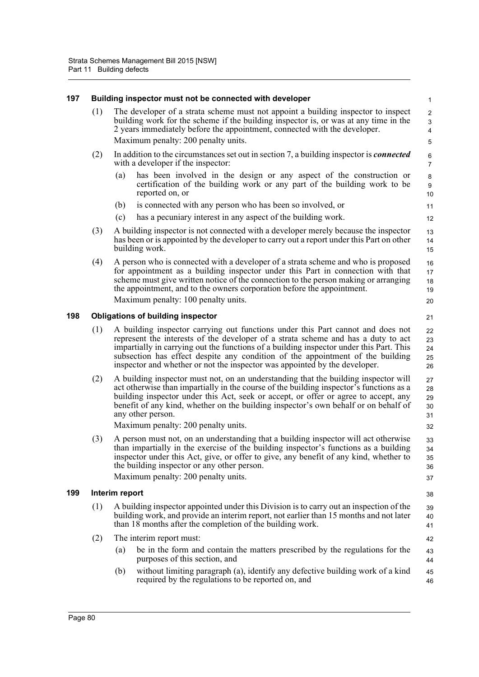| 197 |     | Building inspector must not be connected with developer                                                                                                                                                                                                                                                                                                                                                                         | 1                                                 |
|-----|-----|---------------------------------------------------------------------------------------------------------------------------------------------------------------------------------------------------------------------------------------------------------------------------------------------------------------------------------------------------------------------------------------------------------------------------------|---------------------------------------------------|
|     | (1) | The developer of a strata scheme must not appoint a building inspector to inspect<br>building work for the scheme if the building inspector is, or was at any time in the<br>2 years immediately before the appointment, connected with the developer.<br>Maximum penalty: 200 penalty units.                                                                                                                                   | $\overline{a}$<br>$\mathsf 3$<br>4<br>$\mathbf 5$ |
|     | (2) | In addition to the circumstances set out in section 7, a building inspector is <i>connected</i><br>with a developer if the inspector:                                                                                                                                                                                                                                                                                           | 6<br>$\overline{7}$                               |
|     |     | has been involved in the design or any aspect of the construction or<br>(a)<br>certification of the building work or any part of the building work to be<br>reported on, or                                                                                                                                                                                                                                                     | 8<br>$\boldsymbol{9}$<br>10                       |
|     |     | is connected with any person who has been so involved, or<br>(b)                                                                                                                                                                                                                                                                                                                                                                | 11                                                |
|     |     | has a pecuniary interest in any aspect of the building work.<br>(c)                                                                                                                                                                                                                                                                                                                                                             | 12                                                |
|     | (3) | A building inspector is not connected with a developer merely because the inspector<br>has been or is appointed by the developer to carry out a report under this Part on other<br>building work.                                                                                                                                                                                                                               | 13<br>14<br>15                                    |
|     | (4) | A person who is connected with a developer of a strata scheme and who is proposed<br>for appointment as a building inspector under this Part in connection with that<br>scheme must give written notice of the connection to the person making or arranging<br>the appointment, and to the owners corporation before the appointment.                                                                                           | 16<br>17<br>18<br>19                              |
|     |     | Maximum penalty: 100 penalty units.                                                                                                                                                                                                                                                                                                                                                                                             | 20                                                |
| 198 |     | <b>Obligations of building inspector</b>                                                                                                                                                                                                                                                                                                                                                                                        | 21                                                |
|     | (1) | A building inspector carrying out functions under this Part cannot and does not<br>represent the interests of the developer of a strata scheme and has a duty to act<br>impartially in carrying out the functions of a building inspector under this Part. This<br>subsection has effect despite any condition of the appointment of the building<br>inspector and whether or not the inspector was appointed by the developer. | 22<br>23<br>24<br>25<br>26                        |
|     | (2) | A building inspector must not, on an understanding that the building inspector will<br>act otherwise than impartially in the course of the building inspector's functions as a<br>building inspector under this Act, seek or accept, or offer or agree to accept, any<br>benefit of any kind, whether on the building inspector's own behalf or on behalf of<br>any other person.                                               | 27<br>28<br>29<br>30<br>31                        |
|     |     | Maximum penalty: 200 penalty units.                                                                                                                                                                                                                                                                                                                                                                                             | 32                                                |
|     | (3) | A person must not, on an understanding that a building inspector will act otherwise<br>than impartially in the exercise of the building inspector's functions as a building<br>inspector under this Act, give, or offer to give, any benefit of any kind, whether to<br>the building inspector or any other person.<br>Maximum penalty: 200 penalty units.                                                                      | 33<br>34<br>35<br>36<br>37                        |
| 199 |     | Interim report                                                                                                                                                                                                                                                                                                                                                                                                                  | 38                                                |
|     | (1) | A building inspector appointed under this Division is to carry out an inspection of the<br>building work, and provide an interim report, not earlier than 15 months and not later<br>than 18 months after the completion of the building work.                                                                                                                                                                                  | 39<br>40<br>41                                    |
|     | (2) | The interim report must:                                                                                                                                                                                                                                                                                                                                                                                                        | 42                                                |
|     |     | be in the form and contain the matters prescribed by the regulations for the<br>(a)<br>purposes of this section, and                                                                                                                                                                                                                                                                                                            | 43<br>44                                          |
|     |     | without limiting paragraph (a), identify any defective building work of a kind<br>(b)<br>required by the regulations to be reported on, and                                                                                                                                                                                                                                                                                     | 45<br>46                                          |
|     |     |                                                                                                                                                                                                                                                                                                                                                                                                                                 |                                                   |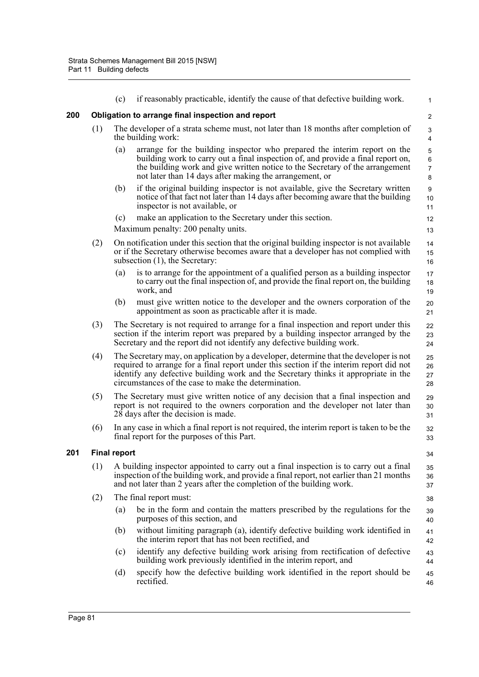|     |                                                                              | (c)                                                                                                                                                                                                              | if reasonably practicable, identify the cause of that defective building work.                                                                                                                                                                                                                                                  | $\mathbf{1}$                    |  |  |  |  |  |
|-----|------------------------------------------------------------------------------|------------------------------------------------------------------------------------------------------------------------------------------------------------------------------------------------------------------|---------------------------------------------------------------------------------------------------------------------------------------------------------------------------------------------------------------------------------------------------------------------------------------------------------------------------------|---------------------------------|--|--|--|--|--|
| 200 |                                                                              | Obligation to arrange final inspection and report                                                                                                                                                                |                                                                                                                                                                                                                                                                                                                                 |                                 |  |  |  |  |  |
|     | (1)                                                                          |                                                                                                                                                                                                                  | The developer of a strata scheme must, not later than 18 months after completion of<br>the building work:                                                                                                                                                                                                                       | 3<br>$\overline{\mathbf{4}}$    |  |  |  |  |  |
|     |                                                                              | (a)                                                                                                                                                                                                              | arrange for the building inspector who prepared the interim report on the<br>building work to carry out a final inspection of, and provide a final report on,<br>the building work and give written notice to the Secretary of the arrangement<br>not later than 14 days after making the arrangement, or                       | 5<br>6<br>$\boldsymbol{7}$<br>8 |  |  |  |  |  |
|     |                                                                              | (b)                                                                                                                                                                                                              | if the original building inspector is not available, give the Secretary written<br>notice of that fact not later than 14 days after becoming aware that the building<br>inspector is not available, or                                                                                                                          | 9<br>10<br>11                   |  |  |  |  |  |
|     |                                                                              | (c)                                                                                                                                                                                                              | make an application to the Secretary under this section.                                                                                                                                                                                                                                                                        | 12                              |  |  |  |  |  |
|     |                                                                              |                                                                                                                                                                                                                  | Maximum penalty: 200 penalty units.                                                                                                                                                                                                                                                                                             | 13                              |  |  |  |  |  |
|     | (2)                                                                          |                                                                                                                                                                                                                  | On notification under this section that the original building inspector is not available<br>or if the Secretary otherwise becomes aware that a developer has not complied with<br>subsection $(1)$ , the Secretary:                                                                                                             | 14<br>15<br>16                  |  |  |  |  |  |
|     |                                                                              | (a)                                                                                                                                                                                                              | is to arrange for the appointment of a qualified person as a building inspector<br>to carry out the final inspection of, and provide the final report on, the building<br>work, and                                                                                                                                             | 17<br>18<br>19                  |  |  |  |  |  |
|     |                                                                              | (b)                                                                                                                                                                                                              | must give written notice to the developer and the owners corporation of the<br>appointment as soon as practicable after it is made.                                                                                                                                                                                             | 20<br>21                        |  |  |  |  |  |
|     | (3)                                                                          |                                                                                                                                                                                                                  | The Secretary is not required to arrange for a final inspection and report under this<br>section if the interim report was prepared by a building inspector arranged by the<br>Secretary and the report did not identify any defective building work.                                                                           | 22<br>23<br>24                  |  |  |  |  |  |
|     | (4)                                                                          |                                                                                                                                                                                                                  | The Secretary may, on application by a developer, determine that the developer is not<br>required to arrange for a final report under this section if the interim report did not<br>identify any defective building work and the Secretary thinks it appropriate in the<br>circumstances of the case to make the determination. | 25<br>26<br>27<br>28            |  |  |  |  |  |
|     | (5)                                                                          | The Secretary must give written notice of any decision that a final inspection and<br>report is not required to the owners corporation and the developer not later than<br>$28$ days after the decision is made. |                                                                                                                                                                                                                                                                                                                                 | 29<br>30<br>31                  |  |  |  |  |  |
|     | (6)                                                                          | In any case in which a final report is not required, the interim report is taken to be the<br>final report for the purposes of this Part.                                                                        |                                                                                                                                                                                                                                                                                                                                 | 32<br>33                        |  |  |  |  |  |
| 201 |                                                                              | <b>Final report</b>                                                                                                                                                                                              |                                                                                                                                                                                                                                                                                                                                 | 34                              |  |  |  |  |  |
|     | (1)<br>and not later than 2 years after the completion of the building work. |                                                                                                                                                                                                                  | A building inspector appointed to carry out a final inspection is to carry out a final<br>inspection of the building work, and provide a final report, not earlier than 21 months                                                                                                                                               | 35<br>36<br>37                  |  |  |  |  |  |
|     | (2)                                                                          |                                                                                                                                                                                                                  | The final report must:                                                                                                                                                                                                                                                                                                          | 38                              |  |  |  |  |  |
|     |                                                                              | (a)                                                                                                                                                                                                              | be in the form and contain the matters prescribed by the regulations for the<br>purposes of this section, and                                                                                                                                                                                                                   | 39<br>40                        |  |  |  |  |  |
|     |                                                                              | (b)                                                                                                                                                                                                              | without limiting paragraph (a), identify defective building work identified in<br>the interim report that has not been rectified, and                                                                                                                                                                                           | 41<br>42                        |  |  |  |  |  |
|     |                                                                              | (c)                                                                                                                                                                                                              | identify any defective building work arising from rectification of defective<br>building work previously identified in the interim report, and                                                                                                                                                                                  | 43<br>44                        |  |  |  |  |  |
|     |                                                                              | (d)                                                                                                                                                                                                              | specify how the defective building work identified in the report should be<br>rectified.                                                                                                                                                                                                                                        | 45<br>46                        |  |  |  |  |  |
|     |                                                                              |                                                                                                                                                                                                                  |                                                                                                                                                                                                                                                                                                                                 |                                 |  |  |  |  |  |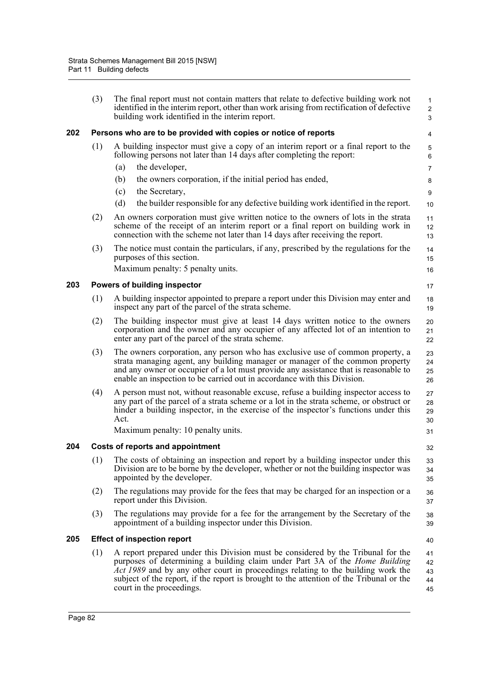|     | (3) | The final report must not contain matters that relate to defective building work not<br>identified in the interim report, other than work arising from rectification of defective<br>building work identified in the interim report.                                                                                                                                               | $\mathbf{1}$<br>$\overline{c}$<br>3 |  |  |  |  |  |  |
|-----|-----|------------------------------------------------------------------------------------------------------------------------------------------------------------------------------------------------------------------------------------------------------------------------------------------------------------------------------------------------------------------------------------|-------------------------------------|--|--|--|--|--|--|
| 202 |     | Persons who are to be provided with copies or notice of reports<br>4                                                                                                                                                                                                                                                                                                               |                                     |  |  |  |  |  |  |
|     | (1) | A building inspector must give a copy of an interim report or a final report to the<br>following persons not later than 14 days after completing the report:                                                                                                                                                                                                                       | $\mathbf 5$<br>6                    |  |  |  |  |  |  |
|     |     | the developer,<br>(a)                                                                                                                                                                                                                                                                                                                                                              | $\overline{7}$                      |  |  |  |  |  |  |
|     |     | (b)<br>the owners corporation, if the initial period has ended,                                                                                                                                                                                                                                                                                                                    | 8                                   |  |  |  |  |  |  |
|     |     | (c)<br>the Secretary,                                                                                                                                                                                                                                                                                                                                                              | 9                                   |  |  |  |  |  |  |
|     |     | (d)<br>the builder responsible for any defective building work identified in the report.                                                                                                                                                                                                                                                                                           | 10                                  |  |  |  |  |  |  |
|     | (2) | An owners corporation must give written notice to the owners of lots in the strata<br>scheme of the receipt of an interim report or a final report on building work in<br>connection with the scheme not later than 14 days after receiving the report.                                                                                                                            | 11<br>12<br>13                      |  |  |  |  |  |  |
|     | (3) | The notice must contain the particulars, if any, prescribed by the regulations for the<br>purposes of this section.<br>Maximum penalty: 5 penalty units.                                                                                                                                                                                                                           | 14<br>15<br>16                      |  |  |  |  |  |  |
| 203 |     | Powers of building inspector                                                                                                                                                                                                                                                                                                                                                       | 17                                  |  |  |  |  |  |  |
|     | (1) | A building inspector appointed to prepare a report under this Division may enter and<br>inspect any part of the parcel of the strata scheme.                                                                                                                                                                                                                                       | 18<br>19                            |  |  |  |  |  |  |
|     | (2) | The building inspector must give at least 14 days written notice to the owners<br>corporation and the owner and any occupier of any affected lot of an intention to<br>enter any part of the parcel of the strata scheme.                                                                                                                                                          | 20<br>21<br>22                      |  |  |  |  |  |  |
|     | (3) | The owners corporation, any person who has exclusive use of common property, a<br>strata managing agent, any building manager or manager of the common property<br>and any owner or occupier of a lot must provide any assistance that is reasonable to<br>enable an inspection to be carried out in accordance with this Division.                                                | 23<br>24<br>25<br>26                |  |  |  |  |  |  |
|     | (4) | A person must not, without reasonable excuse, refuse a building inspector access to<br>any part of the parcel of a strata scheme or a lot in the strata scheme, or obstruct or<br>hinder a building inspector, in the exercise of the inspector's functions under this<br>Act.                                                                                                     | 27<br>28<br>29<br>30                |  |  |  |  |  |  |
|     |     | Maximum penalty: 10 penalty units.                                                                                                                                                                                                                                                                                                                                                 | 31                                  |  |  |  |  |  |  |
| 204 |     | <b>Costs of reports and appointment</b>                                                                                                                                                                                                                                                                                                                                            | 32                                  |  |  |  |  |  |  |
|     | (1) | The costs of obtaining an inspection and report by a building inspector under this<br>Division are to be borne by the developer, whether or not the building inspector was<br>appointed by the developer.                                                                                                                                                                          | 33<br>34<br>35                      |  |  |  |  |  |  |
|     | (2) | The regulations may provide for the fees that may be charged for an inspection or a<br>report under this Division.                                                                                                                                                                                                                                                                 | 36<br>37                            |  |  |  |  |  |  |
|     | (3) | The regulations may provide for a fee for the arrangement by the Secretary of the<br>appointment of a building inspector under this Division.                                                                                                                                                                                                                                      | 38<br>39                            |  |  |  |  |  |  |
| 205 |     | <b>Effect of inspection report</b>                                                                                                                                                                                                                                                                                                                                                 | 40                                  |  |  |  |  |  |  |
|     | (1) | A report prepared under this Division must be considered by the Tribunal for the<br>purposes of determining a building claim under Part 3A of the <i>Home Building</i><br>Act 1989 and by any other court in proceedings relating to the building work the<br>subject of the report, if the report is brought to the attention of the Tribunal or the<br>court in the proceedings. | 41<br>42<br>43<br>44<br>45          |  |  |  |  |  |  |
|     |     |                                                                                                                                                                                                                                                                                                                                                                                    |                                     |  |  |  |  |  |  |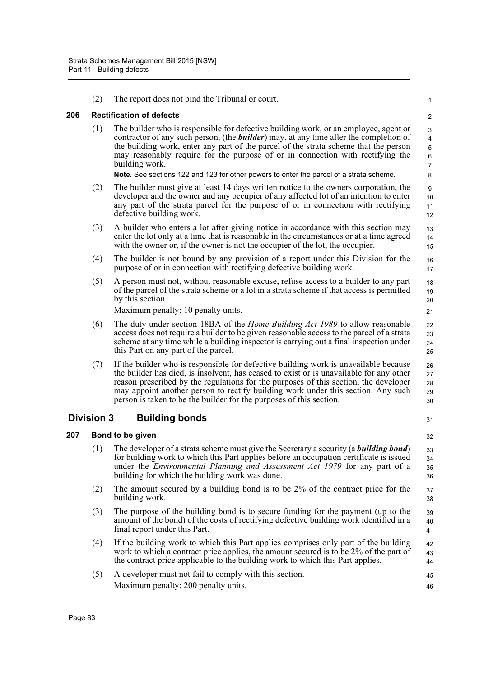|     | (2)               | The report does not bind the Tribunal or court.                                                                                                                                                                                                                                                                                                                                                                                    | $\mathbf{1}$                                       |
|-----|-------------------|------------------------------------------------------------------------------------------------------------------------------------------------------------------------------------------------------------------------------------------------------------------------------------------------------------------------------------------------------------------------------------------------------------------------------------|----------------------------------------------------|
| 206 |                   | <b>Rectification of defects</b>                                                                                                                                                                                                                                                                                                                                                                                                    | $\overline{2}$                                     |
|     | (1)               | The builder who is responsible for defective building work, or an employee, agent or<br>contractor of any such person, (the <b>builder</b> ) may, at any time after the completion of<br>the building work, enter any part of the parcel of the strata scheme that the person<br>may reasonably require for the purpose of or in connection with rectifying the<br>building work.                                                  | 3<br>4<br>$\,$ 5 $\,$<br>$\,6\,$<br>$\overline{7}$ |
|     |                   | Note. See sections 122 and 123 for other powers to enter the parcel of a strata scheme.                                                                                                                                                                                                                                                                                                                                            | 8                                                  |
|     | (2)               | The builder must give at least 14 days written notice to the owners corporation, the<br>developer and the owner and any occupier of any affected lot of an intention to enter<br>any part of the strata parcel for the purpose of or in connection with rectifying<br>defective building work.                                                                                                                                     | 9<br>10<br>11<br>12                                |
|     | (3)               | A builder who enters a lot after giving notice in accordance with this section may<br>enter the lot only at a time that is reasonable in the circumstances or at a time agreed<br>with the owner or, if the owner is not the occupier of the lot, the occupier.                                                                                                                                                                    | 13<br>14<br>15                                     |
|     | (4)               | The builder is not bound by any provision of a report under this Division for the<br>purpose of or in connection with rectifying defective building work.                                                                                                                                                                                                                                                                          | 16<br>17                                           |
|     | (5)               | A person must not, without reasonable excuse, refuse access to a builder to any part<br>of the parcel of the strata scheme or a lot in a strata scheme if that access is permitted<br>by this section.                                                                                                                                                                                                                             | 18<br>19<br>20                                     |
|     |                   | Maximum penalty: 10 penalty units.                                                                                                                                                                                                                                                                                                                                                                                                 | 21                                                 |
|     | (6)               | The duty under section 18BA of the <i>Home Building Act 1989</i> to allow reasonable<br>access does not require a builder to be given reasonable access to the parcel of a strata<br>scheme at any time while a building inspector is carrying out a final inspection under<br>this Part on any part of the parcel.                                                                                                                | 22<br>23<br>24<br>25                               |
|     | (7)               | If the builder who is responsible for defective building work is unavailable because<br>the builder has died, is insolvent, has ceased to exist or is unavailable for any other<br>reason prescribed by the regulations for the purposes of this section, the developer<br>may appoint another person to rectify building work under this section. Any such<br>person is taken to be the builder for the purposes of this section. | 26<br>27<br>28<br>29<br>30                         |
|     | <b>Division 3</b> | <b>Building bonds</b>                                                                                                                                                                                                                                                                                                                                                                                                              | 31                                                 |
| 207 |                   | Bond to be given                                                                                                                                                                                                                                                                                                                                                                                                                   | 32                                                 |
|     | (1)               | The developer of a strata scheme must give the Secretary a security (a <b>building bond</b> )<br>for building work to which this Part applies before an occupation certificate is issued<br>under the Environmental Planning and Assessment Act 1979 for any part of a<br>building for which the building work was done.                                                                                                           | 33<br>34<br>35<br>36                               |
|     | (2)               | The amount secured by a building bond is to be 2% of the contract price for the<br>building work.                                                                                                                                                                                                                                                                                                                                  | 37<br>38                                           |
|     | (3)               | The purpose of the building bond is to secure funding for the payment (up to the<br>amount of the bond) of the costs of rectifying defective building work identified in a<br>final report under this Part.                                                                                                                                                                                                                        | 39<br>40<br>41                                     |
|     | (4)               | If the building work to which this Part applies comprises only part of the building<br>work to which a contract price applies, the amount secured is to be 2% of the part of<br>the contract price applicable to the building work to which this Part applies.                                                                                                                                                                     | 42<br>43<br>44                                     |
|     | (5)               | A developer must not fail to comply with this section.<br>Maximum penalty: 200 penalty units.                                                                                                                                                                                                                                                                                                                                      | 45<br>46                                           |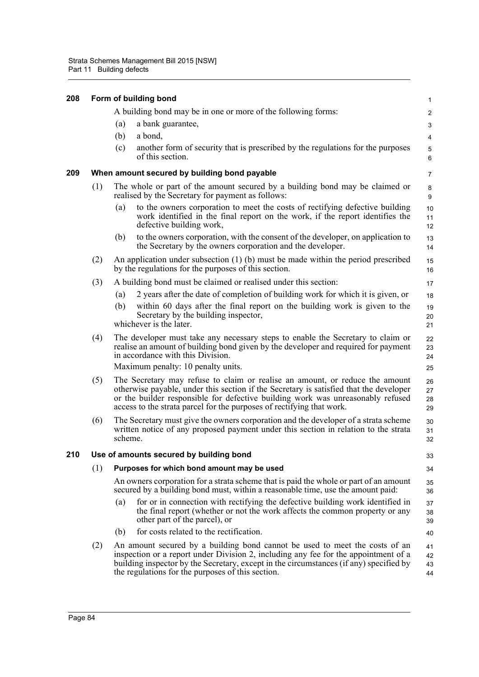| 208 |     |                                               | Form of building bond                                                                                                                                                                                                                                                                                                              | $\mathbf{1}$            |  |  |  |
|-----|-----|-----------------------------------------------|------------------------------------------------------------------------------------------------------------------------------------------------------------------------------------------------------------------------------------------------------------------------------------------------------------------------------------|-------------------------|--|--|--|
|     |     |                                               | A building bond may be in one or more of the following forms:                                                                                                                                                                                                                                                                      | $\overline{2}$          |  |  |  |
|     |     | (a)                                           | a bank guarantee,                                                                                                                                                                                                                                                                                                                  | 3                       |  |  |  |
|     |     | (b)                                           | a bond,                                                                                                                                                                                                                                                                                                                            | $\overline{\mathbf{4}}$ |  |  |  |
|     |     | (c)                                           | another form of security that is prescribed by the regulations for the purposes<br>of this section.                                                                                                                                                                                                                                | 5<br>6                  |  |  |  |
| 209 |     |                                               | When amount secured by building bond payable                                                                                                                                                                                                                                                                                       | 7                       |  |  |  |
|     | (1) |                                               | The whole or part of the amount secured by a building bond may be claimed or<br>realised by the Secretary for payment as follows:                                                                                                                                                                                                  | 8<br>9                  |  |  |  |
|     |     | (a)                                           | to the owners corporation to meet the costs of rectifying defective building<br>work identified in the final report on the work, if the report identifies the<br>defective building work,                                                                                                                                          | 10<br>11<br>12          |  |  |  |
|     |     | (b)                                           | to the owners corporation, with the consent of the developer, on application to<br>the Secretary by the owners corporation and the developer.                                                                                                                                                                                      | 13<br>14                |  |  |  |
|     | (2) |                                               | An application under subsection $(1)$ (b) must be made within the period prescribed<br>by the regulations for the purposes of this section.                                                                                                                                                                                        | 15<br>16                |  |  |  |
|     | (3) |                                               | A building bond must be claimed or realised under this section:                                                                                                                                                                                                                                                                    | 17                      |  |  |  |
|     |     | (a)                                           | 2 years after the date of completion of building work for which it is given, or                                                                                                                                                                                                                                                    | 18                      |  |  |  |
|     |     | (b)                                           | within 60 days after the final report on the building work is given to the<br>Secretary by the building inspector,<br>whichever is the later.                                                                                                                                                                                      | 19<br>20<br>21          |  |  |  |
|     | (4) |                                               | The developer must take any necessary steps to enable the Secretary to claim or<br>realise an amount of building bond given by the developer and required for payment<br>in accordance with this Division.                                                                                                                         | 22<br>23<br>24          |  |  |  |
|     |     |                                               | Maximum penalty: 10 penalty units.                                                                                                                                                                                                                                                                                                 | 25                      |  |  |  |
|     | (5) |                                               | The Secretary may refuse to claim or realise an amount, or reduce the amount<br>otherwise payable, under this section if the Secretary is satisfied that the developer<br>or the builder responsible for defective building work was unreasonably refused<br>access to the strata parcel for the purposes of rectifying that work. | 26<br>27<br>28<br>29    |  |  |  |
|     | (6) | scheme.                                       | The Secretary must give the owners corporation and the developer of a strata scheme<br>written notice of any proposed payment under this section in relation to the strata                                                                                                                                                         | 30<br>31<br>32          |  |  |  |
| 210 |     | Use of amounts secured by building bond<br>33 |                                                                                                                                                                                                                                                                                                                                    |                         |  |  |  |
|     | (1) |                                               | Purposes for which bond amount may be used                                                                                                                                                                                                                                                                                         | 34                      |  |  |  |
|     |     |                                               | An owners corporation for a strata scheme that is paid the whole or part of an amount<br>secured by a building bond must, within a reasonable time, use the amount paid:                                                                                                                                                           | 35<br>36                |  |  |  |
|     |     | (a)                                           | for or in connection with rectifying the defective building work identified in<br>the final report (whether or not the work affects the common property or any<br>other part of the parcel), or                                                                                                                                    | 37<br>38<br>39          |  |  |  |
|     |     | (b)                                           | for costs related to the rectification.                                                                                                                                                                                                                                                                                            | 40                      |  |  |  |
|     | (2) |                                               | An amount secured by a building bond cannot be used to meet the costs of an<br>inspection or a report under Division 2, including any fee for the appointment of a<br>building inspector by the Secretary, except in the circumstances (if any) specified by<br>the regulations for the purposes of this section.                  | 41<br>42<br>43<br>44    |  |  |  |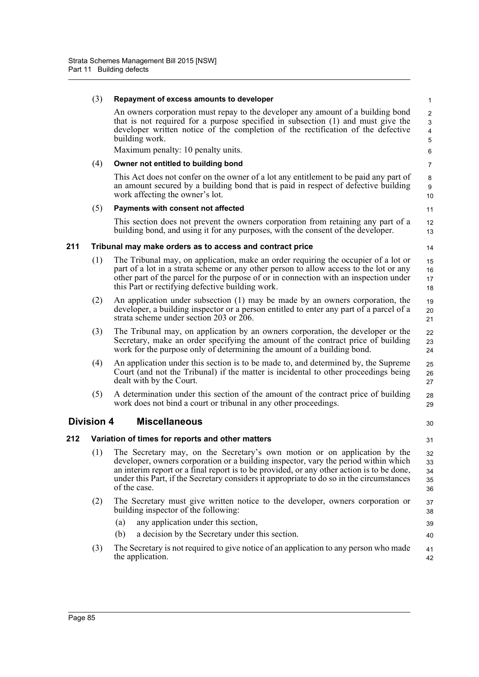|     | (3)               | Repayment of excess amounts to developer                                                                                                                                                                                                                                                                                                                                  | $\mathbf{1}$                                        |
|-----|-------------------|---------------------------------------------------------------------------------------------------------------------------------------------------------------------------------------------------------------------------------------------------------------------------------------------------------------------------------------------------------------------------|-----------------------------------------------------|
|     |                   | An owners corporation must repay to the developer any amount of a building bond<br>that is not required for a purpose specified in subsection (1) and must give the<br>developer written notice of the completion of the rectification of the defective<br>building work.                                                                                                 | $\overline{2}$<br>3<br>$\overline{\mathbf{4}}$<br>5 |
|     |                   | Maximum penalty: 10 penalty units.                                                                                                                                                                                                                                                                                                                                        | 6                                                   |
|     | (4)               | Owner not entitled to building bond                                                                                                                                                                                                                                                                                                                                       | $\overline{7}$                                      |
|     |                   | This Act does not confer on the owner of a lot any entitlement to be paid any part of<br>an amount secured by a building bond that is paid in respect of defective building<br>work affecting the owner's lot.                                                                                                                                                            | 8<br>9<br>10                                        |
|     | (5)               | Payments with consent not affected                                                                                                                                                                                                                                                                                                                                        | 11                                                  |
|     |                   | This section does not prevent the owners corporation from retaining any part of a<br>building bond, and using it for any purposes, with the consent of the developer.                                                                                                                                                                                                     | 12<br>13                                            |
| 211 |                   | Tribunal may make orders as to access and contract price                                                                                                                                                                                                                                                                                                                  | 14                                                  |
|     | (1)               | The Tribunal may, on application, make an order requiring the occupier of a lot or<br>part of a lot in a strata scheme or any other person to allow access to the lot or any<br>other part of the parcel for the purpose of or in connection with an inspection under<br>this Part or rectifying defective building work.                                                 | 15<br>16<br>17<br>18                                |
|     | (2)               | An application under subsection $(1)$ may be made by an owners corporation, the<br>developer, a building inspector or a person entitled to enter any part of a parcel of a<br>strata scheme under section 203 or 206.                                                                                                                                                     | 19<br>20<br>21                                      |
|     | (3)               | The Tribunal may, on application by an owners corporation, the developer or the<br>Secretary, make an order specifying the amount of the contract price of building<br>work for the purpose only of determining the amount of a building bond.                                                                                                                            | 22<br>23<br>24                                      |
|     | (4)               | An application under this section is to be made to, and determined by, the Supreme<br>Court (and not the Tribunal) if the matter is incidental to other proceedings being<br>dealt with by the Court.                                                                                                                                                                     | 25<br>26<br>27                                      |
|     | (5)               | A determination under this section of the amount of the contract price of building<br>work does not bind a court or tribunal in any other proceedings.                                                                                                                                                                                                                    | 28<br>29                                            |
|     | <b>Division 4</b> | <b>Miscellaneous</b>                                                                                                                                                                                                                                                                                                                                                      | 30                                                  |
| 212 |                   | Variation of times for reports and other matters                                                                                                                                                                                                                                                                                                                          | 31                                                  |
|     | (1)               | The Secretary may, on the Secretary's own motion or on application by the<br>developer, owners corporation or a building inspector, vary the period within which<br>an interim report or a final report is to be provided, or any other action is to be done,<br>under this Part, if the Secretary considers it appropriate to do so in the circumstances<br>of the case. | 32<br>33<br>34<br>35<br>36                          |
|     | (2)               | The Secretary must give written notice to the developer, owners corporation or<br>building inspector of the following:                                                                                                                                                                                                                                                    | 37<br>38                                            |
|     |                   | any application under this section,<br>(a)                                                                                                                                                                                                                                                                                                                                | 39                                                  |
|     |                   | a decision by the Secretary under this section.<br>(b)                                                                                                                                                                                                                                                                                                                    | 40                                                  |
|     | (3)               | The Secretary is not required to give notice of an application to any person who made<br>the application.                                                                                                                                                                                                                                                                 | 41<br>42                                            |
|     |                   |                                                                                                                                                                                                                                                                                                                                                                           |                                                     |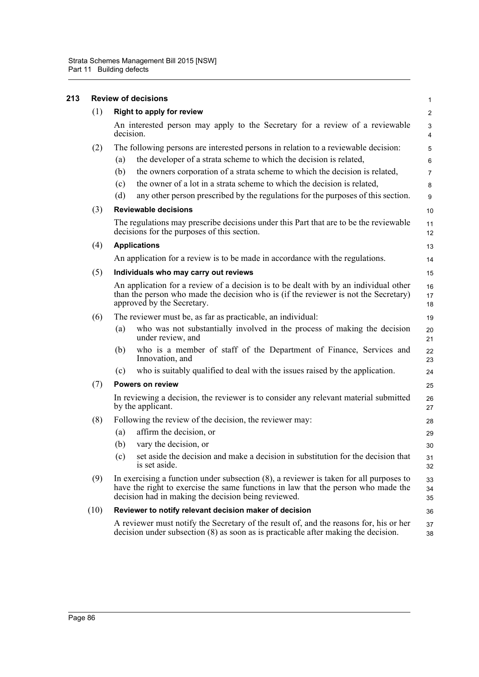| 213 | <b>Review of decisions</b> |                                                                                                                                                                                                                                       |                |  |
|-----|----------------------------|---------------------------------------------------------------------------------------------------------------------------------------------------------------------------------------------------------------------------------------|----------------|--|
|     | (1)                        | <b>Right to apply for review</b>                                                                                                                                                                                                      |                |  |
|     |                            | An interested person may apply to the Secretary for a review of a reviewable<br>decision.                                                                                                                                             |                |  |
|     | (2)                        | The following persons are interested persons in relation to a reviewable decision:                                                                                                                                                    | 5              |  |
|     |                            | the developer of a strata scheme to which the decision is related,<br>(a)                                                                                                                                                             | $6\phantom{1}$ |  |
|     |                            | the owners corporation of a strata scheme to which the decision is related,<br>(b)                                                                                                                                                    | $\overline{7}$ |  |
|     |                            | the owner of a lot in a strata scheme to which the decision is related,<br>(c)                                                                                                                                                        | 8              |  |
|     |                            | any other person prescribed by the regulations for the purposes of this section.<br>(d)                                                                                                                                               | 9              |  |
|     | (3)                        | <b>Reviewable decisions</b>                                                                                                                                                                                                           |                |  |
|     |                            | The regulations may prescribe decisions under this Part that are to be the reviewable<br>decisions for the purposes of this section.                                                                                                  | 11<br>12       |  |
|     | (4)                        | <b>Applications</b>                                                                                                                                                                                                                   |                |  |
|     |                            | An application for a review is to be made in accordance with the regulations.                                                                                                                                                         | 14             |  |
|     | (5)                        | Individuals who may carry out reviews                                                                                                                                                                                                 | 15             |  |
|     |                            | An application for a review of a decision is to be dealt with by an individual other<br>than the person who made the decision who is (if the reviewer is not the Secretary)<br>approved by the Secretary.                             |                |  |
|     | (6)                        | The reviewer must be, as far as practicable, an individual:                                                                                                                                                                           | 19             |  |
|     |                            | who was not substantially involved in the process of making the decision<br>(a)<br>under review, and                                                                                                                                  | 20<br>21       |  |
|     |                            | who is a member of staff of the Department of Finance, Services and<br>(b)<br>Innovation, and                                                                                                                                         | 22<br>23       |  |
|     |                            | who is suitably qualified to deal with the issues raised by the application.<br>(c)                                                                                                                                                   | 24             |  |
|     | (7)                        | Powers on review                                                                                                                                                                                                                      | 25             |  |
|     |                            | In reviewing a decision, the reviewer is to consider any relevant material submitted<br>by the applicant.                                                                                                                             | 26<br>27       |  |
|     | (8)                        | Following the review of the decision, the reviewer may:                                                                                                                                                                               | 28             |  |
|     |                            | affirm the decision, or<br>(a)                                                                                                                                                                                                        | 29             |  |
|     |                            | (b)<br>vary the decision, or                                                                                                                                                                                                          | 30             |  |
|     |                            | set aside the decision and make a decision in substitution for the decision that<br>(c)<br>is set aside.                                                                                                                              | 31<br>32       |  |
|     | (9)                        | In exercising a function under subsection $(8)$ , a reviewer is taken for all purposes to<br>have the right to exercise the same functions in law that the person who made the<br>decision had in making the decision being reviewed. |                |  |
|     | (10)                       | Reviewer to notify relevant decision maker of decision                                                                                                                                                                                | 36             |  |
|     |                            | A reviewer must notify the Secretary of the result of, and the reasons for, his or her<br>decision under subsection $(8)$ as soon as is practicable after making the decision.                                                        | 37<br>38       |  |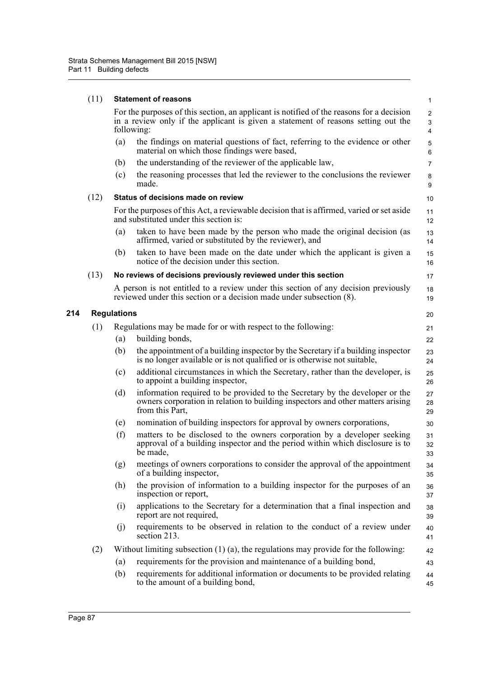|     | (11) | <b>Statement of reasons</b>                                                                                                                                                                 |                                                                                                                                                                                    |                       |  |
|-----|------|---------------------------------------------------------------------------------------------------------------------------------------------------------------------------------------------|------------------------------------------------------------------------------------------------------------------------------------------------------------------------------------|-----------------------|--|
|     |      | For the purposes of this section, an applicant is notified of the reasons for a decision<br>in a review only if the applicant is given a statement of reasons setting out the<br>following: |                                                                                                                                                                                    |                       |  |
|     |      | (a)                                                                                                                                                                                         | the findings on material questions of fact, referring to the evidence or other<br>material on which those findings were based,                                                     | 5<br>$\,6\,$          |  |
|     |      | (b)                                                                                                                                                                                         | the understanding of the reviewer of the applicable law,                                                                                                                           | $\overline{7}$        |  |
|     |      | (c)                                                                                                                                                                                         | the reasoning processes that led the reviewer to the conclusions the reviewer<br>made.                                                                                             | 8<br>$\boldsymbol{9}$ |  |
|     | (12) | Status of decisions made on review                                                                                                                                                          |                                                                                                                                                                                    |                       |  |
|     |      | For the purposes of this Act, a reviewable decision that is affirmed, varied or set aside<br>and substituted under this section is:                                                         |                                                                                                                                                                                    |                       |  |
|     |      | (a)                                                                                                                                                                                         | taken to have been made by the person who made the original decision (as<br>affirmed, varied or substituted by the reviewer), and                                                  | 13<br>14              |  |
|     |      | (b)                                                                                                                                                                                         | taken to have been made on the date under which the applicant is given a<br>notice of the decision under this section.                                                             | 15<br>16              |  |
|     | (13) |                                                                                                                                                                                             | No reviews of decisions previously reviewed under this section                                                                                                                     | 17                    |  |
|     |      |                                                                                                                                                                                             | A person is not entitled to a review under this section of any decision previously<br>reviewed under this section or a decision made under subsection (8).                         | 18<br>19              |  |
| 214 |      | <b>Regulations</b>                                                                                                                                                                          |                                                                                                                                                                                    | 20                    |  |
|     | (1)  |                                                                                                                                                                                             | Regulations may be made for or with respect to the following:                                                                                                                      | 21                    |  |
|     |      | (a)                                                                                                                                                                                         | building bonds,                                                                                                                                                                    | 22                    |  |
|     |      | (b)                                                                                                                                                                                         | the appointment of a building inspector by the Secretary if a building inspector<br>is no longer available or is not qualified or is otherwise not suitable,                       | 23<br>24              |  |
|     |      | (c)                                                                                                                                                                                         | additional circumstances in which the Secretary, rather than the developer, is<br>to appoint a building inspector,                                                                 | 25<br>26              |  |
|     |      | (d)                                                                                                                                                                                         | information required to be provided to the Secretary by the developer or the<br>owners corporation in relation to building inspectors and other matters arising<br>from this Part, | 27<br>28<br>29        |  |
|     |      | (e)                                                                                                                                                                                         | nomination of building inspectors for approval by owners corporations,                                                                                                             | 30                    |  |
|     |      | (f)                                                                                                                                                                                         | matters to be disclosed to the owners corporation by a developer seeking<br>approval of a building inspector and the period within which disclosure is to<br>be made.              | 31<br>32<br>33        |  |
|     |      | (g)                                                                                                                                                                                         | meetings of owners corporations to consider the approval of the appointment<br>of a building inspector,                                                                            | 34<br>35              |  |
|     |      | (h)                                                                                                                                                                                         | the provision of information to a building inspector for the purposes of an<br>inspection or report,                                                                               | 36<br>37              |  |
|     |      | (i)                                                                                                                                                                                         | applications to the Secretary for a determination that a final inspection and<br>report are not required,                                                                          | 38<br>39              |  |
|     |      | (i)                                                                                                                                                                                         | requirements to be observed in relation to the conduct of a review under<br>section 213.                                                                                           | 40<br>41              |  |
|     | (2)  |                                                                                                                                                                                             | Without limiting subsection $(1)$ (a), the regulations may provide for the following:                                                                                              | 42                    |  |
|     |      | (a)                                                                                                                                                                                         | requirements for the provision and maintenance of a building bond,                                                                                                                 | 43                    |  |
|     |      | (b)                                                                                                                                                                                         | requirements for additional information or documents to be provided relating<br>to the amount of a building bond,                                                                  | 44<br>45              |  |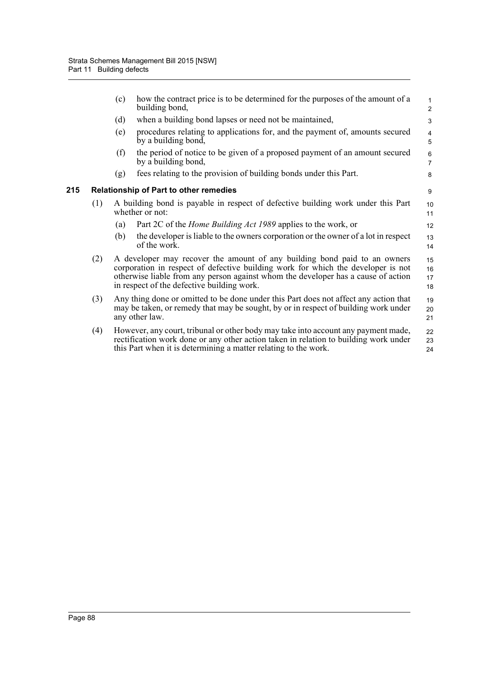|     |     | (c)                                                                                                                                                                                                                                                                                              | how the contract price is to be determined for the purposes of the amount of a<br>building bond,                                                                                                                                              | $\mathbf{1}$<br>$\overline{2}$ |  |
|-----|-----|--------------------------------------------------------------------------------------------------------------------------------------------------------------------------------------------------------------------------------------------------------------------------------------------------|-----------------------------------------------------------------------------------------------------------------------------------------------------------------------------------------------------------------------------------------------|--------------------------------|--|
|     |     | (d)                                                                                                                                                                                                                                                                                              | when a building bond lapses or need not be maintained,                                                                                                                                                                                        | 3                              |  |
|     |     | (e)                                                                                                                                                                                                                                                                                              | procedures relating to applications for, and the payment of, amounts secured<br>by a building bond,                                                                                                                                           | 4<br>5                         |  |
|     |     | (f)                                                                                                                                                                                                                                                                                              | the period of notice to be given of a proposed payment of an amount secured<br>by a building bond,                                                                                                                                            | 6<br>$\overline{7}$            |  |
|     |     | (g)                                                                                                                                                                                                                                                                                              | fees relating to the provision of building bonds under this Part.                                                                                                                                                                             | 8                              |  |
| 215 |     |                                                                                                                                                                                                                                                                                                  | <b>Relationship of Part to other remedies</b>                                                                                                                                                                                                 | 9                              |  |
|     | (1) |                                                                                                                                                                                                                                                                                                  | A building bond is payable in respect of defective building work under this Part<br>whether or not:                                                                                                                                           | 10<br>11                       |  |
|     |     | (a)                                                                                                                                                                                                                                                                                              | Part 2C of the <i>Home Building Act 1989</i> applies to the work, or                                                                                                                                                                          | 12                             |  |
|     |     | (b)                                                                                                                                                                                                                                                                                              | the developer is liable to the owners corporation or the owner of a lot in respect<br>of the work.                                                                                                                                            | 13<br>14                       |  |
|     | (2) | A developer may recover the amount of any building bond paid to an owners<br>corporation in respect of defective building work for which the developer is not<br>otherwise liable from any person against whom the developer has a cause of action<br>in respect of the defective building work. |                                                                                                                                                                                                                                               |                                |  |
|     | (3) |                                                                                                                                                                                                                                                                                                  | Any thing done or omitted to be done under this Part does not affect any action that<br>may be taken, or remedy that may be sought, by or in respect of building work under<br>any other law.                                                 | 19<br>20<br>21                 |  |
|     | (4) |                                                                                                                                                                                                                                                                                                  | However, any court, tribunal or other body may take into account any payment made,<br>rectification work done or any other action taken in relation to building work under<br>this Part when it is determining a matter relating to the work. | 22<br>23<br>24                 |  |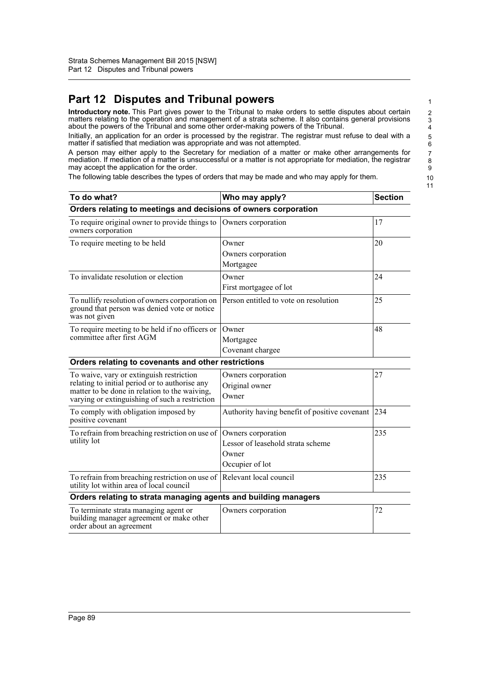# **Part 12 Disputes and Tribunal powers**

**Introductory note.** This Part gives power to the Tribunal to make orders to settle disputes about certain matters relating to the operation and management of a strata scheme. It also contains general provisions about the powers of the Tribunal and some other order-making powers of the Tribunal.

Initially, an application for an order is processed by the registrar. The registrar must refuse to deal with a matter if satisfied that mediation was appropriate and was not attempted.

A person may either apply to the Secretary for mediation of a matter or make other arrangements for mediation. If mediation of a matter is unsuccessful or a matter is not appropriate for mediation, the registrar may accept the application for the order.

The following table describes the types of orders that may be made and who may apply for them.

| To do what?                                                                                                                                                                                   | Who may apply?                                                                      | <b>Section</b> |  |  |  |  |
|-----------------------------------------------------------------------------------------------------------------------------------------------------------------------------------------------|-------------------------------------------------------------------------------------|----------------|--|--|--|--|
| Orders relating to meetings and decisions of owners corporation                                                                                                                               |                                                                                     |                |  |  |  |  |
| To require original owner to provide things to<br>owners corporation                                                                                                                          | Owners corporation                                                                  | 17             |  |  |  |  |
| To require meeting to be held                                                                                                                                                                 | Owner<br>Owners corporation<br>Mortgagee                                            | 20             |  |  |  |  |
| To invalidate resolution or election                                                                                                                                                          | Owner<br>First mortgagee of lot                                                     | 24             |  |  |  |  |
| To nullify resolution of owners corporation on<br>ground that person was denied vote or notice<br>was not given                                                                               | Person entitled to vote on resolution                                               | 25             |  |  |  |  |
| To require meeting to be held if no officers or<br>committee after first AGM                                                                                                                  | Owner<br>Mortgagee<br>Covenant chargee                                              | 48             |  |  |  |  |
| Orders relating to covenants and other restrictions                                                                                                                                           |                                                                                     |                |  |  |  |  |
| To waive, vary or extinguish restriction<br>relating to initial period or to authorise any<br>matter to be done in relation to the waiving,<br>varying or extinguishing of such a restriction | Owners corporation<br>Original owner<br>Owner                                       | 27             |  |  |  |  |
| To comply with obligation imposed by<br>positive covenant                                                                                                                                     | Authority having benefit of positive covenant                                       | 234            |  |  |  |  |
| To refrain from breaching restriction on use of<br>utility lot                                                                                                                                | Owners corporation<br>Lessor of leasehold strata scheme<br>Owner<br>Occupier of lot | 235            |  |  |  |  |
| To refrain from breaching restriction on use of<br>utility lot within area of local council                                                                                                   | Relevant local council                                                              | 235            |  |  |  |  |
| Orders relating to strata managing agents and building managers                                                                                                                               |                                                                                     |                |  |  |  |  |
| To terminate strata managing agent or<br>building manager agreement or make other<br>order about an agreement                                                                                 | Owners corporation                                                                  | 72             |  |  |  |  |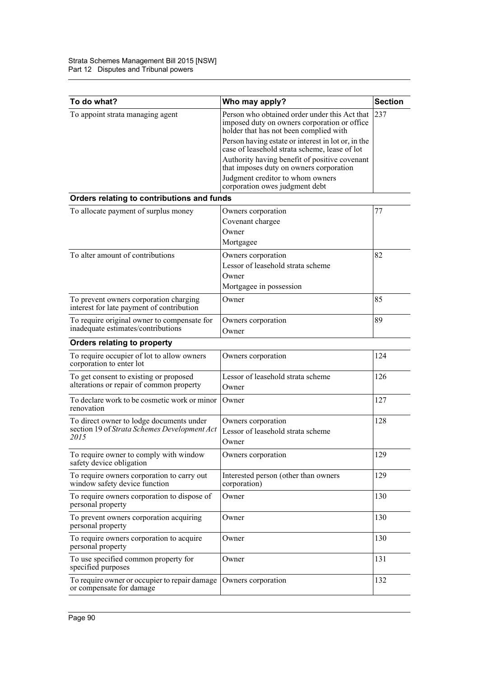| To do what?                                                                         | Who may apply?                                                                                                                          | <b>Section</b> |
|-------------------------------------------------------------------------------------|-----------------------------------------------------------------------------------------------------------------------------------------|----------------|
| To appoint strata managing agent                                                    | Person who obtained order under this Act that<br>imposed duty on owners corporation or office<br>holder that has not been complied with | 237            |
|                                                                                     | Person having estate or interest in lot or, in the<br>case of leasehold strata scheme. lease of lot                                     |                |
|                                                                                     | Authority having benefit of positive covenant<br>that imposes duty on owners corporation                                                |                |
|                                                                                     | Judgment creditor to whom owners<br>corporation owes judgment debt                                                                      |                |
| Orders relating to contributions and funds                                          |                                                                                                                                         |                |
| To allocate payment of surplus money                                                | Owners corporation                                                                                                                      | 77             |
|                                                                                     | Covenant chargee                                                                                                                        |                |
|                                                                                     | Owner                                                                                                                                   |                |
|                                                                                     | Mortgagee                                                                                                                               |                |
| To alter amount of contributions                                                    | Owners corporation                                                                                                                      | 82             |
|                                                                                     | Lessor of leasehold strata scheme                                                                                                       |                |
|                                                                                     | Owner                                                                                                                                   |                |
|                                                                                     | Mortgagee in possession                                                                                                                 |                |
| To prevent owners corporation charging<br>interest for late payment of contribution | Owner                                                                                                                                   | 85             |
| To require original owner to compensate for                                         | Owners corporation                                                                                                                      | 89             |
| inadequate estimates/contributions                                                  | Owner                                                                                                                                   |                |
| Orders relating to property                                                         |                                                                                                                                         |                |
| To require occupier of lot to allow owners<br>corporation to enter lot              | Owners corporation                                                                                                                      | 124            |
| To get consent to existing or proposed<br>alterations or repair of common property  | Lessor of leasehold strata scheme<br>Owner                                                                                              | 126            |
| To declare work to be cosmetic work or minor<br>renovation                          | Owner                                                                                                                                   | 127            |
| To direct owner to lodge documents under                                            | Owners corporation                                                                                                                      | 128            |
| section 19 of Strata Schemes Development Act                                        | Lessor of leasehold strata scheme                                                                                                       |                |
| 2015                                                                                | Owner                                                                                                                                   |                |
| To require owner to comply with window<br>safety device obligation                  | Owners corporation                                                                                                                      | 129            |
| To require owners corporation to carry out<br>window safety device function         | Interested person (other than owners<br>corporation)                                                                                    | 129            |
| To require owners corporation to dispose of<br>personal property                    | Owner                                                                                                                                   | 130            |
| To prevent owners corporation acquiring<br>personal property                        | Owner                                                                                                                                   | 130            |
| To require owners corporation to acquire<br>personal property                       | Owner                                                                                                                                   | 130            |
| To use specified common property for<br>specified purposes                          | Owner                                                                                                                                   | 131            |
| To require owner or occupier to repair damage<br>or compensate for damage           | Owners corporation                                                                                                                      | 132            |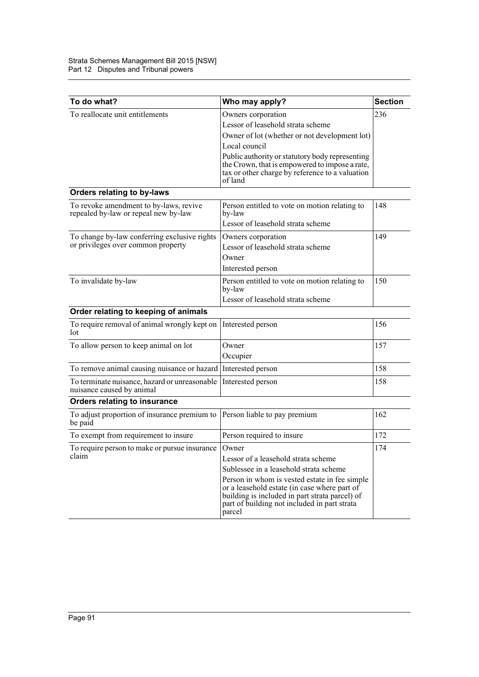| To do what?                                                                        | Who may apply?                                                                                                                                                                                            | <b>Section</b> |
|------------------------------------------------------------------------------------|-----------------------------------------------------------------------------------------------------------------------------------------------------------------------------------------------------------|----------------|
| To reallocate unit entitlements                                                    | Owners corporation<br>Lessor of leasehold strata scheme                                                                                                                                                   | 236            |
|                                                                                    | Owner of lot (whether or not development lot)                                                                                                                                                             |                |
|                                                                                    | Local council                                                                                                                                                                                             |                |
|                                                                                    | Public authority or statutory body representing<br>the Crown, that is empowered to impose a rate,<br>tax or other charge by reference to a valuation<br>of land                                           |                |
| Orders relating to by-laws                                                         |                                                                                                                                                                                                           |                |
| To revoke amendment to by-laws, revive<br>repealed by-law or repeal new by-law     | Person entitled to vote on motion relating to<br>by-law                                                                                                                                                   | 148            |
|                                                                                    | Lessor of leasehold strata scheme                                                                                                                                                                         |                |
| To change by-law conferring exclusive rights<br>or privileges over common property | Owners corporation<br>Lessor of leasehold strata scheme                                                                                                                                                   | 149            |
|                                                                                    | Owner<br>Interested person                                                                                                                                                                                |                |
| To invalidate by-law                                                               | Person entitled to vote on motion relating to<br>by-law                                                                                                                                                   | 150            |
|                                                                                    | Lessor of leasehold strata scheme                                                                                                                                                                         |                |
| Order relating to keeping of animals                                               |                                                                                                                                                                                                           |                |
| To require removal of animal wrongly kept on<br>lot                                | Interested person                                                                                                                                                                                         | 156            |
| To allow person to keep animal on lot                                              | Owner<br>Occupier                                                                                                                                                                                         | 157            |
| To remove animal causing nuisance or hazard                                        | Interested person                                                                                                                                                                                         | 158            |
| To terminate nuisance, hazard or unreasonable<br>nuisance caused by animal         | Interested person                                                                                                                                                                                         | 158            |
| <b>Orders relating to insurance</b>                                                |                                                                                                                                                                                                           |                |
| To adjust proportion of insurance premium to<br>be paid                            | Person liable to pay premium                                                                                                                                                                              | 162            |
| To exempt from requirement to insure                                               | Person required to insure                                                                                                                                                                                 | 172            |
| To require person to make or pursue insurance                                      | Owner                                                                                                                                                                                                     | 174            |
| claim                                                                              | Lessor of a leasehold strata scheme                                                                                                                                                                       |                |
|                                                                                    | Sublessee in a leasehold strata scheme                                                                                                                                                                    |                |
|                                                                                    | Person in whom is vested estate in fee simple<br>or a leasehold estate (in case where part of<br>building is included in part strata parcel) of<br>part of building not included in part strata<br>parcel |                |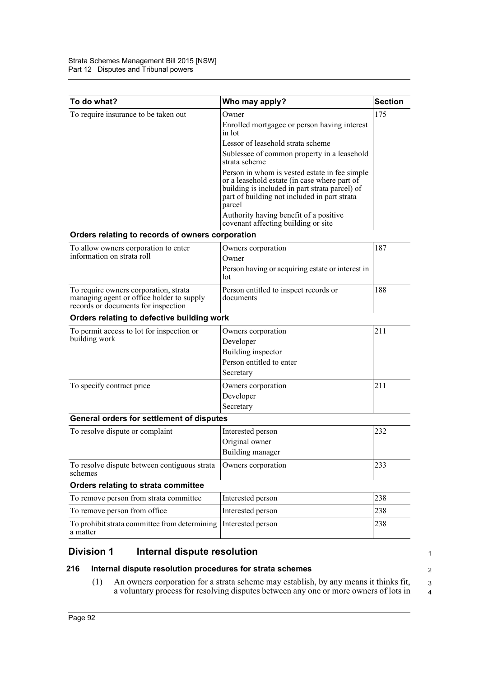| To do what?                                                                                                               | Who may apply?                                                                                                                                                                                            | <b>Section</b> |
|---------------------------------------------------------------------------------------------------------------------------|-----------------------------------------------------------------------------------------------------------------------------------------------------------------------------------------------------------|----------------|
| To require insurance to be taken out                                                                                      | Owner<br>Enrolled mortgagee or person having interest<br>in lot                                                                                                                                           | 175            |
|                                                                                                                           | Lessor of leasehold strata scheme                                                                                                                                                                         |                |
|                                                                                                                           | Sublessee of common property in a leasehold<br>strata scheme                                                                                                                                              |                |
|                                                                                                                           | Person in whom is vested estate in fee simple<br>or a leasehold estate (in case where part of<br>building is included in part strata parcel) of<br>part of building not included in part strata<br>parcel |                |
|                                                                                                                           | Authority having benefit of a positive<br>covenant affecting building or site                                                                                                                             |                |
| Orders relating to records of owners corporation                                                                          |                                                                                                                                                                                                           |                |
| To allow owners corporation to enter<br>information on strata roll                                                        | Owners corporation<br>Owner                                                                                                                                                                               | 187            |
|                                                                                                                           | Person having or acquiring estate or interest in<br>lot                                                                                                                                                   |                |
| To require owners corporation, strata<br>managing agent or office holder to supply<br>records or documents for inspection | Person entitled to inspect records or<br>documents                                                                                                                                                        | 188            |
| Orders relating to defective building work                                                                                |                                                                                                                                                                                                           |                |
| To permit access to lot for inspection or<br>building work                                                                | Owners corporation<br>Developer                                                                                                                                                                           | 211            |
|                                                                                                                           | Building inspector                                                                                                                                                                                        |                |
|                                                                                                                           | Person entitled to enter                                                                                                                                                                                  |                |
|                                                                                                                           | Secretary                                                                                                                                                                                                 |                |
| To specify contract price                                                                                                 | Owners corporation                                                                                                                                                                                        | 211            |
|                                                                                                                           | Developer                                                                                                                                                                                                 |                |
|                                                                                                                           | Secretary                                                                                                                                                                                                 |                |
| General orders for settlement of disputes                                                                                 |                                                                                                                                                                                                           |                |
| To resolve dispute or complaint                                                                                           | Interested person                                                                                                                                                                                         | 232            |
|                                                                                                                           | Original owner                                                                                                                                                                                            |                |
|                                                                                                                           | <b>Building manager</b>                                                                                                                                                                                   |                |
| To resolve dispute between contiguous strata<br>schemes                                                                   | Owners corporation                                                                                                                                                                                        | 233            |
| Orders relating to strata committee                                                                                       |                                                                                                                                                                                                           |                |
| To remove person from strata committee                                                                                    | Interested person                                                                                                                                                                                         | 238            |
| To remove person from office                                                                                              | Interested person                                                                                                                                                                                         | 238            |
| To prohibit strata committee from determining<br>a matter                                                                 | Interested person                                                                                                                                                                                         | 238            |

# **Division 1 Internal dispute resolution**

# **216 Internal dispute resolution procedures for strata schemes**

(1) An owners corporation for a strata scheme may establish, by any means it thinks fit, a voluntary process for resolving disputes between any one or more owners of lots in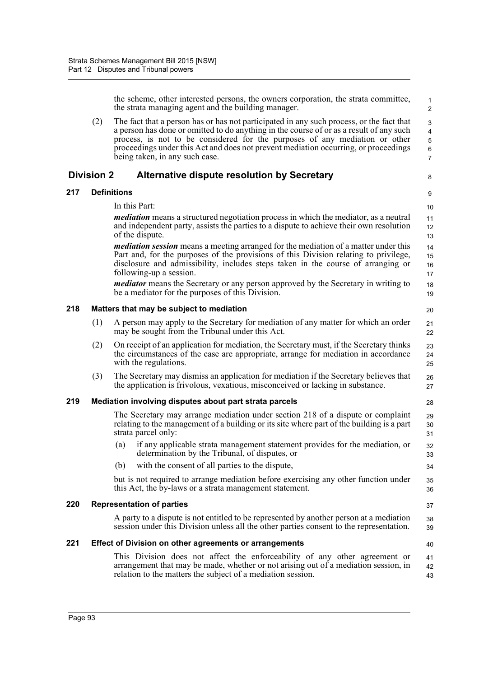the scheme, other interested persons, the owners corporation, the strata committee, the strata managing agent and the building manager.

17 18 19

28

32 33 34

37

40

(2) The fact that a person has or has not participated in any such process, or the fact that a person has done or omitted to do anything in the course of or as a result of any such process, is not to be considered for the purposes of any mediation or other proceedings under this Act and does not prevent mediation occurring, or proceedings being taken, in any such case.

# **Division 2 Alternative dispute resolution by Secretary**

# **217 Definitions**

In this Part:

*mediation* means a structured negotiation process in which the mediator, as a neutral and independent party, assists the parties to a dispute to achieve their own resolution of the dispute.

*mediation session* means a meeting arranged for the mediation of a matter under this Part and, for the purposes of the provisions of this Division relating to privilege, disclosure and admissibility, includes steps taken in the course of arranging or following-up a session. 15 16

*mediator* means the Secretary or any person approved by the Secretary in writing to be a mediator for the purposes of this Division.

## **218 Matters that may be subject to mediation**

- (1) A person may apply to the Secretary for mediation of any matter for which an order may be sought from the Tribunal under this Act.
- (2) On receipt of an application for mediation, the Secretary must, if the Secretary thinks the circumstances of the case are appropriate, arrange for mediation in accordance with the regulations.
- (3) The Secretary may dismiss an application for mediation if the Secretary believes that the application is frivolous, vexatious, misconceived or lacking in substance. 26 27

#### **219 Mediation involving disputes about part strata parcels**

| The Secretary may arrange mediation under section 218 of a dispute or complaint           | 29 |
|-------------------------------------------------------------------------------------------|----|
| relating to the management of a building or its site where part of the building is a part | 30 |
| strata parcel only:                                                                       | 31 |

- (a) if any applicable strata management statement provides for the mediation, or determination by the Tribunal, of disputes, or
- (b) with the consent of all parties to the dispute,

but is not required to arrange mediation before exercising any other function under this Act, the by-laws or a strata management statement. 35 36

#### **220 Representation of parties**

A party to a dispute is not entitled to be represented by another person at a mediation session under this Division unless all the other parties consent to the representation. 38 39

## **221 Effect of Division on other agreements or arrangements**

This Division does not affect the enforceability of any other agreement or arrangement that may be made, whether or not arising out of a mediation session, in relation to the matters the subject of a mediation session. 41 42 43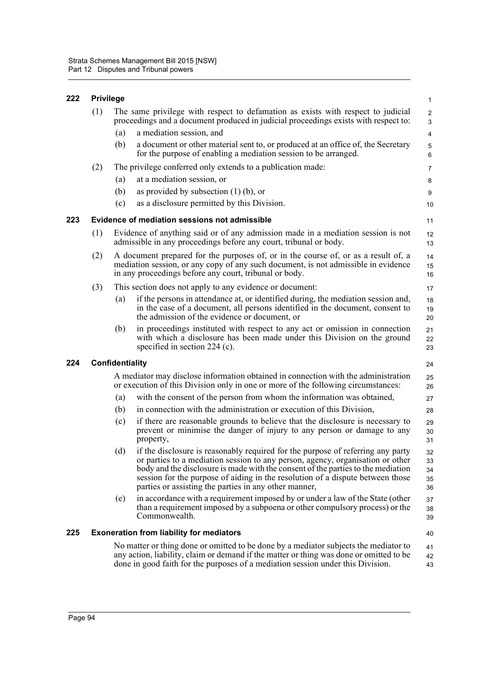# **222 Privilege**

| 222 | <b>Privilege</b> |                 |                                                                                                                                                                                                                                                                                                                                                                                                  | $\mathbf{1}$               |
|-----|------------------|-----------------|--------------------------------------------------------------------------------------------------------------------------------------------------------------------------------------------------------------------------------------------------------------------------------------------------------------------------------------------------------------------------------------------------|----------------------------|
|     | (1)              |                 | The same privilege with respect to defamation as exists with respect to judicial<br>proceedings and a document produced in judicial proceedings exists with respect to:                                                                                                                                                                                                                          | $\overline{c}$<br>3        |
|     |                  | (a)             | a mediation session, and                                                                                                                                                                                                                                                                                                                                                                         | 4                          |
|     |                  | (b)             | a document or other material sent to, or produced at an office of, the Secretary<br>for the purpose of enabling a mediation session to be arranged.                                                                                                                                                                                                                                              | 5<br>$\,6\,$               |
|     | (2)              |                 | The privilege conferred only extends to a publication made:                                                                                                                                                                                                                                                                                                                                      | $\overline{7}$             |
|     |                  | (a)             | at a mediation session, or                                                                                                                                                                                                                                                                                                                                                                       | 8                          |
|     |                  | (b)             | as provided by subsection $(1)$ (b), or                                                                                                                                                                                                                                                                                                                                                          | 9                          |
|     |                  | (c)             | as a disclosure permitted by this Division.                                                                                                                                                                                                                                                                                                                                                      | 10                         |
| 223 |                  |                 | Evidence of mediation sessions not admissible                                                                                                                                                                                                                                                                                                                                                    | 11                         |
|     | (1)              |                 | Evidence of anything said or of any admission made in a mediation session is not<br>admissible in any proceedings before any court, tribunal or body.                                                                                                                                                                                                                                            | 12<br>13                   |
|     | (2)              |                 | A document prepared for the purposes of, or in the course of, or as a result of, a<br>mediation session, or any copy of any such document, is not admissible in evidence<br>in any proceedings before any court, tribunal or body.                                                                                                                                                               | 14<br>15<br>16             |
|     | (3)              |                 | This section does not apply to any evidence or document:                                                                                                                                                                                                                                                                                                                                         | 17                         |
|     |                  | (a)             | if the persons in attendance at, or identified during, the mediation session and,<br>in the case of a document, all persons identified in the document, consent to<br>the admission of the evidence or document, or                                                                                                                                                                              | 18<br>19<br>20             |
|     |                  | (b)             | in proceedings instituted with respect to any act or omission in connection<br>with which a disclosure has been made under this Division on the ground<br>specified in section $224$ (c).                                                                                                                                                                                                        | 21<br>22<br>23             |
| 224 |                  | Confidentiality |                                                                                                                                                                                                                                                                                                                                                                                                  | 24                         |
|     |                  |                 | A mediator may disclose information obtained in connection with the administration<br>or execution of this Division only in one or more of the following circumstances:                                                                                                                                                                                                                          | 25<br>26                   |
|     |                  | (a)             | with the consent of the person from whom the information was obtained,                                                                                                                                                                                                                                                                                                                           | 27                         |
|     |                  | (b)             | in connection with the administration or execution of this Division,                                                                                                                                                                                                                                                                                                                             | 28                         |
|     |                  | (c)             | if there are reasonable grounds to believe that the disclosure is necessary to<br>prevent or minimise the danger of injury to any person or damage to any<br>property,                                                                                                                                                                                                                           | 29<br>30<br>31             |
|     |                  | (d)             | if the disclosure is reasonably required for the purpose of referring any party<br>or parties to a mediation session to any person, agency, organisation or other<br>body and the disclosure is made with the consent of the parties to the mediation<br>session for the purpose of aiding in the resolution of a dispute between those<br>parties or assisting the parties in any other manner, | 32<br>33<br>34<br>35<br>36 |
|     |                  | (e)             | in accordance with a requirement imposed by or under a law of the State (other<br>than a requirement imposed by a subpoena or other compulsory process) or the<br>Commonwealth.                                                                                                                                                                                                                  | 37<br>38<br>39             |
| 225 |                  |                 | <b>Exoneration from liability for mediators</b>                                                                                                                                                                                                                                                                                                                                                  | 40                         |
|     |                  |                 | No matter or thing done or omitted to be done by a mediator subjects the mediator to<br>any action, liability, claim or demand if the matter or thing was done or omitted to be<br>done in good faith for the purposes of a mediation session under this Division.                                                                                                                               | 41<br>42<br>43             |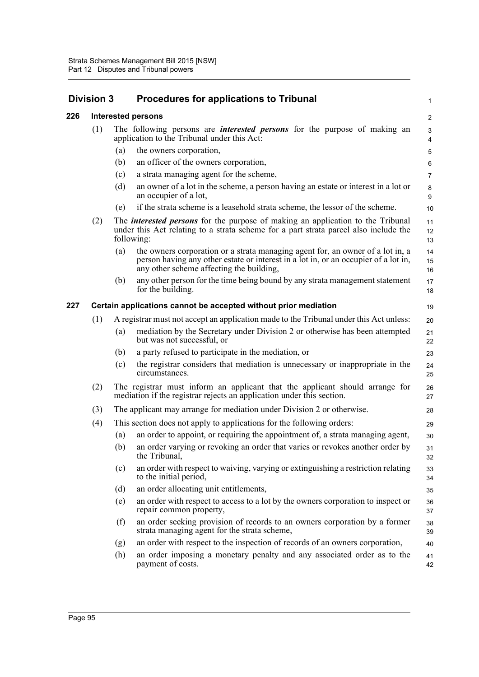| <b>Division 3</b>                                               |     | <b>Procedures for applications to Tribunal</b>                                                                                                                                                                    | $\mathbf{1}$                                                                                                                                                                                                                                                                                                                                                                                                                                                                                                                                                                                                                                                                                                                                                       |
|-----------------------------------------------------------------|-----|-------------------------------------------------------------------------------------------------------------------------------------------------------------------------------------------------------------------|--------------------------------------------------------------------------------------------------------------------------------------------------------------------------------------------------------------------------------------------------------------------------------------------------------------------------------------------------------------------------------------------------------------------------------------------------------------------------------------------------------------------------------------------------------------------------------------------------------------------------------------------------------------------------------------------------------------------------------------------------------------------|
|                                                                 |     |                                                                                                                                                                                                                   | $\overline{2}$                                                                                                                                                                                                                                                                                                                                                                                                                                                                                                                                                                                                                                                                                                                                                     |
| (1)                                                             |     |                                                                                                                                                                                                                   | 3<br>4                                                                                                                                                                                                                                                                                                                                                                                                                                                                                                                                                                                                                                                                                                                                                             |
|                                                                 | (a) | the owners corporation,                                                                                                                                                                                           | 5                                                                                                                                                                                                                                                                                                                                                                                                                                                                                                                                                                                                                                                                                                                                                                  |
|                                                                 | (b) | an officer of the owners corporation,                                                                                                                                                                             | 6                                                                                                                                                                                                                                                                                                                                                                                                                                                                                                                                                                                                                                                                                                                                                                  |
|                                                                 | (c) | a strata managing agent for the scheme,                                                                                                                                                                           | $\overline{7}$                                                                                                                                                                                                                                                                                                                                                                                                                                                                                                                                                                                                                                                                                                                                                     |
|                                                                 | (d) | an owner of a lot in the scheme, a person having an estate or interest in a lot or<br>an occupier of a lot,                                                                                                       | 8<br>9                                                                                                                                                                                                                                                                                                                                                                                                                                                                                                                                                                                                                                                                                                                                                             |
|                                                                 | (e) | if the strata scheme is a leasehold strata scheme, the lessor of the scheme.                                                                                                                                      | 10                                                                                                                                                                                                                                                                                                                                                                                                                                                                                                                                                                                                                                                                                                                                                                 |
| (2)                                                             |     |                                                                                                                                                                                                                   | 11<br>12<br>13                                                                                                                                                                                                                                                                                                                                                                                                                                                                                                                                                                                                                                                                                                                                                     |
|                                                                 | (a) | the owners corporation or a strata managing agent for, an owner of a lot in, a<br>person having any other estate or interest in a lot in, or an occupier of a lot in,<br>any other scheme affecting the building, | 14<br>15<br>16                                                                                                                                                                                                                                                                                                                                                                                                                                                                                                                                                                                                                                                                                                                                                     |
|                                                                 | (b) | any other person for the time being bound by any strata management statement<br>for the building.                                                                                                                 | 17<br>18                                                                                                                                                                                                                                                                                                                                                                                                                                                                                                                                                                                                                                                                                                                                                           |
| Certain applications cannot be accepted without prior mediation |     |                                                                                                                                                                                                                   | 19                                                                                                                                                                                                                                                                                                                                                                                                                                                                                                                                                                                                                                                                                                                                                                 |
| (1)                                                             |     |                                                                                                                                                                                                                   | 20                                                                                                                                                                                                                                                                                                                                                                                                                                                                                                                                                                                                                                                                                                                                                                 |
|                                                                 | (a) | mediation by the Secretary under Division 2 or otherwise has been attempted<br>but was not successful, or                                                                                                         | 21<br>22                                                                                                                                                                                                                                                                                                                                                                                                                                                                                                                                                                                                                                                                                                                                                           |
|                                                                 | (b) | a party refused to participate in the mediation, or                                                                                                                                                               | 23                                                                                                                                                                                                                                                                                                                                                                                                                                                                                                                                                                                                                                                                                                                                                                 |
|                                                                 | (c) | the registrar considers that mediation is unnecessary or inappropriate in the<br>circumstances.                                                                                                                   | 24<br>25                                                                                                                                                                                                                                                                                                                                                                                                                                                                                                                                                                                                                                                                                                                                                           |
| (2)                                                             |     |                                                                                                                                                                                                                   | 26<br>27                                                                                                                                                                                                                                                                                                                                                                                                                                                                                                                                                                                                                                                                                                                                                           |
| (3)                                                             |     |                                                                                                                                                                                                                   | 28                                                                                                                                                                                                                                                                                                                                                                                                                                                                                                                                                                                                                                                                                                                                                                 |
| (4)                                                             |     |                                                                                                                                                                                                                   | 29                                                                                                                                                                                                                                                                                                                                                                                                                                                                                                                                                                                                                                                                                                                                                                 |
|                                                                 | (a) | an order to appoint, or requiring the appointment of, a strata managing agent,                                                                                                                                    | 30                                                                                                                                                                                                                                                                                                                                                                                                                                                                                                                                                                                                                                                                                                                                                                 |
|                                                                 | (b) | an order varying or revoking an order that varies or revokes another order by<br>the Tribunal,                                                                                                                    | 31<br>32                                                                                                                                                                                                                                                                                                                                                                                                                                                                                                                                                                                                                                                                                                                                                           |
|                                                                 | (c) | an order with respect to waiving, varying or extinguishing a restriction relating<br>to the initial period,                                                                                                       | 33<br>34                                                                                                                                                                                                                                                                                                                                                                                                                                                                                                                                                                                                                                                                                                                                                           |
|                                                                 | (d) | an order allocating unit entitlements,                                                                                                                                                                            | 35                                                                                                                                                                                                                                                                                                                                                                                                                                                                                                                                                                                                                                                                                                                                                                 |
|                                                                 | (e) | an order with respect to access to a lot by the owners corporation to inspect or<br>repair common property,                                                                                                       | 36<br>37                                                                                                                                                                                                                                                                                                                                                                                                                                                                                                                                                                                                                                                                                                                                                           |
|                                                                 | (f) | an order seeking provision of records to an owners corporation by a former<br>strata managing agent for the strata scheme,                                                                                        | 38<br>39                                                                                                                                                                                                                                                                                                                                                                                                                                                                                                                                                                                                                                                                                                                                                           |
|                                                                 | (g) | an order with respect to the inspection of records of an owners corporation,                                                                                                                                      | 40                                                                                                                                                                                                                                                                                                                                                                                                                                                                                                                                                                                                                                                                                                                                                                 |
|                                                                 | (h) | an order imposing a monetary penalty and any associated order as to the<br>payment of costs.                                                                                                                      | 41<br>42                                                                                                                                                                                                                                                                                                                                                                                                                                                                                                                                                                                                                                                                                                                                                           |
|                                                                 |     |                                                                                                                                                                                                                   | <b>Interested persons</b><br>The following persons are <i>interested persons</i> for the purpose of making an<br>application to the Tribunal under this Act:<br>The <i>interested persons</i> for the purpose of making an application to the Tribunal<br>under this Act relating to a strata scheme for a part strata parcel also include the<br>following:<br>A registrar must not accept an application made to the Tribunal under this Act unless:<br>The registrar must inform an applicant that the applicant should arrange for<br>mediation if the registrar rejects an application under this section.<br>The applicant may arrange for mediation under Division 2 or otherwise.<br>This section does not apply to applications for the following orders: |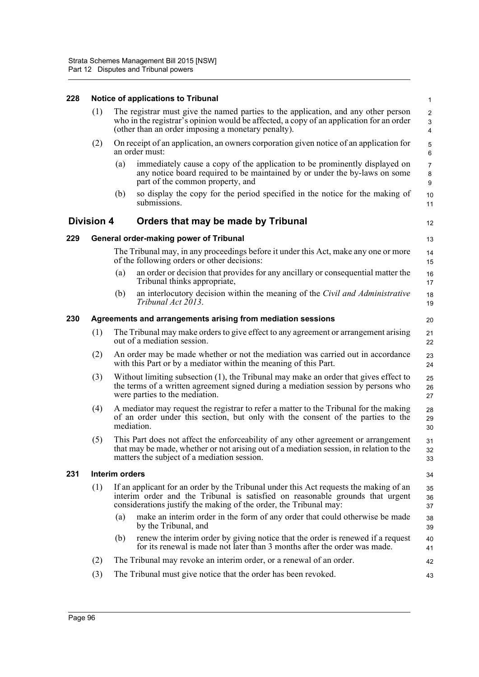# **228 Notice of applications to Tribunal**

|     | (1)                                                         |                       | The registrar must give the named parties to the application, and any other person<br>who in the registrar's opinion would be affected, a copy of an application for an order<br>(other than an order imposing a monetary penalty).         | 2<br>3<br>$\overline{4}$                      |
|-----|-------------------------------------------------------------|-----------------------|---------------------------------------------------------------------------------------------------------------------------------------------------------------------------------------------------------------------------------------------|-----------------------------------------------|
|     | (2)                                                         |                       | On receipt of an application, an owners corporation given notice of an application for<br>an order must:                                                                                                                                    | $\sqrt{5}$<br>$\,6$                           |
|     |                                                             | (a)                   | immediately cause a copy of the application to be prominently displayed on<br>any notice board required to be maintained by or under the by-laws on some<br>part of the common property, and                                                | $\overline{7}$<br>$\bf 8$<br>$\boldsymbol{9}$ |
|     |                                                             | (b)                   | so display the copy for the period specified in the notice for the making of<br>submissions.                                                                                                                                                | 10<br>11                                      |
|     | <b>Division 4</b>                                           |                       | Orders that may be made by Tribunal                                                                                                                                                                                                         | 12                                            |
| 229 |                                                             |                       | <b>General order-making power of Tribunal</b>                                                                                                                                                                                               | 13                                            |
|     |                                                             |                       | The Tribunal may, in any proceedings before it under this Act, make any one or more<br>of the following orders or other decisions:                                                                                                          | 14<br>15                                      |
|     |                                                             | (a)                   | an order or decision that provides for any ancillary or consequential matter the<br>Tribunal thinks appropriate,                                                                                                                            | 16<br>17                                      |
|     |                                                             | (b)                   | an interlocutory decision within the meaning of the Civil and Administrative<br>Tribunal Act 2013.                                                                                                                                          | 18<br>19                                      |
| 230 | Agreements and arrangements arising from mediation sessions |                       |                                                                                                                                                                                                                                             |                                               |
|     | (1)                                                         |                       | The Tribunal may make orders to give effect to any agreement or arrangement arising<br>out of a mediation session.                                                                                                                          | 21<br>22                                      |
|     | (2)                                                         |                       | An order may be made whether or not the mediation was carried out in accordance<br>with this Part or by a mediator within the meaning of this Part.                                                                                         | 23<br>24                                      |
|     | (3)                                                         |                       | Without limiting subsection (1), the Tribunal may make an order that gives effect to<br>the terms of a written agreement signed during a mediation session by persons who<br>were parties to the mediation.                                 | 25<br>26<br>27                                |
|     | (4)                                                         |                       | A mediator may request the registrar to refer a matter to the Tribunal for the making<br>of an order under this section, but only with the consent of the parties to the<br>mediation.                                                      | 28<br>29<br>30                                |
|     | (5)                                                         |                       | This Part does not affect the enforceability of any other agreement or arrangement<br>that may be made, whether or not arising out of a mediation session, in relation to the<br>matters the subject of a mediation session.                | 31<br>32<br>33                                |
| 231 |                                                             | <b>Interim orders</b> |                                                                                                                                                                                                                                             | 34                                            |
|     | (1)                                                         |                       | If an applicant for an order by the Tribunal under this Act requests the making of an<br>interim order and the Tribunal is satisfied on reasonable grounds that urgent<br>considerations justify the making of the order, the Tribunal may: | 35<br>36<br>37                                |
|     |                                                             | (a)                   | make an interim order in the form of any order that could otherwise be made<br>by the Tribunal, and                                                                                                                                         | 38<br>39                                      |
|     |                                                             | (b)                   | renew the interim order by giving notice that the order is renewed if a request<br>for its renewal is made not later than 3 months after the order was made.                                                                                | 40<br>41                                      |
|     | (2)                                                         |                       | The Tribunal may revoke an interim order, or a renewal of an order.                                                                                                                                                                         | 42                                            |
|     | (3)                                                         |                       | The Tribunal must give notice that the order has been revoked.                                                                                                                                                                              | 43                                            |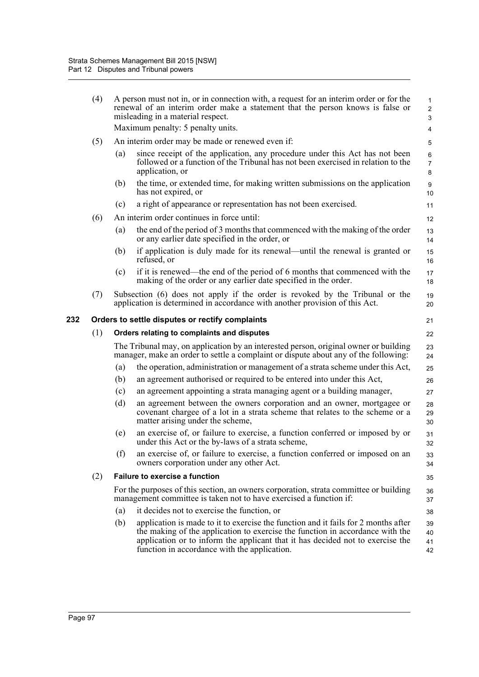|     | (4) |                                                       | A person must not in, or in connection with, a request for an interim order or for the<br>renewal of an interim order make a statement that the person knows is false or<br>misleading in a material respect. | $\mathbf{1}$<br>$\overline{c}$<br>3 |  |  |  |
|-----|-----|-------------------------------------------------------|---------------------------------------------------------------------------------------------------------------------------------------------------------------------------------------------------------------|-------------------------------------|--|--|--|
|     |     |                                                       | Maximum penalty: 5 penalty units.                                                                                                                                                                             | 4                                   |  |  |  |
|     | (5) |                                                       | An interim order may be made or renewed even if:                                                                                                                                                              | 5                                   |  |  |  |
|     |     | (a)                                                   | since receipt of the application, any procedure under this Act has not been<br>followed or a function of the Tribunal has not been exercised in relation to the<br>application, or                            | 6<br>$\overline{7}$<br>8            |  |  |  |
|     |     | (b)                                                   | the time, or extended time, for making written submissions on the application<br>has not expired, or                                                                                                          | $\boldsymbol{9}$<br>10              |  |  |  |
|     |     | (c)                                                   | a right of appearance or representation has not been exercised.                                                                                                                                               | 11                                  |  |  |  |
|     | (6) |                                                       | An interim order continues in force until:                                                                                                                                                                    | 12                                  |  |  |  |
|     |     | (a)                                                   | the end of the period of 3 months that commenced with the making of the order<br>or any earlier date specified in the order, or                                                                               | 13<br>14                            |  |  |  |
|     |     | (b)                                                   | if application is duly made for its renewal—until the renewal is granted or<br>refused, or                                                                                                                    | 15<br>16                            |  |  |  |
|     |     | (c)                                                   | if it is renewed—the end of the period of 6 months that commenced with the<br>making of the order or any earlier date specified in the order.                                                                 | 17<br>18                            |  |  |  |
|     | (7) |                                                       | Subsection (6) does not apply if the order is revoked by the Tribunal or the<br>application is determined in accordance with another provision of this Act.                                                   | 19<br>20                            |  |  |  |
| 232 |     | Orders to settle disputes or rectify complaints<br>21 |                                                                                                                                                                                                               |                                     |  |  |  |
|     | (1) |                                                       | Orders relating to complaints and disputes                                                                                                                                                                    | 22                                  |  |  |  |
|     |     |                                                       | The Tribunal may, on application by an interested person, original owner or building<br>manager, make an order to settle a complaint or dispute about any of the following:                                   | 23<br>24                            |  |  |  |
|     |     | (a)                                                   | the operation, administration or management of a strata scheme under this Act,                                                                                                                                | 25                                  |  |  |  |
|     |     | (b)                                                   | an agreement authorised or required to be entered into under this Act,                                                                                                                                        | 26                                  |  |  |  |
|     |     | (c)                                                   | an agreement appointing a strata managing agent or a building manager,                                                                                                                                        | 27                                  |  |  |  |
|     |     | (d)                                                   | an agreement between the owners corporation and an owner, mortgagee or<br>covenant chargee of a lot in a strata scheme that relates to the scheme or a<br>matter arising under the scheme,                    | 28<br>29<br>30                      |  |  |  |
|     |     | (e)                                                   | an exercise of, or failure to exercise, a function conferred or imposed by or<br>under this Act or the by-laws of a strata scheme,                                                                            | 31<br>32                            |  |  |  |
|     |     | (f)                                                   | an exercise of, or failure to exercise, a function conferred or imposed on an<br>owners corporation under any other Act.                                                                                      | 33<br>34                            |  |  |  |
|     | (2) |                                                       | <b>Failure to exercise a function</b>                                                                                                                                                                         | 35                                  |  |  |  |
|     |     |                                                       | For the purposes of this section, an owners corporation, strata committee or building<br>management committee is taken not to have exercised a function if:                                                   | 36<br>37                            |  |  |  |
|     |     | (a)                                                   | it decides not to exercise the function, or                                                                                                                                                                   | 38                                  |  |  |  |
|     |     | (b)                                                   | application is made to it to exercise the function and it fails for 2 months after<br>the making of the application to exercise the function in accordance with the                                           | 39                                  |  |  |  |
|     |     |                                                       |                                                                                                                                                                                                               | 40                                  |  |  |  |
|     |     |                                                       | application or to inform the applicant that it has decided not to exercise the<br>function in accordance with the application.                                                                                | 41<br>42                            |  |  |  |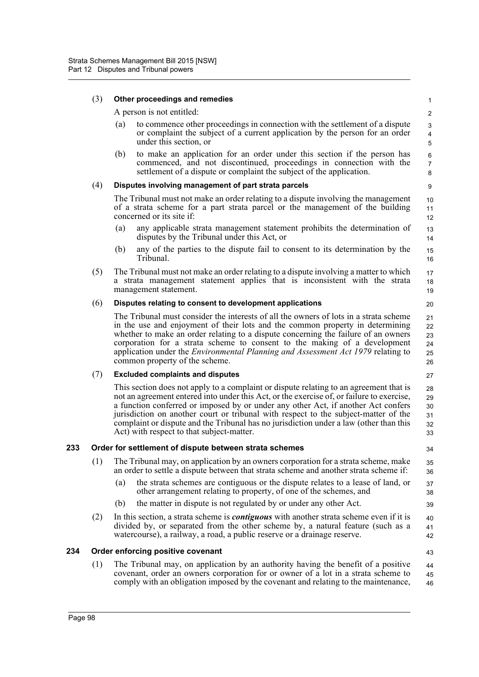#### (3) **Other proceedings and remedies**

A person is not entitled:

- (a) to commence other proceedings in connection with the settlement of a dispute or complaint the subject of a current application by the person for an order under this section, or
- (b) to make an application for an order under this section if the person has commenced, and not discontinued, proceedings in connection with the settlement of a dispute or complaint the subject of the application.

## (4) **Disputes involving management of part strata parcels**

The Tribunal must not make an order relating to a dispute involving the management of a strata scheme for a part strata parcel or the management of the building concerned or its site if:

- (a) any applicable strata management statement prohibits the determination of disputes by the Tribunal under this Act, or
- (b) any of the parties to the dispute fail to consent to its determination by the Tribunal.
- (5) The Tribunal must not make an order relating to a dispute involving a matter to which a strata management statement applies that is inconsistent with the strata management statement. 17 18 19

## (6) **Disputes relating to consent to development applications**

The Tribunal must consider the interests of all the owners of lots in a strata scheme in the use and enjoyment of their lots and the common property in determining whether to make an order relating to a dispute concerning the failure of an owners corporation for a strata scheme to consent to the making of a development application under the *Environmental Planning and Assessment Act 1979* relating to common property of the scheme. 21 22 23 24 25 26

# (7) **Excluded complaints and disputes**

This section does not apply to a complaint or dispute relating to an agreement that is not an agreement entered into under this Act, or the exercise of, or failure to exercise, a function conferred or imposed by or under any other Act, if another Act confers jurisdiction on another court or tribunal with respect to the subject-matter of the complaint or dispute and the Tribunal has no jurisdiction under a law (other than this Act) with respect to that subject-matter. 28 29 30 31 32 33

# **233 Order for settlement of dispute between strata schemes**

- (1) The Tribunal may, on application by an owners corporation for a strata scheme, make an order to settle a dispute between that strata scheme and another strata scheme if: 35 36
	- (a) the strata schemes are contiguous or the dispute relates to a lease of land, or other arrangement relating to property, of one of the schemes, and 37 38
	- (b) the matter in dispute is not regulated by or under any other Act.
- (2) In this section, a strata scheme is *contiguous* with another strata scheme even if it is divided by, or separated from the other scheme by, a natural feature (such as a watercourse), a railway, a road, a public reserve or a drainage reserve. 40 41 42

# **234 Order enforcing positive covenant**

(1) The Tribunal may, on application by an authority having the benefit of a positive covenant, order an owners corporation for or owner of a lot in a strata scheme to comply with an obligation imposed by the covenant and relating to the maintenance, 44 45 46

27

34

20

43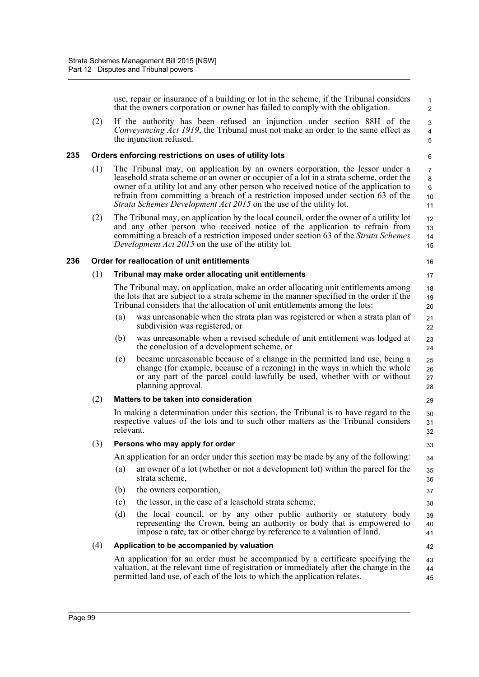use, repair or insurance of a building or lot in the scheme, if the Tribunal considers that the owners corporation or owner has failed to comply with the obligation. (2) If the authority has been refused an injunction under section 88H of the *Conveyancing Act 1919*, the Tribunal must not make an order to the same effect as the injunction refused. **235 Orders enforcing restrictions on uses of utility lots** (1) The Tribunal may, on application by an owners corporation, the lessor under a leasehold strata scheme or an owner or occupier of a lot in a strata scheme, order the owner of a utility lot and any other person who received notice of the application to refrain from committing a breach of a restriction imposed under section 63 of the *Strata Schemes Development Act 2015* on the use of the utility lot. (2) The Tribunal may, on application by the local council, order the owner of a utility lot and any other person who received notice of the application to refrain from committing a breach of a restriction imposed under section 63 of the *Strata Schemes Development Act 2015* on the use of the utility lot. **236 Order for reallocation of unit entitlements** (1) **Tribunal may make order allocating unit entitlements** The Tribunal may, on application, make an order allocating unit entitlements among the lots that are subject to a strata scheme in the manner specified in the order if the Tribunal considers that the allocation of unit entitlements among the lots: (a) was unreasonable when the strata plan was registered or when a strata plan of subdivision was registered, or (b) was unreasonable when a revised schedule of unit entitlement was lodged at the conclusion of a development scheme, or (c) became unreasonable because of a change in the permitted land use, being a change (for example, because of a rezoning) in the ways in which the whole or any part of the parcel could lawfully be used, whether with or without planning approval. (2) **Matters to be taken into consideration** In making a determination under this section, the Tribunal is to have regard to the respective values of the lots and to such other matters as the Tribunal considers relevant. (3) **Persons who may apply for order** An application for an order under this section may be made by any of the following: (a) an owner of a lot (whether or not a development lot) within the parcel for the strata scheme, (b) the owners corporation, (c) the lessor, in the case of a leasehold strata scheme, (d) the local council, or by any other public authority or statutory body representing the Crown, being an authority or body that is empowered to impose a rate, tax or other charge by reference to a valuation of land. (4) **Application to be accompanied by valuation** An application for an order must be accompanied by a certificate specifying the valuation, at the relevant time of registration or immediately after the change in the permitted land use, of each of the lots to which the application relates. 1  $\overline{2}$  3 4 5 6 7 8 9 10 11 12 13 14 15 16 17 18 19 20 21 22 23 24 25 26 27 28 29 30 31 32 33 34 35 36 37 38 39 40 41 42 43 44 45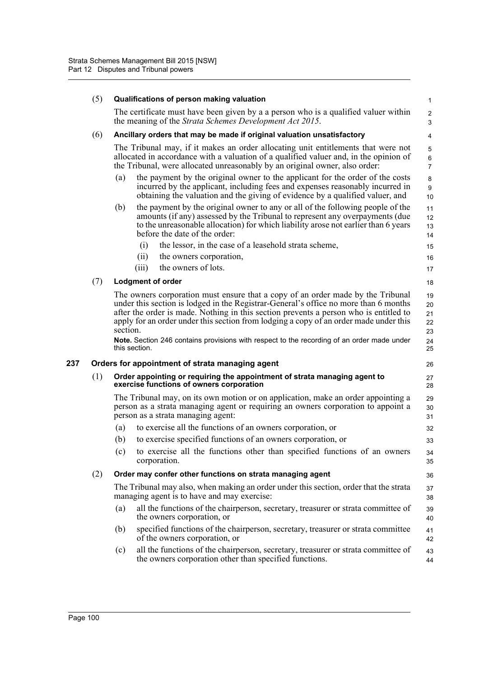|     | (5) |          | Qualifications of person making valuation                                                                                                                                                                                                                                                                                                                                                                                                                                | $\mathbf{1}$                     |
|-----|-----|----------|--------------------------------------------------------------------------------------------------------------------------------------------------------------------------------------------------------------------------------------------------------------------------------------------------------------------------------------------------------------------------------------------------------------------------------------------------------------------------|----------------------------------|
|     |     |          | The certificate must have been given by a a person who is a qualified valuer within<br>the meaning of the Strata Schemes Development Act 2015.                                                                                                                                                                                                                                                                                                                           | $\overline{c}$<br>3              |
|     | (6) |          | Ancillary orders that may be made if original valuation unsatisfactory                                                                                                                                                                                                                                                                                                                                                                                                   | 4                                |
|     |     |          | The Tribunal may, if it makes an order allocating unit entitlements that were not<br>allocated in accordance with a valuation of a qualified valuer and, in the opinion of<br>the Tribunal, were allocated unreasonably by an original owner, also order:                                                                                                                                                                                                                | 5<br>6<br>$\overline{7}$         |
|     |     | (a)      | the payment by the original owner to the applicant for the order of the costs<br>incurred by the applicant, including fees and expenses reasonably incurred in<br>obtaining the valuation and the giving of evidence by a qualified valuer, and                                                                                                                                                                                                                          | 8<br>9<br>10                     |
|     |     | (b)      | the payment by the original owner to any or all of the following people of the<br>amounts (if any) assessed by the Tribunal to represent any overpayments (due<br>to the unreasonable allocation) for which liability arose not earlier than 6 years<br>before the date of the order:                                                                                                                                                                                    | 11<br>12<br>13<br>14             |
|     |     |          | the lessor, in the case of a leasehold strata scheme,<br>(i)                                                                                                                                                                                                                                                                                                                                                                                                             | 15                               |
|     |     |          | (ii)<br>the owners corporation,                                                                                                                                                                                                                                                                                                                                                                                                                                          | 16                               |
|     |     |          | the owners of lots.<br>(iii)                                                                                                                                                                                                                                                                                                                                                                                                                                             | 17                               |
|     | (7) |          | <b>Lodgment of order</b>                                                                                                                                                                                                                                                                                                                                                                                                                                                 | 18                               |
|     |     | section. | The owners corporation must ensure that a copy of an order made by the Tribunal<br>under this section is lodged in the Registrar-General's office no more than 6 months<br>after the order is made. Nothing in this section prevents a person who is entitled to<br>apply for an order under this section from lodging a copy of an order made under this<br>Note. Section 246 contains provisions with respect to the recording of an order made under<br>this section. | 19<br>20<br>21<br>22<br>23<br>24 |
|     |     |          |                                                                                                                                                                                                                                                                                                                                                                                                                                                                          | 25                               |
| 237 |     |          | Orders for appointment of strata managing agent                                                                                                                                                                                                                                                                                                                                                                                                                          | 26                               |
|     | (1) |          | Order appointing or requiring the appointment of strata managing agent to<br>exercise functions of owners corporation                                                                                                                                                                                                                                                                                                                                                    | 27<br>28                         |
|     |     |          | The Tribunal may, on its own motion or on application, make an order appointing a<br>person as a strata managing agent or requiring an owners corporation to appoint a<br>person as a strata managing agent:                                                                                                                                                                                                                                                             | 29<br>30<br>31                   |
|     |     | (a)      | to exercise all the functions of an owners corporation, or                                                                                                                                                                                                                                                                                                                                                                                                               | 32                               |
|     |     | (b)      | to exercise specified functions of an owners corporation, or                                                                                                                                                                                                                                                                                                                                                                                                             | 33                               |
|     |     |          | (c) to exercise all the functions other than specified functions of an owners<br>corporation.                                                                                                                                                                                                                                                                                                                                                                            | 34<br>35                         |
|     | (2) |          | Order may confer other functions on strata managing agent                                                                                                                                                                                                                                                                                                                                                                                                                | 36                               |
|     |     |          | The Tribunal may also, when making an order under this section, order that the strata<br>managing agent is to have and may exercise:                                                                                                                                                                                                                                                                                                                                     | 37<br>38                         |
|     |     | (a)      | all the functions of the chairperson, secretary, treasurer or strata committee of                                                                                                                                                                                                                                                                                                                                                                                        | 39                               |
|     |     |          | the owners corporation, or                                                                                                                                                                                                                                                                                                                                                                                                                                               | 40                               |
|     |     | (b)      | specified functions of the chairperson, secretary, treasurer or strata committee<br>of the owners corporation, or                                                                                                                                                                                                                                                                                                                                                        | 41<br>42                         |
|     |     | (c)      | all the functions of the chairperson, secretary, treasurer or strata committee of<br>the owners corporation other than specified functions.                                                                                                                                                                                                                                                                                                                              | 43<br>44                         |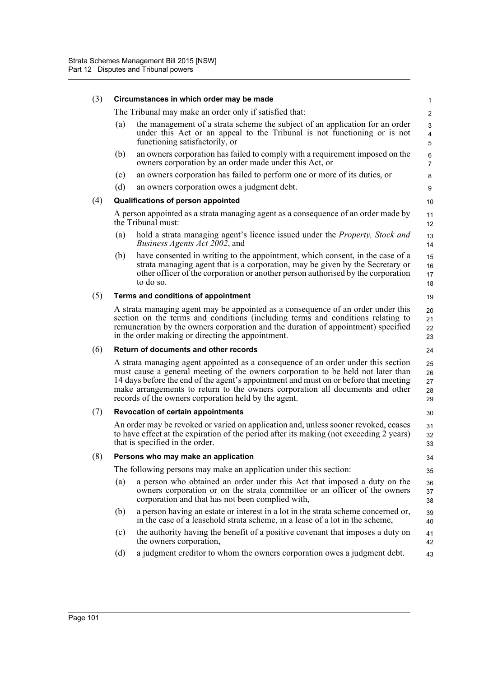| (3) | Circumstances in which order may be made |                                                                                                                                                                                                                                                                                                                                                                                                        |                            |  |  |
|-----|------------------------------------------|--------------------------------------------------------------------------------------------------------------------------------------------------------------------------------------------------------------------------------------------------------------------------------------------------------------------------------------------------------------------------------------------------------|----------------------------|--|--|
|     |                                          | The Tribunal may make an order only if satisfied that:                                                                                                                                                                                                                                                                                                                                                 | $\overline{2}$             |  |  |
|     | (a)                                      | the management of a strata scheme the subject of an application for an order<br>under this Act or an appeal to the Tribunal is not functioning or is not<br>functioning satisfactorily, or                                                                                                                                                                                                             | 3<br>$\overline{4}$<br>5   |  |  |
|     | (b)                                      | an owners corporation has failed to comply with a requirement imposed on the<br>owners corporation by an order made under this Act, or                                                                                                                                                                                                                                                                 | $\,6\,$<br>$\overline{7}$  |  |  |
|     | (c)                                      | an owners corporation has failed to perform one or more of its duties, or                                                                                                                                                                                                                                                                                                                              | 8                          |  |  |
|     | (d)                                      | an owners corporation owes a judgment debt.                                                                                                                                                                                                                                                                                                                                                            | 9                          |  |  |
| (4) |                                          | Qualifications of person appointed                                                                                                                                                                                                                                                                                                                                                                     | $10$                       |  |  |
|     |                                          | A person appointed as a strata managing agent as a consequence of an order made by<br>the Tribunal must:                                                                                                                                                                                                                                                                                               | 11<br>12                   |  |  |
|     | (a)                                      | hold a strata managing agent's licence issued under the <i>Property</i> , <i>Stock and</i><br><i>Business Agents Act 2002</i> , and                                                                                                                                                                                                                                                                    | 13<br>14                   |  |  |
|     | (b)                                      | have consented in writing to the appointment, which consent, in the case of a<br>strata managing agent that is a corporation, may be given by the Secretary or<br>other officer of the corporation or another person authorised by the corporation<br>to do so.                                                                                                                                        | 15<br>16<br>17<br>18       |  |  |
| (5) |                                          | Terms and conditions of appointment                                                                                                                                                                                                                                                                                                                                                                    | 19                         |  |  |
|     |                                          | A strata managing agent may be appointed as a consequence of an order under this<br>section on the terms and conditions (including terms and conditions relating to<br>remuneration by the owners corporation and the duration of appointment) specified<br>in the order making or directing the appointment.                                                                                          | 20<br>21<br>22<br>23       |  |  |
| (6) |                                          | Return of documents and other records                                                                                                                                                                                                                                                                                                                                                                  | 24                         |  |  |
|     |                                          | A strata managing agent appointed as a consequence of an order under this section<br>must cause a general meeting of the owners corporation to be held not later than<br>14 days before the end of the agent's appointment and must on or before that meeting<br>make arrangements to return to the owners corporation all documents and other<br>records of the owners corporation held by the agent. | 25<br>26<br>27<br>28<br>29 |  |  |
| (7) |                                          | <b>Revocation of certain appointments</b>                                                                                                                                                                                                                                                                                                                                                              | 30                         |  |  |
|     |                                          | An order may be revoked or varied on application and, unless sooner revoked, ceases<br>to have effect at the expiration of the period after its making (not exceeding 2 years)<br>that is specified in the order.                                                                                                                                                                                      | 31<br>32<br>33             |  |  |
| (8) |                                          | Persons who may make an application                                                                                                                                                                                                                                                                                                                                                                    | 34                         |  |  |
|     |                                          | The following persons may make an application under this section:                                                                                                                                                                                                                                                                                                                                      | 35                         |  |  |
|     | (a)                                      | a person who obtained an order under this Act that imposed a duty on the<br>owners corporation or on the strata committee or an officer of the owners<br>corporation and that has not been complied with,                                                                                                                                                                                              | 36<br>37<br>38             |  |  |
|     | (b)                                      | a person having an estate or interest in a lot in the strata scheme concerned or,<br>in the case of a leasehold strata scheme, in a lease of a lot in the scheme,                                                                                                                                                                                                                                      | 39<br>40                   |  |  |
|     | (c)                                      | the authority having the benefit of a positive covenant that imposes a duty on<br>the owners corporation,                                                                                                                                                                                                                                                                                              | 41<br>42                   |  |  |
|     | (d)                                      | a judgment creditor to whom the owners corporation owes a judgment debt.                                                                                                                                                                                                                                                                                                                               | 43                         |  |  |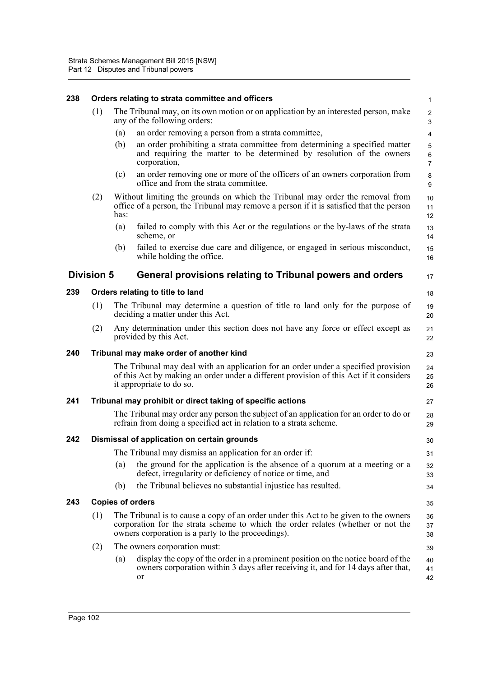| 238 | Orders relating to strata committee and officers |                                                                                                                     |                                                                                                                                                                                                                                |                                |  |
|-----|--------------------------------------------------|---------------------------------------------------------------------------------------------------------------------|--------------------------------------------------------------------------------------------------------------------------------------------------------------------------------------------------------------------------------|--------------------------------|--|
|     | (1)                                              | The Tribunal may, on its own motion or on application by an interested person, make<br>any of the following orders: |                                                                                                                                                                                                                                |                                |  |
|     |                                                  | (a)                                                                                                                 | an order removing a person from a strata committee,                                                                                                                                                                            | 4                              |  |
|     |                                                  | (b)                                                                                                                 | an order prohibiting a strata committee from determining a specified matter<br>and requiring the matter to be determined by resolution of the owners<br>corporation,                                                           | 5<br>$\,6\,$<br>$\overline{7}$ |  |
|     |                                                  | (c)                                                                                                                 | an order removing one or more of the officers of an owners corporation from<br>office and from the strata committee.                                                                                                           | 8<br>9                         |  |
|     | (2)                                              | has:                                                                                                                | Without limiting the grounds on which the Tribunal may order the removal from<br>office of a person, the Tribunal may remove a person if it is satisfied that the person                                                       | $10$<br>11<br>12               |  |
|     |                                                  | (a)                                                                                                                 | failed to comply with this Act or the regulations or the by-laws of the strata<br>scheme, or                                                                                                                                   | 13<br>14                       |  |
|     |                                                  | (b)                                                                                                                 | failed to exercise due care and diligence, or engaged in serious misconduct,<br>while holding the office.                                                                                                                      | 15<br>16                       |  |
|     | <b>Division 5</b>                                |                                                                                                                     | General provisions relating to Tribunal powers and orders                                                                                                                                                                      | 17                             |  |
| 239 | Orders relating to title to land                 |                                                                                                                     |                                                                                                                                                                                                                                |                                |  |
|     | (1)                                              |                                                                                                                     | The Tribunal may determine a question of title to land only for the purpose of<br>deciding a matter under this Act.                                                                                                            | 19<br>20                       |  |
|     | (2)                                              |                                                                                                                     | Any determination under this section does not have any force or effect except as<br>provided by this Act.                                                                                                                      | 21<br>22                       |  |
| 240 |                                                  |                                                                                                                     | Tribunal may make order of another kind                                                                                                                                                                                        | 23                             |  |
|     |                                                  |                                                                                                                     | The Tribunal may deal with an application for an order under a specified provision<br>of this Act by making an order under a different provision of this Act if it considers<br>it appropriate to do so.                       | 24<br>25<br>26                 |  |
| 241 |                                                  |                                                                                                                     | Tribunal may prohibit or direct taking of specific actions                                                                                                                                                                     | 27                             |  |
|     |                                                  |                                                                                                                     | The Tribunal may order any person the subject of an application for an order to do or<br>refrain from doing a specified act in relation to a strata scheme.                                                                    | 28<br>29                       |  |
| 242 |                                                  |                                                                                                                     | Dismissal of application on certain grounds                                                                                                                                                                                    | 30                             |  |
|     |                                                  |                                                                                                                     | The Tribunal may dismiss an application for an order if:                                                                                                                                                                       | 31                             |  |
|     |                                                  | (a)                                                                                                                 | the ground for the application is the absence of a quorum at a meeting or a<br>defect, irregularity or deficiency of notice or time, and                                                                                       | 32<br>33                       |  |
|     |                                                  | (b)                                                                                                                 | the Tribunal believes no substantial injustice has resulted.                                                                                                                                                                   | 34                             |  |
| 243 |                                                  |                                                                                                                     | <b>Copies of orders</b>                                                                                                                                                                                                        | 35                             |  |
|     | (1)                                              |                                                                                                                     | The Tribunal is to cause a copy of an order under this Act to be given to the owners<br>corporation for the strata scheme to which the order relates (whether or not the<br>owners corporation is a party to the proceedings). | 36<br>37<br>38                 |  |
|     | (2)                                              |                                                                                                                     | The owners corporation must:                                                                                                                                                                                                   | 39                             |  |
|     |                                                  | (a)                                                                                                                 | display the copy of the order in a prominent position on the notice board of the<br>owners corporation within 3 days after receiving it, and for 14 days after that,<br><sub>or</sub>                                          | 40<br>41<br>42                 |  |
|     |                                                  |                                                                                                                     |                                                                                                                                                                                                                                |                                |  |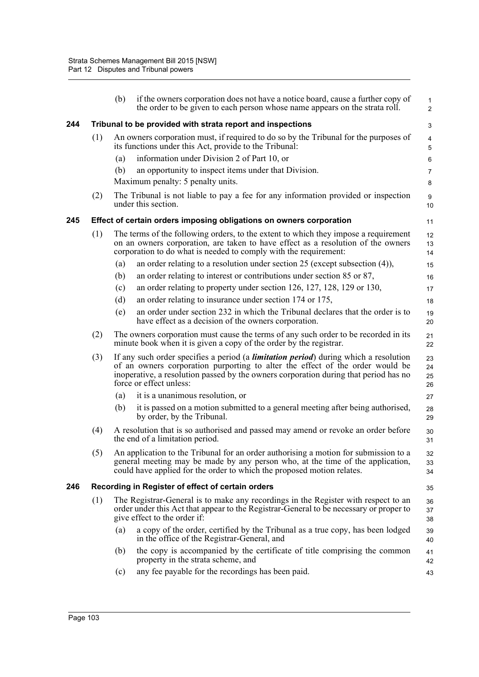|     |     | (b) | if the owners corporation does not have a notice board, cause a further copy of<br>the order to be given to each person whose name appears on the strata roll.                                                                                                                                   | $\mathbf{1}$<br>$\overline{2}$ |
|-----|-----|-----|--------------------------------------------------------------------------------------------------------------------------------------------------------------------------------------------------------------------------------------------------------------------------------------------------|--------------------------------|
| 244 |     |     | Tribunal to be provided with strata report and inspections                                                                                                                                                                                                                                       | 3                              |
|     | (1) |     | An owners corporation must, if required to do so by the Tribunal for the purposes of<br>its functions under this Act, provide to the Tribunal:                                                                                                                                                   | $\overline{\mathbf{4}}$<br>5   |
|     |     | (a) | information under Division 2 of Part 10, or                                                                                                                                                                                                                                                      | 6                              |
|     |     | (b) | an opportunity to inspect items under that Division.                                                                                                                                                                                                                                             | $\overline{7}$                 |
|     |     |     | Maximum penalty: 5 penalty units.                                                                                                                                                                                                                                                                | 8                              |
|     | (2) |     | The Tribunal is not liable to pay a fee for any information provided or inspection<br>under this section.                                                                                                                                                                                        | 9<br>10                        |
| 245 |     |     | Effect of certain orders imposing obligations on owners corporation                                                                                                                                                                                                                              | 11                             |
|     | (1) |     | The terms of the following orders, to the extent to which they impose a requirement<br>on an owners corporation, are taken to have effect as a resolution of the owners<br>corporation to do what is needed to comply with the requirement:                                                      | 12<br>13<br>14                 |
|     |     | (a) | an order relating to a resolution under section 25 (except subsection $(4)$ ),                                                                                                                                                                                                                   | 15                             |
|     |     | (b) | an order relating to interest or contributions under section 85 or 87,                                                                                                                                                                                                                           | 16                             |
|     |     | (c) | an order relating to property under section 126, 127, 128, 129 or 130,                                                                                                                                                                                                                           | 17                             |
|     |     | (d) | an order relating to insurance under section 174 or 175,                                                                                                                                                                                                                                         | 18                             |
|     |     | (e) | an order under section 232 in which the Tribunal declares that the order is to<br>have effect as a decision of the owners corporation.                                                                                                                                                           | 19<br>20                       |
|     | (2) |     | The owners corporation must cause the terms of any such order to be recorded in its<br>minute book when it is given a copy of the order by the registrar.                                                                                                                                        | 21<br>22                       |
|     | (3) |     | If any such order specifies a period (a <i>limitation period</i> ) during which a resolution<br>of an owners corporation purporting to alter the effect of the order would be<br>inoperative, a resolution passed by the owners corporation during that period has no<br>force or effect unless: | 23<br>24<br>25<br>26           |
|     |     | (a) | it is a unanimous resolution, or                                                                                                                                                                                                                                                                 | 27                             |
|     |     | (b) | it is passed on a motion submitted to a general meeting after being authorised,<br>by order, by the Tribunal.                                                                                                                                                                                    | 28<br>29                       |
|     | (4) |     | A resolution that is so authorised and passed may amend or revoke an order before<br>the end of a limitation period.                                                                                                                                                                             | 30<br>31                       |
|     | (5) |     | An application to the Tribunal for an order authorising a motion for submission to a<br>general meeting may be made by any person who, at the time of the application,<br>could have applied for the order to which the proposed motion relates.                                                 | 32<br>33<br>34                 |
| 246 |     |     | Recording in Register of effect of certain orders                                                                                                                                                                                                                                                | 35                             |
|     | (1) |     | The Registrar-General is to make any recordings in the Register with respect to an<br>order under this Act that appear to the Registrar-General to be necessary or proper to<br>give effect to the order if:                                                                                     | 36<br>37<br>38                 |
|     |     | (a) | a copy of the order, certified by the Tribunal as a true copy, has been lodged<br>in the office of the Registrar-General, and                                                                                                                                                                    | 39<br>40                       |
|     |     | (b) | the copy is accompanied by the certificate of title comprising the common<br>property in the strata scheme, and                                                                                                                                                                                  | 41<br>42                       |
|     |     | (c) | any fee payable for the recordings has been paid.                                                                                                                                                                                                                                                | 43                             |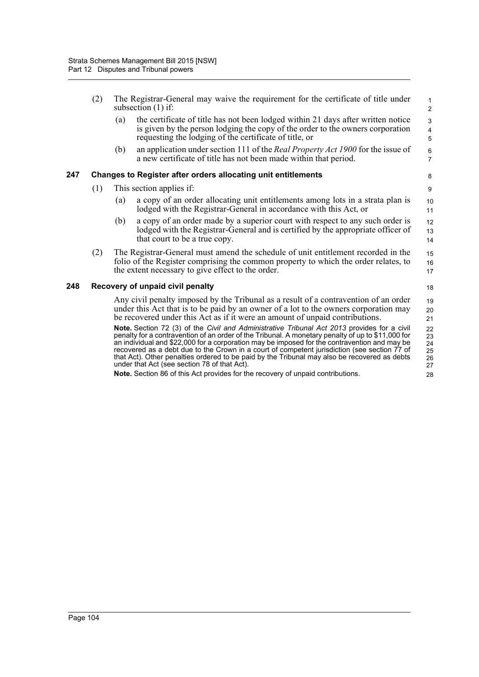|     | (2) |     | The Registrar-General may waive the requirement for the certificate of title under<br>subsection $(1)$ if:                                                                                                                                                                                                                                                                                                                                                                                                                                                                                                                                                                                                                                                                                                                                                                                          | $\mathbf{1}$<br>2                                        |
|-----|-----|-----|-----------------------------------------------------------------------------------------------------------------------------------------------------------------------------------------------------------------------------------------------------------------------------------------------------------------------------------------------------------------------------------------------------------------------------------------------------------------------------------------------------------------------------------------------------------------------------------------------------------------------------------------------------------------------------------------------------------------------------------------------------------------------------------------------------------------------------------------------------------------------------------------------------|----------------------------------------------------------|
|     |     | (a) | the certificate of title has not been lodged within 21 days after written notice<br>is given by the person lodging the copy of the order to the owners corporation<br>requesting the lodging of the certificate of title, or                                                                                                                                                                                                                                                                                                                                                                                                                                                                                                                                                                                                                                                                        | $\mathsf 3$<br>$\overline{4}$<br>$\overline{5}$          |
|     |     | (b) | an application under section 111 of the <i>Real Property Act 1900</i> for the issue of<br>a new certificate of title has not been made within that period.                                                                                                                                                                                                                                                                                                                                                                                                                                                                                                                                                                                                                                                                                                                                          | $\,6$<br>$\overline{7}$                                  |
| 247 |     |     | Changes to Register after orders allocating unit entitlements                                                                                                                                                                                                                                                                                                                                                                                                                                                                                                                                                                                                                                                                                                                                                                                                                                       | 8                                                        |
|     | (1) |     | This section applies if:                                                                                                                                                                                                                                                                                                                                                                                                                                                                                                                                                                                                                                                                                                                                                                                                                                                                            | 9                                                        |
|     |     | (a) | a copy of an order allocating unit entitlements among lots in a strata plan is<br>lodged with the Registrar-General in accordance with this Act, or                                                                                                                                                                                                                                                                                                                                                                                                                                                                                                                                                                                                                                                                                                                                                 | 10<br>11                                                 |
|     |     | (b) | a copy of an order made by a superior court with respect to any such order is<br>lodged with the Registrar-General and is certified by the appropriate officer of<br>that court to be a true copy.                                                                                                                                                                                                                                                                                                                                                                                                                                                                                                                                                                                                                                                                                                  | 12<br>13<br>14                                           |
|     | (2) |     | The Registrar-General must amend the schedule of unit entitlement recorded in the<br>folio of the Register comprising the common property to which the order relates, to<br>the extent necessary to give effect to the order.                                                                                                                                                                                                                                                                                                                                                                                                                                                                                                                                                                                                                                                                       | 15<br>16<br>17                                           |
| 248 |     |     | Recovery of unpaid civil penalty                                                                                                                                                                                                                                                                                                                                                                                                                                                                                                                                                                                                                                                                                                                                                                                                                                                                    | 18                                                       |
|     |     |     | Any civil penalty imposed by the Tribunal as a result of a contravention of an order<br>under this Act that is to be paid by an owner of a lot to the owners corporation may<br>be recovered under this Act as if it were an amount of unpaid contributions.<br>Note. Section 72 (3) of the Civil and Administrative Tribunal Act 2013 provides for a civil<br>penalty for a contravention of an order of the Tribunal. A monetary penalty of up to \$11,000 for<br>an individual and \$22,000 for a corporation may be imposed for the contravention and may be<br>recovered as a debt due to the Crown in a court of competent jurisdiction (see section 77 of<br>that Act). Other penalties ordered to be paid by the Tribunal may also be recovered as debts<br>under that Act (see section 78 of that Act).<br>Note. Section 86 of this Act provides for the recovery of unpaid contributions. | 19<br>20<br>21<br>22<br>23<br>24<br>25<br>26<br>27<br>28 |
|     |     |     |                                                                                                                                                                                                                                                                                                                                                                                                                                                                                                                                                                                                                                                                                                                                                                                                                                                                                                     |                                                          |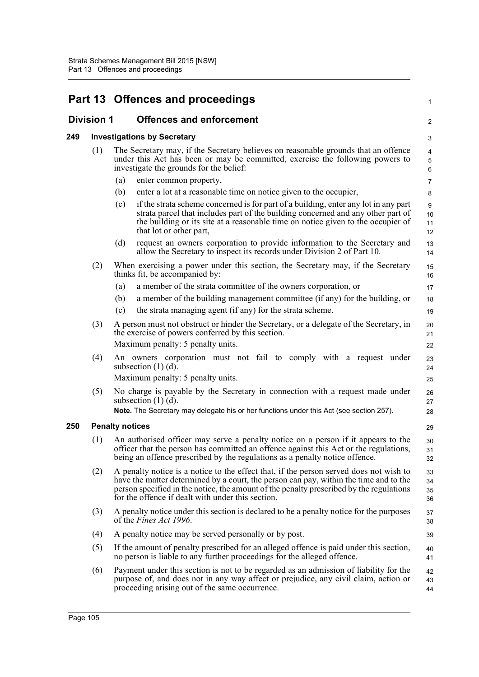|                   |     |                                 | Part 13 Offences and proceedings                                                                                                                                                                                                                                                                                                | 1                                  |
|-------------------|-----|---------------------------------|---------------------------------------------------------------------------------------------------------------------------------------------------------------------------------------------------------------------------------------------------------------------------------------------------------------------------------|------------------------------------|
| <b>Division 1</b> |     | <b>Offences and enforcement</b> |                                                                                                                                                                                                                                                                                                                                 | 2                                  |
| 249               |     |                                 | <b>Investigations by Secretary</b>                                                                                                                                                                                                                                                                                              |                                    |
|                   | (1) |                                 | The Secretary may, if the Secretary believes on reasonable grounds that an offence<br>under this Act has been or may be committed, exercise the following powers to<br>investigate the grounds for the belief:                                                                                                                  | $\overline{4}$<br>$\mathbf 5$<br>6 |
|                   |     | (a)                             | enter common property,                                                                                                                                                                                                                                                                                                          | $\overline{7}$                     |
|                   |     | (b)                             | enter a lot at a reasonable time on notice given to the occupier,                                                                                                                                                                                                                                                               | 8                                  |
|                   |     | (c)                             | if the strata scheme concerned is for part of a building, enter any lot in any part<br>strata parcel that includes part of the building concerned and any other part of<br>the building or its site at a reasonable time on notice given to the occupier of<br>that lot or other part,                                          | 9<br>10<br>11<br>12                |
|                   |     | (d)                             | request an owners corporation to provide information to the Secretary and<br>allow the Secretary to inspect its records under Division 2 of Part 10.                                                                                                                                                                            | 13<br>14                           |
|                   | (2) |                                 | When exercising a power under this section, the Secretary may, if the Secretary<br>thinks fit, be accompanied by:                                                                                                                                                                                                               | 15<br>16                           |
|                   |     | (a)                             | a member of the strata committee of the owners corporation, or                                                                                                                                                                                                                                                                  | 17                                 |
|                   |     | (b)                             | a member of the building management committee (if any) for the building, or                                                                                                                                                                                                                                                     | 18                                 |
|                   |     | (c)                             | the strata managing agent (if any) for the strata scheme.                                                                                                                                                                                                                                                                       | 19                                 |
|                   | (3) |                                 | A person must not obstruct or hinder the Secretary, or a delegate of the Secretary, in<br>the exercise of powers conferred by this section.<br>Maximum penalty: 5 penalty units.                                                                                                                                                | 20<br>21<br>22                     |
|                   | (4) |                                 | An owners corporation must not fail to comply with a request under                                                                                                                                                                                                                                                              |                                    |
|                   |     |                                 | subsection $(1)$ $(d)$ .<br>Maximum penalty: 5 penalty units.                                                                                                                                                                                                                                                                   | 23<br>24<br>25                     |
|                   | (5) |                                 | No charge is payable by the Secretary in connection with a request made under<br>subsection $(1)$ $(d)$ .<br>Note. The Secretary may delegate his or her functions under this Act (see section 257).                                                                                                                            | 26<br>27<br>28                     |
| 250               |     | <b>Penalty notices</b>          |                                                                                                                                                                                                                                                                                                                                 | 29                                 |
|                   | (1) |                                 | An authorised officer may serve a penalty notice on a person if it appears to the<br>officer that the person has committed an offence against this Act or the regulations,<br>being an offence prescribed by the regulations as a penalty notice offence.                                                                       | 30<br>31<br>32                     |
|                   | (2) |                                 | A penalty notice is a notice to the effect that, if the person served does not wish to<br>have the matter determined by a court, the person can pay, within the time and to the<br>person specified in the notice, the amount of the penalty prescribed by the regulations<br>for the offence if dealt with under this section. | 33<br>34<br>35<br>36               |
|                   | (3) |                                 | A penalty notice under this section is declared to be a penalty notice for the purposes<br>of the Fines Act 1996.                                                                                                                                                                                                               | 37<br>38                           |
|                   | (4) |                                 | A penalty notice may be served personally or by post.                                                                                                                                                                                                                                                                           | 39                                 |
|                   | (5) |                                 | If the amount of penalty prescribed for an alleged offence is paid under this section,<br>no person is liable to any further proceedings for the alleged offence.                                                                                                                                                               | 40<br>41                           |
|                   | (6) |                                 | Payment under this section is not to be regarded as an admission of liability for the<br>purpose of, and does not in any way affect or prejudice, any civil claim, action or<br>proceeding arising out of the same occurrence.                                                                                                  | 42<br>43<br>44                     |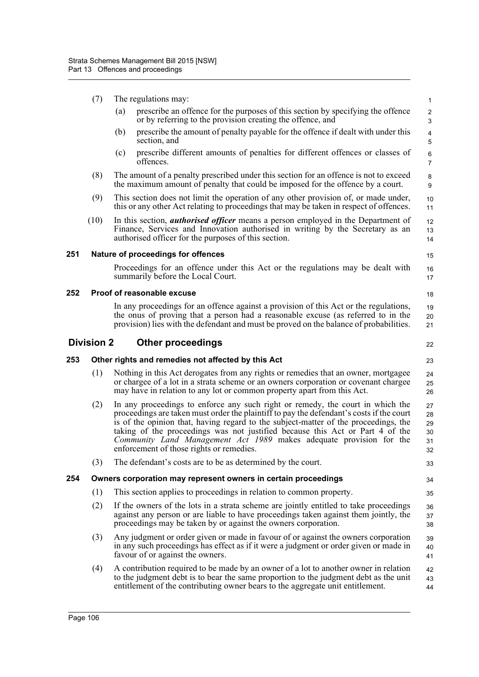- (7) The regulations may:
	- (a) prescribe an offence for the purposes of this section by specifying the offence or by referring to the provision creating the offence, and

18

22

23

33

34 35

- (b) prescribe the amount of penalty payable for the offence if dealt with under this section, and
- (c) prescribe different amounts of penalties for different offences or classes of offences.
- (8) The amount of a penalty prescribed under this section for an offence is not to exceed the maximum amount of penalty that could be imposed for the offence by a court.
- (9) This section does not limit the operation of any other provision of, or made under, this or any other Act relating to proceedings that may be taken in respect of offences.
- (10) In this section, *authorised officer* means a person employed in the Department of Finance, Services and Innovation authorised in writing by the Secretary as an authorised officer for the purposes of this section.

#### **251 Nature of proceedings for offences**

Proceedings for an offence under this Act or the regulations may be dealt with summarily before the Local Court. 16 17

#### **252 Proof of reasonable excuse**

In any proceedings for an offence against a provision of this Act or the regulations, the onus of proving that a person had a reasonable excuse (as referred to in the provision) lies with the defendant and must be proved on the balance of probabilities. 19 20 21

# **Division 2 Other proceedings**

**253 Other rights and remedies not affected by this Act**

- (1) Nothing in this Act derogates from any rights or remedies that an owner, mortgagee or chargee of a lot in a strata scheme or an owners corporation or covenant chargee may have in relation to any lot or common property apart from this Act. 24 25 26
- (2) In any proceedings to enforce any such right or remedy, the court in which the proceedings are taken must order the plaintiff to pay the defendant's costs if the court is of the opinion that, having regard to the subject-matter of the proceedings, the taking of the proceedings was not justified because this Act or Part 4 of the *Community Land Management Act 1989* makes adequate provision for the enforcement of those rights or remedies. 27 28 29 30 31 32
- (3) The defendant's costs are to be as determined by the court.

#### **254 Owners corporation may represent owners in certain proceedings**

- (1) This section applies to proceedings in relation to common property.
- (2) If the owners of the lots in a strata scheme are jointly entitled to take proceedings against any person or are liable to have proceedings taken against them jointly, the proceedings may be taken by or against the owners corporation. 36 37 38
- (3) Any judgment or order given or made in favour of or against the owners corporation in any such proceedings has effect as if it were a judgment or order given or made in favour of or against the owners. 39 40 41
- (4) A contribution required to be made by an owner of a lot to another owner in relation to the judgment debt is to bear the same proportion to the judgment debt as the unit entitlement of the contributing owner bears to the aggregate unit entitlement. 42 43 44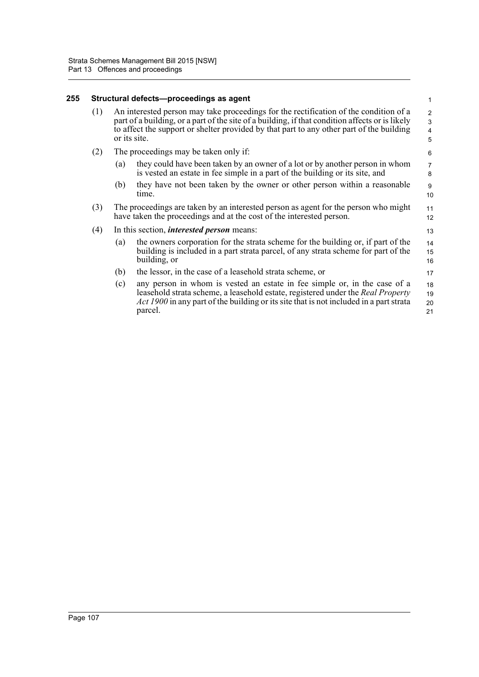#### **255 Structural defects—proceedings as agent**

| An interested person may take proceedings for the rectification of the condition of a<br>(1)<br>part of a building, or a part of the site of a building, if that condition affects or is likely<br>to affect the support or shelter provided by that part to any other part of the building<br>or its site. | $\overline{2}$<br>$\mathcal{R}$<br>$\Delta$<br>5 |
|-------------------------------------------------------------------------------------------------------------------------------------------------------------------------------------------------------------------------------------------------------------------------------------------------------------|--------------------------------------------------|
|-------------------------------------------------------------------------------------------------------------------------------------------------------------------------------------------------------------------------------------------------------------------------------------------------------------|--------------------------------------------------|

1

17

#### (2) The proceedings may be taken only if:

- (a) they could have been taken by an owner of a lot or by another person in whom is vested an estate in fee simple in a part of the building or its site, and
- (b) they have not been taken by the owner or other person within a reasonable time.
- (3) The proceedings are taken by an interested person as agent for the person who might have taken the proceedings and at the cost of the interested person.

#### (4) In this section, *interested person* means:

- (a) the owners corporation for the strata scheme for the building or, if part of the building is included in a part strata parcel, of any strata scheme for part of the building, or 14 15 16
- (b) the lessor, in the case of a leasehold strata scheme, or
- (c) any person in whom is vested an estate in fee simple or, in the case of a leasehold strata scheme, a leasehold estate, registered under the *Real Property Act 1900* in any part of the building or its site that is not included in a part strata parcel. 18 19 20 21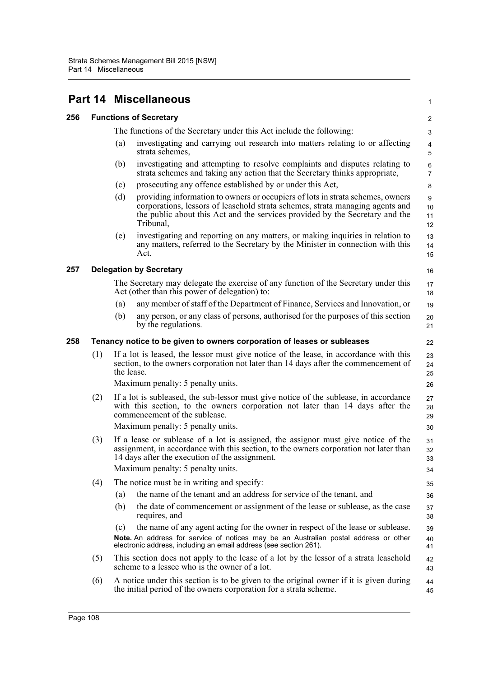|     |     | <b>Part 14 Miscellaneous</b>                                                                                                                                                                                                                                        | 1                            |
|-----|-----|---------------------------------------------------------------------------------------------------------------------------------------------------------------------------------------------------------------------------------------------------------------------|------------------------------|
| 256 |     | <b>Functions of Secretary</b>                                                                                                                                                                                                                                       | $\overline{\mathbf{c}}$      |
|     |     | The functions of the Secretary under this Act include the following:                                                                                                                                                                                                | 3                            |
|     |     | investigating and carrying out research into matters relating to or affecting<br>(a)<br>strata schemes,                                                                                                                                                             | $\overline{\mathbf{4}}$<br>5 |
|     |     | investigating and attempting to resolve complaints and disputes relating to<br>(b)<br>strata schemes and taking any action that the Secretary thinks appropriate,                                                                                                   | $\,6\,$<br>$\overline{7}$    |
|     |     | prosecuting any offence established by or under this Act,<br>(c)                                                                                                                                                                                                    | 8                            |
|     |     | (d)<br>providing information to owners or occupiers of lots in strata schemes, owners<br>corporations, lessors of leasehold strata schemes, strata managing agents and<br>the public about this Act and the services provided by the Secretary and the<br>Tribunal, | 9<br>10<br>11<br>12          |
|     |     | investigating and reporting on any matters, or making inquiries in relation to<br>(e)<br>any matters, referred to the Secretary by the Minister in connection with this<br>Act.                                                                                     | 13<br>14<br>15               |
| 257 |     | <b>Delegation by Secretary</b>                                                                                                                                                                                                                                      | 16                           |
|     |     | The Secretary may delegate the exercise of any function of the Secretary under this<br>Act (other than this power of delegation) to:                                                                                                                                | 17<br>18                     |
|     |     | any member of staff of the Department of Finance, Services and Innovation, or<br>(a)                                                                                                                                                                                | 19                           |
|     |     | any person, or any class of persons, authorised for the purposes of this section<br>(b)<br>by the regulations.                                                                                                                                                      | 20<br>21                     |
| 258 |     | Tenancy notice to be given to owners corporation of leases or subleases                                                                                                                                                                                             | 22                           |
|     | (1) | If a lot is leased, the lessor must give notice of the lease, in accordance with this<br>section, to the owners corporation not later than 14 days after the commencement of<br>the lease.                                                                          | 23<br>24<br>25               |
|     |     | Maximum penalty: 5 penalty units.                                                                                                                                                                                                                                   | 26                           |
|     | (2) | If a lot is subleased, the sub-lessor must give notice of the sublease, in accordance<br>with this section, to the owners corporation not later than 14 days after the<br>commencement of the sublease.                                                             | 27<br>28<br>29               |
|     |     | Maximum penalty: 5 penalty units.                                                                                                                                                                                                                                   | 30                           |
|     | (3) | If a lease or sublease of a lot is assigned, the assignor must give notice of the<br>assignment, in accordance with this section, to the owners corporation not later than<br>14 days after the execution of the assignment.                                        | 31<br>32<br>33               |
|     |     | Maximum penalty: 5 penalty units.                                                                                                                                                                                                                                   | 34                           |
|     | (4) | The notice must be in writing and specify:                                                                                                                                                                                                                          | 35                           |
|     |     | the name of the tenant and an address for service of the tenant, and<br>(a)                                                                                                                                                                                         | 36                           |
|     |     | the date of commencement or assignment of the lease or sublease, as the case<br>(b)<br>requires, and                                                                                                                                                                | 37<br>38                     |
|     |     | the name of any agent acting for the owner in respect of the lease or sublease.<br>(c)<br>Note. An address for service of notices may be an Australian postal address or other<br>electronic address, including an email address (see section 261).                 | 39<br>40<br>41               |
|     | (5) | This section does not apply to the lease of a lot by the lessor of a strata leasehold<br>scheme to a lessee who is the owner of a lot.                                                                                                                              | 42<br>43                     |
|     | (6) | A notice under this section is to be given to the original owner if it is given during<br>the initial period of the owners corporation for a strata scheme.                                                                                                         | 44<br>45                     |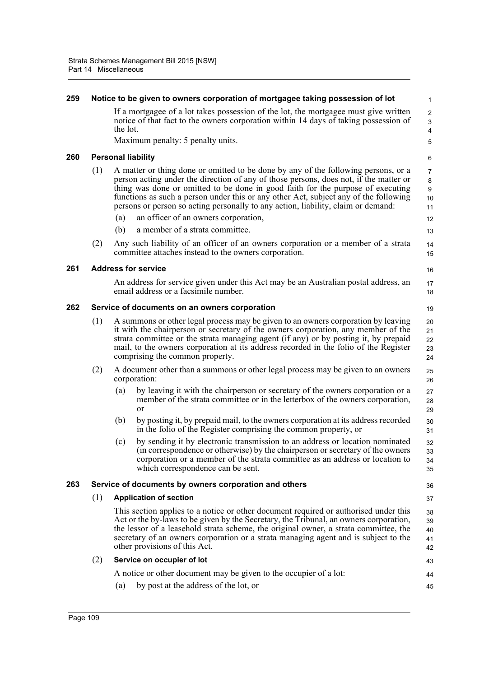| 259 |     |                                                                                                                                                                                                                                                                                                                                                                                          | Notice to be given to owners corporation of mortgagee taking possession of lot                                                                                                                                                                                                                                                                                                                                                              | $\mathbf{1}$                               |
|-----|-----|------------------------------------------------------------------------------------------------------------------------------------------------------------------------------------------------------------------------------------------------------------------------------------------------------------------------------------------------------------------------------------------|---------------------------------------------------------------------------------------------------------------------------------------------------------------------------------------------------------------------------------------------------------------------------------------------------------------------------------------------------------------------------------------------------------------------------------------------|--------------------------------------------|
|     |     | the lot.                                                                                                                                                                                                                                                                                                                                                                                 | If a mortgagee of a lot takes possession of the lot, the mortgagee must give written<br>notice of that fact to the owners corporation within 14 days of taking possession of                                                                                                                                                                                                                                                                | $\overline{2}$<br>3<br>4                   |
|     |     |                                                                                                                                                                                                                                                                                                                                                                                          | Maximum penalty: 5 penalty units.                                                                                                                                                                                                                                                                                                                                                                                                           | 5                                          |
| 260 |     |                                                                                                                                                                                                                                                                                                                                                                                          | <b>Personal liability</b>                                                                                                                                                                                                                                                                                                                                                                                                                   | 6                                          |
|     | (1) |                                                                                                                                                                                                                                                                                                                                                                                          | A matter or thing done or omitted to be done by any of the following persons, or a<br>person acting under the direction of any of those persons, does not, if the matter or<br>thing was done or omitted to be done in good faith for the purpose of executing<br>functions as such a person under this or any other Act, subject any of the following<br>persons or person so acting personally to any action, liability, claim or demand: | $\overline{7}$<br>$\bf 8$<br>9<br>10<br>11 |
|     |     | (a)                                                                                                                                                                                                                                                                                                                                                                                      | an officer of an owners corporation,                                                                                                                                                                                                                                                                                                                                                                                                        | 12                                         |
|     |     | (b)                                                                                                                                                                                                                                                                                                                                                                                      | a member of a strata committee.                                                                                                                                                                                                                                                                                                                                                                                                             | 13                                         |
|     | (2) |                                                                                                                                                                                                                                                                                                                                                                                          | Any such liability of an officer of an owners corporation or a member of a strata<br>committee attaches instead to the owners corporation.                                                                                                                                                                                                                                                                                                  | 14<br>15                                   |
| 261 |     |                                                                                                                                                                                                                                                                                                                                                                                          | <b>Address for service</b>                                                                                                                                                                                                                                                                                                                                                                                                                  | 16                                         |
|     |     |                                                                                                                                                                                                                                                                                                                                                                                          | An address for service given under this Act may be an Australian postal address, an<br>email address or a facsimile number.                                                                                                                                                                                                                                                                                                                 | 17<br>18                                   |
| 262 |     |                                                                                                                                                                                                                                                                                                                                                                                          | Service of documents on an owners corporation                                                                                                                                                                                                                                                                                                                                                                                               | 19                                         |
|     | (1) | A summons or other legal process may be given to an owners corporation by leaving<br>it with the chairperson or secretary of the owners corporation, any member of the<br>strata committee or the strata managing agent (if any) or by posting it, by prepaid<br>mail, to the owners corporation at its address recorded in the folio of the Register<br>comprising the common property. |                                                                                                                                                                                                                                                                                                                                                                                                                                             | 20<br>21<br>22<br>23<br>24                 |
|     | (2) |                                                                                                                                                                                                                                                                                                                                                                                          | A document other than a summons or other legal process may be given to an owners<br>corporation:                                                                                                                                                                                                                                                                                                                                            | 25<br>26                                   |
|     |     | (a)                                                                                                                                                                                                                                                                                                                                                                                      | by leaving it with the chairperson or secretary of the owners corporation or a<br>member of the strata committee or in the letterbox of the owners corporation,<br><sub>or</sub>                                                                                                                                                                                                                                                            | 27<br>28<br>29                             |
|     |     | (b)                                                                                                                                                                                                                                                                                                                                                                                      | by posting it, by prepaid mail, to the owners corporation at its address recorded<br>in the folio of the Register comprising the common property, or                                                                                                                                                                                                                                                                                        | 30<br>31                                   |
|     |     | (c)                                                                                                                                                                                                                                                                                                                                                                                      | by sending it by electronic transmission to an address or location nominated<br>(in correspondence or otherwise) by the chairperson or secretary of the owners<br>corporation or a member of the strata committee as an address or location to<br>which correspondence can be sent.                                                                                                                                                         | 32<br>33<br>34<br>35                       |
| 263 |     |                                                                                                                                                                                                                                                                                                                                                                                          | Service of documents by owners corporation and others                                                                                                                                                                                                                                                                                                                                                                                       | 36                                         |
|     | (1) |                                                                                                                                                                                                                                                                                                                                                                                          | <b>Application of section</b>                                                                                                                                                                                                                                                                                                                                                                                                               | 37                                         |
|     |     |                                                                                                                                                                                                                                                                                                                                                                                          | This section applies to a notice or other document required or authorised under this<br>Act or the by-laws to be given by the Secretary, the Tribunal, an owners corporation,<br>the lessor of a leasehold strata scheme, the original owner, a strata committee, the<br>secretary of an owners corporation or a strata managing agent and is subject to the<br>other provisions of this Act.                                               | 38<br>39<br>40<br>41<br>42                 |
|     | (2) |                                                                                                                                                                                                                                                                                                                                                                                          | Service on occupier of lot                                                                                                                                                                                                                                                                                                                                                                                                                  | 43                                         |
|     |     |                                                                                                                                                                                                                                                                                                                                                                                          | A notice or other document may be given to the occupier of a lot:                                                                                                                                                                                                                                                                                                                                                                           | 44                                         |
|     |     | (a)                                                                                                                                                                                                                                                                                                                                                                                      | by post at the address of the lot, or                                                                                                                                                                                                                                                                                                                                                                                                       | 45                                         |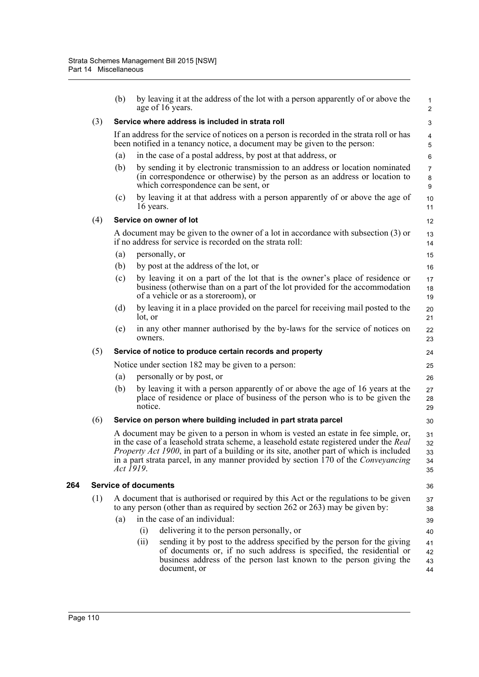|     | (b)       | by leaving it at the address of the lot with a person apparently of or above the<br>age of 16 years.                                                                                                                                                                                                                                                                         | $\mathbf{1}$<br>$\overline{2}$ |
|-----|-----------|------------------------------------------------------------------------------------------------------------------------------------------------------------------------------------------------------------------------------------------------------------------------------------------------------------------------------------------------------------------------------|--------------------------------|
| (3) |           | Service where address is included in strata roll                                                                                                                                                                                                                                                                                                                             | 3                              |
|     |           | If an address for the service of notices on a person is recorded in the strata roll or has<br>been notified in a tenancy notice, a document may be given to the person:                                                                                                                                                                                                      | $\overline{4}$<br>5            |
|     | (a)       | in the case of a postal address, by post at that address, or                                                                                                                                                                                                                                                                                                                 | $\,6\,$                        |
|     | (b)       | by sending it by electronic transmission to an address or location nominated<br>(in correspondence or otherwise) by the person as an address or location to<br>which correspondence can be sent, or                                                                                                                                                                          | $\overline{7}$<br>8<br>9       |
|     | (c)       | by leaving it at that address with a person apparently of or above the age of<br>16 years.                                                                                                                                                                                                                                                                                   | 10<br>11                       |
| (4) |           | Service on owner of lot                                                                                                                                                                                                                                                                                                                                                      | 12                             |
|     |           | A document may be given to the owner of a lot in accordance with subsection (3) or<br>if no address for service is recorded on the strata roll:                                                                                                                                                                                                                              | 13<br>14                       |
|     | (a)       | personally, or                                                                                                                                                                                                                                                                                                                                                               | 15                             |
|     | (b)       | by post at the address of the lot, or                                                                                                                                                                                                                                                                                                                                        | 16                             |
|     | (c)       | by leaving it on a part of the lot that is the owner's place of residence or<br>business (otherwise than on a part of the lot provided for the accommodation<br>of a vehicle or as a storeroom), or                                                                                                                                                                          | 17<br>18<br>19                 |
|     | (d)       | by leaving it in a place provided on the parcel for receiving mail posted to the<br>lot, or                                                                                                                                                                                                                                                                                  | 20<br>21                       |
|     | (e)       | in any other manner authorised by the by-laws for the service of notices on<br>owners.                                                                                                                                                                                                                                                                                       | 22<br>23                       |
| (5) |           | Service of notice to produce certain records and property                                                                                                                                                                                                                                                                                                                    | 24                             |
|     |           | Notice under section 182 may be given to a person:                                                                                                                                                                                                                                                                                                                           | 25                             |
|     | (a)       | personally or by post, or                                                                                                                                                                                                                                                                                                                                                    | 26                             |
|     | (b)       | by leaving it with a person apparently of or above the age of 16 years at the<br>place of residence or place of business of the person who is to be given the<br>notice.                                                                                                                                                                                                     | 27<br>28<br>29                 |
| (6) |           | Service on person where building included in part strata parcel                                                                                                                                                                                                                                                                                                              | 30                             |
|     | Act 1919. | A document may be given to a person in whom is vested an estate in fee simple, or,<br>in the case of a leasehold strata scheme, a leasehold estate registered under the Real<br><i>Property Act 1900</i> , in part of a building or its site, another part of which is included<br>in a part strata parcel, in any manner provided by section 170 of the <i>Conveyancing</i> | 31<br>32<br>33<br>34<br>35     |
|     |           | <b>Service of documents</b>                                                                                                                                                                                                                                                                                                                                                  | 36                             |
| (1) |           | A document that is authorised or required by this Act or the regulations to be given<br>to any person (other than as required by section 262 or 263) may be given by:                                                                                                                                                                                                        | 37<br>38                       |
|     | (a)       | in the case of an individual:                                                                                                                                                                                                                                                                                                                                                | 39                             |
|     |           | delivering it to the person personally, or<br>(i)                                                                                                                                                                                                                                                                                                                            | 40                             |
|     |           | (ii)<br>sending it by post to the address specified by the person for the giving<br>of documents or, if no such address is specified, the residential or<br>business address of the person last known to the person giving the<br>document, or                                                                                                                               | 41<br>42<br>43<br>44           |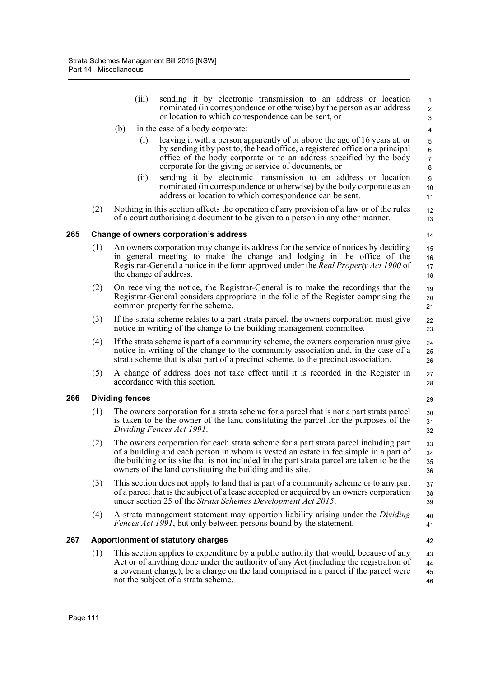|     |     | (iii)                  | sending it by electronic transmission to an address or location<br>nominated (in correspondence or otherwise) by the person as an address<br>or location to which correspondence can be sent, or                                                                                                                                           | 1<br>$\overline{2}$<br>3            |
|-----|-----|------------------------|--------------------------------------------------------------------------------------------------------------------------------------------------------------------------------------------------------------------------------------------------------------------------------------------------------------------------------------------|-------------------------------------|
|     |     | (b)                    | in the case of a body corporate:                                                                                                                                                                                                                                                                                                           | 4                                   |
|     |     | (i)                    | leaving it with a person apparently of or above the age of 16 years at, or<br>by sending it by post to, the head office, a registered office or a principal<br>office of the body corporate or to an address specified by the body<br>corporate for the giving or service of documents, or                                                 | 5<br>$\,6\,$<br>$\overline{7}$<br>8 |
|     |     | (ii)                   | sending it by electronic transmission to an address or location<br>nominated (in correspondence or otherwise) by the body corporate as an<br>address or location to which correspondence can be sent.                                                                                                                                      | $\boldsymbol{9}$<br>10<br>11        |
|     | (2) |                        | Nothing in this section affects the operation of any provision of a law or of the rules<br>of a court authorising a document to be given to a person in any other manner.                                                                                                                                                                  | 12<br>13                            |
| 265 |     |                        | Change of owners corporation's address                                                                                                                                                                                                                                                                                                     | 14                                  |
|     | (1) |                        | An owners corporation may change its address for the service of notices by deciding<br>in general meeting to make the change and lodging in the office of the<br>Registrar-General a notice in the form approved under the <i>Real Property Act 1900</i> of<br>the change of address.                                                      | 15<br>16<br>17<br>18                |
|     | (2) |                        | On receiving the notice, the Registrar-General is to make the recordings that the<br>Registrar-General considers appropriate in the folio of the Register comprising the<br>common property for the scheme.                                                                                                                                | 19<br>20<br>21                      |
|     | (3) |                        | If the strata scheme relates to a part strata parcel, the owners corporation must give<br>notice in writing of the change to the building management committee.                                                                                                                                                                            | 22<br>23                            |
|     | (4) |                        | If the strata scheme is part of a community scheme, the owners corporation must give<br>notice in writing of the change to the community association and, in the case of a<br>strata scheme that is also part of a precinct scheme, to the precinct association.                                                                           | 24<br>25<br>26                      |
|     | (5) |                        | A change of address does not take effect until it is recorded in the Register in<br>accordance with this section.                                                                                                                                                                                                                          | 27<br>28                            |
| 266 |     | <b>Dividing fences</b> |                                                                                                                                                                                                                                                                                                                                            | 29                                  |
|     | (1) |                        | The owners corporation for a strata scheme for a parcel that is not a part strata parcel<br>is taken to be the owner of the land constituting the parcel for the purposes of the<br>Dividing Fences Act 1991.                                                                                                                              | 30<br>31<br>32                      |
|     | (2) |                        | The owners corporation for each strata scheme for a part strata parcel including part<br>of a building and each person in whom is vested an estate in fee simple in a part of<br>the building or its site that is not included in the part strata parcel are taken to be the<br>owners of the land constituting the building and its site. | 33<br>34<br>35<br>36                |
|     | (3) |                        | This section does not apply to land that is part of a community scheme or to any part<br>of a parcel that is the subject of a lease accepted or acquired by an owners corporation<br>under section 25 of the Strata Schemes Development Act 2015.                                                                                          | 37<br>38<br>39                      |
|     | (4) |                        | A strata management statement may apportion liability arising under the Dividing<br><i>Fences Act 1991</i> , but only between persons bound by the statement.                                                                                                                                                                              | 40<br>41                            |
| 267 |     |                        | <b>Apportionment of statutory charges</b>                                                                                                                                                                                                                                                                                                  | 42                                  |
|     | (1) |                        | This section applies to expenditure by a public authority that would, because of any<br>Act or of anything done under the authority of any Act (including the registration of<br>a covenant charge), be a charge on the land comprised in a parcel if the parcel were<br>not the subject of a strata scheme.                               | 43<br>44<br>45<br>46                |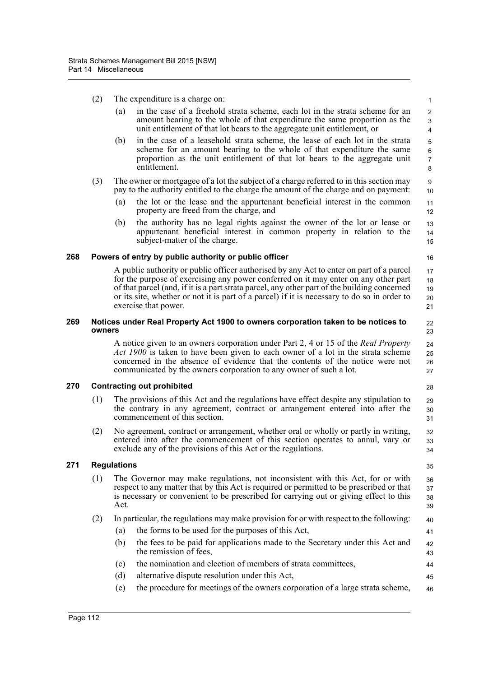- (2) The expenditure is a charge on:
	- (a) in the case of a freehold strata scheme, each lot in the strata scheme for an amount bearing to the whole of that expenditure the same proportion as the unit entitlement of that lot bears to the aggregate unit entitlement, or

28

32 33 34

35

- (b) in the case of a leasehold strata scheme, the lease of each lot in the strata scheme for an amount bearing to the whole of that expenditure the same proportion as the unit entitlement of that lot bears to the aggregate unit entitlement.
- (3) The owner or mortgagee of a lot the subject of a charge referred to in this section may pay to the authority entitled to the charge the amount of the charge and on payment:
	- (a) the lot or the lease and the appurtenant beneficial interest in the common property are freed from the charge, and
	- (b) the authority has no legal rights against the owner of the lot or lease or appurtenant beneficial interest in common property in relation to the subject-matter of the charge.

## **268 Powers of entry by public authority or public officer**

A public authority or public officer authorised by any Act to enter on part of a parcel for the purpose of exercising any power conferred on it may enter on any other part of that parcel (and, if it is a part strata parcel, any other part of the building concerned or its site, whether or not it is part of a parcel) if it is necessary to do so in order to exercise that power.

#### **269 Notices under Real Property Act 1900 to owners corporation taken to be notices to owners**

A notice given to an owners corporation under Part 2, 4 or 15 of the *Real Property Act 1900* is taken to have been given to each owner of a lot in the strata scheme concerned in the absence of evidence that the contents of the notice were not communicated by the owners corporation to any owner of such a lot. 24 25 26 27

# **270 Contracting out prohibited**

- (1) The provisions of this Act and the regulations have effect despite any stipulation to the contrary in any agreement, contract or arrangement entered into after the commencement of this section. 29 30 31
- (2) No agreement, contract or arrangement, whether oral or wholly or partly in writing, entered into after the commencement of this section operates to annul, vary or exclude any of the provisions of this Act or the regulations.

# **271 Regulations**

- (1) The Governor may make regulations, not inconsistent with this Act, for or with respect to any matter that by this Act is required or permitted to be prescribed or that is necessary or convenient to be prescribed for carrying out or giving effect to this Act. 36 37 38 39
- (2) In particular, the regulations may make provision for or with respect to the following:
	- (a) the forms to be used for the purposes of this Act,
	- (b) the fees to be paid for applications made to the Secretary under this Act and the remission of fees,
	- (c) the nomination and election of members of strata committees,
	- (d) alternative dispute resolution under this Act,
	- (e) the procedure for meetings of the owners corporation of a large strata scheme, 46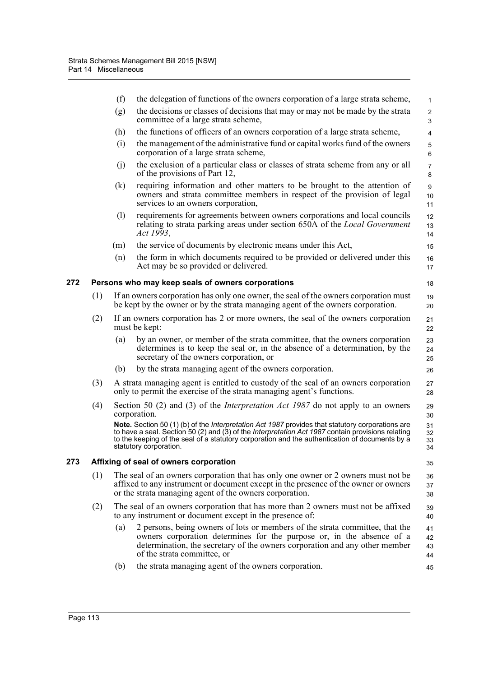|     |     | (f) | the delegation of functions of the owners corporation of a large strata scheme,                                                                                                                                                                                                                                                   | $\mathbf{1}$         |
|-----|-----|-----|-----------------------------------------------------------------------------------------------------------------------------------------------------------------------------------------------------------------------------------------------------------------------------------------------------------------------------------|----------------------|
|     |     | (g) | the decisions or classes of decisions that may or may not be made by the strata<br>committee of a large strata scheme,                                                                                                                                                                                                            | $\overline{2}$<br>3  |
|     |     | (h) | the functions of officers of an owners corporation of a large strata scheme,                                                                                                                                                                                                                                                      | $\overline{4}$       |
|     |     | (i) | the management of the administrative fund or capital works fund of the owners<br>corporation of a large strata scheme,                                                                                                                                                                                                            | 5<br>6               |
|     |     | (i) | the exclusion of a particular class or classes of strata scheme from any or all<br>of the provisions of Part 12,                                                                                                                                                                                                                  | $\overline{7}$<br>8  |
|     |     | (k) | requiring information and other matters to be brought to the attention of<br>owners and strata committee members in respect of the provision of legal<br>services to an owners corporation,                                                                                                                                       | 9<br>10<br>11        |
|     |     | (1) | requirements for agreements between owners corporations and local councils<br>relating to strata parking areas under section 650A of the <i>Local Government</i><br>Act 1993,                                                                                                                                                     | 12<br>13<br>14       |
|     |     | (m) | the service of documents by electronic means under this Act,                                                                                                                                                                                                                                                                      | 15                   |
|     |     | (n) | the form in which documents required to be provided or delivered under this<br>Act may be so provided or delivered.                                                                                                                                                                                                               | 16<br>17             |
| 272 |     |     | Persons who may keep seals of owners corporations                                                                                                                                                                                                                                                                                 | 18                   |
|     | (1) |     | If an owners corporation has only one owner, the seal of the owners corporation must<br>be kept by the owner or by the strata managing agent of the owners corporation.                                                                                                                                                           | 19<br>20             |
|     | (2) |     | If an owners corporation has 2 or more owners, the seal of the owners corporation<br>must be kept:                                                                                                                                                                                                                                | 21<br>22             |
|     |     | (a) | by an owner, or member of the strata committee, that the owners corporation<br>determines is to keep the seal or, in the absence of a determination, by the<br>secretary of the owners corporation, or                                                                                                                            | 23<br>24<br>25       |
|     |     | (b) | by the strata managing agent of the owners corporation.                                                                                                                                                                                                                                                                           | 26                   |
|     | (3) |     | A strata managing agent is entitled to custody of the seal of an owners corporation<br>only to permit the exercise of the strata managing agent's functions.                                                                                                                                                                      | 27<br>28             |
|     | (4) |     | Section 50 (2) and (3) of the <i>Interpretation Act 1987</i> do not apply to an owners<br>corporation.                                                                                                                                                                                                                            | 29<br>30             |
|     |     |     | Note. Section 50 (1) (b) of the Interpretation Act 1987 provides that statutory corporations are<br>to have a seal. Section 50 (2) and (3) of the Interpretation Act 1987 contain provisions relating<br>to the keeping of the seal of a statutory corporation and the authentication of documents by a<br>statutory corporation. | 31<br>32<br>33<br>34 |
| 273 |     |     | Affixing of seal of owners corporation                                                                                                                                                                                                                                                                                            | 35                   |
|     | (1) |     | The seal of an owners corporation that has only one owner or 2 owners must not be<br>affixed to any instrument or document except in the presence of the owner or owners<br>or the strata managing agent of the owners corporation.                                                                                               | 36<br>37<br>38       |
|     | (2) |     | The seal of an owners corporation that has more than 2 owners must not be affixed<br>to any instrument or document except in the presence of:                                                                                                                                                                                     | 39<br>40             |
|     |     | (a) | 2 persons, being owners of lots or members of the strata committee, that the<br>owners corporation determines for the purpose or, in the absence of a<br>determination, the secretary of the owners corporation and any other member<br>of the strata committee, or                                                               | 41<br>42<br>43<br>44 |
|     |     | (b) | the strata managing agent of the owners corporation.                                                                                                                                                                                                                                                                              | 45                   |
|     |     |     |                                                                                                                                                                                                                                                                                                                                   |                      |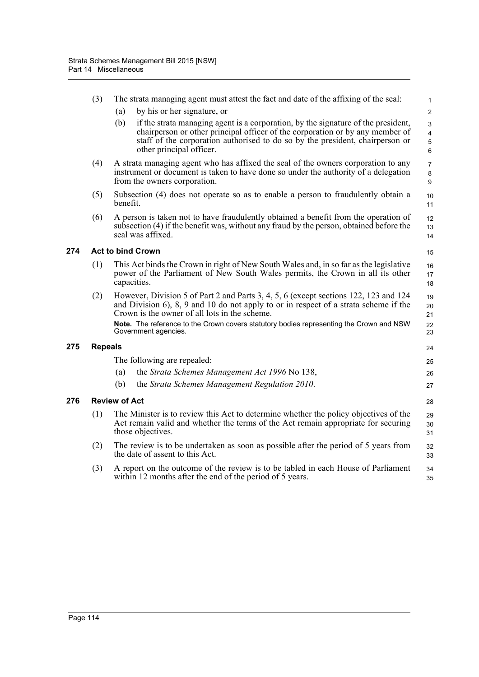| (3)            | The strata managing agent must attest the fact and date of the affixing of the seal:<br>by his or her signature, or<br>(a)                                                                                                                                                                                                                                                              | $\mathbf{1}$<br>$\overline{2}$         |  |  |  |
|----------------|-----------------------------------------------------------------------------------------------------------------------------------------------------------------------------------------------------------------------------------------------------------------------------------------------------------------------------------------------------------------------------------------|----------------------------------------|--|--|--|
|                | (b)<br>if the strata managing agent is a corporation, by the signature of the president,<br>chairperson or other principal officer of the corporation or by any member of<br>staff of the corporation authorised to do so by the president, chairperson or<br>other principal officer.                                                                                                  | 3<br>$\overline{\mathbf{4}}$<br>5<br>6 |  |  |  |
| (4)            | A strata managing agent who has affixed the seal of the owners corporation to any<br>instrument or document is taken to have done so under the authority of a delegation<br>from the owners corporation.                                                                                                                                                                                | $\overline{7}$<br>8<br>9               |  |  |  |
| (5)            | Subsection (4) does not operate so as to enable a person to fraudulently obtain a<br>benefit.                                                                                                                                                                                                                                                                                           | 10<br>11                               |  |  |  |
| (6)            | A person is taken not to have fraudulently obtained a benefit from the operation of<br>subsection (4) if the benefit was, without any fraud by the person, obtained before the<br>seal was affixed.                                                                                                                                                                                     | 12<br>13<br>14                         |  |  |  |
|                | <b>Act to bind Crown</b>                                                                                                                                                                                                                                                                                                                                                                | 15                                     |  |  |  |
| (1)            | This Act binds the Crown in right of New South Wales and, in so far as the legislative<br>power of the Parliament of New South Wales permits, the Crown in all its other<br>capacities.                                                                                                                                                                                                 |                                        |  |  |  |
| (2)            | However, Division 5 of Part 2 and Parts 3, 4, 5, 6 (except sections 122, 123 and 124<br>19<br>and Division $6$ , $8$ , $9$ and $10$ do not apply to or in respect of a strata scheme if the<br>20<br>Crown is the owner of all lots in the scheme.<br>21<br>Note. The reference to the Crown covers statutory bodies representing the Crown and NSW<br>22<br>Government agencies.<br>23 |                                        |  |  |  |
| <b>Repeals</b> |                                                                                                                                                                                                                                                                                                                                                                                         | 24                                     |  |  |  |
|                | The following are repealed:                                                                                                                                                                                                                                                                                                                                                             | 25                                     |  |  |  |
|                | the Strata Schemes Management Act 1996 No 138,<br>(a)                                                                                                                                                                                                                                                                                                                                   | 26                                     |  |  |  |
|                | (b)<br>the Strata Schemes Management Regulation 2010.                                                                                                                                                                                                                                                                                                                                   | 27                                     |  |  |  |
|                | <b>Review of Act</b>                                                                                                                                                                                                                                                                                                                                                                    | 28                                     |  |  |  |
| (1)            | The Minister is to review this Act to determine whether the policy objectives of the<br>29<br>Act remain valid and whether the terms of the Act remain appropriate for securing<br>30<br>those objectives.<br>31                                                                                                                                                                        |                                        |  |  |  |
| (2)            | The review is to be undertaken as soon as possible after the period of 5 years from<br>32<br>the date of assent to this Act.<br>33                                                                                                                                                                                                                                                      |                                        |  |  |  |
| (3)            | A report on the outcome of the review is to be tabled in each House of Parliament<br>34<br>within 12 months after the end of the period of 5 years.<br>35                                                                                                                                                                                                                               |                                        |  |  |  |

**274** 

**275 Repeals**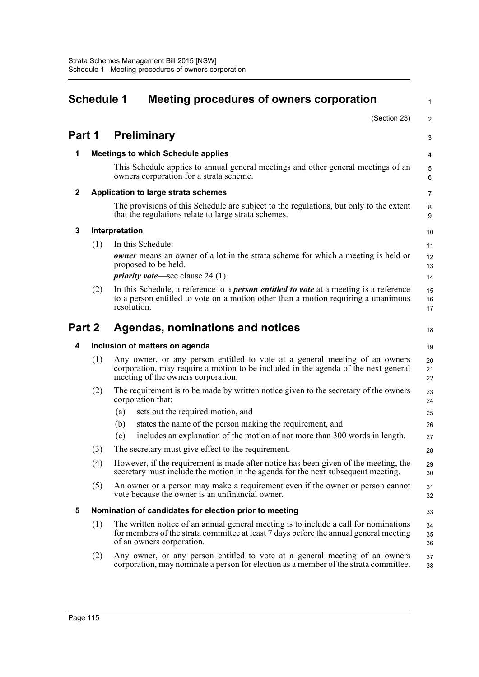|                                            | <b>Schedule 1</b> | Meeting procedures of owners corporation                                                                                                                                                                   | $\mathbf{1}$   |
|--------------------------------------------|-------------------|------------------------------------------------------------------------------------------------------------------------------------------------------------------------------------------------------------|----------------|
|                                            |                   | (Section 23)                                                                                                                                                                                               | $\overline{2}$ |
| Part 1                                     |                   | <b>Preliminary</b>                                                                                                                                                                                         | 3              |
| 1                                          |                   | <b>Meetings to which Schedule applies</b>                                                                                                                                                                  | 4              |
|                                            |                   | This Schedule applies to annual general meetings and other general meetings of an<br>owners corporation for a strata scheme.                                                                               | 5<br>6         |
| $\mathbf{2}$                               |                   | Application to large strata schemes                                                                                                                                                                        | 7              |
|                                            |                   | The provisions of this Schedule are subject to the regulations, but only to the extent<br>that the regulations relate to large strata schemes.                                                             | 8<br>9         |
| 3                                          |                   | Interpretation                                                                                                                                                                                             | 10             |
|                                            | (1)               | In this Schedule:                                                                                                                                                                                          | 11             |
|                                            |                   | <b><i>owner</i></b> means an owner of a lot in the strata scheme for which a meeting is held or<br>proposed to be held.<br><i>priority vote</i> —see clause 24 (1).                                        | 12<br>13<br>14 |
|                                            | (2)               | In this Schedule, a reference to a <i>person entitled to vote</i> at a meeting is a reference                                                                                                              | 15             |
|                                            |                   | to a person entitled to vote on a motion other than a motion requiring a unanimous<br>resolution.                                                                                                          | 16<br>17       |
| Part 2<br>Agendas, nominations and notices |                   |                                                                                                                                                                                                            | 18             |
| 4                                          |                   | Inclusion of matters on agenda                                                                                                                                                                             | 19             |
|                                            | (1)               | Any owner, or any person entitled to vote at a general meeting of an owners<br>corporation, may require a motion to be included in the agenda of the next general<br>meeting of the owners corporation.    | 20<br>21<br>22 |
|                                            | (2)               | The requirement is to be made by written notice given to the secretary of the owners<br>corporation that:                                                                                                  | 23<br>24       |
|                                            |                   | sets out the required motion, and<br>(a)                                                                                                                                                                   | 25             |
|                                            |                   | states the name of the person making the requirement, and<br>(b)                                                                                                                                           | 26             |
|                                            |                   | includes an explanation of the motion of not more than 300 words in length.<br>(c)                                                                                                                         | 27             |
|                                            | (3)               | The secretary must give effect to the requirement.                                                                                                                                                         | 28             |
|                                            | (4)               | However, if the requirement is made after notice has been given of the meeting, the<br>secretary must include the motion in the agenda for the next subsequent meeting.                                    | 29<br>30       |
|                                            | (5)               | An owner or a person may make a requirement even if the owner or person cannot<br>vote because the owner is an unfinancial owner.                                                                          | 31<br>32       |
| 5                                          |                   | Nomination of candidates for election prior to meeting                                                                                                                                                     | 33             |
|                                            | (1)               | The written notice of an annual general meeting is to include a call for nominations<br>for members of the strata committee at least 7 days before the annual general meeting<br>of an owners corporation. | 34<br>35<br>36 |
|                                            | (2)               | Any owner, or any person entitled to vote at a general meeting of an owners<br>corporation, may nominate a person for election as a member of the strata committee.                                        | 37<br>38       |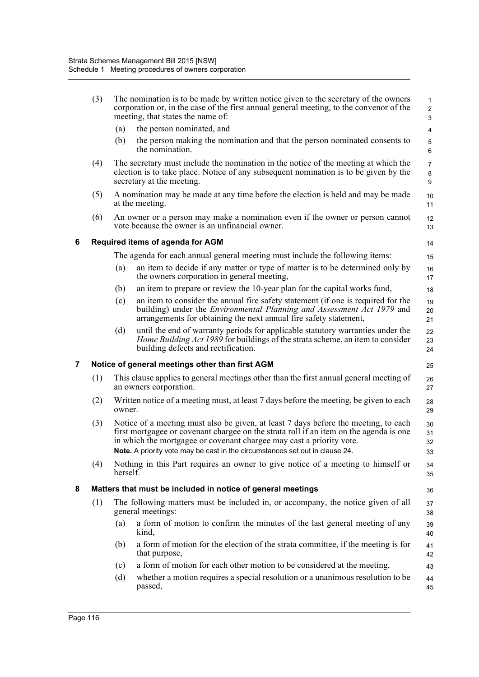|   | (3)                                                   |          | The nomination is to be made by written notice given to the secretary of the owners<br>corporation or, in the case of the first annual general meeting, to the convenor of the<br>meeting, that states the name of:                                                                                                                   | $\mathbf{1}$<br>$\overline{2}$<br>3 |  |  |  |  |  |
|---|-------------------------------------------------------|----------|---------------------------------------------------------------------------------------------------------------------------------------------------------------------------------------------------------------------------------------------------------------------------------------------------------------------------------------|-------------------------------------|--|--|--|--|--|
|   |                                                       | (a)      | the person nominated, and                                                                                                                                                                                                                                                                                                             | 4                                   |  |  |  |  |  |
|   |                                                       | (b)      | the person making the nomination and that the person nominated consents to<br>the nomination.                                                                                                                                                                                                                                         | 5<br>6                              |  |  |  |  |  |
|   | (4)                                                   |          | The secretary must include the nomination in the notice of the meeting at which the<br>election is to take place. Notice of any subsequent nomination is to be given by the<br>secretary at the meeting.                                                                                                                              | $\overline{7}$<br>8<br>9            |  |  |  |  |  |
|   | (5)                                                   |          | A nomination may be made at any time before the election is held and may be made<br>at the meeting.                                                                                                                                                                                                                                   | 10<br>11                            |  |  |  |  |  |
|   | (6)                                                   |          | An owner or a person may make a nomination even if the owner or person cannot<br>vote because the owner is an unfinancial owner.                                                                                                                                                                                                      | 12<br>13                            |  |  |  |  |  |
| 6 |                                                       |          | Required items of agenda for AGM                                                                                                                                                                                                                                                                                                      | 14                                  |  |  |  |  |  |
|   |                                                       |          | The agenda for each annual general meeting must include the following items:                                                                                                                                                                                                                                                          | 15                                  |  |  |  |  |  |
|   |                                                       | (a)      | an item to decide if any matter or type of matter is to be determined only by<br>the owners corporation in general meeting,                                                                                                                                                                                                           | 16<br>17                            |  |  |  |  |  |
|   |                                                       | (b)      | an item to prepare or review the 10-year plan for the capital works fund,                                                                                                                                                                                                                                                             | 18                                  |  |  |  |  |  |
|   |                                                       | (c)      | an item to consider the annual fire safety statement (if one is required for the<br>building) under the <i>Environmental Planning and Assessment Act 1979</i> and<br>arrangements for obtaining the next annual fire safety statement,                                                                                                | 19<br>20<br>21                      |  |  |  |  |  |
|   |                                                       | (d)      | until the end of warranty periods for applicable statutory warranties under the<br><i>Home Building Act 1989</i> for buildings of the strata scheme, an item to consider<br>building defects and rectification.                                                                                                                       | 22<br>23<br>24                      |  |  |  |  |  |
| 7 | Notice of general meetings other than first AGM<br>25 |          |                                                                                                                                                                                                                                                                                                                                       |                                     |  |  |  |  |  |
|   | (1)                                                   |          | This clause applies to general meetings other than the first annual general meeting of<br>an owners corporation.                                                                                                                                                                                                                      | 26<br>27                            |  |  |  |  |  |
|   | (2)                                                   | owner.   | Written notice of a meeting must, at least 7 days before the meeting, be given to each                                                                                                                                                                                                                                                | 28<br>29                            |  |  |  |  |  |
|   | (3)                                                   |          | Notice of a meeting must also be given, at least 7 days before the meeting, to each<br>first mortgagee or covenant chargee on the strata roll if an item on the agenda is one<br>in which the mortgagee or covenant chargee may cast a priority vote.<br>Note. A priority vote may be cast in the circumstances set out in clause 24. | 30<br>31<br>32<br>33                |  |  |  |  |  |
|   | (4)                                                   | herself. | Nothing in this Part requires an owner to give notice of a meeting to himself or                                                                                                                                                                                                                                                      | 34<br>35                            |  |  |  |  |  |
| 8 |                                                       |          | Matters that must be included in notice of general meetings                                                                                                                                                                                                                                                                           | 36                                  |  |  |  |  |  |
|   | (1)                                                   |          | The following matters must be included in, or accompany, the notice given of all<br>general meetings:                                                                                                                                                                                                                                 | 37<br>38                            |  |  |  |  |  |
|   |                                                       | (a)      | a form of motion to confirm the minutes of the last general meeting of any<br>kind,                                                                                                                                                                                                                                                   | 39<br>40                            |  |  |  |  |  |
|   |                                                       | (b)      | a form of motion for the election of the strata committee, if the meeting is for<br>that purpose,                                                                                                                                                                                                                                     | 41<br>42                            |  |  |  |  |  |
|   |                                                       | (c)      | a form of motion for each other motion to be considered at the meeting,                                                                                                                                                                                                                                                               | 43                                  |  |  |  |  |  |
|   |                                                       | (d)      | whether a motion requires a special resolution or a unanimous resolution to be<br>passed,                                                                                                                                                                                                                                             | 44<br>45                            |  |  |  |  |  |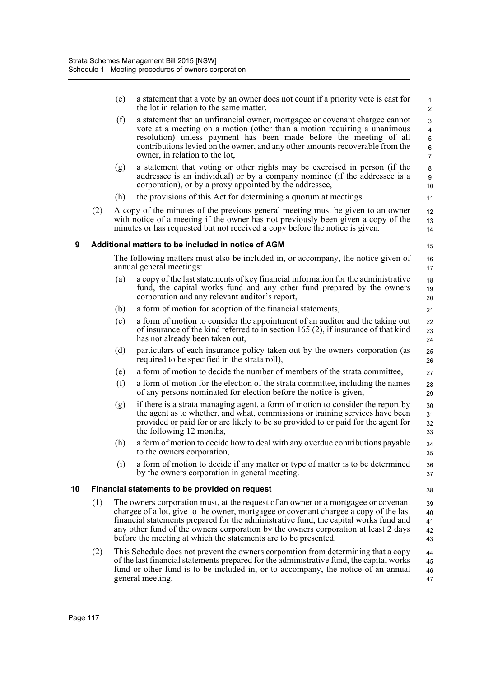|    |     | (e) | a statement that a vote by an owner does not count if a priority vote is cast for<br>the lot in relation to the same matter,                                                                                                                                                                                                                                                                                                  | 1<br>$\overline{c}$                                                     |
|----|-----|-----|-------------------------------------------------------------------------------------------------------------------------------------------------------------------------------------------------------------------------------------------------------------------------------------------------------------------------------------------------------------------------------------------------------------------------------|-------------------------------------------------------------------------|
|    |     | (f) | a statement that an unfinancial owner, mortgagee or covenant chargee cannot<br>vote at a meeting on a motion (other than a motion requiring a unanimous<br>resolution) unless payment has been made before the meeting of all<br>contributions levied on the owner, and any other amounts recoverable from the<br>owner, in relation to the lot,                                                                              | 3<br>$\overline{\mathbf{4}}$<br>$\sqrt{5}$<br>$\,6\,$<br>$\overline{7}$ |
|    |     | (g) | a statement that voting or other rights may be exercised in person (if the<br>addressee is an individual) or by a company nominee (if the addressee is a<br>corporation), or by a proxy appointed by the addressee,                                                                                                                                                                                                           | 8<br>$\boldsymbol{9}$<br>10                                             |
|    |     | (h) | the provisions of this Act for determining a quorum at meetings.                                                                                                                                                                                                                                                                                                                                                              | 11                                                                      |
|    | (2) |     | A copy of the minutes of the previous general meeting must be given to an owner<br>with notice of a meeting if the owner has not previously been given a copy of the<br>minutes or has requested but not received a copy before the notice is given.                                                                                                                                                                          | 12<br>13<br>14                                                          |
| 9  |     |     | Additional matters to be included in notice of AGM                                                                                                                                                                                                                                                                                                                                                                            | 15                                                                      |
|    |     |     | The following matters must also be included in, or accompany, the notice given of<br>annual general meetings:                                                                                                                                                                                                                                                                                                                 | 16<br>17                                                                |
|    |     | (a) | a copy of the last statements of key financial information for the administrative<br>fund, the capital works fund and any other fund prepared by the owners<br>corporation and any relevant auditor's report,                                                                                                                                                                                                                 | 18<br>19<br>20                                                          |
|    |     | (b) | a form of motion for adoption of the financial statements,                                                                                                                                                                                                                                                                                                                                                                    | 21                                                                      |
|    |     | (c) | a form of motion to consider the appointment of an auditor and the taking out<br>of insurance of the kind referred to in section 165 $(2)$ , if insurance of that kind<br>has not already been taken out,                                                                                                                                                                                                                     | 22<br>23<br>24                                                          |
|    |     | (d) | particulars of each insurance policy taken out by the owners corporation (as<br>required to be specified in the strata roll),                                                                                                                                                                                                                                                                                                 | 25<br>26                                                                |
|    |     | (e) | a form of motion to decide the number of members of the strata committee,                                                                                                                                                                                                                                                                                                                                                     | 27                                                                      |
|    |     | (f) | a form of motion for the election of the strata committee, including the names<br>of any persons nominated for election before the notice is given,                                                                                                                                                                                                                                                                           | 28<br>29                                                                |
|    |     | (g) | if there is a strata managing agent, a form of motion to consider the report by<br>the agent as to whether, and what, commissions or training services have been<br>provided or paid for or are likely to be so provided to or paid for the agent for<br>the following 12 months,                                                                                                                                             | 30<br>31<br>32<br>33                                                    |
|    |     | (h) | a form of motion to decide how to deal with any overdue contributions payable<br>to the owners corporation.                                                                                                                                                                                                                                                                                                                   | 34<br>35                                                                |
|    |     | (i) | a form of motion to decide if any matter or type of matter is to be determined<br>by the owners corporation in general meeting.                                                                                                                                                                                                                                                                                               | 36<br>37                                                                |
| 10 |     |     | Financial statements to be provided on request                                                                                                                                                                                                                                                                                                                                                                                | 38                                                                      |
|    | (1) |     | The owners corporation must, at the request of an owner or a mortgagee or covenant<br>chargee of a lot, give to the owner, mortgagee or covenant chargee a copy of the last<br>financial statements prepared for the administrative fund, the capital works fund and<br>any other fund of the owners corporation by the owners corporation at least 2 days<br>before the meeting at which the statements are to be presented. | 39<br>40<br>41<br>42<br>43                                              |
|    | (2) |     | This Schedule does not prevent the owners corporation from determining that a copy<br>of the last financial statements prepared for the administrative fund, the capital works<br>fund or other fund is to be included in, or to accompany, the notice of an annual<br>general meeting.                                                                                                                                       | 44<br>45<br>46<br>47                                                    |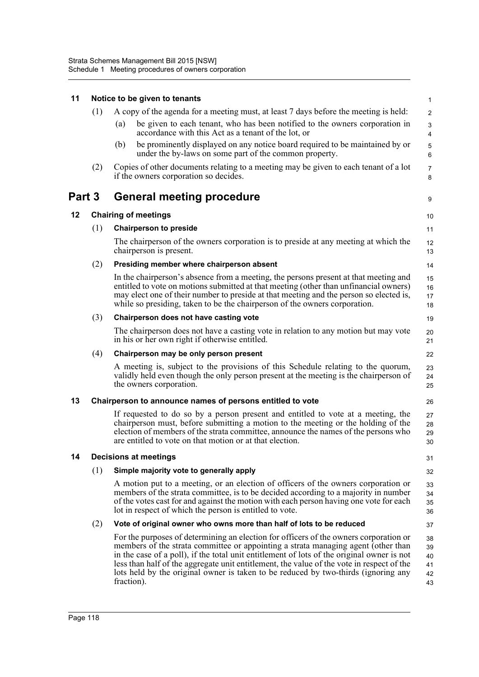| 11                                         |                              | Notice to be given to tenants<br>$\mathbf{1}$                                                                                                                                                                                                                                                                                                                                                                                                                             |                                  |  |  |  |  |
|--------------------------------------------|------------------------------|---------------------------------------------------------------------------------------------------------------------------------------------------------------------------------------------------------------------------------------------------------------------------------------------------------------------------------------------------------------------------------------------------------------------------------------------------------------------------|----------------------------------|--|--|--|--|
|                                            | (1)                          | A copy of the agenda for a meeting must, at least 7 days before the meeting is held:                                                                                                                                                                                                                                                                                                                                                                                      | 2                                |  |  |  |  |
|                                            |                              | be given to each tenant, who has been notified to the owners corporation in<br>(a)<br>accordance with this Act as a tenant of the lot, or                                                                                                                                                                                                                                                                                                                                 | 3<br>$\overline{4}$              |  |  |  |  |
|                                            |                              | be prominently displayed on any notice board required to be maintained by or<br>(b)<br>under the by-laws on some part of the common property.                                                                                                                                                                                                                                                                                                                             | $\mathbf 5$<br>6                 |  |  |  |  |
|                                            | (2)                          | Copies of other documents relating to a meeting may be given to each tenant of a lot<br>if the owners corporation so decides.                                                                                                                                                                                                                                                                                                                                             | $\overline{7}$<br>8              |  |  |  |  |
| Part 3<br><b>General meeting procedure</b> |                              |                                                                                                                                                                                                                                                                                                                                                                                                                                                                           |                                  |  |  |  |  |
| 12                                         |                              | <b>Chairing of meetings</b>                                                                                                                                                                                                                                                                                                                                                                                                                                               | 10                               |  |  |  |  |
|                                            | (1)                          | <b>Chairperson to preside</b>                                                                                                                                                                                                                                                                                                                                                                                                                                             | 11                               |  |  |  |  |
|                                            |                              | The chairperson of the owners corporation is to preside at any meeting at which the<br>chairperson is present.                                                                                                                                                                                                                                                                                                                                                            | 12<br>13                         |  |  |  |  |
|                                            | (2)                          | Presiding member where chairperson absent                                                                                                                                                                                                                                                                                                                                                                                                                                 | 14                               |  |  |  |  |
|                                            |                              | In the chairperson's absence from a meeting, the persons present at that meeting and<br>entitled to vote on motions submitted at that meeting (other than unfinancial owners)<br>may elect one of their number to preside at that meeting and the person so elected is,<br>while so presiding, taken to be the chairperson of the owners corporation.                                                                                                                     | 15<br>16<br>17<br>18             |  |  |  |  |
|                                            | (3)                          | Chairperson does not have casting vote                                                                                                                                                                                                                                                                                                                                                                                                                                    | 19                               |  |  |  |  |
|                                            |                              | The chairperson does not have a casting vote in relation to any motion but may vote<br>in his or her own right if otherwise entitled.                                                                                                                                                                                                                                                                                                                                     | 20<br>21                         |  |  |  |  |
|                                            | (4)                          | Chairperson may be only person present                                                                                                                                                                                                                                                                                                                                                                                                                                    | 22                               |  |  |  |  |
|                                            |                              | A meeting is, subject to the provisions of this Schedule relating to the quorum,<br>validly held even though the only person present at the meeting is the chairperson of<br>the owners corporation.                                                                                                                                                                                                                                                                      | 23<br>24<br>25                   |  |  |  |  |
| 13                                         |                              | Chairperson to announce names of persons entitled to vote                                                                                                                                                                                                                                                                                                                                                                                                                 | 26                               |  |  |  |  |
|                                            |                              | If requested to do so by a person present and entitled to vote at a meeting, the<br>chairperson must, before submitting a motion to the meeting or the holding of the<br>election of members of the strata committee, announce the names of the persons who<br>are entitled to vote on that motion or at that election.                                                                                                                                                   | 27<br>28<br>29<br>30             |  |  |  |  |
| 14                                         | <b>Decisions at meetings</b> |                                                                                                                                                                                                                                                                                                                                                                                                                                                                           |                                  |  |  |  |  |
|                                            | (1)                          | Simple majority vote to generally apply                                                                                                                                                                                                                                                                                                                                                                                                                                   | 32                               |  |  |  |  |
|                                            |                              | A motion put to a meeting, or an election of officers of the owners corporation or<br>members of the strata committee, is to be decided according to a majority in number<br>of the votes cast for and against the motion with each person having one vote for each<br>lot in respect of which the person is entitled to vote.                                                                                                                                            | 33<br>34<br>35<br>36             |  |  |  |  |
|                                            | (2)                          | Vote of original owner who owns more than half of lots to be reduced                                                                                                                                                                                                                                                                                                                                                                                                      | 37                               |  |  |  |  |
|                                            |                              | For the purposes of determining an election for officers of the owners corporation or<br>members of the strata committee or appointing a strata managing agent (other than<br>in the case of a poll), if the total unit entitlement of lots of the original owner is not<br>less than half of the aggregate unit entitlement, the value of the vote in respect of the<br>lots held by the original owner is taken to be reduced by two-thirds (ignoring any<br>fraction). | 38<br>39<br>40<br>41<br>42<br>43 |  |  |  |  |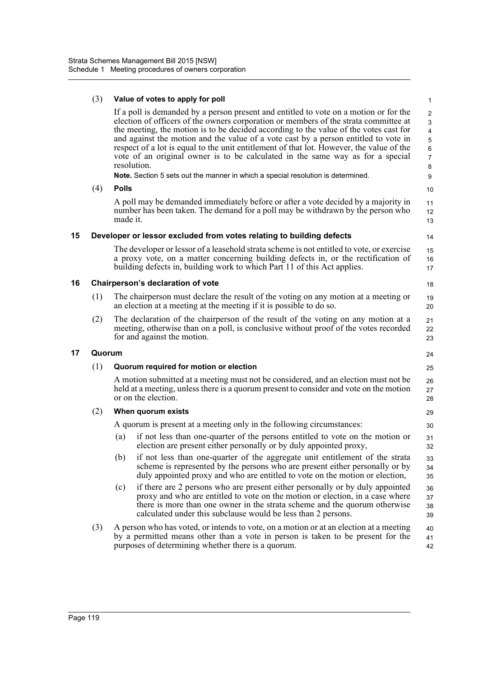|    | (3)    | Value of votes to apply for poll                                                                                                                                                                                                                                                                                                                                                                                                                                                                                                                                                                                                                               | 1                                                                                  |  |  |
|----|--------|----------------------------------------------------------------------------------------------------------------------------------------------------------------------------------------------------------------------------------------------------------------------------------------------------------------------------------------------------------------------------------------------------------------------------------------------------------------------------------------------------------------------------------------------------------------------------------------------------------------------------------------------------------------|------------------------------------------------------------------------------------|--|--|
|    | (4)    | If a poll is demanded by a person present and entitled to vote on a motion or for the<br>election of officers of the owners corporation or members of the strata committee at<br>the meeting, the motion is to be decided according to the value of the votes cast for<br>and against the motion and the value of a vote cast by a person entitled to vote in<br>respect of a lot is equal to the unit entitlement of that lot. However, the value of the<br>vote of an original owner is to be calculated in the same way as for a special<br>resolution.<br>Note. Section 5 sets out the manner in which a special resolution is determined.<br><b>Polls</b> | $\overline{2}$<br>3<br>4<br>$\mathbf 5$<br>$\,6$<br>$\overline{7}$<br>8<br>9<br>10 |  |  |
|    |        | A poll may be demanded immediately before or after a vote decided by a majority in<br>number has been taken. The demand for a poll may be withdrawn by the person who<br>made it.                                                                                                                                                                                                                                                                                                                                                                                                                                                                              | 11<br>12<br>13                                                                     |  |  |
| 15 |        | Developer or lessor excluded from votes relating to building defects                                                                                                                                                                                                                                                                                                                                                                                                                                                                                                                                                                                           | 14                                                                                 |  |  |
|    |        | The developer or lessor of a leasehold strata scheme is not entitled to vote, or exercise<br>a proxy vote, on a matter concerning building defects in, or the rectification of<br>building defects in, building work to which Part 11 of this Act applies.                                                                                                                                                                                                                                                                                                                                                                                                     | 15<br>16<br>17                                                                     |  |  |
| 16 |        | Chairperson's declaration of vote                                                                                                                                                                                                                                                                                                                                                                                                                                                                                                                                                                                                                              | 18                                                                                 |  |  |
|    | (1)    | The chairperson must declare the result of the voting on any motion at a meeting or<br>an election at a meeting at the meeting if it is possible to do so.                                                                                                                                                                                                                                                                                                                                                                                                                                                                                                     | 19<br>20                                                                           |  |  |
|    | (2)    | The declaration of the chairperson of the result of the voting on any motion at a<br>meeting, otherwise than on a poll, is conclusive without proof of the votes recorded<br>for and against the motion.                                                                                                                                                                                                                                                                                                                                                                                                                                                       | 21<br>22<br>23                                                                     |  |  |
| 17 | Quorum |                                                                                                                                                                                                                                                                                                                                                                                                                                                                                                                                                                                                                                                                |                                                                                    |  |  |
|    | (1)    | Quorum required for motion or election                                                                                                                                                                                                                                                                                                                                                                                                                                                                                                                                                                                                                         |                                                                                    |  |  |
|    |        | A motion submitted at a meeting must not be considered, and an election must not be<br>held at a meeting, unless there is a quorum present to consider and vote on the motion<br>or on the election.                                                                                                                                                                                                                                                                                                                                                                                                                                                           |                                                                                    |  |  |
|    | (2)    | When quorum exists                                                                                                                                                                                                                                                                                                                                                                                                                                                                                                                                                                                                                                             |                                                                                    |  |  |
|    |        | A quorum is present at a meeting only in the following circumstances:                                                                                                                                                                                                                                                                                                                                                                                                                                                                                                                                                                                          |                                                                                    |  |  |
|    |        | if not less than one-quarter of the persons entitled to vote on the motion or<br>(a)<br>election are present either personally or by duly appointed proxy,                                                                                                                                                                                                                                                                                                                                                                                                                                                                                                     | 31<br>32                                                                           |  |  |
|    |        | if not less than one-quarter of the aggregate unit entitlement of the strata<br>(b)<br>scheme is represented by the persons who are present either personally or by<br>duly appointed proxy and who are entitled to vote on the motion or election,                                                                                                                                                                                                                                                                                                                                                                                                            | 33<br>34<br>35                                                                     |  |  |
|    |        | if there are 2 persons who are present either personally or by duly appointed<br>(c)<br>proxy and who are entitled to vote on the motion or election, in a case where<br>there is more than one owner in the strata scheme and the quorum otherwise<br>calculated under this subclause would be less than 2 persons.                                                                                                                                                                                                                                                                                                                                           | 36<br>37<br>38<br>39                                                               |  |  |
|    | (3)    | A person who has voted, or intends to vote, on a motion or at an election at a meeting<br>by a permitted means other than a vote in person is taken to be present for the<br>purposes of determining whether there is a quorum.                                                                                                                                                                                                                                                                                                                                                                                                                                | 40<br>41<br>42                                                                     |  |  |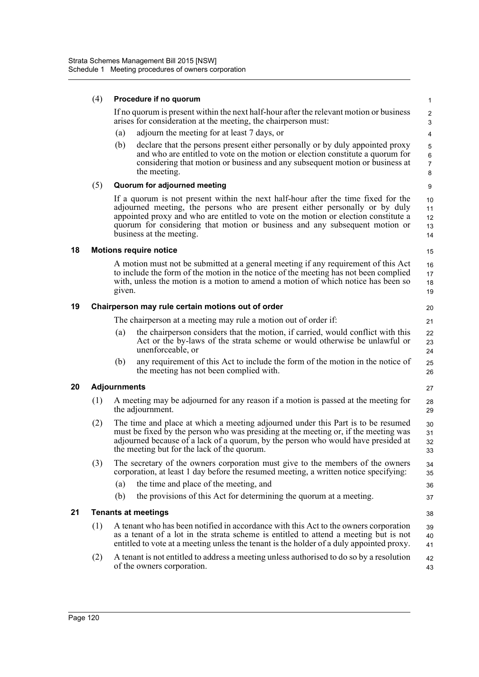|    | (4)                                               | Procedure if no quorum                                                                                                                                                                                                                                                                                      |                                                                                                                                                                                                                                                                                                                                                                    |                                               |  |  |
|----|---------------------------------------------------|-------------------------------------------------------------------------------------------------------------------------------------------------------------------------------------------------------------------------------------------------------------------------------------------------------------|--------------------------------------------------------------------------------------------------------------------------------------------------------------------------------------------------------------------------------------------------------------------------------------------------------------------------------------------------------------------|-----------------------------------------------|--|--|
|    |                                                   | If no quorum is present within the next half-hour after the relevant motion or business<br>arises for consideration at the meeting, the chairperson must:                                                                                                                                                   |                                                                                                                                                                                                                                                                                                                                                                    |                                               |  |  |
|    |                                                   | (a)                                                                                                                                                                                                                                                                                                         | adjourn the meeting for at least 7 days, or                                                                                                                                                                                                                                                                                                                        | 4                                             |  |  |
|    |                                                   | (b)                                                                                                                                                                                                                                                                                                         | declare that the persons present either personally or by duly appointed proxy<br>and who are entitled to vote on the motion or election constitute a quorum for<br>considering that motion or business and any subsequent motion or business at<br>the meeting.                                                                                                    | $\mathbf 5$<br>$\,6\,$<br>$\overline{7}$<br>8 |  |  |
|    | (5)                                               |                                                                                                                                                                                                                                                                                                             | Quorum for adjourned meeting                                                                                                                                                                                                                                                                                                                                       | 9                                             |  |  |
|    |                                                   |                                                                                                                                                                                                                                                                                                             | If a quorum is not present within the next half-hour after the time fixed for the<br>adjourned meeting, the persons who are present either personally or by duly<br>appointed proxy and who are entitled to vote on the motion or election constitute a<br>quorum for considering that motion or business and any subsequent motion or<br>business at the meeting. | 10<br>11<br>12<br>13<br>14                    |  |  |
| 18 |                                                   |                                                                                                                                                                                                                                                                                                             | <b>Motions require notice</b>                                                                                                                                                                                                                                                                                                                                      | 15                                            |  |  |
|    |                                                   | given.                                                                                                                                                                                                                                                                                                      | A motion must not be submitted at a general meeting if any requirement of this Act<br>to include the form of the motion in the notice of the meeting has not been complied<br>with, unless the motion is a motion to amend a motion of which notice has been so                                                                                                    | 16<br>17<br>18<br>19                          |  |  |
| 19 | Chairperson may rule certain motions out of order |                                                                                                                                                                                                                                                                                                             |                                                                                                                                                                                                                                                                                                                                                                    |                                               |  |  |
|    |                                                   |                                                                                                                                                                                                                                                                                                             | The chairperson at a meeting may rule a motion out of order if:                                                                                                                                                                                                                                                                                                    | 21                                            |  |  |
|    |                                                   | (a)                                                                                                                                                                                                                                                                                                         | the chairperson considers that the motion, if carried, would conflict with this<br>Act or the by-laws of the strata scheme or would otherwise be unlawful or<br>unenforceable, or                                                                                                                                                                                  | 22<br>23<br>24                                |  |  |
|    |                                                   | (b)                                                                                                                                                                                                                                                                                                         | any requirement of this Act to include the form of the motion in the notice of<br>the meeting has not been complied with.                                                                                                                                                                                                                                          | 25<br>26                                      |  |  |
| 20 |                                                   | <b>Adjournments</b>                                                                                                                                                                                                                                                                                         |                                                                                                                                                                                                                                                                                                                                                                    | 27                                            |  |  |
|    | (1)                                               |                                                                                                                                                                                                                                                                                                             | A meeting may be adjourned for any reason if a motion is passed at the meeting for<br>the adjournment.                                                                                                                                                                                                                                                             | 28<br>29                                      |  |  |
|    | (2)                                               | The time and place at which a meeting adjourned under this Part is to be resumed<br>must be fixed by the person who was presiding at the meeting or, if the meeting was<br>adjourned because of a lack of a quorum, by the person who would have presided at<br>the meeting but for the lack of the quorum. |                                                                                                                                                                                                                                                                                                                                                                    |                                               |  |  |
|    | (3)                                               |                                                                                                                                                                                                                                                                                                             | The secretary of the owners corporation must give to the members of the owners<br>corporation, at least 1 day before the resumed meeting, a written notice specifying:                                                                                                                                                                                             | 34<br>35                                      |  |  |
|    |                                                   | (a)                                                                                                                                                                                                                                                                                                         | the time and place of the meeting, and                                                                                                                                                                                                                                                                                                                             | 36                                            |  |  |
|    |                                                   | (b)                                                                                                                                                                                                                                                                                                         | the provisions of this Act for determining the quorum at a meeting.                                                                                                                                                                                                                                                                                                | 37                                            |  |  |
| 21 |                                                   |                                                                                                                                                                                                                                                                                                             | <b>Tenants at meetings</b>                                                                                                                                                                                                                                                                                                                                         | 38                                            |  |  |
|    | (1)                                               | A tenant who has been notified in accordance with this Act to the owners corporation<br>as a tenant of a lot in the strata scheme is entitled to attend a meeting but is not<br>entitled to vote at a meeting unless the tenant is the holder of a duly appointed proxy.                                    |                                                                                                                                                                                                                                                                                                                                                                    |                                               |  |  |
|    | (2)                                               |                                                                                                                                                                                                                                                                                                             | A tenant is not entitled to address a meeting unless authorised to do so by a resolution<br>of the owners corporation.                                                                                                                                                                                                                                             | 42<br>43                                      |  |  |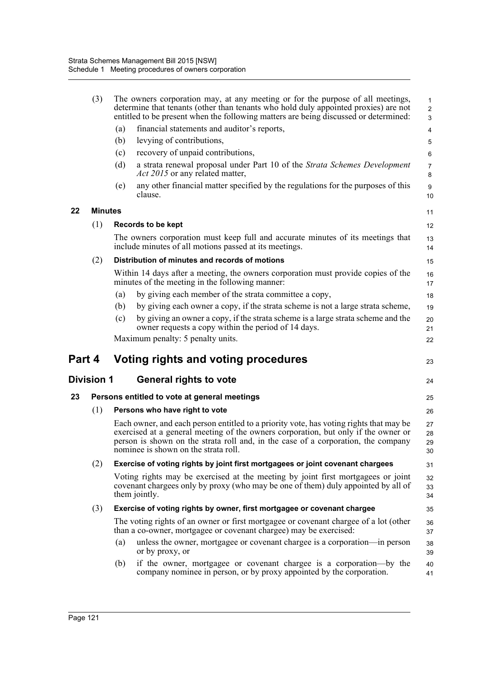|        | (3)            |     | The owners corporation may, at any meeting or for the purpose of all meetings,<br>determine that tenants (other than tenants who hold duly appointed proxies) are not<br>entitled to be present when the following matters are being discussed or determined:                                             | $\mathbf{1}$<br>$\overline{2}$<br>$\mathbf{3}$ |
|--------|----------------|-----|-----------------------------------------------------------------------------------------------------------------------------------------------------------------------------------------------------------------------------------------------------------------------------------------------------------|------------------------------------------------|
|        |                | (a) | financial statements and auditor's reports,                                                                                                                                                                                                                                                               | $\overline{\mathbf{4}}$                        |
|        |                | (b) | levying of contributions,                                                                                                                                                                                                                                                                                 | 5                                              |
|        |                | (c) | recovery of unpaid contributions,                                                                                                                                                                                                                                                                         | 6                                              |
|        |                | (d) | a strata renewal proposal under Part 10 of the Strata Schemes Development<br><i>Act 2015</i> or any related matter,                                                                                                                                                                                       | 7<br>8                                         |
|        |                | (e) | any other financial matter specified by the regulations for the purposes of this<br>clause.                                                                                                                                                                                                               | 9<br>10                                        |
| 22     | <b>Minutes</b> |     |                                                                                                                                                                                                                                                                                                           | 11                                             |
|        | (1)            |     | Records to be kept                                                                                                                                                                                                                                                                                        | 12                                             |
|        |                |     | The owners corporation must keep full and accurate minutes of its meetings that<br>include minutes of all motions passed at its meetings.                                                                                                                                                                 | 13<br>14                                       |
|        | (2)            |     | Distribution of minutes and records of motions                                                                                                                                                                                                                                                            | 15                                             |
|        |                |     | Within 14 days after a meeting, the owners corporation must provide copies of the<br>minutes of the meeting in the following manner:                                                                                                                                                                      | 16<br>17                                       |
|        |                | (a) | by giving each member of the strata committee a copy,                                                                                                                                                                                                                                                     | 18                                             |
|        |                | (b) | by giving each owner a copy, if the strata scheme is not a large strata scheme,                                                                                                                                                                                                                           | 19                                             |
|        |                | (c) | by giving an owner a copy, if the strata scheme is a large strata scheme and the<br>owner requests a copy within the period of 14 days.                                                                                                                                                                   | 20<br>21                                       |
|        |                |     | Maximum penalty: 5 penalty units.                                                                                                                                                                                                                                                                         | 22                                             |
| Part 4 |                |     | Voting rights and voting procedures                                                                                                                                                                                                                                                                       | 23                                             |
|        | Division 1     |     | <b>General rights to vote</b>                                                                                                                                                                                                                                                                             | 24                                             |
| 23     |                |     | Persons entitled to vote at general meetings                                                                                                                                                                                                                                                              | 25                                             |
|        | (1)            |     | Persons who have right to vote                                                                                                                                                                                                                                                                            | 26                                             |
|        |                |     | Each owner, and each person entitled to a priority vote, has voting rights that may be<br>exercised at a general meeting of the owners corporation, but only if the owner or<br>person is shown on the strata roll and, in the case of a corporation, the company<br>nominee is shown on the strata roll. | 27<br>28<br>29<br>30                           |
|        | (2)            |     | Exercise of voting rights by joint first mortgagees or joint covenant chargees                                                                                                                                                                                                                            | 31                                             |
|        |                |     | Voting rights may be exercised at the meeting by joint first mortgagees or joint<br>covenant chargees only by proxy (who may be one of them) duly appointed by all of<br>them jointly.                                                                                                                    | 32<br>33<br>34                                 |
|        | (3)            |     | Exercise of voting rights by owner, first mortgagee or covenant chargee                                                                                                                                                                                                                                   | 35                                             |
|        |                |     | The voting rights of an owner or first mortgagee or covenant chargee of a lot (other<br>than a co-owner, mortgagee or covenant chargee) may be exercised:                                                                                                                                                 | 36<br>37                                       |
|        |                | (a) | unless the owner, mortgagee or covenant chargee is a corporation—in person<br>or by proxy, or                                                                                                                                                                                                             | 38<br>39                                       |
|        |                | (b) | if the owner, mortgagee or covenant chargee is a corporation-by the<br>company nominee in person, or by proxy appointed by the corporation.                                                                                                                                                               | 40<br>41                                       |
|        |                |     |                                                                                                                                                                                                                                                                                                           |                                                |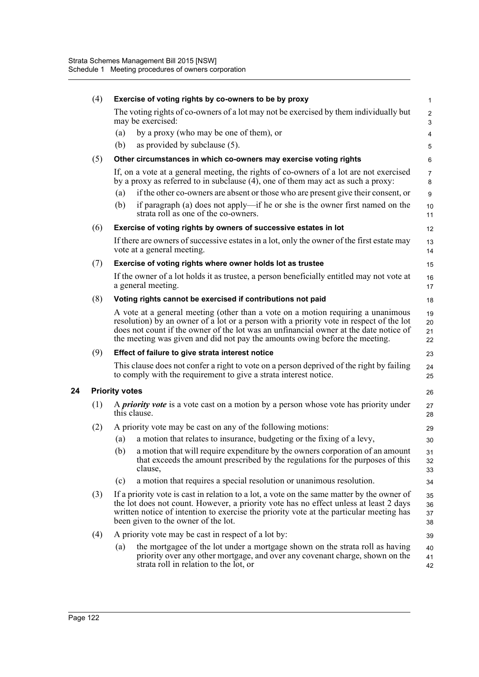| (4) | Exercise of voting rights by co-owners to be by proxy                                                                                                                                                                                                                                                                                               |                      |  |  |  |
|-----|-----------------------------------------------------------------------------------------------------------------------------------------------------------------------------------------------------------------------------------------------------------------------------------------------------------------------------------------------------|----------------------|--|--|--|
|     | The voting rights of co-owners of a lot may not be exercised by them individually but<br>may be exercised:                                                                                                                                                                                                                                          | $\overline{2}$<br>3  |  |  |  |
|     | by a proxy (who may be one of them), or<br>(a)                                                                                                                                                                                                                                                                                                      | 4                    |  |  |  |
|     | (b)<br>as provided by subclause (5).                                                                                                                                                                                                                                                                                                                | 5                    |  |  |  |
| (5) | Other circumstances in which co-owners may exercise voting rights                                                                                                                                                                                                                                                                                   | 6                    |  |  |  |
|     | If, on a vote at a general meeting, the rights of co-owners of a lot are not exercised<br>by a proxy as referred to in subclause (4), one of them may act as such a proxy:                                                                                                                                                                          | $\overline{7}$<br>8  |  |  |  |
|     | if the other co-owners are absent or those who are present give their consent, or<br>(a)                                                                                                                                                                                                                                                            | 9                    |  |  |  |
|     | (b)<br>if paragraph (a) does not apply—if he or she is the owner first named on the<br>strata roll as one of the co-owners.                                                                                                                                                                                                                         | 10<br>11             |  |  |  |
| (6) | Exercise of voting rights by owners of successive estates in lot                                                                                                                                                                                                                                                                                    | 12                   |  |  |  |
|     | If there are owners of successive estates in a lot, only the owner of the first estate may<br>vote at a general meeting.                                                                                                                                                                                                                            | 13<br>14             |  |  |  |
| (7) | Exercise of voting rights where owner holds lot as trustee                                                                                                                                                                                                                                                                                          | 15                   |  |  |  |
|     | If the owner of a lot holds it as trustee, a person beneficially entitled may not vote at<br>a general meeting.                                                                                                                                                                                                                                     | 16<br>17             |  |  |  |
| (8) | Voting rights cannot be exercised if contributions not paid                                                                                                                                                                                                                                                                                         | 18                   |  |  |  |
|     | A vote at a general meeting (other than a vote on a motion requiring a unanimous<br>resolution) by an owner of a lot or a person with a priority vote in respect of the lot<br>does not count if the owner of the lot was an unfinancial owner at the date notice of<br>the meeting was given and did not pay the amounts owing before the meeting. | 19<br>20<br>21<br>22 |  |  |  |
| (9) | Effect of failure to give strata interest notice                                                                                                                                                                                                                                                                                                    | 23                   |  |  |  |
|     | This clause does not confer a right to vote on a person deprived of the right by failing<br>to comply with the requirement to give a strata interest notice.                                                                                                                                                                                        | 24<br>25             |  |  |  |
|     | <b>Priority votes</b>                                                                                                                                                                                                                                                                                                                               | 26                   |  |  |  |
| (1) | A <i>priority vote</i> is a vote cast on a motion by a person whose vote has priority under<br>this clause.                                                                                                                                                                                                                                         | 27<br>28             |  |  |  |
| (2) | A priority vote may be cast on any of the following motions:                                                                                                                                                                                                                                                                                        | 29                   |  |  |  |
|     | a motion that relates to insurance, budgeting or the fixing of a levy,<br>(a)                                                                                                                                                                                                                                                                       | 30                   |  |  |  |
|     | a motion that will require expenditure by the owners corporation of an amount<br>(b)<br>that exceeds the amount prescribed by the regulations for the purposes of this<br>clause,                                                                                                                                                                   | 31<br>32<br>33       |  |  |  |
|     | a motion that requires a special resolution or unanimous resolution.<br>(c)                                                                                                                                                                                                                                                                         | 34                   |  |  |  |
| (3) | If a priority vote is cast in relation to a lot, a vote on the same matter by the owner of<br>the lot does not count. However, a priority vote has no effect unless at least 2 days<br>written notice of intention to exercise the priority vote at the particular meeting has<br>been given to the owner of the lot.                               |                      |  |  |  |
| (4) | A priority vote may be cast in respect of a lot by:                                                                                                                                                                                                                                                                                                 | 39                   |  |  |  |
|     | the mortgagee of the lot under a mortgage shown on the strata roll as having<br>(a)<br>priority over any other mortgage, and over any covenant charge, shown on the<br>strata roll in relation to the lot, or                                                                                                                                       | 40<br>41<br>42       |  |  |  |

**24 Priority votes**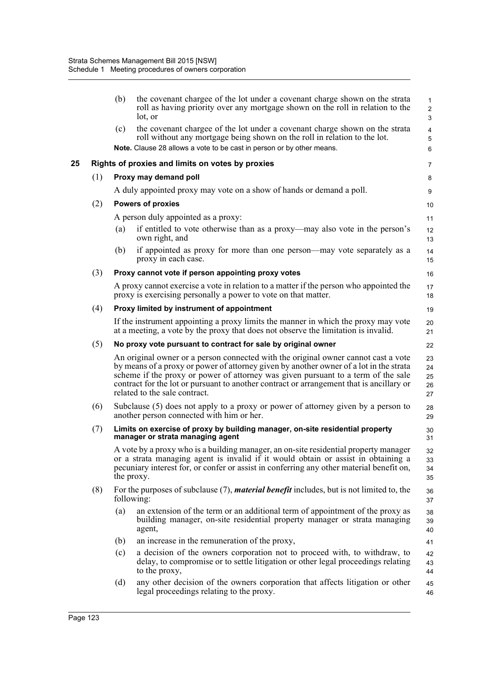|    |     | (b)                                                                                                                            | the covenant chargee of the lot under a covenant charge shown on the strata<br>roll as having priority over any mortgage shown on the roll in relation to the<br>lot, or                                                                                                                                                                                                                       | $\mathbf 1$<br>$\overline{2}$<br>3             |  |
|----|-----|--------------------------------------------------------------------------------------------------------------------------------|------------------------------------------------------------------------------------------------------------------------------------------------------------------------------------------------------------------------------------------------------------------------------------------------------------------------------------------------------------------------------------------------|------------------------------------------------|--|
|    |     | (c)                                                                                                                            | the covenant chargee of the lot under a covenant charge shown on the strata<br>roll without any mortgage being shown on the roll in relation to the lot.<br>Note. Clause 28 allows a vote to be cast in person or by other means.                                                                                                                                                              | $\overline{\mathbf{4}}$<br>$\overline{5}$<br>6 |  |
| 25 |     |                                                                                                                                | Rights of proxies and limits on votes by proxies                                                                                                                                                                                                                                                                                                                                               | 7                                              |  |
|    | (1) |                                                                                                                                | Proxy may demand poll                                                                                                                                                                                                                                                                                                                                                                          | 8                                              |  |
|    |     |                                                                                                                                | A duly appointed proxy may vote on a show of hands or demand a poll.                                                                                                                                                                                                                                                                                                                           | 9                                              |  |
|    | (2) |                                                                                                                                | <b>Powers of proxies</b>                                                                                                                                                                                                                                                                                                                                                                       | 10                                             |  |
|    |     |                                                                                                                                | A person duly appointed as a proxy:                                                                                                                                                                                                                                                                                                                                                            | 11                                             |  |
|    |     | (a)                                                                                                                            | if entitled to vote otherwise than as a proxy—may also vote in the person's<br>own right, and                                                                                                                                                                                                                                                                                                  | 12<br>13                                       |  |
|    |     | (b)                                                                                                                            | if appointed as proxy for more than one person—may vote separately as a<br>proxy in each case.                                                                                                                                                                                                                                                                                                 | 14<br>15                                       |  |
|    | (3) |                                                                                                                                | Proxy cannot vote if person appointing proxy votes                                                                                                                                                                                                                                                                                                                                             | 16                                             |  |
|    |     |                                                                                                                                | A proxy cannot exercise a vote in relation to a matter if the person who appointed the<br>proxy is exercising personally a power to vote on that matter.                                                                                                                                                                                                                                       | 17<br>18                                       |  |
|    | (4) |                                                                                                                                | Proxy limited by instrument of appointment                                                                                                                                                                                                                                                                                                                                                     | 19                                             |  |
|    |     |                                                                                                                                | If the instrument appointing a proxy limits the manner in which the proxy may vote<br>at a meeting, a vote by the proxy that does not observe the limitation is invalid.                                                                                                                                                                                                                       | 20<br>21                                       |  |
|    | (5) |                                                                                                                                | No proxy vote pursuant to contract for sale by original owner                                                                                                                                                                                                                                                                                                                                  | 22                                             |  |
|    |     |                                                                                                                                | An original owner or a person connected with the original owner cannot cast a vote<br>by means of a proxy or power of attorney given by another owner of a lot in the strata<br>scheme if the proxy or power of attorney was given pursuant to a term of the sale<br>contract for the lot or pursuant to another contract or arrangement that is ancillary or<br>related to the sale contract. | 23<br>24<br>25<br>26<br>27                     |  |
|    | (6) | Subclause (5) does not apply to a proxy or power of attorney given by a person to<br>another person connected with him or her. |                                                                                                                                                                                                                                                                                                                                                                                                |                                                |  |
|    | (7) |                                                                                                                                | Limits on exercise of proxy by building manager, on-site residential property<br>manager or strata managing agent                                                                                                                                                                                                                                                                              | 30<br>31                                       |  |
|    |     |                                                                                                                                | A vote by a proxy who is a building manager, an on-site residential property manager<br>or a strata managing agent is invalid if it would obtain or assist in obtaining a<br>pecuniary interest for, or confer or assist in conferring any other material benefit on,<br>the proxy.                                                                                                            | 32<br>33<br>34<br>35                           |  |
|    | (8) |                                                                                                                                | For the purposes of subclause (7), <i>material benefit</i> includes, but is not limited to, the<br>following:                                                                                                                                                                                                                                                                                  | 36<br>37                                       |  |
|    |     | (a)                                                                                                                            | an extension of the term or an additional term of appointment of the proxy as<br>building manager, on-site residential property manager or strata managing<br>agent,                                                                                                                                                                                                                           | 38<br>39<br>40                                 |  |
|    |     | (b)                                                                                                                            | an increase in the remuneration of the proxy,                                                                                                                                                                                                                                                                                                                                                  | 41                                             |  |
|    |     | (c)                                                                                                                            | a decision of the owners corporation not to proceed with, to withdraw, to<br>delay, to compromise or to settle litigation or other legal proceedings relating<br>to the proxy,                                                                                                                                                                                                                 | 42<br>43<br>44                                 |  |
|    |     | (d)                                                                                                                            | any other decision of the owners corporation that affects litigation or other<br>legal proceedings relating to the proxy.                                                                                                                                                                                                                                                                      | 45<br>46                                       |  |
|    |     |                                                                                                                                |                                                                                                                                                                                                                                                                                                                                                                                                |                                                |  |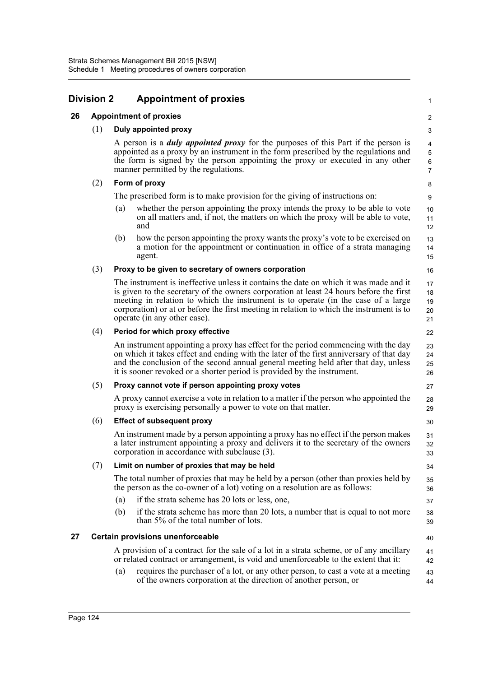| Division 2 |     |                                                                                                                                                                                                                                                                                                           | <b>Appointment of proxies</b>                                                                                                                                                                                                                                                                                                                                                                    | $\mathbf{1}$               |  |  |
|------------|-----|-----------------------------------------------------------------------------------------------------------------------------------------------------------------------------------------------------------------------------------------------------------------------------------------------------------|--------------------------------------------------------------------------------------------------------------------------------------------------------------------------------------------------------------------------------------------------------------------------------------------------------------------------------------------------------------------------------------------------|----------------------------|--|--|
| 26         |     |                                                                                                                                                                                                                                                                                                           | <b>Appointment of proxies</b>                                                                                                                                                                                                                                                                                                                                                                    | $\overline{2}$             |  |  |
|            | (1) |                                                                                                                                                                                                                                                                                                           | <b>Duly appointed proxy</b>                                                                                                                                                                                                                                                                                                                                                                      | 3                          |  |  |
|            |     | A person is a <i>duly appointed proxy</i> for the purposes of this Part if the person is<br>appointed as a proxy by an instrument in the form prescribed by the regulations and<br>the form is signed by the person appointing the proxy or executed in any other<br>manner permitted by the regulations. |                                                                                                                                                                                                                                                                                                                                                                                                  |                            |  |  |
|            | (2) |                                                                                                                                                                                                                                                                                                           | Form of proxy                                                                                                                                                                                                                                                                                                                                                                                    | 8                          |  |  |
|            |     |                                                                                                                                                                                                                                                                                                           | The prescribed form is to make provision for the giving of instructions on:                                                                                                                                                                                                                                                                                                                      | 9                          |  |  |
|            |     | (a)                                                                                                                                                                                                                                                                                                       | whether the person appointing the proxy intends the proxy to be able to vote<br>on all matters and, if not, the matters on which the proxy will be able to vote,<br>and                                                                                                                                                                                                                          | 10<br>11<br>12             |  |  |
|            |     | (b)                                                                                                                                                                                                                                                                                                       | how the person appointing the proxy wants the proxy's vote to be exercised on<br>a motion for the appointment or continuation in office of a strata managing<br>agent.                                                                                                                                                                                                                           | 13<br>14<br>15             |  |  |
|            | (3) |                                                                                                                                                                                                                                                                                                           | Proxy to be given to secretary of owners corporation                                                                                                                                                                                                                                                                                                                                             | 16                         |  |  |
|            |     |                                                                                                                                                                                                                                                                                                           | The instrument is ineffective unless it contains the date on which it was made and it<br>is given to the secretary of the owners corporation at least 24 hours before the first<br>meeting in relation to which the instrument is to operate (in the case of a large<br>corporation) or at or before the first meeting in relation to which the instrument is to<br>operate (in any other case). | 17<br>18<br>19<br>20<br>21 |  |  |
|            | (4) |                                                                                                                                                                                                                                                                                                           | Period for which proxy effective                                                                                                                                                                                                                                                                                                                                                                 | 22                         |  |  |
|            |     |                                                                                                                                                                                                                                                                                                           | An instrument appointing a proxy has effect for the period commencing with the day<br>on which it takes effect and ending with the later of the first anniversary of that day<br>and the conclusion of the second annual general meeting held after that day, unless<br>it is sooner revoked or a shorter period is provided by the instrument.                                                  | 23<br>24<br>25<br>26       |  |  |
|            | (5) |                                                                                                                                                                                                                                                                                                           | Proxy cannot vote if person appointing proxy votes                                                                                                                                                                                                                                                                                                                                               | 27                         |  |  |
|            |     |                                                                                                                                                                                                                                                                                                           | A proxy cannot exercise a vote in relation to a matter if the person who appointed the<br>proxy is exercising personally a power to vote on that matter.                                                                                                                                                                                                                                         | 28<br>29                   |  |  |
|            | (6) |                                                                                                                                                                                                                                                                                                           | <b>Effect of subsequent proxy</b>                                                                                                                                                                                                                                                                                                                                                                | 30                         |  |  |
|            |     |                                                                                                                                                                                                                                                                                                           | An instrument made by a person appointing a proxy has no effect if the person makes<br>a later instrument appointing a proxy and delivers it to the secretary of the owners<br>corporation in accordance with subclause (3).                                                                                                                                                                     | 31<br>32<br>33             |  |  |
|            | (7) |                                                                                                                                                                                                                                                                                                           | Limit on number of proxies that may be held                                                                                                                                                                                                                                                                                                                                                      | 34                         |  |  |
|            |     |                                                                                                                                                                                                                                                                                                           | The total number of proxies that may be held by a person (other than proxies held by<br>the person as the co-owner of a lot) voting on a resolution are as follows:                                                                                                                                                                                                                              | 35<br>36                   |  |  |
|            |     | (a)                                                                                                                                                                                                                                                                                                       | if the strata scheme has 20 lots or less, one,                                                                                                                                                                                                                                                                                                                                                   | 37                         |  |  |
|            |     | (b)                                                                                                                                                                                                                                                                                                       | if the strata scheme has more than 20 lots, a number that is equal to not more<br>than 5% of the total number of lots.                                                                                                                                                                                                                                                                           | 38<br>39                   |  |  |
| 27         |     |                                                                                                                                                                                                                                                                                                           | <b>Certain provisions unenforceable</b>                                                                                                                                                                                                                                                                                                                                                          | 40                         |  |  |
|            |     |                                                                                                                                                                                                                                                                                                           | A provision of a contract for the sale of a lot in a strata scheme, or of any ancillary<br>or related contract or arrangement, is void and unenforceable to the extent that it:                                                                                                                                                                                                                  | 41<br>42                   |  |  |
|            |     | (a)                                                                                                                                                                                                                                                                                                       | requires the purchaser of a lot, or any other person, to cast a vote at a meeting<br>of the owners corporation at the direction of another person, or                                                                                                                                                                                                                                            | 43<br>44                   |  |  |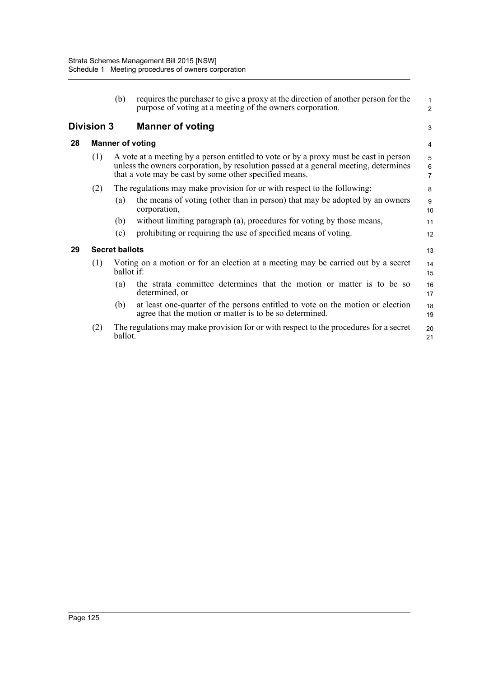|                                              |                       | (b)        | requires the purchaser to give a proxy at the direction of another person for the<br>purpose of voting at a meeting of the owners corporation.                                                                                          | 1<br>2                   |
|----------------------------------------------|-----------------------|------------|-----------------------------------------------------------------------------------------------------------------------------------------------------------------------------------------------------------------------------------------|--------------------------|
| <b>Division 3</b><br><b>Manner of voting</b> |                       |            |                                                                                                                                                                                                                                         | 3                        |
| 28                                           |                       |            | <b>Manner of voting</b>                                                                                                                                                                                                                 | 4                        |
|                                              | (1)                   |            | A vote at a meeting by a person entitled to vote or by a proxy must be cast in person<br>unless the owners corporation, by resolution passed at a general meeting, determines<br>that a vote may be cast by some other specified means. | 5<br>6<br>$\overline{7}$ |
|                                              | (2)                   |            | The regulations may make provision for or with respect to the following:                                                                                                                                                                | 8                        |
|                                              |                       | (a)        | the means of voting (other than in person) that may be adopted by an owners<br>corporation,                                                                                                                                             | 9<br>10                  |
|                                              |                       | (b)        | without limiting paragraph (a), procedures for voting by those means,                                                                                                                                                                   | 11                       |
|                                              |                       | (c)        | prohibiting or requiring the use of specified means of voting.                                                                                                                                                                          | 12                       |
| 29                                           | <b>Secret ballots</b> |            |                                                                                                                                                                                                                                         |                          |
|                                              | (1)                   | ballot if: | Voting on a motion or for an election at a meeting may be carried out by a secret                                                                                                                                                       | 14<br>15                 |
|                                              |                       | (a)        | the strata committee determines that the motion or matter is to be so<br>determined, or                                                                                                                                                 | 16<br>17                 |
|                                              |                       | (b)        | at least one-quarter of the persons entitled to vote on the motion or election<br>agree that the motion or matter is to be so determined.                                                                                               | 18<br>19                 |
|                                              | (2)                   | ballot.    | The regulations may make provision for or with respect to the procedures for a secret                                                                                                                                                   | 20<br>21                 |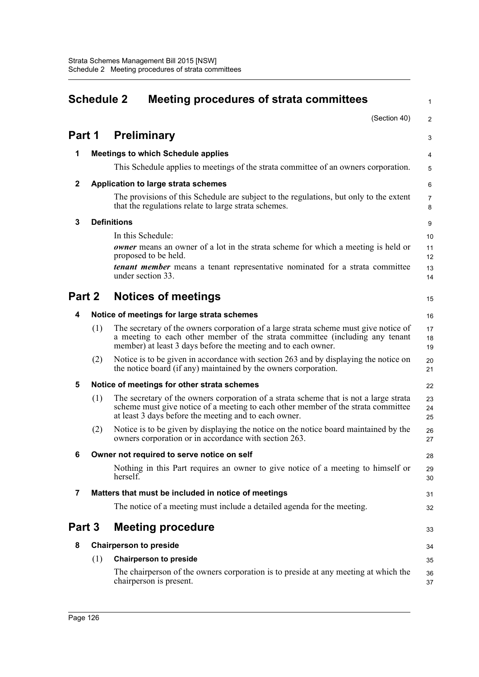| <b>Schedule 2</b> |     |                    | <b>Meeting procedures of strata committees</b>                                                                                                                                                                                        |                     |  |  |
|-------------------|-----|--------------------|---------------------------------------------------------------------------------------------------------------------------------------------------------------------------------------------------------------------------------------|---------------------|--|--|
|                   |     |                    | (Section 40)                                                                                                                                                                                                                          | $\overline{2}$      |  |  |
| Part 1            |     |                    | <b>Preliminary</b>                                                                                                                                                                                                                    | 3                   |  |  |
| 1                 |     |                    | <b>Meetings to which Schedule applies</b>                                                                                                                                                                                             | 4                   |  |  |
|                   |     |                    | This Schedule applies to meetings of the strata committee of an owners corporation.                                                                                                                                                   | 5                   |  |  |
| $\mathbf{2}$      |     |                    | <b>Application to large strata schemes</b>                                                                                                                                                                                            | 6                   |  |  |
|                   |     |                    | The provisions of this Schedule are subject to the regulations, but only to the extent<br>that the regulations relate to large strata schemes.                                                                                        | $\overline{7}$<br>8 |  |  |
| 3                 |     | <b>Definitions</b> |                                                                                                                                                                                                                                       | 9                   |  |  |
|                   |     |                    | In this Schedule:                                                                                                                                                                                                                     | 10                  |  |  |
|                   |     |                    | <b><i>owner</i></b> means an owner of a lot in the strata scheme for which a meeting is held or<br>proposed to be held.                                                                                                               | 11<br>12            |  |  |
|                   |     |                    | <b><i>tenant member</i></b> means a tenant representative nominated for a strata committee<br>under section 33.                                                                                                                       | 13<br>14            |  |  |
| Part 2            |     |                    | <b>Notices of meetings</b>                                                                                                                                                                                                            | 15                  |  |  |
| 4                 |     |                    | Notice of meetings for large strata schemes                                                                                                                                                                                           | 16                  |  |  |
|                   | (1) |                    | The secretary of the owners corporation of a large strata scheme must give notice of<br>a meeting to each other member of the strata committee (including any tenant<br>member) at least 3 days before the meeting and to each owner. | 17<br>18<br>19      |  |  |
|                   | (2) |                    | Notice is to be given in accordance with section 263 and by displaying the notice on<br>the notice board (if any) maintained by the owners corporation.                                                                               | 20<br>21            |  |  |
| 5                 |     |                    | Notice of meetings for other strata schemes                                                                                                                                                                                           | 22                  |  |  |
|                   | (1) |                    | The secretary of the owners corporation of a strata scheme that is not a large strata<br>scheme must give notice of a meeting to each other member of the strata committee<br>at least 3 days before the meeting and to each owner.   | 23<br>24<br>25      |  |  |
|                   | (2) |                    | Notice is to be given by displaying the notice on the notice board maintained by the<br>owners corporation or in accordance with section 263.                                                                                         | 26<br>27            |  |  |
| 6                 |     |                    | Owner not required to serve notice on self                                                                                                                                                                                            | 28                  |  |  |
|                   |     | herself.           | Nothing in this Part requires an owner to give notice of a meeting to himself or                                                                                                                                                      | 29<br>30            |  |  |
| 7                 |     |                    | Matters that must be included in notice of meetings                                                                                                                                                                                   | 31                  |  |  |
|                   |     |                    | The notice of a meeting must include a detailed agenda for the meeting.                                                                                                                                                               | 32                  |  |  |
| Part 3            |     |                    | <b>Meeting procedure</b>                                                                                                                                                                                                              |                     |  |  |
| 8                 |     |                    | <b>Chairperson to preside</b>                                                                                                                                                                                                         | 34                  |  |  |
|                   | (1) |                    | <b>Chairperson to preside</b>                                                                                                                                                                                                         | 35                  |  |  |
|                   |     |                    | The chairperson of the owners corporation is to preside at any meeting at which the<br>chairperson is present.                                                                                                                        | 36<br>37            |  |  |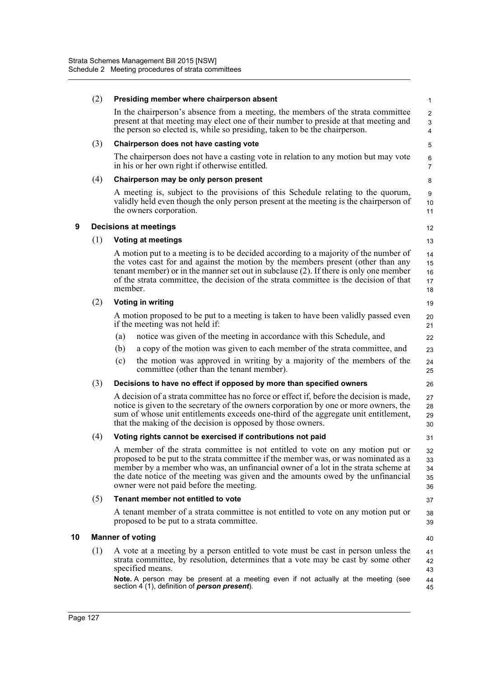|    | (2) | Presiding member where chairperson absent                                                                                                                                                                                                                                                                                                                                                | $\mathbf{1}$                          |
|----|-----|------------------------------------------------------------------------------------------------------------------------------------------------------------------------------------------------------------------------------------------------------------------------------------------------------------------------------------------------------------------------------------------|---------------------------------------|
|    |     | In the chairperson's absence from a meeting, the members of the strata committee<br>present at that meeting may elect one of their number to preside at that meeting and<br>the person so elected is, while so presiding, taken to be the chairperson.                                                                                                                                   | $\overline{2}$<br>3<br>$\overline{4}$ |
|    | (3) | Chairperson does not have casting vote                                                                                                                                                                                                                                                                                                                                                   | 5                                     |
|    |     | The chairperson does not have a casting vote in relation to any motion but may vote<br>in his or her own right if otherwise entitled.                                                                                                                                                                                                                                                    | 6<br>$\overline{7}$                   |
|    | (4) | Chairperson may be only person present                                                                                                                                                                                                                                                                                                                                                   | 8                                     |
|    |     | A meeting is, subject to the provisions of this Schedule relating to the quorum,<br>validly held even though the only person present at the meeting is the chairperson of<br>the owners corporation.                                                                                                                                                                                     | 9<br>$10$<br>11                       |
| 9  |     | <b>Decisions at meetings</b>                                                                                                                                                                                                                                                                                                                                                             | 12                                    |
|    | (1) | <b>Voting at meetings</b>                                                                                                                                                                                                                                                                                                                                                                | 13                                    |
|    |     | A motion put to a meeting is to be decided according to a majority of the number of<br>the votes cast for and against the motion by the members present (other than any<br>tenant member) or in the manner set out in subclause (2). If there is only one member<br>of the strata committee, the decision of the strata committee is the decision of that<br>member.                     | 14<br>15<br>16<br>17<br>18            |
|    | (2) | <b>Voting in writing</b>                                                                                                                                                                                                                                                                                                                                                                 | 19                                    |
|    |     | A motion proposed to be put to a meeting is taken to have been validly passed even<br>if the meeting was not held if:                                                                                                                                                                                                                                                                    | 20<br>21                              |
|    |     | notice was given of the meeting in accordance with this Schedule, and<br>(a)                                                                                                                                                                                                                                                                                                             | 22                                    |
|    |     | a copy of the motion was given to each member of the strata committee, and<br>(b)                                                                                                                                                                                                                                                                                                        | 23                                    |
|    |     | the motion was approved in writing by a majority of the members of the<br>(c)<br>committee (other than the tenant member).                                                                                                                                                                                                                                                               | 24<br>25                              |
|    | (3) | Decisions to have no effect if opposed by more than specified owners                                                                                                                                                                                                                                                                                                                     | 26                                    |
|    |     | A decision of a strata committee has no force or effect if, before the decision is made,<br>notice is given to the secretary of the owners corporation by one or more owners, the<br>sum of whose unit entitlements exceeds one-third of the aggregate unit entitlement,<br>that the making of the decision is opposed by those owners.                                                  | 27<br>28<br>29<br>30                  |
|    | (4) | Voting rights cannot be exercised if contributions not paid                                                                                                                                                                                                                                                                                                                              | 31                                    |
|    |     | A member of the strata committee is not entitled to vote on any motion put or<br>proposed to be put to the strata committee if the member was, or was nominated as a<br>member by a member who was, an unfinancial owner of a lot in the strata scheme at<br>the date notice of the meeting was given and the amounts owed by the unfinancial<br>owner were not paid before the meeting. | 32<br>33<br>34<br>35<br>36            |
|    | (5) | Tenant member not entitled to vote                                                                                                                                                                                                                                                                                                                                                       | 37                                    |
|    |     | A tenant member of a strata committee is not entitled to vote on any motion put or<br>proposed to be put to a strata committee.                                                                                                                                                                                                                                                          | 38<br>39                              |
| 10 |     | <b>Manner of voting</b>                                                                                                                                                                                                                                                                                                                                                                  | 40                                    |
|    | (1) | A vote at a meeting by a person entitled to vote must be cast in person unless the<br>strata committee, by resolution, determines that a vote may be cast by some other<br>specified means.<br>Note. A person may be present at a meeting even if not actually at the meeting (see                                                                                                       | 41<br>42<br>43<br>44                  |
|    |     | section 4 (1), definition of <i>person present</i> ).                                                                                                                                                                                                                                                                                                                                    | 45                                    |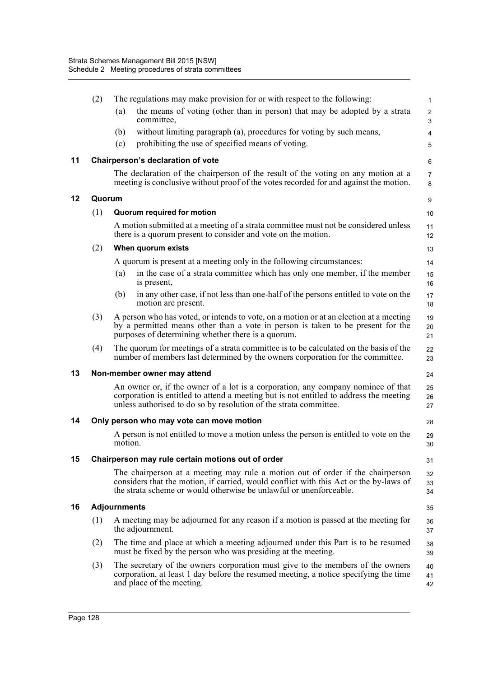|    | (2)    | The regulations may make provision for or with respect to the following:<br>the means of voting (other than in person) that may be adopted by a strata<br>(a)<br>committee,                                                                     | $\mathbf{1}$<br>$\overline{c}$<br>$\mathsf 3$ |
|----|--------|-------------------------------------------------------------------------------------------------------------------------------------------------------------------------------------------------------------------------------------------------|-----------------------------------------------|
|    |        | without limiting paragraph (a), procedures for voting by such means,<br>(b)                                                                                                                                                                     | $\overline{4}$                                |
|    |        | prohibiting the use of specified means of voting.<br>(c)                                                                                                                                                                                        | 5                                             |
| 11 |        | Chairperson's declaration of vote                                                                                                                                                                                                               | 6                                             |
|    |        | The declaration of the chairperson of the result of the voting on any motion at a<br>meeting is conclusive without proof of the votes recorded for and against the motion.                                                                      | $\overline{7}$<br>8                           |
| 12 | Quorum |                                                                                                                                                                                                                                                 | 9                                             |
|    | (1)    | Quorum required for motion                                                                                                                                                                                                                      | 10                                            |
|    |        | A motion submitted at a meeting of a strata committee must not be considered unless<br>there is a quorum present to consider and vote on the motion.                                                                                            | 11<br>12                                      |
|    | (2)    | When quorum exists                                                                                                                                                                                                                              | 13                                            |
|    |        | A quorum is present at a meeting only in the following circumstances:                                                                                                                                                                           | 14                                            |
|    |        | in the case of a strata committee which has only one member, if the member<br>(a)<br>is present,                                                                                                                                                | 15<br>16                                      |
|    |        | in any other case, if not less than one-half of the persons entitled to vote on the<br>(b)<br>motion are present.                                                                                                                               | 17<br>18                                      |
|    | (3)    | A person who has voted, or intends to vote, on a motion or at an election at a meeting<br>by a permitted means other than a vote in person is taken to be present for the<br>purposes of determining whether there is a quorum.                 | 19<br>20<br>21                                |
|    | (4)    | The quorum for meetings of a strata committee is to be calculated on the basis of the<br>number of members last determined by the owners corporation for the committee.                                                                         | 22<br>23                                      |
| 13 |        | Non-member owner may attend                                                                                                                                                                                                                     | 24                                            |
|    |        | An owner or, if the owner of a lot is a corporation, any company nominee of that<br>corporation is entitled to attend a meeting but is not entitled to address the meeting<br>unless authorised to do so by resolution of the strata committee. | 25<br>26<br>27                                |
| 14 |        | Only person who may vote can move motion                                                                                                                                                                                                        | 28                                            |
|    |        | A person is not entitled to move a motion unless the person is entitled to vote on the<br>motion.                                                                                                                                               | 29<br>30                                      |
| 15 |        | Chairperson may rule certain motions out of order                                                                                                                                                                                               | 31                                            |
|    |        | The chairperson at a meeting may rule a motion out of order if the chairperson<br>considers that the motion, if carried, would conflict with this Act or the by-laws of<br>the strata scheme or would otherwise be unlawful or unenforceable.   | 32<br>33<br>34                                |
| 16 |        | <b>Adjournments</b>                                                                                                                                                                                                                             | 35                                            |
|    | (1)    | A meeting may be adjourned for any reason if a motion is passed at the meeting for<br>the adjournment.                                                                                                                                          | 36<br>37                                      |
|    | (2)    | The time and place at which a meeting adjourned under this Part is to be resumed<br>must be fixed by the person who was presiding at the meeting.                                                                                               | 38<br>39                                      |
|    | (3)    | The secretary of the owners corporation must give to the members of the owners<br>corporation, at least 1 day before the resumed meeting, a notice specifying the time<br>and place of the meeting.                                             | 40<br>41<br>42                                |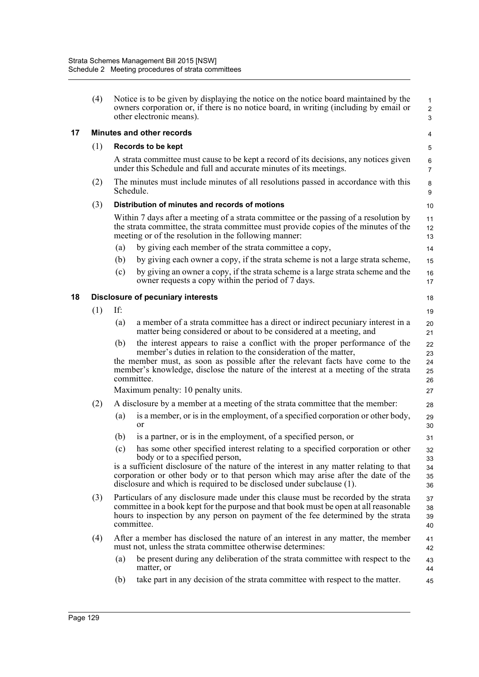|    | (4) |                                                | Notice is to be given by displaying the notice on the notice board maintained by the<br>owners corporation or, if there is no notice board, in writing (including by email or<br>other electronic means).                                                                                                                            | $\mathbf{1}$<br>$\overline{c}$<br>3 |  |  |  |  |
|----|-----|------------------------------------------------|--------------------------------------------------------------------------------------------------------------------------------------------------------------------------------------------------------------------------------------------------------------------------------------------------------------------------------------|-------------------------------------|--|--|--|--|
| 17 |     |                                                | <b>Minutes and other records</b>                                                                                                                                                                                                                                                                                                     | 4                                   |  |  |  |  |
|    | (1) |                                                | Records to be kept                                                                                                                                                                                                                                                                                                                   | 5                                   |  |  |  |  |
|    |     |                                                | A strata committee must cause to be kept a record of its decisions, any notices given<br>under this Schedule and full and accurate minutes of its meetings.                                                                                                                                                                          | 6<br>$\overline{7}$                 |  |  |  |  |
|    | (2) | Schedule.                                      | The minutes must include minutes of all resolutions passed in accordance with this                                                                                                                                                                                                                                                   | 8<br>9                              |  |  |  |  |
|    | (3) |                                                | Distribution of minutes and records of motions                                                                                                                                                                                                                                                                                       | 10                                  |  |  |  |  |
|    |     |                                                | Within 7 days after a meeting of a strata committee or the passing of a resolution by<br>the strata committee, the strata committee must provide copies of the minutes of the<br>meeting or of the resolution in the following manner:                                                                                               | 11<br>12<br>13                      |  |  |  |  |
|    |     | (a)                                            | by giving each member of the strata committee a copy,                                                                                                                                                                                                                                                                                | 14                                  |  |  |  |  |
|    |     | (b)                                            | by giving each owner a copy, if the strata scheme is not a large strata scheme,                                                                                                                                                                                                                                                      | 15                                  |  |  |  |  |
|    |     | (c)                                            | by giving an owner a copy, if the strata scheme is a large strata scheme and the<br>owner requests a copy within the period of 7 days.                                                                                                                                                                                               | 16<br>17                            |  |  |  |  |
| 18 |     | <b>Disclosure of pecuniary interests</b><br>18 |                                                                                                                                                                                                                                                                                                                                      |                                     |  |  |  |  |
|    | (1) | If:                                            |                                                                                                                                                                                                                                                                                                                                      | 19                                  |  |  |  |  |
|    |     | (a)                                            | a member of a strata committee has a direct or indirect pecuniary interest in a<br>matter being considered or about to be considered at a meeting, and                                                                                                                                                                               | 20<br>21                            |  |  |  |  |
|    |     | (b)                                            | the interest appears to raise a conflict with the proper performance of the<br>member's duties in relation to the consideration of the matter,<br>the member must, as soon as possible after the relevant facts have come to the<br>member's knowledge, disclose the nature of the interest at a meeting of the strata<br>committee. | 22<br>23<br>24<br>25<br>26          |  |  |  |  |
|    |     |                                                | Maximum penalty: 10 penalty units.                                                                                                                                                                                                                                                                                                   | 27                                  |  |  |  |  |
|    | (2) |                                                | A disclosure by a member at a meeting of the strata committee that the member:                                                                                                                                                                                                                                                       | 28                                  |  |  |  |  |
|    |     | (a)                                            | is a member, or is in the employment, of a specified corporation or other body,<br><sub>or</sub>                                                                                                                                                                                                                                     | 29<br>30                            |  |  |  |  |
|    |     | (b)                                            | is a partner, or is in the employment, of a specified person, or                                                                                                                                                                                                                                                                     | 31                                  |  |  |  |  |
|    |     | (c)                                            | has some other specified interest relating to a specified corporation or other                                                                                                                                                                                                                                                       | 32                                  |  |  |  |  |
|    |     |                                                | body or to a specified person,<br>is a sufficient disclosure of the nature of the interest in any matter relating to that<br>corporation or other body or to that person which may arise after the date of the<br>disclosure and which is required to be disclosed under subclause (1).                                              | 33<br>34<br>35<br>36                |  |  |  |  |
|    | (3) |                                                | Particulars of any disclosure made under this clause must be recorded by the strata<br>committee in a book kept for the purpose and that book must be open at all reasonable<br>hours to inspection by any person on payment of the fee determined by the strata<br>committee.                                                       | 37<br>38<br>39<br>40                |  |  |  |  |
|    | (4) |                                                | After a member has disclosed the nature of an interest in any matter, the member<br>must not, unless the strata committee otherwise determines:                                                                                                                                                                                      | 41<br>42                            |  |  |  |  |
|    |     | (a)                                            | be present during any deliberation of the strata committee with respect to the<br>matter, or                                                                                                                                                                                                                                         | 43<br>44                            |  |  |  |  |
|    |     | (b)                                            | take part in any decision of the strata committee with respect to the matter.                                                                                                                                                                                                                                                        | 45                                  |  |  |  |  |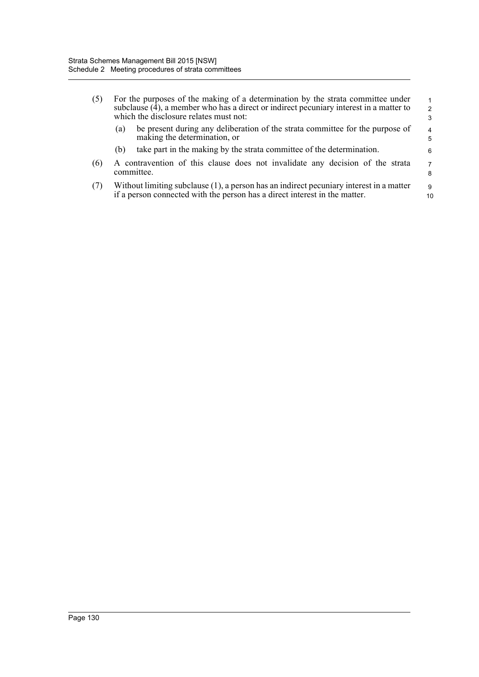| (5) | For the purposes of the making of a determination by the strata committee under<br>subclause (4), a member who has a direct or indirect pecuniary interest in a matter to<br>which the disclosure relates must not: |                                                                                                               |        |  |
|-----|---------------------------------------------------------------------------------------------------------------------------------------------------------------------------------------------------------------------|---------------------------------------------------------------------------------------------------------------|--------|--|
|     | (a)                                                                                                                                                                                                                 | be present during any deliberation of the strata committee for the purpose of<br>making the determination, or | 4<br>5 |  |
|     | (b)                                                                                                                                                                                                                 | take part in the making by the strata committee of the determination.                                         | 6      |  |
| (6) | A contravention of this clause does not invalidate any decision of the strata<br>committee.                                                                                                                         |                                                                                                               |        |  |
| (7) | Without limiting subclause (1), a person has an indirect pecuniary interest in a matter<br>if a person connected with the person has a direct interest in the matter.                                               |                                                                                                               |        |  |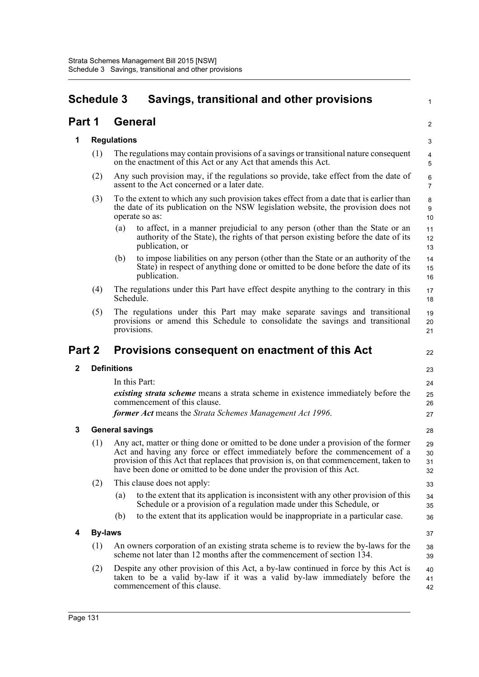| <b>Schedule 3</b>                                   |                                                                                                                                                                                                        |                                                                                                                                                        | Savings, transitional and other provisions                                                                                                                                                                                                                                                                                           | 1                    |  |  |  |  |
|-----------------------------------------------------|--------------------------------------------------------------------------------------------------------------------------------------------------------------------------------------------------------|--------------------------------------------------------------------------------------------------------------------------------------------------------|--------------------------------------------------------------------------------------------------------------------------------------------------------------------------------------------------------------------------------------------------------------------------------------------------------------------------------------|----------------------|--|--|--|--|
| Part 1                                              |                                                                                                                                                                                                        |                                                                                                                                                        | <b>General</b>                                                                                                                                                                                                                                                                                                                       |                      |  |  |  |  |
| 1                                                   |                                                                                                                                                                                                        | <b>Regulations</b>                                                                                                                                     |                                                                                                                                                                                                                                                                                                                                      | 3                    |  |  |  |  |
|                                                     | (1)                                                                                                                                                                                                    | The regulations may contain provisions of a savings or transitional nature consequent<br>on the enactment of this Act or any Act that amends this Act. | $\overline{4}$<br>5                                                                                                                                                                                                                                                                                                                  |                      |  |  |  |  |
| (2)<br>assent to the Act concerned or a later date. |                                                                                                                                                                                                        |                                                                                                                                                        | Any such provision may, if the regulations so provide, take effect from the date of                                                                                                                                                                                                                                                  | 6<br>$\overline{7}$  |  |  |  |  |
|                                                     | To the extent to which any such provision takes effect from a date that is earlier than<br>(3)<br>the date of its publication on the NSW legislation website, the provision does not<br>operate so as: |                                                                                                                                                        |                                                                                                                                                                                                                                                                                                                                      |                      |  |  |  |  |
|                                                     |                                                                                                                                                                                                        | (a)                                                                                                                                                    | to affect, in a manner prejudicial to any person (other than the State or an<br>authority of the State), the rights of that person existing before the date of its<br>publication, or                                                                                                                                                | 11<br>12<br>13       |  |  |  |  |
|                                                     |                                                                                                                                                                                                        | (b)                                                                                                                                                    | to impose liabilities on any person (other than the State or an authority of the<br>State) in respect of anything done or omitted to be done before the date of its<br>publication.                                                                                                                                                  | 14<br>15<br>16       |  |  |  |  |
|                                                     | (4)                                                                                                                                                                                                    | Schedule.                                                                                                                                              | The regulations under this Part have effect despite anything to the contrary in this                                                                                                                                                                                                                                                 | 17<br>18             |  |  |  |  |
|                                                     | (5)                                                                                                                                                                                                    |                                                                                                                                                        | The regulations under this Part may make separate savings and transitional<br>provisions or amend this Schedule to consolidate the savings and transitional<br>provisions.                                                                                                                                                           | 19<br>20<br>21       |  |  |  |  |
|                                                     |                                                                                                                                                                                                        |                                                                                                                                                        |                                                                                                                                                                                                                                                                                                                                      |                      |  |  |  |  |
| Part 2                                              |                                                                                                                                                                                                        |                                                                                                                                                        | Provisions consequent on enactment of this Act                                                                                                                                                                                                                                                                                       | 22                   |  |  |  |  |
| $\mathbf 2$                                         |                                                                                                                                                                                                        | <b>Definitions</b>                                                                                                                                     |                                                                                                                                                                                                                                                                                                                                      | 23                   |  |  |  |  |
|                                                     |                                                                                                                                                                                                        |                                                                                                                                                        | In this Part:                                                                                                                                                                                                                                                                                                                        | 24                   |  |  |  |  |
|                                                     |                                                                                                                                                                                                        |                                                                                                                                                        | <i>existing strata scheme</i> means a strata scheme in existence immediately before the<br>commencement of this clause.                                                                                                                                                                                                              | 25<br>26             |  |  |  |  |
|                                                     |                                                                                                                                                                                                        |                                                                                                                                                        | former Act means the Strata Schemes Management Act 1996.                                                                                                                                                                                                                                                                             | 27                   |  |  |  |  |
| 3                                                   |                                                                                                                                                                                                        | <b>General savings</b>                                                                                                                                 |                                                                                                                                                                                                                                                                                                                                      | 28                   |  |  |  |  |
|                                                     | (1)                                                                                                                                                                                                    |                                                                                                                                                        | Any act, matter or thing done or omitted to be done under a provision of the former<br>Act and having any force or effect immediately before the commencement of a<br>provision of this Act that replaces that provision is, on that commencement, taken to<br>have been done or omitted to be done under the provision of this Act. | 29<br>30<br>31<br>32 |  |  |  |  |
|                                                     | (2)                                                                                                                                                                                                    |                                                                                                                                                        | This clause does not apply:                                                                                                                                                                                                                                                                                                          | 33                   |  |  |  |  |
|                                                     |                                                                                                                                                                                                        | (a)                                                                                                                                                    | to the extent that its application is inconsistent with any other provision of this<br>Schedule or a provision of a regulation made under this Schedule, or                                                                                                                                                                          | 34<br>35             |  |  |  |  |
|                                                     |                                                                                                                                                                                                        | (b)                                                                                                                                                    | to the extent that its application would be inappropriate in a particular case.                                                                                                                                                                                                                                                      | 36                   |  |  |  |  |
| 4                                                   | <b>By-laws</b>                                                                                                                                                                                         |                                                                                                                                                        |                                                                                                                                                                                                                                                                                                                                      | 37                   |  |  |  |  |
|                                                     | (1)                                                                                                                                                                                                    |                                                                                                                                                        | An owners corporation of an existing strata scheme is to review the by-laws for the<br>scheme not later than 12 months after the commencement of section 134.                                                                                                                                                                        | 38<br>39             |  |  |  |  |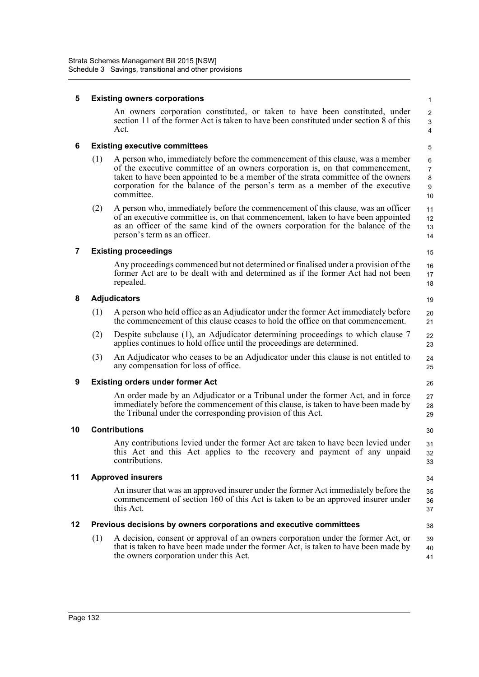| 5<br><b>Existing owners corporations</b> |     |                                                                                                                                                                                                                                                                                                                                                     |                                           |  |
|------------------------------------------|-----|-----------------------------------------------------------------------------------------------------------------------------------------------------------------------------------------------------------------------------------------------------------------------------------------------------------------------------------------------------|-------------------------------------------|--|
|                                          |     | An owners corporation constituted, or taken to have been constituted, under<br>section 11 of the former Act is taken to have been constituted under section 8 of this<br>Act.                                                                                                                                                                       | $\overline{c}$<br>3<br>4                  |  |
| 6                                        |     | <b>Existing executive committees</b>                                                                                                                                                                                                                                                                                                                | 5                                         |  |
|                                          | (1) | A person who, immediately before the commencement of this clause, was a member<br>of the executive committee of an owners corporation is, on that commencement,<br>taken to have been appointed to be a member of the strata committee of the owners<br>corporation for the balance of the person's term as a member of the executive<br>committee. | 6<br>$\overline{7}$<br>$\bf 8$<br>9<br>10 |  |
|                                          | (2) | A person who, immediately before the commencement of this clause, was an officer<br>of an executive committee is, on that commencement, taken to have been appointed<br>as an officer of the same kind of the owners corporation for the balance of the<br>person's term as an officer.                                                             | 11<br>12<br>13<br>14                      |  |
| 7                                        |     | <b>Existing proceedings</b>                                                                                                                                                                                                                                                                                                                         | 15                                        |  |
|                                          |     | Any proceedings commenced but not determined or finalised under a provision of the<br>former Act are to be dealt with and determined as if the former Act had not been<br>repealed.                                                                                                                                                                 | 16<br>17<br>18                            |  |
| 8                                        |     | <b>Adjudicators</b>                                                                                                                                                                                                                                                                                                                                 | 19                                        |  |
|                                          | (1) | A person who held office as an Adjudicator under the former Act immediately before<br>the commencement of this clause ceases to hold the office on that commencement.                                                                                                                                                                               | 20<br>21                                  |  |
|                                          | (2) | Despite subclause (1), an Adjudicator determining proceedings to which clause 7<br>applies continues to hold office until the proceedings are determined.                                                                                                                                                                                           | 22<br>23                                  |  |
|                                          | (3) | An Adjudicator who ceases to be an Adjudicator under this clause is not entitled to<br>any compensation for loss of office.                                                                                                                                                                                                                         | 24<br>25                                  |  |
| 9                                        |     | <b>Existing orders under former Act</b>                                                                                                                                                                                                                                                                                                             | 26                                        |  |
|                                          |     | An order made by an Adjudicator or a Tribunal under the former Act, and in force<br>immediately before the commencement of this clause, is taken to have been made by<br>the Tribunal under the corresponding provision of this Act.                                                                                                                | 27<br>28<br>29                            |  |
| 10                                       |     | <b>Contributions</b>                                                                                                                                                                                                                                                                                                                                | 30                                        |  |
|                                          |     | Any contributions levied under the former Act are taken to have been levied under<br>this Act and this Act applies to the recovery and payment of any unpaid<br>contributions.                                                                                                                                                                      | 31<br>32<br>33                            |  |
| 11                                       |     | <b>Approved insurers</b>                                                                                                                                                                                                                                                                                                                            | 34                                        |  |
|                                          |     | An insurer that was an approved insurer under the former Act immediately before the<br>commencement of section 160 of this Act is taken to be an approved insurer under<br>this Act.                                                                                                                                                                | 35<br>36<br>37                            |  |
| 12                                       |     | Previous decisions by owners corporations and executive committees                                                                                                                                                                                                                                                                                  | 38                                        |  |
|                                          | (1) | A decision, consent or approval of an owners corporation under the former Act, or<br>that is taken to have been made under the former Act, is taken to have been made by<br>the owners corporation under this Act.                                                                                                                                  | 39<br>40<br>41                            |  |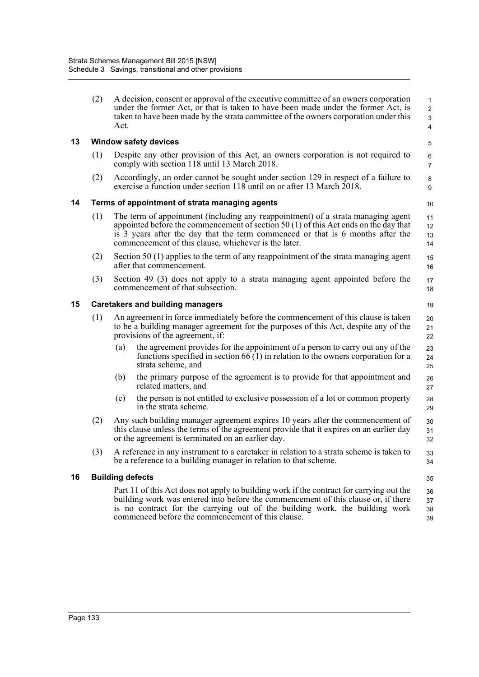|    | (2) | A decision, consent or approval of the executive committee of an owners corporation<br>under the former Act, or that is taken to have been made under the former Act, is<br>taken to have been made by the strata committee of the owners corporation under this<br>Act.                                           | 1<br>$\boldsymbol{2}$<br>$\ensuremath{\mathsf{3}}$<br>$\overline{4}$ |
|----|-----|--------------------------------------------------------------------------------------------------------------------------------------------------------------------------------------------------------------------------------------------------------------------------------------------------------------------|----------------------------------------------------------------------|
| 13 |     | <b>Window safety devices</b>                                                                                                                                                                                                                                                                                       | 5                                                                    |
|    | (1) | Despite any other provision of this Act, an owners corporation is not required to<br>comply with section 118 until 13 March 2018.                                                                                                                                                                                  | 6<br>$\overline{7}$                                                  |
|    | (2) | Accordingly, an order cannot be sought under section 129 in respect of a failure to<br>exercise a function under section 118 until on or after 13 March 2018.                                                                                                                                                      | $\bf 8$<br>9                                                         |
| 14 |     | Terms of appointment of strata managing agents                                                                                                                                                                                                                                                                     | 10                                                                   |
|    | (1) | The term of appointment (including any reappointment) of a strata managing agent<br>appointed before the commencement of section 50 (1) of this Act ends on the day that<br>is 3 years after the day that the term commenced or that is 6 months after the<br>commencement of this clause, whichever is the later. | 11<br>12<br>13<br>14                                                 |
|    | (2) | Section 50 (1) applies to the term of any reappointment of the strata managing agent<br>after that commencement.                                                                                                                                                                                                   | 15<br>16                                                             |
|    | (3) | Section 49 (3) does not apply to a strata managing agent appointed before the<br>commencement of that subsection.                                                                                                                                                                                                  | 17<br>18                                                             |
| 15 |     | <b>Caretakers and building managers</b>                                                                                                                                                                                                                                                                            | 19                                                                   |
|    | (1) | An agreement in force immediately before the commencement of this clause is taken<br>to be a building manager agreement for the purposes of this Act, despite any of the<br>provisions of the agreement, if:                                                                                                       | 20<br>21<br>22                                                       |
|    |     | the agreement provides for the appointment of a person to carry out any of the<br>(a)<br>functions specified in section $66(1)$ in relation to the owners corporation for a<br>strata scheme, and                                                                                                                  | 23<br>24<br>25                                                       |
|    |     | the primary purpose of the agreement is to provide for that appointment and<br>(b)<br>related matters, and                                                                                                                                                                                                         | 26<br>27                                                             |
|    |     | the person is not entitled to exclusive possession of a lot or common property<br>(c)<br>in the strata scheme.                                                                                                                                                                                                     | 28<br>29                                                             |
|    | (2) | Any such building manager agreement expires 10 years after the commencement of<br>this clause unless the terms of the agreement provide that it expires on an earlier day<br>or the agreement is terminated on an earlier day.                                                                                     | 30<br>31<br>32                                                       |
|    | (3) | A reference in any instrument to a caretaker in relation to a strata scheme is taken to<br>be a reference to a building manager in relation to that scheme.                                                                                                                                                        | 33<br>34                                                             |
| 16 |     | <b>Building defects</b>                                                                                                                                                                                                                                                                                            | 35                                                                   |
|    |     | Part 11 of this Act does not apply to building work if the contract for carrying out the<br>building work was entered into before the commencement of this clause or, if there<br>is no contract for the carrying out of the building work, the building work<br>commenced before the commencement of this clause. | 36<br>37<br>38<br>39                                                 |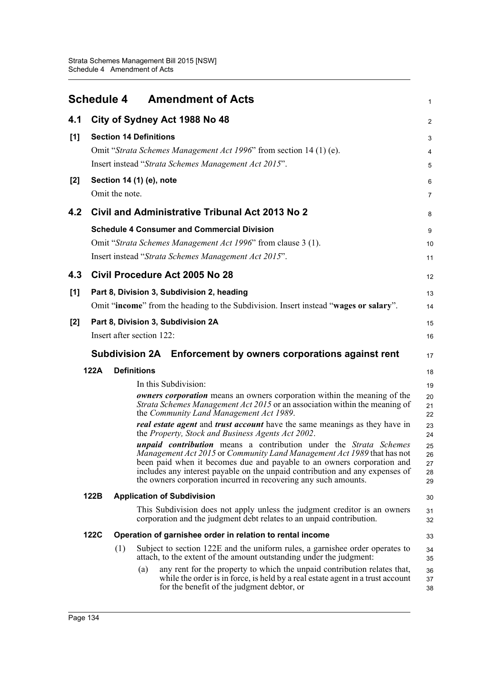|       | <b>Schedule 4</b> | <b>Amendment of Acts</b>                                                                                                                                                                                                                                                                                                                                                 | 1                          |
|-------|-------------------|--------------------------------------------------------------------------------------------------------------------------------------------------------------------------------------------------------------------------------------------------------------------------------------------------------------------------------------------------------------------------|----------------------------|
| 4.1   |                   | City of Sydney Act 1988 No 48                                                                                                                                                                                                                                                                                                                                            | 2                          |
| [1]   |                   | <b>Section 14 Definitions</b><br>Omit "Strata Schemes Management Act 1996" from section 14 (1) (e).<br>Insert instead "Strata Schemes Management Act 2015".                                                                                                                                                                                                              | 3<br>4                     |
| $[2]$ |                   | Section 14 (1) (e), note<br>Omit the note.                                                                                                                                                                                                                                                                                                                               | 5<br>6<br>7                |
| 4.2   |                   | <b>Civil and Administrative Tribunal Act 2013 No 2</b>                                                                                                                                                                                                                                                                                                                   | 8                          |
|       |                   | <b>Schedule 4 Consumer and Commercial Division</b><br>Omit "Strata Schemes Management Act 1996" from clause 3 (1).<br>Insert instead "Strata Schemes Management Act 2015".                                                                                                                                                                                               | 9<br>10<br>11              |
| 4.3   |                   | Civil Procedure Act 2005 No 28                                                                                                                                                                                                                                                                                                                                           | 12                         |
| [1]   |                   | Part 8, Division 3, Subdivision 2, heading<br>Omit "income" from the heading to the Subdivision. Insert instead "wages or salary".                                                                                                                                                                                                                                       | 13<br>14                   |
| $[2]$ |                   | Part 8, Division 3, Subdivision 2A<br>Insert after section 122:                                                                                                                                                                                                                                                                                                          | 15<br>16                   |
|       |                   | Subdivision 2A Enforcement by owners corporations against rent                                                                                                                                                                                                                                                                                                           | 17                         |
|       | 122A              | <b>Definitions</b>                                                                                                                                                                                                                                                                                                                                                       | 18                         |
|       |                   | In this Subdivision:                                                                                                                                                                                                                                                                                                                                                     | 19                         |
|       |                   | <b><i>owners corporation</i></b> means an owners corporation within the meaning of the<br>Strata Schemes Management Act 2015 or an association within the meaning of<br>the Community Land Management Act 1989.                                                                                                                                                          | 20<br>21<br>22             |
|       |                   | real estate agent and trust account have the same meanings as they have in<br>the Property, Stock and Business Agents Act 2002.                                                                                                                                                                                                                                          | 23<br>24                   |
|       |                   | unpaid contribution means a contribution under the Strata Schemes<br>Management Act 2015 or Community Land Management Act 1989 that has not<br>been paid when it becomes due and payable to an owners corporation and<br>includes any interest payable on the unpaid contribution and any expenses of<br>the owners corporation incurred in recovering any such amounts. | 25<br>26<br>27<br>28<br>29 |
|       | 122B              | <b>Application of Subdivision</b>                                                                                                                                                                                                                                                                                                                                        | 30                         |
|       |                   | This Subdivision does not apply unless the judgment creditor is an owners<br>corporation and the judgment debt relates to an unpaid contribution.                                                                                                                                                                                                                        | 31<br>32                   |
|       | <b>122C</b>       | Operation of garnishee order in relation to rental income                                                                                                                                                                                                                                                                                                                | 33                         |
|       |                   | Subject to section 122E and the uniform rules, a garnishee order operates to<br>(1)<br>attach, to the extent of the amount outstanding under the judgment:                                                                                                                                                                                                               | 34<br>35                   |
|       |                   | any rent for the property to which the unpaid contribution relates that,<br>(a)<br>while the order is in force, is held by a real estate agent in a trust account<br>for the benefit of the judgment debtor, or                                                                                                                                                          | 36<br>37<br>38             |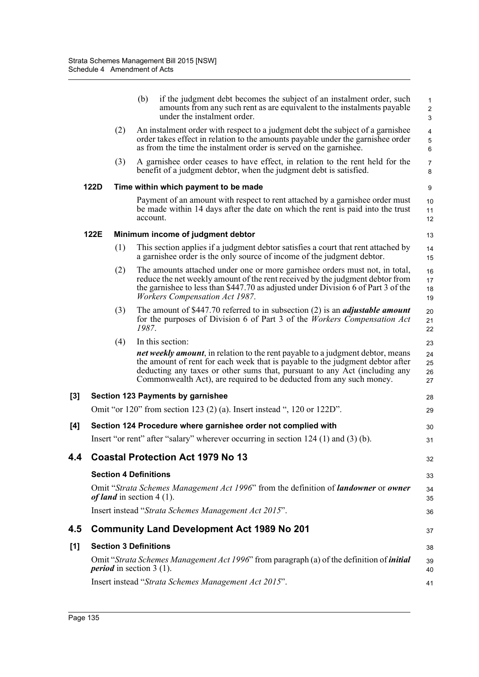|     |      |                                   | (b)      | if the judgment debt becomes the subject of an instalment order, such<br>amounts from any such rent as are equivalent to the instalments payable<br>under the instalment order.                                                                                                                                              | $\mathbf{1}$<br>$\sqrt{2}$<br>3             |
|-----|------|-----------------------------------|----------|------------------------------------------------------------------------------------------------------------------------------------------------------------------------------------------------------------------------------------------------------------------------------------------------------------------------------|---------------------------------------------|
|     |      | (2)                               |          | An instalment order with respect to a judgment debt the subject of a garnishee<br>order takes effect in relation to the amounts payable under the garnishee order<br>as from the time the instalment order is served on the garnishee.                                                                                       | $\overline{4}$<br>$\overline{5}$<br>$\,6\,$ |
|     |      | (3)                               |          | A garnishee order ceases to have effect, in relation to the rent held for the<br>benefit of a judgment debtor, when the judgment debt is satisfied.                                                                                                                                                                          | $\overline{7}$<br>8                         |
|     | 122D |                                   |          | Time within which payment to be made                                                                                                                                                                                                                                                                                         | 9                                           |
|     |      |                                   | account. | Payment of an amount with respect to rent attached by a garnishee order must<br>be made within 14 days after the date on which the rent is paid into the trust                                                                                                                                                               | 10<br>11<br>12                              |
|     | 122E |                                   |          | Minimum income of judgment debtor                                                                                                                                                                                                                                                                                            | 13                                          |
|     |      | (1)                               |          | This section applies if a judgment debtor satisfies a court that rent attached by<br>a garnishee order is the only source of income of the judgment debtor.                                                                                                                                                                  | 14<br>15                                    |
|     |      | (2)                               |          | The amounts attached under one or more garnishee orders must not, in total,<br>reduce the net weekly amount of the rent received by the judgment debtor from<br>the garnishee to less than \$447.70 as adjusted under Division 6 of Part 3 of the<br><b>Workers Compensation Act 1987.</b>                                   | 16<br>17<br>18<br>19                        |
|     |      | (3)                               | 1987.    | The amount of \$447.70 referred to in subsection $(2)$ is an <i>adjustable amount</i><br>for the purposes of Division 6 of Part 3 of the <i>Workers Compensation Act</i>                                                                                                                                                     | 20<br>21<br>22                              |
|     |      | (4)                               |          | In this section:                                                                                                                                                                                                                                                                                                             | 23                                          |
|     |      |                                   |          | <b>net weekly amount</b> , in relation to the rent payable to a judgment debtor, means<br>the amount of rent for each week that is payable to the judgment debtor after<br>deducting any taxes or other sums that, pursuant to any Act (including any<br>Commonwealth Act), are required to be deducted from any such money. | 24<br>25<br>26<br>27                        |
| [3] |      |                                   |          | Section 123 Payments by garnishee                                                                                                                                                                                                                                                                                            | 28                                          |
|     |      |                                   |          | Omit "or 120" from section 123 (2) (a). Insert instead ", 120 or 122D".                                                                                                                                                                                                                                                      | 29                                          |
| [4] |      |                                   |          | Section 124 Procedure where garnishee order not complied with                                                                                                                                                                                                                                                                | 30                                          |
|     |      |                                   |          | Insert "or rent" after "salary" wherever occurring in section $124$ (1) and (3) (b).                                                                                                                                                                                                                                         | 31                                          |
| 4.4 |      |                                   |          | <b>Coastal Protection Act 1979 No 13</b>                                                                                                                                                                                                                                                                                     | 32                                          |
|     |      | <b>Section 4 Definitions</b>      |          |                                                                                                                                                                                                                                                                                                                              | 33                                          |
|     |      | <i>of land</i> in section 4 (1).  |          | Omit "Strata Schemes Management Act 1996" from the definition of <b>landowner</b> or <b>owner</b>                                                                                                                                                                                                                            | 34<br>35                                    |
|     |      |                                   |          | Insert instead "Strata Schemes Management Act 2015".                                                                                                                                                                                                                                                                         | 36                                          |
| 4.5 |      |                                   |          | <b>Community Land Development Act 1989 No 201</b>                                                                                                                                                                                                                                                                            | 37                                          |
| [1] |      | <b>Section 3 Definitions</b>      |          |                                                                                                                                                                                                                                                                                                                              | 38                                          |
|     |      | <i>period</i> in section $3(1)$ . |          | Omit "Strata Schemes Management Act 1996" from paragraph (a) of the definition of <i>initial</i>                                                                                                                                                                                                                             | 39<br>40                                    |
|     |      |                                   |          | Insert instead "Strata Schemes Management Act 2015".                                                                                                                                                                                                                                                                         | 41                                          |
|     |      |                                   |          |                                                                                                                                                                                                                                                                                                                              |                                             |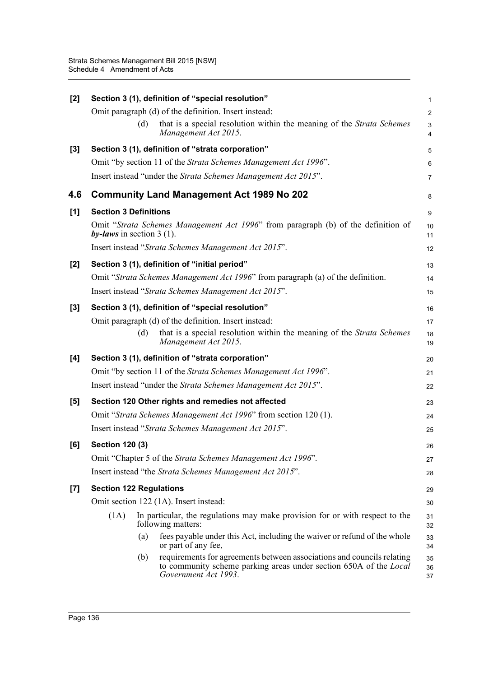| $\overline{2}$<br>that is a special resolution within the meaning of the <i>Strata Schemes</i><br>3<br>4<br>5 |
|---------------------------------------------------------------------------------------------------------------|
|                                                                                                               |
|                                                                                                               |
|                                                                                                               |
| 6                                                                                                             |
| $\overline{7}$                                                                                                |
| 8                                                                                                             |
| 9                                                                                                             |
| Omit "Strata Schemes Management Act 1996" from paragraph (b) of the definition of<br>10<br>11                 |
| 12                                                                                                            |
| 13                                                                                                            |
| Omit "Strata Schemes Management Act 1996" from paragraph (a) of the definition.<br>14                         |
| 15                                                                                                            |
| 16                                                                                                            |
| 17                                                                                                            |
| that is a special resolution within the meaning of the <i>Strata Schemes</i><br>18<br>19                      |
| 20                                                                                                            |
| 21                                                                                                            |
| 22                                                                                                            |
| 23                                                                                                            |
| 24                                                                                                            |
| 25                                                                                                            |
| 26                                                                                                            |
| 27                                                                                                            |
| 28                                                                                                            |
| 29                                                                                                            |
| 30                                                                                                            |
| In particular, the regulations may make provision for or with respect to the<br>31<br>32                      |
| fees payable under this Act, including the waiver or refund of the whole<br>33<br>34                          |
| requirements for agreements between associations and councils relating                                        |
|                                                                                                               |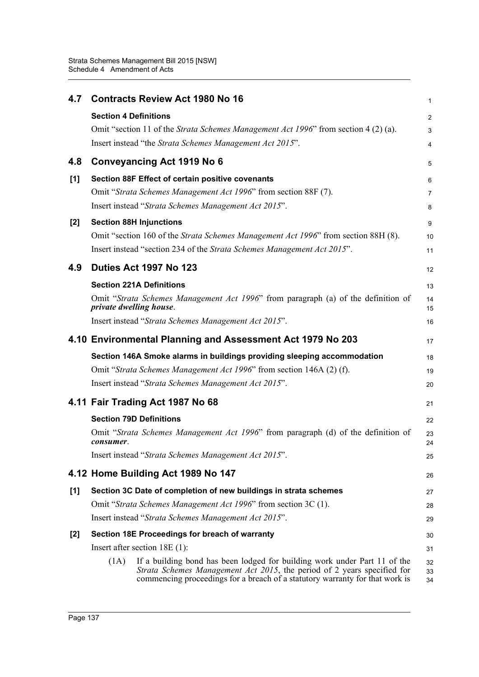| 4.7   | <b>Contracts Review Act 1980 No 16</b>                                                                                                                                                                                                       | 1              |
|-------|----------------------------------------------------------------------------------------------------------------------------------------------------------------------------------------------------------------------------------------------|----------------|
|       | <b>Section 4 Definitions</b>                                                                                                                                                                                                                 | $\overline{2}$ |
|       | Omit "section 11 of the <i>Strata Schemes Management Act 1996</i> " from section 4 (2) (a).                                                                                                                                                  | 3              |
|       | Insert instead "the Strata Schemes Management Act 2015".                                                                                                                                                                                     | 4              |
| 4.8   | <b>Conveyancing Act 1919 No 6</b>                                                                                                                                                                                                            | 5              |
| [1]   | Section 88F Effect of certain positive covenants                                                                                                                                                                                             | 6              |
|       | Omit "Strata Schemes Management Act 1996" from section 88F (7).                                                                                                                                                                              | $\overline{7}$ |
|       | Insert instead "Strata Schemes Management Act 2015".                                                                                                                                                                                         | 8              |
| $[2]$ | <b>Section 88H Injunctions</b>                                                                                                                                                                                                               | 9              |
|       | Omit "section 160 of the Strata Schemes Management Act 1996" from section 88H (8).                                                                                                                                                           | 10             |
|       | Insert instead "section 234 of the Strata Schemes Management Act 2015".                                                                                                                                                                      | 11             |
| 4.9   | <b>Duties Act 1997 No 123</b>                                                                                                                                                                                                                | 12             |
|       | <b>Section 221A Definitions</b>                                                                                                                                                                                                              | 13             |
|       | Omit "Strata Schemes Management Act 1996" from paragraph (a) of the definition of<br>private dwelling house.                                                                                                                                 | 14<br>15       |
|       | Insert instead "Strata Schemes Management Act 2015".                                                                                                                                                                                         | 16             |
|       | 4.10 Environmental Planning and Assessment Act 1979 No 203                                                                                                                                                                                   | 17             |
|       | Section 146A Smoke alarms in buildings providing sleeping accommodation                                                                                                                                                                      | 18             |
|       | Omit "Strata Schemes Management Act 1996" from section 146A (2) (f).                                                                                                                                                                         | 19             |
|       | Insert instead "Strata Schemes Management Act 2015".                                                                                                                                                                                         | 20             |
|       | 4.11 Fair Trading Act 1987 No 68                                                                                                                                                                                                             | 21             |
|       | <b>Section 79D Definitions</b>                                                                                                                                                                                                               | 22             |
|       | Omit "Strata Schemes Management Act 1996" from paragraph (d) of the definition of<br>consumer.                                                                                                                                               | 23<br>24       |
|       | Insert instead "Strata Schemes Management Act 2015".                                                                                                                                                                                         | 25             |
|       | 4.12 Home Building Act 1989 No 147                                                                                                                                                                                                           | 26             |
| [1]   | Section 3C Date of completion of new buildings in strata schemes                                                                                                                                                                             | 27             |
|       | Omit "Strata Schemes Management Act 1996" from section 3C (1).                                                                                                                                                                               | 28             |
|       | Insert instead "Strata Schemes Management Act 2015".                                                                                                                                                                                         | 29             |
| $[2]$ | Section 18E Proceedings for breach of warranty                                                                                                                                                                                               | 30             |
|       | Insert after section $18E(1)$ :                                                                                                                                                                                                              | 31             |
|       | If a building bond has been lodged for building work under Part 11 of the<br>(1A)<br>Strata Schemes Management Act 2015, the period of 2 years specified for<br>commencing proceedings for a breach of a statutory warranty for that work is | 32<br>33<br>34 |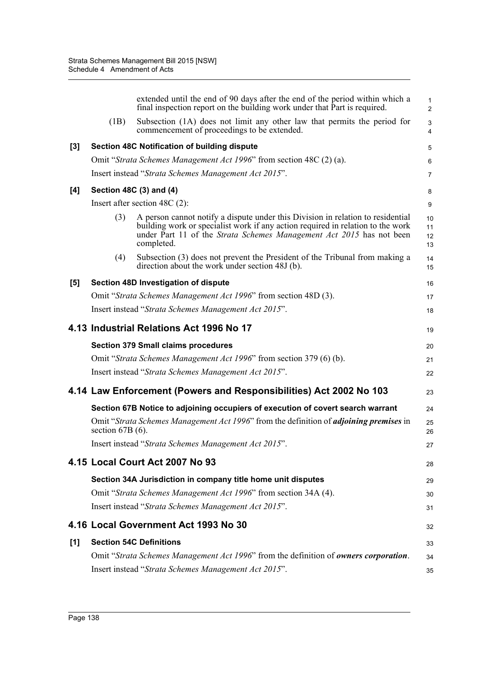|       |                    | extended until the end of 90 days after the end of the period within which a<br>final inspection report on the building work under that Part is required.                                                                                                | $\mathbf{1}$<br>2    |
|-------|--------------------|----------------------------------------------------------------------------------------------------------------------------------------------------------------------------------------------------------------------------------------------------------|----------------------|
|       | (1B)               | Subsection (1A) does not limit any other law that permits the period for<br>commencement of proceedings to be extended.                                                                                                                                  | 3<br>$\overline{4}$  |
| $[3]$ |                    | Section 48C Notification of building dispute                                                                                                                                                                                                             | 5                    |
|       |                    | Omit "Strata Schemes Management Act 1996" from section 48C (2) (a).                                                                                                                                                                                      | 6                    |
|       |                    | Insert instead "Strata Schemes Management Act 2015".                                                                                                                                                                                                     | $\overline{7}$       |
| [4]   |                    | Section 48C (3) and (4)                                                                                                                                                                                                                                  | 8                    |
|       |                    | Insert after section 48C $(2)$ :                                                                                                                                                                                                                         | 9                    |
|       | (3)                | A person cannot notify a dispute under this Division in relation to residential<br>building work or specialist work if any action required in relation to the work<br>under Part 11 of the Strata Schemes Management Act 2015 has not been<br>completed. | 10<br>11<br>12<br>13 |
|       | (4)                | Subsection (3) does not prevent the President of the Tribunal from making a<br>direction about the work under section 48J (b).                                                                                                                           | 14<br>15             |
| [5]   |                    | Section 48D Investigation of dispute                                                                                                                                                                                                                     | 16                   |
|       |                    | Omit "Strata Schemes Management Act 1996" from section 48D (3).                                                                                                                                                                                          | 17                   |
|       |                    | Insert instead "Strata Schemes Management Act 2015".                                                                                                                                                                                                     | 18                   |
|       |                    | 4.13 Industrial Relations Act 1996 No 17                                                                                                                                                                                                                 | 19                   |
|       |                    | <b>Section 379 Small claims procedures</b>                                                                                                                                                                                                               | 20                   |
|       |                    | Omit "Strata Schemes Management Act 1996" from section 379 (6) (b).                                                                                                                                                                                      | 21                   |
|       |                    | Insert instead "Strata Schemes Management Act 2015".                                                                                                                                                                                                     | 22                   |
|       |                    | 4.14 Law Enforcement (Powers and Responsibilities) Act 2002 No 103                                                                                                                                                                                       | 23                   |
|       |                    | Section 67B Notice to adjoining occupiers of execution of covert search warrant                                                                                                                                                                          | 24                   |
|       | section $67B(6)$ . | Omit "Strata Schemes Management Act 1996" from the definition of <i>adjoining premises</i> in                                                                                                                                                            | 25<br>26             |
|       |                    | Insert instead "Strata Schemes Management Act 2015".                                                                                                                                                                                                     | 27                   |
|       |                    | 4.15 Local Court Act 2007 No 93                                                                                                                                                                                                                          | 28                   |
|       |                    | Section 34A Jurisdiction in company title home unit disputes                                                                                                                                                                                             | 29                   |
|       |                    | Omit "Strata Schemes Management Act 1996" from section 34A (4).                                                                                                                                                                                          | 30                   |
|       |                    | Insert instead "Strata Schemes Management Act 2015".                                                                                                                                                                                                     | 31                   |
|       |                    | 4.16 Local Government Act 1993 No 30                                                                                                                                                                                                                     | 32                   |
| [1]   |                    | <b>Section 54C Definitions</b>                                                                                                                                                                                                                           | 33                   |
|       |                    | Omit "Strata Schemes Management Act 1996" from the definition of owners corporation.                                                                                                                                                                     | 34                   |
|       |                    | Insert instead "Strata Schemes Management Act 2015".                                                                                                                                                                                                     | 35                   |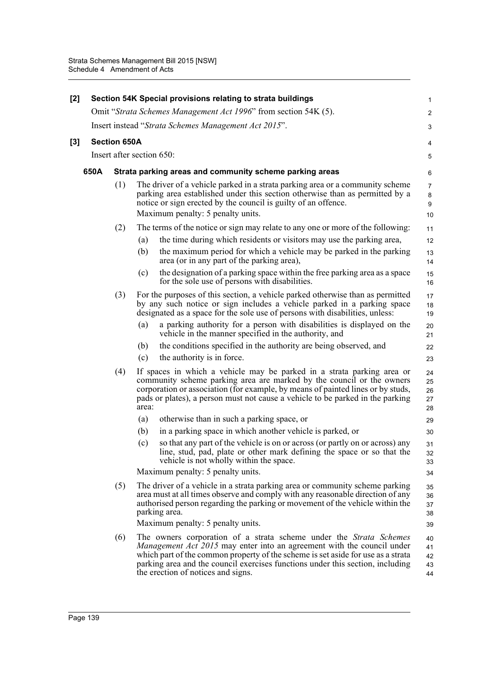| [2] |      |                     | Section 54K Special provisions relating to strata buildings                                                                                                                                                                                                                                                                                                     | 1                          |
|-----|------|---------------------|-----------------------------------------------------------------------------------------------------------------------------------------------------------------------------------------------------------------------------------------------------------------------------------------------------------------------------------------------------------------|----------------------------|
|     |      |                     | Omit "Strata Schemes Management Act 1996" from section 54K (5).                                                                                                                                                                                                                                                                                                 | $\overline{2}$             |
|     |      |                     | Insert instead "Strata Schemes Management Act 2015".                                                                                                                                                                                                                                                                                                            | 3                          |
| [3] |      | <b>Section 650A</b> |                                                                                                                                                                                                                                                                                                                                                                 | 4                          |
|     |      |                     | Insert after section 650:                                                                                                                                                                                                                                                                                                                                       | 5                          |
|     | 650A |                     | Strata parking areas and community scheme parking areas                                                                                                                                                                                                                                                                                                         | 6                          |
|     |      | (1)                 | The driver of a vehicle parked in a strata parking area or a community scheme<br>parking area established under this section otherwise than as permitted by a<br>notice or sign erected by the council is guilty of an offence.                                                                                                                                 | $\overline{7}$<br>8<br>9   |
|     |      |                     | Maximum penalty: 5 penalty units.                                                                                                                                                                                                                                                                                                                               | 10                         |
|     |      | (2)                 | The terms of the notice or sign may relate to any one or more of the following:                                                                                                                                                                                                                                                                                 | 11                         |
|     |      |                     | the time during which residents or visitors may use the parking area,<br>(a)                                                                                                                                                                                                                                                                                    | 12                         |
|     |      |                     | the maximum period for which a vehicle may be parked in the parking<br>(b)<br>area (or in any part of the parking area),                                                                                                                                                                                                                                        | 13<br>14                   |
|     |      |                     | the designation of a parking space within the free parking area as a space<br>(c)<br>for the sole use of persons with disabilities.                                                                                                                                                                                                                             | 15<br>16                   |
|     |      | (3)                 | For the purposes of this section, a vehicle parked otherwise than as permitted<br>by any such notice or sign includes a vehicle parked in a parking space<br>designated as a space for the sole use of persons with disabilities, unless:                                                                                                                       | 17<br>18<br>19             |
|     |      |                     | a parking authority for a person with disabilities is displayed on the<br>(a)<br>vehicle in the manner specified in the authority, and                                                                                                                                                                                                                          | 20<br>21                   |
|     |      |                     | the conditions specified in the authority are being observed, and<br>(b)                                                                                                                                                                                                                                                                                        | 22                         |
|     |      |                     | the authority is in force.<br>(c)                                                                                                                                                                                                                                                                                                                               | 23                         |
|     |      | (4)                 | If spaces in which a vehicle may be parked in a strata parking area or<br>community scheme parking area are marked by the council or the owners<br>corporation or association (for example, by means of painted lines or by studs,<br>pads or plates), a person must not cause a vehicle to be parked in the parking<br>area:                                   | 24<br>25<br>26<br>27<br>28 |
|     |      |                     | (a)<br>otherwise than in such a parking space, or                                                                                                                                                                                                                                                                                                               | 29                         |
|     |      |                     | in a parking space in which another vehicle is parked, or<br>(b)                                                                                                                                                                                                                                                                                                | 30                         |
|     |      |                     | so that any part of the vehicle is on or across (or partly on or across) any<br>(c)<br>line, stud, pad, plate or other mark defining the space or so that the<br>vehicle is not wholly within the space.                                                                                                                                                        | 31<br>32<br>33             |
|     |      |                     | Maximum penalty: 5 penalty units.                                                                                                                                                                                                                                                                                                                               | 34                         |
|     |      | (5)                 | The driver of a vehicle in a strata parking area or community scheme parking<br>area must at all times observe and comply with any reasonable direction of any<br>authorised person regarding the parking or movement of the vehicle within the<br>parking area.                                                                                                | 35<br>36<br>37<br>38       |
|     |      |                     | Maximum penalty: 5 penalty units.                                                                                                                                                                                                                                                                                                                               | 39                         |
|     |      | (6)                 | The owners corporation of a strata scheme under the Strata Schemes<br><i>Management Act 2015</i> may enter into an agreement with the council under<br>which part of the common property of the scheme is set aside for use as a strata<br>parking area and the council exercises functions under this section, including<br>the erection of notices and signs. | 40<br>41<br>42<br>43<br>44 |
|     |      |                     |                                                                                                                                                                                                                                                                                                                                                                 |                            |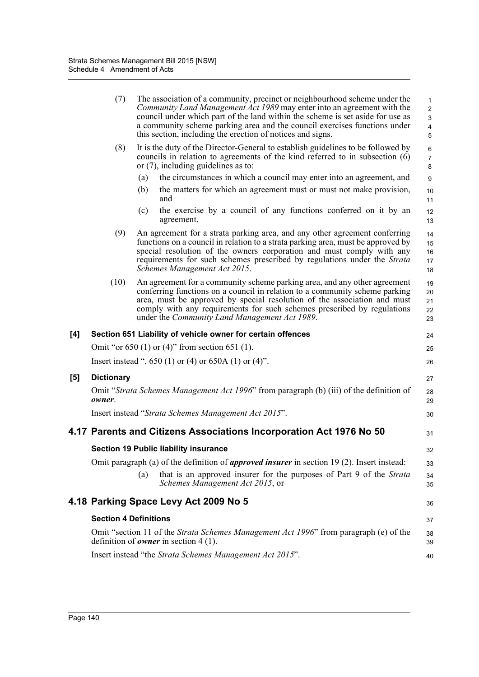|     | (7)                          | The association of a community, precinct or neighbourhood scheme under the<br>Community Land Management Act 1989 may enter into an agreement with the<br>council under which part of the land within the scheme is set aside for use as<br>a community scheme parking area and the council exercises functions under<br>this section, including the erection of notices and signs. | 1<br>$\overline{2}$<br>3<br>$\overline{\mathbf{4}}$<br>5 |
|-----|------------------------------|------------------------------------------------------------------------------------------------------------------------------------------------------------------------------------------------------------------------------------------------------------------------------------------------------------------------------------------------------------------------------------|----------------------------------------------------------|
|     | (8)                          | It is the duty of the Director-General to establish guidelines to be followed by<br>councils in relation to agreements of the kind referred to in subsection (6)<br>or $(7)$ , including guidelines as to:                                                                                                                                                                         | 6<br>$\overline{7}$<br>8                                 |
|     |                              | the circumstances in which a council may enter into an agreement, and<br>(a)                                                                                                                                                                                                                                                                                                       | $\boldsymbol{9}$                                         |
|     |                              | the matters for which an agreement must or must not make provision,<br>(b)<br>and                                                                                                                                                                                                                                                                                                  | 10<br>11                                                 |
|     |                              | the exercise by a council of any functions conferred on it by an<br>(c)<br>agreement.                                                                                                                                                                                                                                                                                              | 12<br>13                                                 |
|     | (9)                          | An agreement for a strata parking area, and any other agreement conferring<br>functions on a council in relation to a strata parking area, must be approved by<br>special resolution of the owners corporation and must comply with any<br>requirements for such schemes prescribed by regulations under the Strata<br>Schemes Management Act 2015.                                | 14<br>15<br>16<br>17<br>18                               |
|     | (10)                         | An agreement for a community scheme parking area, and any other agreement<br>conferring functions on a council in relation to a community scheme parking<br>area, must be approved by special resolution of the association and must<br>comply with any requirements for such schemes prescribed by regulations<br>under the Community Land Management Act 1989.                   | 19<br>20<br>21<br>22<br>23                               |
| [4] |                              | Section 651 Liability of vehicle owner for certain offences                                                                                                                                                                                                                                                                                                                        | 24                                                       |
|     |                              | Omit "or $650$ (1) or (4)" from section $651$ (1).                                                                                                                                                                                                                                                                                                                                 | 25                                                       |
|     |                              | Insert instead ", 650 (1) or (4) or 650A (1) or (4)".                                                                                                                                                                                                                                                                                                                              | 26                                                       |
| [5] | <b>Dictionary</b>            |                                                                                                                                                                                                                                                                                                                                                                                    |                                                          |
|     | owner.                       | Omit "Strata Schemes Management Act 1996" from paragraph (b) (iii) of the definition of                                                                                                                                                                                                                                                                                            | 27<br>28<br>29                                           |
|     |                              | Insert instead "Strata Schemes Management Act 2015".                                                                                                                                                                                                                                                                                                                               | 30                                                       |
|     |                              | 4.17 Parents and Citizens Associations Incorporation Act 1976 No 50                                                                                                                                                                                                                                                                                                                | 31                                                       |
|     |                              | <b>Section 19 Public liability insurance</b>                                                                                                                                                                                                                                                                                                                                       | 32                                                       |
|     |                              | Omit paragraph (a) of the definition of <i>approved insurer</i> in section 19 (2). Insert instead:                                                                                                                                                                                                                                                                                 | 33                                                       |
|     |                              | that is an approved insurer for the purposes of Part 9 of the Strata<br>(a)<br>Schemes Management Act 2015, or                                                                                                                                                                                                                                                                     | 34<br>35                                                 |
|     |                              | 4.18 Parking Space Levy Act 2009 No 5                                                                                                                                                                                                                                                                                                                                              | 36                                                       |
|     | <b>Section 4 Definitions</b> |                                                                                                                                                                                                                                                                                                                                                                                    | 37                                                       |
|     |                              | Omit "section 11 of the <i>Strata Schemes Management Act 1996</i> " from paragraph (e) of the<br>definition of <i>owner</i> in section 4 (1).                                                                                                                                                                                                                                      | 38<br>39                                                 |
|     |                              | Insert instead "the Strata Schemes Management Act 2015".                                                                                                                                                                                                                                                                                                                           | 40                                                       |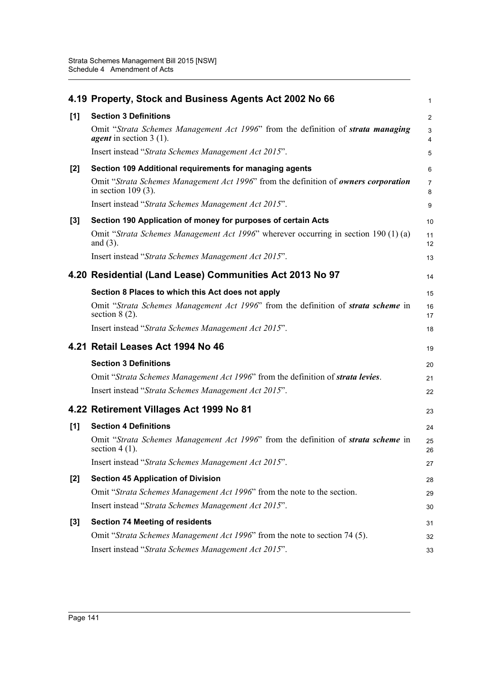|       | 4.19 Property, Stock and Business Agents Act 2002 No 66                                                                     | $\mathbf{1}$        |
|-------|-----------------------------------------------------------------------------------------------------------------------------|---------------------|
| [1]   | <b>Section 3 Definitions</b>                                                                                                | $\overline{2}$      |
|       | Omit "Strata Schemes Management Act 1996" from the definition of <b>strata managing</b><br><i>agent</i> in section $3(1)$ . | 3<br>4              |
|       | Insert instead "Strata Schemes Management Act 2015".                                                                        | 5                   |
| [2]   | Section 109 Additional requirements for managing agents                                                                     | 6                   |
|       | Omit "Strata Schemes Management Act 1996" from the definition of owners corporation<br>in section $109(3)$ .                | $\overline{7}$<br>8 |
|       | Insert instead "Strata Schemes Management Act 2015".                                                                        | 9                   |
| [3]   | Section 190 Application of money for purposes of certain Acts                                                               | 10                  |
|       | Omit "Strata Schemes Management Act 1996" wherever occurring in section 190 (1) (a)<br>and $(3)$ .                          | 11<br>12            |
|       | Insert instead "Strata Schemes Management Act 2015".                                                                        | 13                  |
|       | 4.20 Residential (Land Lease) Communities Act 2013 No 97                                                                    | 14                  |
|       | Section 8 Places to which this Act does not apply                                                                           | 15                  |
|       | Omit "Strata Schemes Management Act 1996" from the definition of <b>strata scheme</b> in<br>section $8(2)$ .                | 16<br>17            |
|       | Insert instead "Strata Schemes Management Act 2015".                                                                        | 18                  |
|       | 4.21 Retail Leases Act 1994 No 46                                                                                           | 19                  |
|       | <b>Section 3 Definitions</b>                                                                                                | 20                  |
|       | Omit "Strata Schemes Management Act 1996" from the definition of strata levies.                                             | 21                  |
|       | Insert instead "Strata Schemes Management Act 2015".                                                                        | 22                  |
|       | 4.22 Retirement Villages Act 1999 No 81                                                                                     | 23                  |
| [1]   | <b>Section 4 Definitions</b>                                                                                                | 24                  |
|       | Omit "Strata Schemes Management Act 1996" from the definition of strata scheme in<br>section $4(1)$ .                       | 25<br>26            |
|       | Insert instead "Strata Schemes Management Act 2015".                                                                        | 27                  |
| [2]   | <b>Section 45 Application of Division</b>                                                                                   | 28                  |
|       | Omit "Strata Schemes Management Act 1996" from the note to the section.                                                     | 29                  |
|       | Insert instead "Strata Schemes Management Act 2015".                                                                        | 30                  |
| $[3]$ | <b>Section 74 Meeting of residents</b>                                                                                      | 31                  |
|       | Omit "Strata Schemes Management Act 1996" from the note to section 74 (5).                                                  | 32                  |
|       | Insert instead "Strata Schemes Management Act 2015".                                                                        | 33                  |